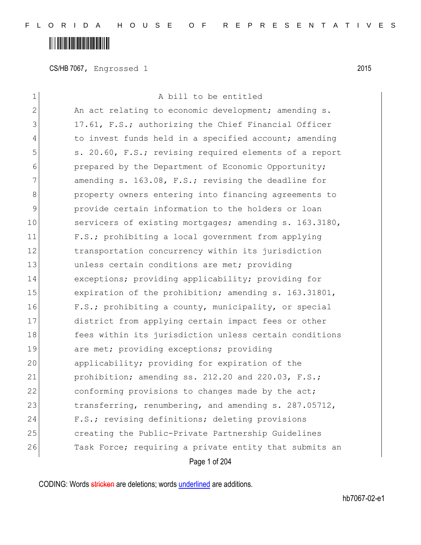### 

CS/HB 7067, Engrossed 1 2015

| 1             | A bill to be entitled                                  |
|---------------|--------------------------------------------------------|
| $\mathbf{2}$  | An act relating to economic development; amending s.   |
| 3             | 17.61, F.S.; authorizing the Chief Financial Officer   |
| 4             | to invest funds held in a specified account; amending  |
| 5             | s. 20.60, F.S.; revising required elements of a report |
| 6             | prepared by the Department of Economic Opportunity;    |
| 7             | amending s. 163.08, F.S.; revising the deadline for    |
| 8             | property owners entering into financing agreements to  |
| $\mathcal{G}$ | provide certain information to the holders or loan     |
| 10            | servicers of existing mortgages; amending s. 163.3180, |
| 11            | F.S.; prohibiting a local government from applying     |
| 12            | transportation concurrency within its jurisdiction     |
| 13            | unless certain conditions are met; providing           |
| 14            | exceptions; providing applicability; providing for     |
| 15            | expiration of the prohibition; amending s. 163.31801,  |
| 16            | F.S.; prohibiting a county, municipality, or special   |
| 17            | district from applying certain impact fees or other    |
| 18            | fees within its jurisdiction unless certain conditions |
| 19            | are met; providing exceptions; providing               |
| 20            | applicability; providing for expiration of the         |
| 21            | prohibition; amending ss. 212.20 and 220.03, F.S.;     |
| 22            | conforming provisions to changes made by the act;      |
| 23            | transferring, renumbering, and amending s. 287.05712,  |
| 24            | F.S.; revising definitions; deleting provisions        |
| 25            | creating the Public-Private Partnership Guidelines     |
| 26            | Task Force; requiring a private entity that submits an |
|               | Page 1 of 204                                          |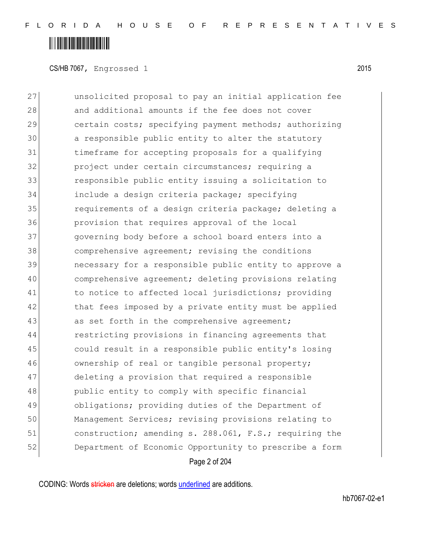### **IIII IIIII IIII IIII IIII IIII**

CS/HB 7067, Engrossed 1 2015

Page 2 of 204 **b** unsolicited proposal to pay an initial application fee 28 and additional amounts if the fee does not cover 29 certain costs; specifying payment methods; authorizing 30 a responsible public entity to alter the statutory timeframe for accepting proposals for a qualifying **project under certain circumstances; requiring a**  responsible public entity issuing a solicitation to include a design criteria package; specifying 35 35 requirements of a design criteria package; deleting a provision that requires approval of the local governing body before a school board enters into a comprehensive agreement; revising the conditions necessary for a responsible public entity to approve a comprehensive agreement; deleting provisions relating to notice to affected local jurisdictions; providing 42 that fees imposed by a private entity must be applied 43 as set forth in the comprehensive agreement; restricting provisions in financing agreements that could result in a responsible public entity's losing 46 ownership of real or tangible personal property; deleting a provision that required a responsible 48 public entity to comply with specific financial **bligations;** providing duties of the Department of Management Services; revising provisions relating to 51 construction; amending s. 288.061, F.S.; requiring the Department of Economic Opportunity to prescribe a form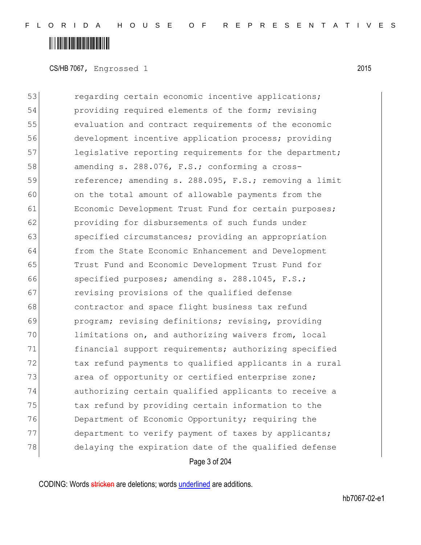### <u> Alaman Martin Ala</u>

CS/HB 7067, Engrossed 1 2015

Page 3 of 204 53 regarding certain economic incentive applications; 54 providing required elements of the form; revising 55 evaluation and contract requirements of the economic 56 development incentive application process; providing 57 legislative reporting requirements for the department; 58 amending s. 288.076, F.S.; conforming a cross-59 reference; amending s. 288.095, F.S.; removing a limit 60 on the total amount of allowable payments from the 61 Economic Development Trust Fund for certain purposes; 62 providing for disbursements of such funds under 63 specified circumstances; providing an appropriation 64 from the State Economic Enhancement and Development 65 Trust Fund and Economic Development Trust Fund for 66 specified purposes; amending s. 288.1045, F.S.; 67 revising provisions of the qualified defense 68 **contractor and space flight business tax refund** 69 program; revising definitions; revising, providing 70 limitations on, and authorizing waivers from, local 71 financial support requirements; authorizing specified 72 tax refund payments to qualified applicants in a rural 73 area of opportunity or certified enterprise zone; 74 authorizing certain qualified applicants to receive a 75 tax refund by providing certain information to the 76 Department of Economic Opportunity; requiring the 77 department to verify payment of taxes by applicants; 78 delaying the expiration date of the qualified defense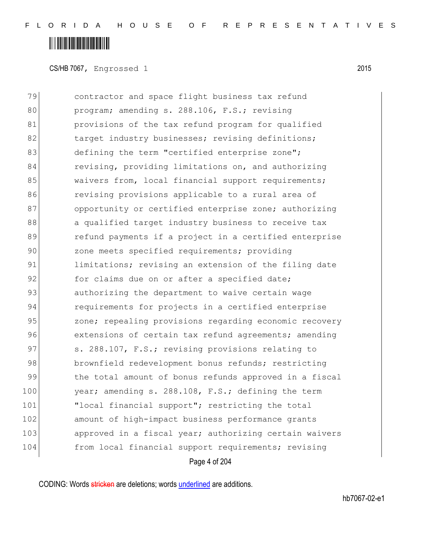### <u> Alaman Martin Ala</u>

CS/HB 7067, Engrossed 1 2015

79 contractor and space flight business tax refund 80 program; amending s. 288.106, F.S.; revising 81 **provisions of the tax refund program for qualified** 82 target industry businesses; revising definitions; 83 defining the term "certified enterprise zone"; 84 revising, providing limitations on, and authorizing 85 waivers from, local financial support requirements; 86 **revising provisions applicable to a rural area of** 87 opportunity or certified enterprise zone; authorizing 88 a qualified target industry business to receive tax 89 refund payments if a project in a certified enterprise 90 zone meets specified requirements; providing 91 limitations; revising an extension of the filing date 92 for claims due on or after a specified date; 93 authorizing the department to waive certain wage 94 requirements for projects in a certified enterprise 95 zone; repealing provisions regarding economic recovery 96 extensions of certain tax refund agreements; amending 97 S. 288.107, F.S.; revising provisions relating to 98 brownfield redevelopment bonus refunds; restricting 99 the total amount of bonus refunds approved in a fiscal 100 year; amending s. 288.108, F.S.; defining the term 101 Tlocal financial support"; restricting the total 102 amount of high-impact business performance grants 103 approved in a fiscal year; authorizing certain waivers 104 from local financial support requirements; revising

Page 4 of 204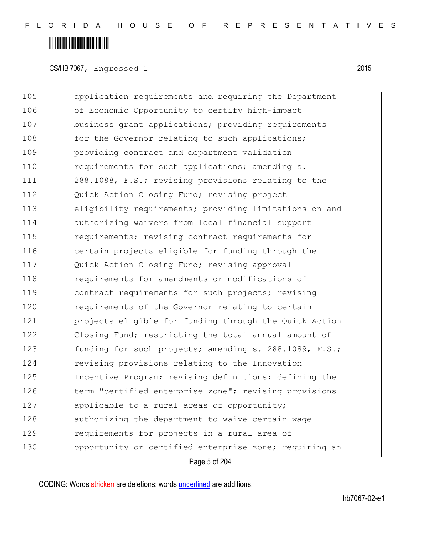CS/HB 7067, Engrossed 1 2015

Page 5 of 204 105 application requirements and requiring the Department 106 of Economic Opportunity to certify high-impact 107 business grant applications; providing requirements 108 for the Governor relating to such applications; 109 providing contract and department validation 110 requirements for such applications; amending s. 111 288.1088, F.S.; revising provisions relating to the 112 Quick Action Closing Fund; revising project 113 eligibility requirements; providing limitations on and 114 authorizing waivers from local financial support 115 **requirements;** revising contract requirements for 116 certain projects eligible for funding through the 117 Quick Action Closing Fund; revising approval 118 **requirements for amendments or modifications of** 119 contract requirements for such projects; revising 120 requirements of the Governor relating to certain 121 projects eligible for funding through the Quick Action 122 Closing Fund; restricting the total annual amount of 123 funding for such projects; amending s. 288.1089, F.S.; 124 revising provisions relating to the Innovation 125 Incentive Program; revising definitions; defining the 126 term "certified enterprise zone"; revising provisions 127 applicable to a rural areas of opportunity; 128 authorizing the department to waive certain wage 129 **requirements for projects in a rural area of** 130 opportunity or certified enterprise zone; requiring an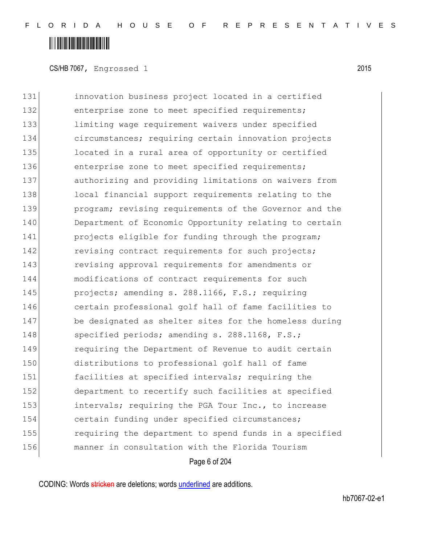CS/HB 7067, Engrossed 1 2015

 innovation business project located in a certified 132 enterprise zone to meet specified requirements; limiting wage requirement waivers under specified circumstances; requiring certain innovation projects located in a rural area of opportunity or certified 136 enterprise zone to meet specified requirements; 137 authorizing and providing limitations on waivers from 138 local financial support requirements relating to the **program;** revising requirements of the Governor and the 140 Department of Economic Opportunity relating to certain **projects eligible for funding through the program;** 142 revising contract requirements for such projects; revising approval requirements for amendments or modifications of contract requirements for such **projects;** amending s. 288.1166, F.S.; requiring certain professional golf hall of fame facilities to be designated as shelter sites for the homeless during 148 specified periods; amending s. 288.1168, F.S.; requiring the Department of Revenue to audit certain distributions to professional golf hall of fame facilities at specified intervals; requiring the department to recertify such facilities at specified 153 intervals; requiring the PGA Tour Inc., to increase certain funding under specified circumstances; requiring the department to spend funds in a specified manner in consultation with the Florida Tourism

Page 6 of 204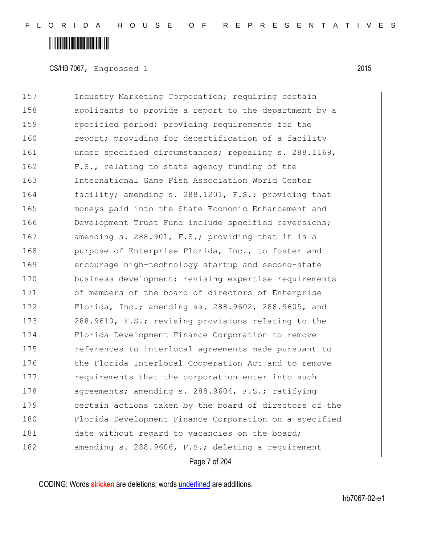CS/HB 7067, Engrossed 1 2015

157 Industry Marketing Corporation; requiring certain 158 applicants to provide a report to the department by a 159 specified period; providing requirements for the 160 report; providing for decertification of a facility 161 **under specified circumstances; repealing s. 288.1169,** 162 F.S., relating to state agency funding of the 163 International Game Fish Association World Center 164 facility; amending s. 288.1201, F.S.; providing that 165 moneys paid into the State Economic Enhancement and 166 Development Trust Fund include specified reversions; 167 amending s. 288.901, F.S.; providing that it is a 168 **purpose of Enterprise Florida, Inc., to foster and** 169 encourage high-technology startup and second-state 170 business development; revising expertise requirements 171 of members of the board of directors of Enterprise 172 Florida, Inc.; amending ss. 288.9602, 288.9605, and 173 288.9610, F.S.; revising provisions relating to the 174 Florida Development Finance Corporation to remove 175 references to interlocal agreements made pursuant to 176 the Florida Interlocal Cooperation Act and to remove 177 requirements that the corporation enter into such 178 agreements; amending s. 288.9604, F.S.; ratifying 179 certain actions taken by the board of directors of the 180 Florida Development Finance Corporation on a specified 181 date without regard to vacancies on the board; 182 amending s. 288.9606, F.S.; deleting a requirement

Page 7 of 204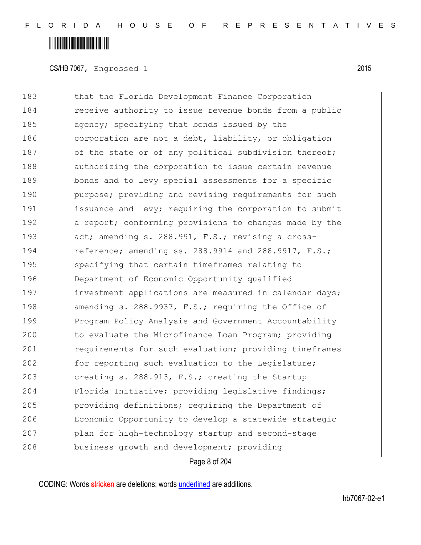CS/HB 7067, Engrossed 1 2015

183 bhat the Florida Development Finance Corporation 184 receive authority to issue revenue bonds from a public 185 agency; specifying that bonds issued by the 186 corporation are not a debt, liability, or obligation 187 of the state or of any political subdivision thereof; 188 authorizing the corporation to issue certain revenue 189 bonds and to levy special assessments for a specific 190 **purpose;** providing and revising requirements for such 191 issuance and levy; requiring the corporation to submit 192 a report; conforming provisions to changes made by the 193 act; amending s. 288.991, F.S.; revising a cross-194 reference; amending ss. 288.9914 and 288.9917, F.S.; 195 specifying that certain timeframes relating to 196 Department of Economic Opportunity qualified 197 investment applications are measured in calendar days; 198 amending s. 288.9937, F.S.; requiring the Office of 199 Program Policy Analysis and Government Accountability 200 to evaluate the Microfinance Loan Program; providing 201 requirements for such evaluation; providing timeframes 202 for reporting such evaluation to the Legislature; 203 creating s. 288.913, F.S.; creating the Startup 204 Florida Initiative; providing legislative findings; 205 **providing definitions;** requiring the Department of 206 Economic Opportunity to develop a statewide strategic 207 plan for high-technology startup and second-stage 208 business growth and development; providing

Page 8 of 204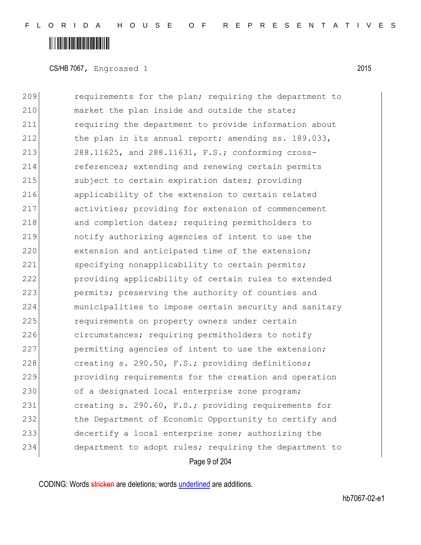### <u> Alban Martin Martin Martin M</u>

CS/HB 7067, Engrossed 1 2015

209 **requirements for the plan; requiring the department to** 210 market the plan inside and outside the state; 211 requiring the department to provide information about 212 the plan in its annual report; amending ss. 189.033, 213 288.11625, and 288.11631, F.S.; conforming cross-214 references; extending and renewing certain permits 215 Subject to certain expiration dates; providing 216 applicability of the extension to certain related 217 activities; providing for extension of commencement 218 and completion dates; requiring permitholders to 219 notify authorizing agencies of intent to use the 220 extension and anticipated time of the extension; 221 specifying nonapplicability to certain permits; 222 providing applicability of certain rules to extended 223 permits; preserving the authority of counties and 224 municipalities to impose certain security and sanitary 225 requirements on property owners under certain 226 circumstances; requiring permitholders to notify 227 permitting agencies of intent to use the extension; 228  $\vert$  creating s. 290.50, F.S.; providing definitions; 229 providing requirements for the creation and operation 230 of a designated local enterprise zone program; 231 creating s. 290.60, F.S.; providing requirements for 232 the Department of Economic Opportunity to certify and 233 decertify a local enterprise zone; authorizing the 234 department to adopt rules; requiring the department to

Page 9 of 204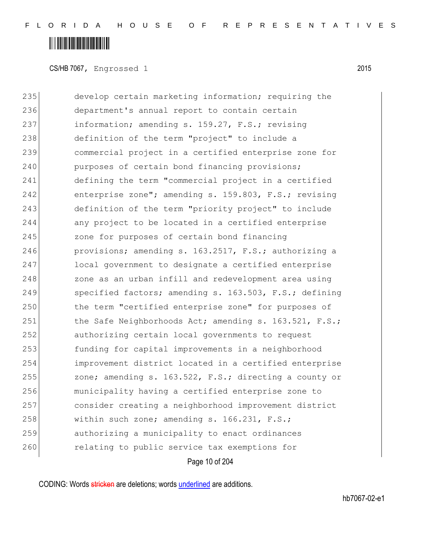CS/HB 7067, Engrossed 1 2015

235 develop certain marketing information; requiring the 236 department's annual report to contain certain 237 information; amending s. 159.27, F.S.; revising 238 definition of the term "project" to include a 239 commercial project in a certified enterprise zone for 240 purposes of certain bond financing provisions; 241 defining the term "commercial project in a certified 242 enterprise zone"; amending s. 159.803, F.S.; revising 243 definition of the term "priority project" to include 244 any project to be located in a certified enterprise 245 zone for purposes of certain bond financing 246 provisions; amending s. 163.2517, F.S.; authorizing a 247 local government to designate a certified enterprise 248 zone as an urban infill and redevelopment area using 249 specified factors; amending s. 163.503, F.S.; defining 250 the term "certified enterprise zone" for purposes of 251 the Safe Neighborhoods Act; amending s. 163.521, F.S.; 252 authorizing certain local governments to request 253 funding for capital improvements in a neighborhood 254 improvement district located in a certified enterprise 255 zone; amending s. 163.522, F.S.; directing a county or 256 municipality having a certified enterprise zone to 257 consider creating a neighborhood improvement district 258 | within such zone; amending s. 166.231, F.S.; 259 authorizing a municipality to enact ordinances 260 relating to public service tax exemptions for

Page 10 of 204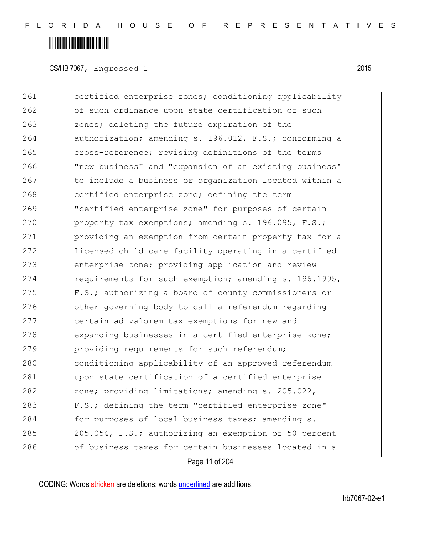CS/HB 7067, Engrossed 1 2015

261 certified enterprise zones; conditioning applicability 262 of such ordinance upon state certification of such 263 zones; deleting the future expiration of the 264 authorization; amending s. 196.012, F.S.; conforming a 265 cross-reference; revising definitions of the terms 266 "new business" and "expansion of an existing business" 267 to include a business or organization located within a 268 certified enterprise zone; defining the term 269 "certified enterprise zone" for purposes of certain 270 property tax exemptions; amending s. 196.095, F.S.; 271 **providing an exemption from certain property tax for a** 272 licensed child care facility operating in a certified 273 enterprise zone; providing application and review 274 requirements for such exemption; amending s. 196.1995, 275 F.S.; authorizing a board of county commissioners or 276 other governing body to call a referendum regarding 277 certain ad valorem tax exemptions for new and 278 expanding businesses in a certified enterprise zone; 279 providing requirements for such referendum; 280 conditioning applicability of an approved referendum 281 upon state certification of a certified enterprise 282 zone; providing limitations; amending s. 205.022, 283 F.S.; defining the term "certified enterprise zone" 284 for purposes of local business taxes; amending s. 285 205.054, F.S.; authorizing an exemption of 50 percent 286 of business taxes for certain businesses located in a

Page 11 of 204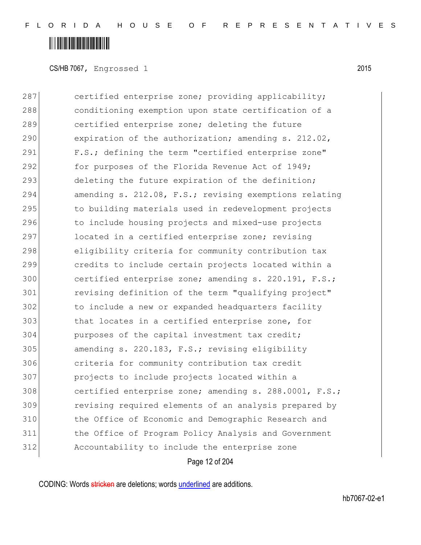CS/HB 7067, Engrossed 1 2015

287 certified enterprise zone; providing applicability; 288 conditioning exemption upon state certification of a 289 certified enterprise zone; deleting the future 290 expiration of the authorization; amending s. 212.02, 291 F.S.; defining the term "certified enterprise zone" 292 for purposes of the Florida Revenue Act of 1949; 293 deleting the future expiration of the definition; 294 amending s. 212.08, F.S.; revising exemptions relating 295 to building materials used in redevelopment projects 296 to include housing projects and mixed-use projects 297 located in a certified enterprise zone; revising 298 eligibility criteria for community contribution tax 299 credits to include certain projects located within a 300 certified enterprise zone; amending s. 220.191, F.S.; 301 revising definition of the term "qualifying project" 302 to include a new or expanded headquarters facility 303 that locates in a certified enterprise zone, for 304 purposes of the capital investment tax credit; 305 amending s. 220.183, F.S.; revising eligibility 306 criteria for community contribution tax credit 307 projects to include projects located within a 308 certified enterprise zone; amending s. 288.0001, F.S.; 309 revising required elements of an analysis prepared by 310 the Office of Economic and Demographic Research and 311 the Office of Program Policy Analysis and Government 312 Accountability to include the enterprise zone

Page 12 of 204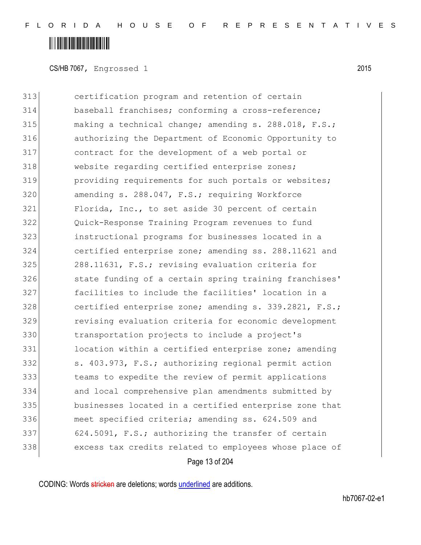#### <u> Alban Martin Martin Martin S</u>

CS/HB 7067, Engrossed 1 2015

 certification program and retention of certain baseball franchises; conforming a cross-reference; 315 making a technical change; amending s. 288.018, F.S.; authorizing the Department of Economic Opportunity to contract for the development of a web portal or 318 website regarding certified enterprise zones; **providing requirements for such portals or websites;** 320 amending s. 288.047, F.S.; requiring Workforce Florida, Inc., to set aside 30 percent of certain Quick-Response Training Program revenues to fund instructional programs for businesses located in a certified enterprise zone; amending ss. 288.11621 and 288.11631, F.S.; revising evaluation criteria for 326 state funding of a certain spring training franchises' facilities to include the facilities' location in a 328 certified enterprise zone; amending s. 339.2821, F.S.; revising evaluation criteria for economic development transportation projects to include a project's 331 location within a certified enterprise zone; amending s. 403.973, F.S.; authorizing regional permit action teams to expedite the review of permit applications and local comprehensive plan amendments submitted by businesses located in a certified enterprise zone that meet specified criteria; amending ss. 624.509 and 624.5091, F.S.; authorizing the transfer of certain excess tax credits related to employees whose place of

Page 13 of 204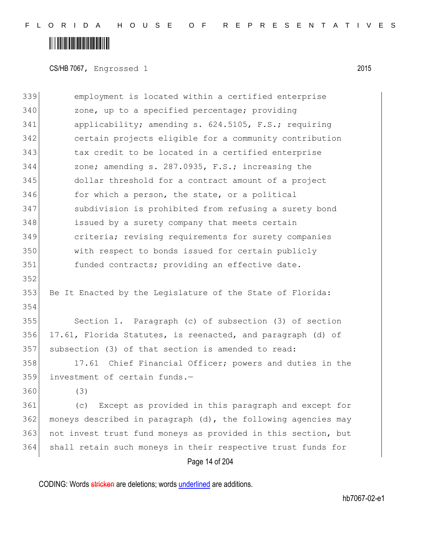## 

CS/HB 7067, Engrossed 1 2015

| 339 | employment is located within a certified enterprise           |
|-----|---------------------------------------------------------------|
| 340 | zone, up to a specified percentage; providing                 |
| 341 | applicability; amending s. 624.5105, F.S.; requiring          |
| 342 | certain projects eligible for a community contribution        |
| 343 | tax credit to be located in a certified enterprise            |
| 344 | zone; amending s. 287.0935, F.S.; increasing the              |
| 345 | dollar threshold for a contract amount of a project           |
| 346 | for which a person, the state, or a political                 |
| 347 | subdivision is prohibited from refusing a surety bond         |
| 348 | issued by a surety company that meets certain                 |
| 349 | criteria; revising requirements for surety companies          |
| 350 | with respect to bonds issued for certain publicly             |
| 351 | funded contracts; providing an effective date.                |
| 352 |                                                               |
| 353 | Be It Enacted by the Legislature of the State of Florida:     |
| 354 |                                                               |
| 355 | Section 1. Paragraph (c) of subsection (3) of section         |
| 356 | 17.61, Florida Statutes, is reenacted, and paragraph (d) of   |
| 357 | subsection (3) of that section is amended to read:            |
| 358 | 17.61 Chief Financial Officer; powers and duties in the       |
| 359 | investment of certain funds.-                                 |
| 360 | (3)                                                           |
| 361 | Except as provided in this paragraph and except for<br>(C)    |
| 362 | moneys described in paragraph (d), the following agencies may |
| 363 | not invest trust fund moneys as provided in this section, but |
| 364 | shall retain such moneys in their respective trust funds for  |
|     | Page 14 of 204                                                |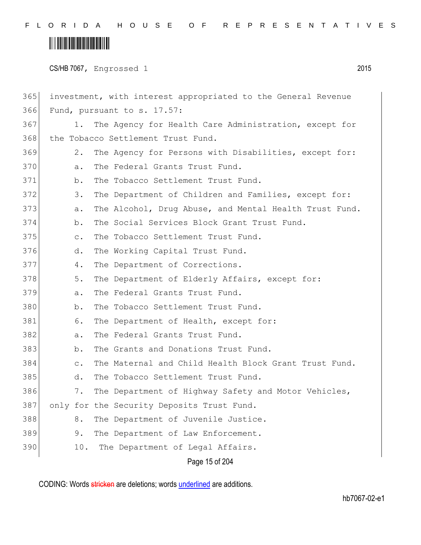### <u> Alban Martin Martin Martin S</u>

CS/HB 7067, Engrossed 1 2015

Page 15 of 204 365 investment, with interest appropriated to the General Revenue 366 Fund, pursuant to s. 17.57: 367 1. The Agency for Health Care Administration, except for 368 the Tobacco Settlement Trust Fund. 369 2. The Agency for Persons with Disabilities, except for: 370 a. The Federal Grants Trust Fund. 371 b. The Tobacco Settlement Trust Fund. 372 3. The Department of Children and Families, except for: 373 a. The Alcohol, Drug Abuse, and Mental Health Trust Fund. 374 b. The Social Services Block Grant Trust Fund. 375 c. The Tobacco Settlement Trust Fund. 376 d. The Working Capital Trust Fund. 377 4. The Department of Corrections. 378 5. The Department of Elderly Affairs, except for: 379 a. The Federal Grants Trust Fund. 380 b. The Tobacco Settlement Trust Fund. 381 6. The Department of Health, except for: 382 a. The Federal Grants Trust Fund. 383 b. The Grants and Donations Trust Fund. 384 c. The Maternal and Child Health Block Grant Trust Fund. 385 d. The Tobacco Settlement Trust Fund. 386 7. The Department of Highway Safety and Motor Vehicles, 387 only for the Security Deposits Trust Fund. 388 8. The Department of Juvenile Justice. 389 9. The Department of Law Enforcement. 390 10. The Department of Legal Affairs.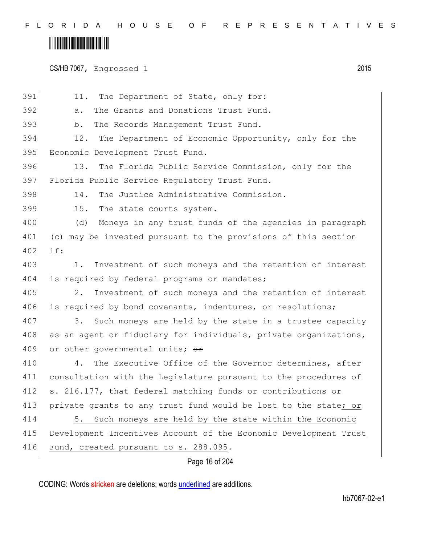## 

CS/HB 7067, Engrossed 1 2015

| 391 | 11. The Department of State, only for:                           |
|-----|------------------------------------------------------------------|
| 392 | The Grants and Donations Trust Fund.<br>a.                       |
| 393 | The Records Management Trust Fund.<br>$b$ .                      |
| 394 | 12.<br>The Department of Economic Opportunity, only for the      |
| 395 | Economic Development Trust Fund.                                 |
| 396 | The Florida Public Service Commission, only for the<br>13.       |
| 397 | Florida Public Service Regulatory Trust Fund.                    |
| 398 | The Justice Administrative Commission.<br>14.                    |
| 399 | 15.<br>The state courts system.                                  |
| 400 | Moneys in any trust funds of the agencies in paragraph<br>(d)    |
| 401 | (c) may be invested pursuant to the provisions of this section   |
| 402 | if:                                                              |
| 403 | Investment of such moneys and the retention of interest<br>1.    |
| 404 | is required by federal programs or mandates;                     |
| 405 | 2.<br>Investment of such moneys and the retention of interest    |
| 406 | is required by bond covenants, indentures, or resolutions;       |
| 407 | Such moneys are held by the state in a trustee capacity<br>3.    |
| 408 | as an agent or fiduciary for individuals, private organizations, |
| 409 | or other governmental units; or                                  |
| 410 | The Executive Office of the Governor determines, after<br>4.     |
| 411 | consultation with the Legislature pursuant to the procedures of  |
| 412 | s. 216.177, that federal matching funds or contributions or      |
| 413 | private grants to any trust fund would be lost to the state; or  |
| 414 | Such moneys are held by the state within the Economic<br>5.      |
| 415 | Development Incentives Account of the Economic Development Trust |
| 416 | Fund, created pursuant to s. 288.095.                            |
|     | Page 16 of 204                                                   |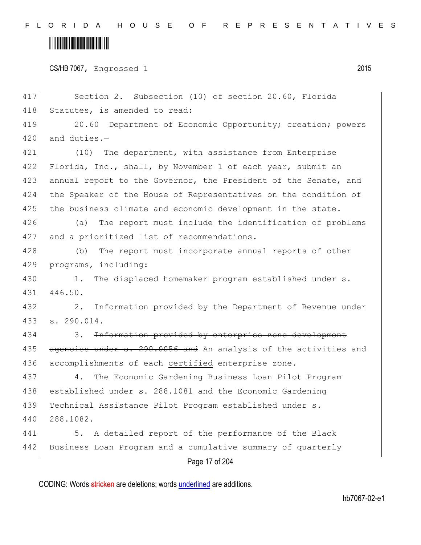### <u> Alban Martin Martin Martin S</u>

CS/HB 7067, Engrossed 1 2015

417 Section 2. Subsection (10) of section 20.60, Florida 418 Statutes, is amended to read:

419 20.60 Department of Economic Opportunity; creation; powers 420 and duties. $-$ 

421 (10) The department, with assistance from Enterprise 422 Florida, Inc., shall, by November 1 of each year, submit an 423 annual report to the Governor, the President of the Senate, and 424 the Speaker of the House of Representatives on the condition of 425 the business climate and economic development in the state.

426 (a) The report must include the identification of problems 427 and a prioritized list of recommendations.

428 (b) The report must incorporate annual reports of other 429 programs, including:

430 1. The displaced homemaker program established under s. 431 446.50.

432 2. Information provided by the Department of Revenue under 433 s. 290.014.

434 3. Information provided by enterprise zone development 435 agencies under s. 290.0056 and An analysis of the activities and 436 accomplishments of each certified enterprise zone.

437 4. The Economic Gardening Business Loan Pilot Program 438 established under s. 288.1081 and the Economic Gardening 439 Technical Assistance Pilot Program established under s. 440 288.1082.

441 5. A detailed report of the performance of the Black 442 Business Loan Program and a cumulative summary of quarterly

Page 17 of 204

CODING: Words stricken are deletions; words underlined are additions.

hb7067-02-e1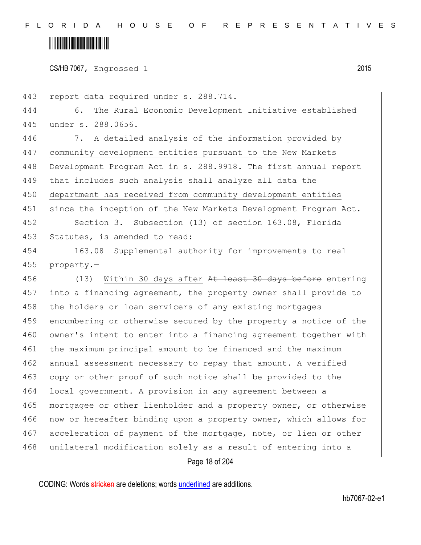### <u> Alban Alban Martin Alban</u>

CS/HB 7067, Engrossed 1 2015

Page 18 of 204 443 report data required under s. 288.714. 444 6. The Rural Economic Development Initiative established 445 under s. 288.0656. 446 7. A detailed analysis of the information provided by 447 community development entities pursuant to the New Markets 448 Development Program Act in s. 288.9918. The first annual report 449 that includes such analysis shall analyze all data the 450 department has received from community development entities 451 since the inception of the New Markets Development Program Act. 452 Section 3. Subsection (13) of section 163.08, Florida 453 Statutes, is amended to read: 454 163.08 Supplemental authority for improvements to real 455 property.— 456 (13) Within 30 days after At least 30 days before entering 457 into a financing agreement, the property owner shall provide to 458 the holders or loan servicers of any existing mortgages 459 encumbering or otherwise secured by the property a notice of the 460 owner's intent to enter into a financing agreement together with 461 the maximum principal amount to be financed and the maximum 462 annual assessment necessary to repay that amount. A verified 463 copy or other proof of such notice shall be provided to the 464 local government. A provision in any agreement between a 465 mortgagee or other lienholder and a property owner, or otherwise 466 now or hereafter binding upon a property owner, which allows for 467 acceleration of payment of the mortgage, note, or lien or other 468 unilateral modification solely as a result of entering into a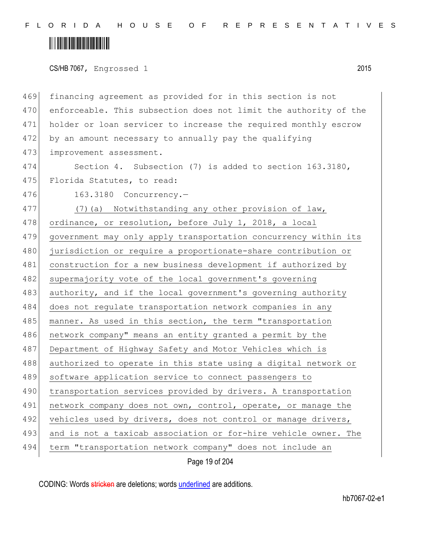### <u> Alban Alban Martin Alban</u>

CS/HB 7067, Engrossed 1 2015

469 financing agreement as provided for in this section is not 470 enforceable. This subsection does not limit the authority of the 471 holder or loan servicer to increase the required monthly escrow 472 by an amount necessary to annually pay the qualifying 473 improvement assessment.

474 Section 4. Subsection (7) is added to section 163.3180, 475 Florida Statutes, to read:

476 163.3180 Concurrency.-

477 (7) (a) Notwithstanding any other provision of law, 478 ordinance, or resolution, before July 1, 2018, a local 479 government may only apply transportation concurrency within its 480 jurisdiction or require a proportionate-share contribution or 481 construction for a new business development if authorized by 482 supermajority vote of the local government's governing 483 authority, and if the local government's governing authority 484 does not regulate transportation network companies in any 485 manner. As used in this section, the term "transportation 486 network company" means an entity granted a permit by the 487 Department of Highway Safety and Motor Vehicles which is 488 authorized to operate in this state using a digital network or 489 software application service to connect passengers to 490 transportation services provided by drivers. A transportation 491 network company does not own, control, operate, or manage the 492 vehicles used by drivers, does not control or manage drivers, 493 and is not a taxicab association or for-hire vehicle owner. The 494 term "transportation network company" does not include an

Page 19 of 204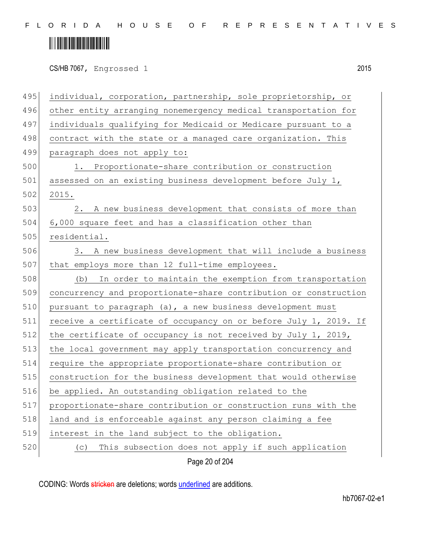# 

CS/HB 7067, Engrossed 1 2015

| 495 | individual, corporation, partnership, sole proprietorship, or    |
|-----|------------------------------------------------------------------|
| 496 | other entity arranging nonemergency medical transportation for   |
| 497 | individuals qualifying for Medicaid or Medicare pursuant to a    |
| 498 | contract with the state or a managed care organization. This     |
| 499 | paragraph does not apply to:                                     |
| 500 | Proportionate-share contribution or construction<br>1.           |
| 501 | assessed on an existing business development before July 1,      |
| 502 | 2015.                                                            |
| 503 | 2. A new business development that consists of more than         |
| 504 | 6,000 square feet and has a classification other than            |
| 505 | residential.                                                     |
| 506 | 3. A new business development that will include a business       |
| 507 | that employs more than 12 full-time employees.                   |
| 508 | In order to maintain the exemption from transportation<br>(b)    |
| 509 | concurrency and proportionate-share contribution or construction |
| 510 | pursuant to paragraph (a), a new business development must       |
| 511 | receive a certificate of occupancy on or before July 1, 2019. If |
| 512 | the certificate of occupancy is not received by July 1, 2019,    |
| 513 | the local government may apply transportation concurrency and    |
| 514 | require the appropriate proportionate-share contribution or      |
| 515 | construction for the business development that would otherwise   |
| 516 | be applied. An outstanding obligation related to the             |
| 517 | proportionate-share contribution or construction runs with the   |
| 518 | land and is enforceable against any person claiming a fee        |
| 519 | interest in the land subject to the obligation.                  |
| 520 | This subsection does not apply if such application<br>(C)        |
|     | Page 20 of 204                                                   |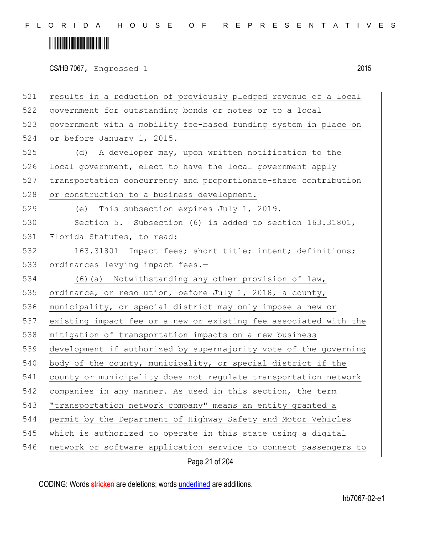## 

| 521 | results in a reduction of previously pledged revenue of a local  |
|-----|------------------------------------------------------------------|
| 522 | government for outstanding bonds or notes or to a local          |
| 523 | government with a mobility fee-based funding system in place on  |
| 524 | or before January 1, 2015.                                       |
| 525 | (d) A developer may, upon written notification to the            |
| 526 | local government, elect to have the local government apply       |
| 527 | transportation concurrency and proportionate-share contribution  |
| 528 | or construction to a business development.                       |
| 529 | (e) This subsection expires July 1, 2019.                        |
| 530 | Section 5. Subsection (6) is added to section 163.31801,         |
| 531 | Florida Statutes, to read:                                       |
| 532 | 163.31801 Impact fees; short title; intent; definitions;         |
| 533 | ordinances levying impact fees.-                                 |
| 534 | (6) (a) Notwithstanding any other provision of law,              |
| 535 | ordinance, or resolution, before July 1, 2018, a county,         |
| 536 | municipality, or special district may only impose a new or       |
| 537 | existing impact fee or a new or existing fee associated with the |
| 538 | mitigation of transportation impacts on a new business           |
| 539 | development if authorized by supermajority vote of the governing |
| 540 | body of the county, municipality, or special district if the     |
| 541 | county or municipality does not regulate transportation network  |
| 542 | companies in any manner. As used in this section, the term       |
| 543 | "transportation network company" means an entity granted a       |
| 544 | permit by the Department of Highway Safety and Motor Vehicles    |
| 545 | which is authorized to operate in this state using a digital     |
| 546 | network or software application service to connect passengers to |
|     | Page 21 of 204                                                   |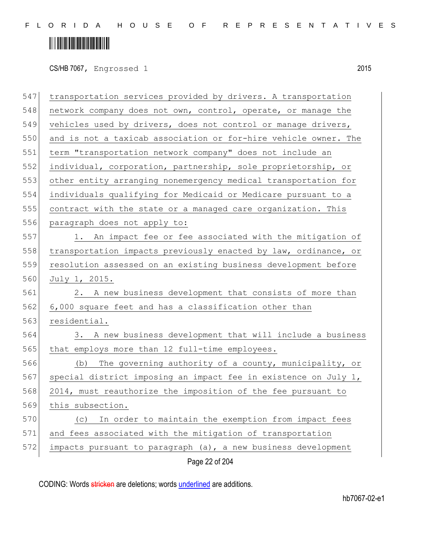### <u> Alban Alban Martin Alban</u>

CS/HB 7067, Engrossed 1 2015

Page 22 of 204 547 transportation services provided by drivers. A transportation 548 network company does not own, control, operate, or manage the 549 vehicles used by drivers, does not control or manage drivers, 550 and is not a taxicab association or for-hire vehicle owner. The 551 term "transportation network company" does not include an 552 individual, corporation, partnership, sole proprietorship, or 553 other entity arranging nonemergency medical transportation for 554 individuals qualifying for Medicaid or Medicare pursuant to a 555 contract with the state or a managed care organization. This 556 paragraph does not apply to: 557 1. An impact fee or fee associated with the mitigation of 558 | transportation impacts previously enacted by law, ordinance, or 559 resolution assessed on an existing business development before 560 July 1, 2015. 561 2. A new business development that consists of more than 562 6,000 square feet and has a classification other than 563 residential. 564 3. A new business development that will include a business 565 that employs more than 12 full-time employees. 566 (b) The governing authority of a county, municipality, or 567 special district imposing an impact fee in existence on July 1, 568 2014, must reauthorize the imposition of the fee pursuant to 569 this subsection. 570 (c) In order to maintain the exemption from impact fees 571 and fees associated with the mitigation of transportation 572 impacts pursuant to paragraph (a), a new business development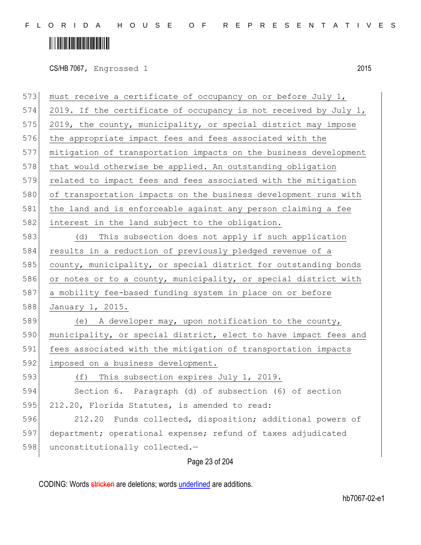### 

CS/HB 7067, Engrossed 1 2015

| 573 | must receive a certificate of occupancy on or before July 1,     |
|-----|------------------------------------------------------------------|
| 574 | 2019. If the certificate of occupancy is not received by July 1, |
| 575 | 2019, the county, municipality, or special district may impose   |
| 576 | the appropriate impact fees and fees associated with the         |
| 577 | mitigation of transportation impacts on the business development |
| 578 | that would otherwise be applied. An outstanding obligation       |
| 579 | related to impact fees and fees associated with the mitigation   |
| 580 | of transportation impacts on the business development runs with  |
| 581 | the land and is enforceable against any person claiming a fee    |
| 582 | interest in the land subject to the obligation.                  |
| 583 | (d) This subsection does not apply if such application           |
| 584 | results in a reduction of previously pledged revenue of a        |
| 585 | county, municipality, or special district for outstanding bonds  |
| 586 | or notes or to a county, municipality, or special district with  |
| 587 | a mobility fee-based funding system in place on or before        |
| 588 | January 1, 2015.                                                 |
| 589 | (e) A developer may, upon notification to the county,            |
| 590 | municipality, or special district, elect to have impact fees and |
| 591 | fees associated with the mitigation of transportation impacts    |
| 592 | imposed on a business development.                               |
| 593 | This subsection expires July 1, 2019.<br>(f)                     |
| 594 | Section 6. Paragraph (d) of subsection (6) of section            |
| 595 | 212.20, Florida Statutes, is amended to read:                    |
| 596 | 212.20<br>Funds collected, disposition; additional powers of     |
| 597 | department; operational expense; refund of taxes adjudicated     |
| 598 | unconstitutionally collected.-                                   |
|     |                                                                  |

Page 23 of 204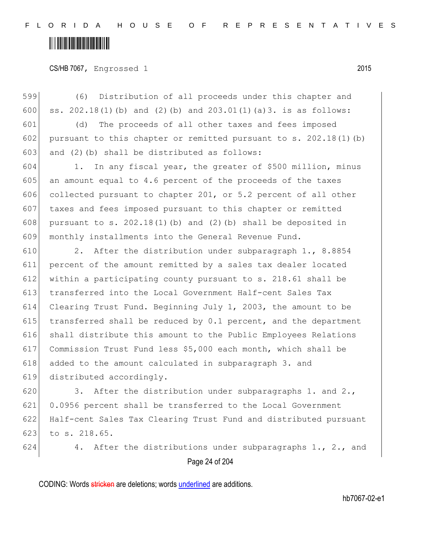### <u> Alban Alban Martin Alban</u>

CS/HB 7067, Engrossed 1 2015

599 (6) Distribution of all proceeds under this chapter and 600 ss.  $202.18(1)$  (b) and (2)(b) and  $203.01(1)$  (a)3. is as follows:

601 (d) The proceeds of all other taxes and fees imposed 602 pursuant to this chapter or remitted pursuant to s.  $202.18(1)(b)$ 603 and  $(2)$  (b) shall be distributed as follows:

604 1. In any fiscal year, the greater of \$500 million, minus 605 an amount equal to 4.6 percent of the proceeds of the taxes 606 collected pursuant to chapter 201, or 5.2 percent of all other 607 taxes and fees imposed pursuant to this chapter or remitted 608 pursuant to s. 202.18(1)(b) and (2)(b) shall be deposited in 609 monthly installments into the General Revenue Fund.

 2. After the distribution under subparagraph 1., 8.8854 percent of the amount remitted by a sales tax dealer located within a participating county pursuant to s. 218.61 shall be transferred into the Local Government Half-cent Sales Tax Clearing Trust Fund. Beginning July 1, 2003, the amount to be  $\vert$  transferred shall be reduced by 0.1 percent, and the department shall distribute this amount to the Public Employees Relations Commission Trust Fund less \$5,000 each month, which shall be 618 added to the amount calculated in subparagraph 3. and distributed accordingly.

620 3. After the distribution under subparagraphs 1. and 2., 621 0.0956 percent shall be transferred to the Local Government 622 Half-cent Sales Tax Clearing Trust Fund and distributed pursuant 623 to s.  $218.65$ .

624 4. After the distributions under subparagraphs 1., 2., and

Page 24 of 204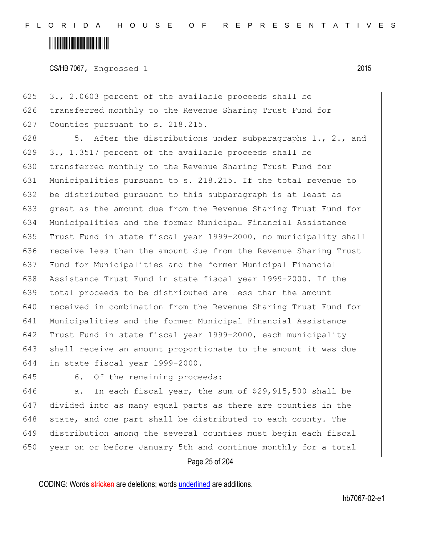### <u> Alban Alban Martin Alban</u>

CS/HB 7067, Engrossed 1 2015

625  $\mid$  3., 2.0603 percent of the available proceeds shall be 626 transferred monthly to the Revenue Sharing Trust Fund for 627 Counties pursuant to s. 218.215.

 $\vert$  5. After the distributions under subparagraphs 1., 2., and 629 3., 1.3517 percent of the available proceeds shall be 630 transferred monthly to the Revenue Sharing Trust Fund for Municipalities pursuant to s. 218.215. If the total revenue to be distributed pursuant to this subparagraph is at least as great as the amount due from the Revenue Sharing Trust Fund for Municipalities and the former Municipal Financial Assistance Trust Fund in state fiscal year 1999-2000, no municipality shall receive less than the amount due from the Revenue Sharing Trust Fund for Municipalities and the former Municipal Financial Assistance Trust Fund in state fiscal year 1999-2000. If the total proceeds to be distributed are less than the amount received in combination from the Revenue Sharing Trust Fund for Municipalities and the former Municipal Financial Assistance Trust Fund in state fiscal year 1999-2000, each municipality shall receive an amount proportionate to the amount it was due in state fiscal year 1999-2000.

645 6. Of the remaining proceeds:

 a. In each fiscal year, the sum of \$29,915,500 shall be divided into as many equal parts as there are counties in the state, and one part shall be distributed to each county. The distribution among the several counties must begin each fiscal 650 year on or before January 5th and continue monthly for a total

Page 25 of 204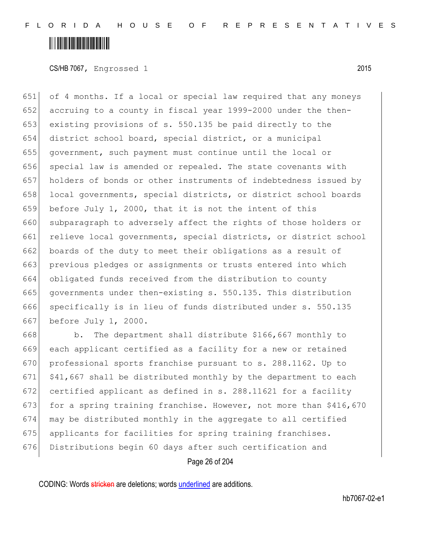### <u> Alban Alban Martin Alban</u>

CS/HB 7067, Engrossed 1 2015

 of 4 months. If a local or special law required that any moneys accruing to a county in fiscal year 1999-2000 under the then- existing provisions of s. 550.135 be paid directly to the district school board, special district, or a municipal government, such payment must continue until the local or 656 special law is amended or repealed. The state covenants with holders of bonds or other instruments of indebtedness issued by 658 local governments, special districts, or district school boards before July 1, 2000, that it is not the intent of this 660 subparagraph to adversely affect the rights of those holders or 661 relieve local governments, special districts, or district school boards of the duty to meet their obligations as a result of previous pledges or assignments or trusts entered into which obligated funds received from the distribution to county governments under then-existing s. 550.135. This distribution specifically is in lieu of funds distributed under s. 550.135 before July 1, 2000.

 b. The department shall distribute \$166,667 monthly to each applicant certified as a facility for a new or retained 670 professional sports franchise pursuant to s. 288.1162. Up to  $\mid$  \$41,667 shall be distributed monthly by the department to each certified applicant as defined in s. 288.11621 for a facility 673 for a spring training franchise. However, not more than  $$416,670$  may be distributed monthly in the aggregate to all certified 675 applicants for facilities for spring training franchises. Distributions begin 60 days after such certification and

Page 26 of 204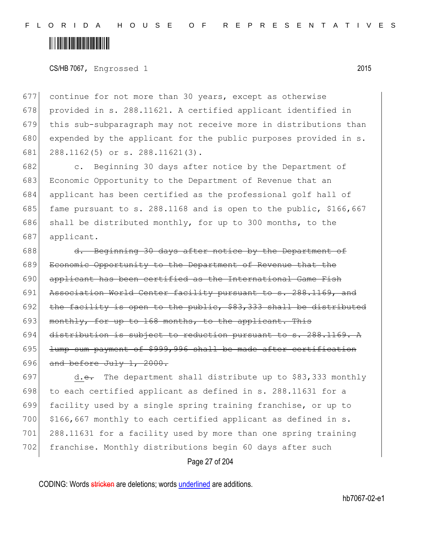### <u> Alban Alban Martin Alban</u>

CS/HB 7067, Engrossed 1 2015

677 continue for not more than 30 years, except as otherwise 678 provided in s. 288.11621. A certified applicant identified in 679 this sub-subparagraph may not receive more in distributions than 680 expended by the applicant for the public purposes provided in  $s$ . 681 288.1162(5) or s. 288.11621(3).

682 c. Beginning 30 days after notice by the Department of 683 Economic Opportunity to the Department of Revenue that an 684 applicant has been certified as the professional golf hall of 685 fame pursuant to s. 288.1168 and is open to the public, \$166,667 686 shall be distributed monthly, for up to 300 months, to the 687 applicant.

688 d. Beginning 30 days after notice by the Department of 689 Economic Opportunity to the Department of Revenue that the 690 applicant has been certified as the International Game Fish 691 Association World Center facility pursuant to s. 288.1169, and 692 the facility is open to the public,  $$83,333$  shall be distributed 693 monthly, for up to 168 months, to the applicant. This 694 distribution is subject to reduction pursuant to s. 288.1169. A  $695$  lump sum payment of \$999,996 shall be made after certification 696 and before July  $1, 2000.$ 

697 d.e. The department shall distribute up to \$83,333 monthly 698 to each certified applicant as defined in s. 288.11631 for a 699 facility used by a single spring training franchise, or up to 700  $\mid$  \$166,667 monthly to each certified applicant as defined in s. 701 288.11631 for a facility used by more than one spring training 702 franchise. Monthly distributions begin 60 days after such

Page 27 of 204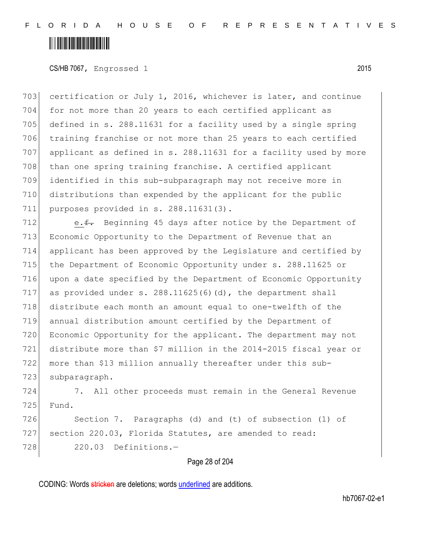### <u> Alban Alban Martin Alban</u>

CS/HB 7067, Engrossed 1 2015

 certification or July 1, 2016, whichever is later, and continue for not more than 20 years to each certified applicant as 705 defined in s. 288.11631 for a facility used by a single spring training franchise or not more than 25 years to each certified applicant as defined in s. 288.11631 for a facility used by more 708 than one spring training franchise. A certified applicant identified in this sub-subparagraph may not receive more in distributions than expended by the applicant for the public purposes provided in s. 288.11631(3).

712 e.f. Beginning 45 days after notice by the Department of Economic Opportunity to the Department of Revenue that an applicant has been approved by the Legislature and certified by the Department of Economic Opportunity under s. 288.11625 or upon a date specified by the Department of Economic Opportunity 717 as provided under s.  $288.11625(6)$  (d), the department shall distribute each month an amount equal to one-twelfth of the annual distribution amount certified by the Department of Economic Opportunity for the applicant. The department may not distribute more than \$7 million in the 2014-2015 fiscal year or more than \$13 million annually thereafter under this sub-723 subparagraph.

724 7. All other proceeds must remain in the General Revenue 725 Fund.

726 Section 7. Paragraphs (d) and (t) of subsection (1) of 727 section 220.03, Florida Statutes, are amended to read: 728 220.03 Definitions.-

#### Page 28 of 204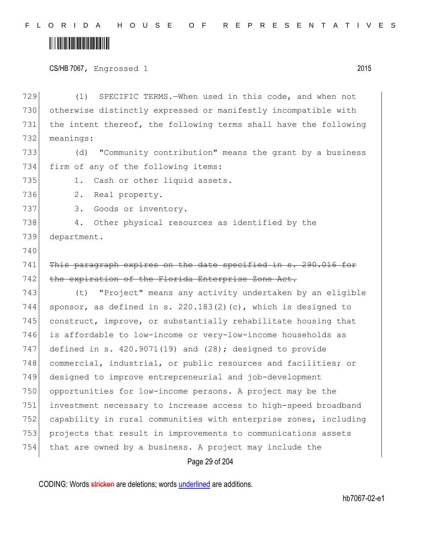### <u> Alban Martin Alban Martin Alban Martin Alban Martin Alban Martin Alban Martin Alban Martin Alban Ma</u>

CS/HB 7067, Engrossed 1 2015

729 (1) SPECIFIC TERMS.—When used in this code, and when not 730 otherwise distinctly expressed or manifestly incompatible with 731 the intent thereof, the following terms shall have the following 732 meanings: 733 (d) "Community contribution" means the grant by a business 734 firm of any of the following items: 735 1. Cash or other liquid assets. 736 2. Real property. 737 3. Goods or inventory. 738 4. Other physical resources as identified by the 739 department. 740 741 This paragraph expires on the date specified in s. 290.016 for 742 the expiration of the Florida Enterprise Zone Act. 743 (t) "Project" means any activity undertaken by an eligible 744 sponsor, as defined in s. 220.183(2)(c), which is designed to 745 construct, improve, or substantially rehabilitate housing that 746 is affordable to low-income or very-low-income households as 747 defined in s. 420.9071(19) and (28); designed to provide 748 commercial, industrial, or public resources and facilities; or 749 designed to improve entrepreneurial and job-development 750 opportunities for low-income persons. A project may be the 751 investment necessary to increase access to high-speed broadband 752 capability in rural communities with enterprise zones, including 753 projects that result in improvements to communications assets 754 that are owned by a business. A project may include the

Page 29 of 204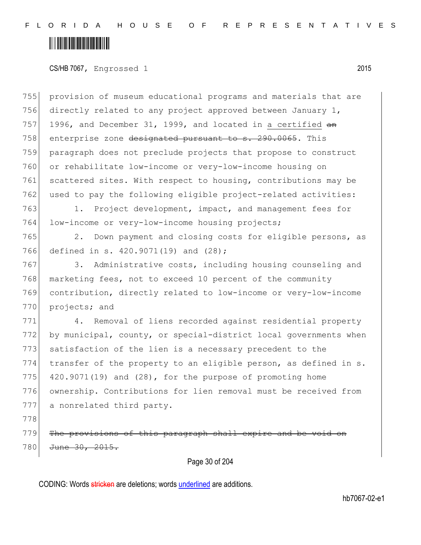### <u> Alban Martin Alban Martin Alban Martin Alban Martin Alban Martin Alban Martin Alban Martin Alban Ma</u>

#### CS/HB 7067, Engrossed 1 2015

755 provision of museum educational programs and materials that are 756 directly related to any project approved between January 1, 757 1996, and December 31, 1999, and located in a certified  $a$ n 758 enterprise zone designated pursuant to s. 290.0065. This 759 paragraph does not preclude projects that propose to construct 760 or rehabilitate low-income or very-low-income housing on 761 scattered sites. With respect to housing, contributions may be 762 used to pay the following eligible project-related activities:

763 1. Project development, impact, and management fees for 764 low-income or very-low-income housing projects;

765 2. Down payment and closing costs for eligible persons, as 766 defined in s. 420.9071(19) and (28);

767 3. Administrative costs, including housing counseling and 768 marketing fees, not to exceed 10 percent of the community 769 contribution, directly related to low-income or very-low-income 770 projects; and

 4. Removal of liens recorded against residential property by municipal, county, or special-district local governments when satisfaction of the lien is a necessary precedent to the 774 transfer of the property to an eligible person, as defined in  $s$ .  $|$  420.9071(19) and (28), for the purpose of promoting home ownership. Contributions for lien removal must be received from 777 a nonrelated third party.

778

779 The provisions of this paragraph shall 780 <del>June 30, 2015.</del>

#### Page 30 of 204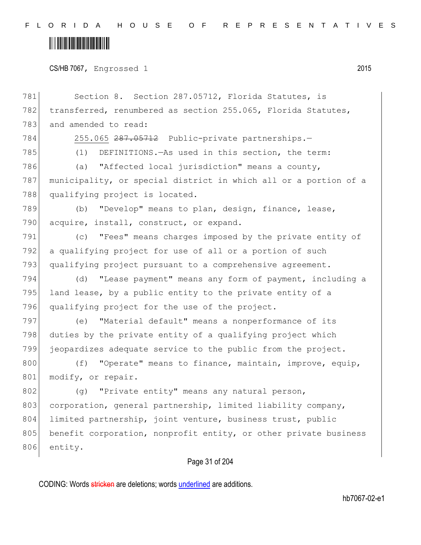## 

CS/HB 7067, Engrossed 1 2015

| 781 | Section 8. Section 287.05712, Florida Statutes, is               |
|-----|------------------------------------------------------------------|
| 782 | transferred, renumbered as section 255.065, Florida Statutes,    |
| 783 | and amended to read:                                             |
| 784 | 255.065 287.05712 Public-private partnerships.-                  |
| 785 | DEFINITIONS.-As used in this section, the term:<br>(1)           |
| 786 | (a) "Affected local jurisdiction" means a county,                |
| 787 | municipality, or special district in which all or a portion of a |
| 788 | qualifying project is located.                                   |
| 789 | "Develop" means to plan, design, finance, lease,<br>(b)          |
| 790 | acquire, install, construct, or expand.                          |
| 791 | (c) "Fees" means charges imposed by the private entity of        |
| 792 | a qualifying project for use of all or a portion of such         |
| 793 | qualifying project pursuant to a comprehensive agreement.        |
| 794 | "Lease payment" means any form of payment, including a<br>(d)    |
| 795 | land lease, by a public entity to the private entity of a        |
| 796 | qualifying project for the use of the project.                   |
| 797 | "Material default" means a nonperformance of its<br>(e)          |
| 798 | duties by the private entity of a qualifying project which       |
| 799 | jeopardizes adequate service to the public from the project.     |
| 800 | "Operate" means to finance, maintain, improve, equip,<br>(f)     |
| 801 | modify, or repair.                                               |
| 802 | "Private entity" means any natural person,<br>(q)                |
| 803 | corporation, general partnership, limited liability company,     |
| 804 | limited partnership, joint venture, business trust, public       |
| 805 | benefit corporation, nonprofit entity, or other private business |
| 806 | entity.                                                          |
|     | Page 31 of 204                                                   |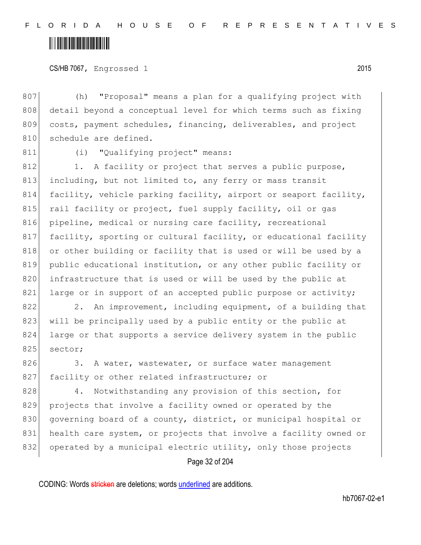### <u> Alban Martin Martin Martin S</u>

CS/HB 7067, Engrossed 1 2015

807 (h) "Proposal" means a plan for a qualifying project with 808 detail beyond a conceptual level for which terms such as fixing 809 costs, payment schedules, financing, deliverables, and project 810 schedule are defined.

811 (i) "Qualifying project" means:

812 1. A facility or project that serves a public purpose, 813 including, but not limited to, any ferry or mass transit 814 facility, vehicle parking facility, airport or seaport facility, 815 rail facility or project, fuel supply facility, oil or gas 816 pipeline, medical or nursing care facility, recreational 817 facility, sporting or cultural facility, or educational facility 818 or other building or facility that is used or will be used by a 819 public educational institution, or any other public facility or 820 infrastructure that is used or will be used by the public at 821 large or in support of an accepted public purpose or activity;

822 2. An improvement, including equipment, of a building that 823 will be principally used by a public entity or the public at 824 large or that supports a service delivery system in the public 825 sector;

826 3. A water, wastewater, or surface water management 827 facility or other related infrastructure; or

828 4. Notwithstanding any provision of this section, for 829 projects that involve a facility owned or operated by the 830 governing board of a county, district, or municipal hospital or 831 health care system, or projects that involve a facility owned or 832 operated by a municipal electric utility, only those projects

Page 32 of 204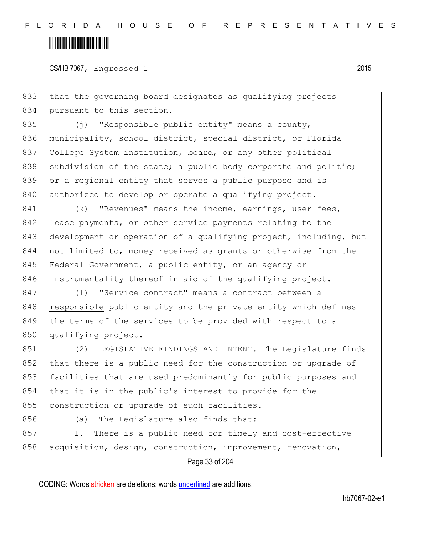### <u> Alban Alban Martin Alban</u>

CS/HB 7067, Engrossed 1 2015

833 that the governing board designates as qualifying projects 834 pursuant to this section.

835  $(j)$  "Responsible public entity" means a county, 836 municipality, school district, special district, or Florida 837 College System institution, board, or any other political 838 subdivision of the state; a public body corporate and politic; 839 or a regional entity that serves a public purpose and is 840 authorized to develop or operate a qualifying project.

841 (k) "Revenues" means the income, earnings, user fees, 842 lease payments, or other service payments relating to the 843 development or operation of a qualifying project, including, but 844 not limited to, money received as grants or otherwise from the 845 Federal Government, a public entity, or an agency or 846 instrumentality thereof in aid of the qualifying project.

847 (l) "Service contract" means a contract between a 848 responsible public entity and the private entity which defines 849 the terms of the services to be provided with respect to a 850 qualifying project.

851 (2) LEGISLATIVE FINDINGS AND INTENT.—The Legislature finds 852 that there is a public need for the construction or upgrade of 853 facilities that are used predominantly for public purposes and 854 that it is in the public's interest to provide for the 855 construction or upgrade of such facilities.

856 (a) The Legislature also finds that:

857 1. There is a public need for timely and cost-effective 858 acquisition, design, construction, improvement, renovation,

Page 33 of 204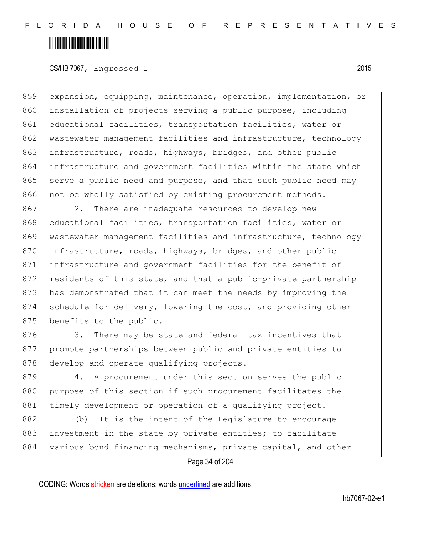### <u> Hillingin ka</u>

CS/HB 7067, Engrossed 1 2015

859 expansion, equipping, maintenance, operation, implementation, or 860 installation of projects serving a public purpose, including 861 educational facilities, transportation facilities, water or 862 wastewater management facilities and infrastructure, technology 863 infrastructure, roads, highways, bridges, and other public 864 infrastructure and government facilities within the state which 865 serve a public need and purpose, and that such public need may 866 not be wholly satisfied by existing procurement methods.

867 2. There are inadequate resources to develop new 868 educational facilities, transportation facilities, water or 869 wastewater management facilities and infrastructure, technology 870 infrastructure, roads, highways, bridges, and other public 871 infrastructure and government facilities for the benefit of 872 residents of this state, and that a public-private partnership 873 has demonstrated that it can meet the needs by improving the 874 schedule for delivery, lowering the cost, and providing other 875 benefits to the public.

876 3. There may be state and federal tax incentives that 877 promote partnerships between public and private entities to 878 develop and operate qualifying projects.

879 4. A procurement under this section serves the public 880 purpose of this section if such procurement facilitates the 881 timely development or operation of a qualifying project.

882 (b) It is the intent of the Legislature to encourage 883 investment in the state by private entities; to facilitate 884 various bond financing mechanisms, private capital, and other

Page 34 of 204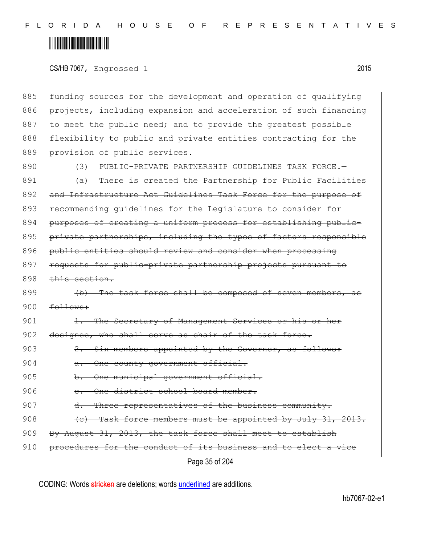### <u> Hillingin ka</u>

CS/HB 7067, Engrossed 1 2015

885 funding sources for the development and operation of qualifying 886 projects, including expansion and acceleration of such financing 887 to meet the public need; and to provide the greatest possible 888 flexibility to public and private entities contracting for the 889 provision of public services.

890 (3) PUBLIC-PRIVATE PARTNERSHIP GUIDELINES TASK FORCE.  $891$  (a) There is created the Partnership for Public Facilities 892 and Infrastructure Act Guidelines Task Force for the purpose of 893 recommending quidelines for the Legislature to consider for 894 purposes of creating a uniform process for establishing public-895 private partnerships, including the types of factors responsible 896 public entities should review and consider when processing 897 requests for public-private partnership projects pursuant to 898 this section.

899  $\left\{\text{b}\right\}$  The task force shall be composed of seven members, 900 follows:

901 1. The Secretary of Management Services or 902 designee, who shall serve as chair of the task force.

- $903$   $2.$  Six members appointed by the Governor, as follows:
- 904 a. One county government official.
- 905 b. One municipal government official.
- 906 c. One district school board member.
- 907 d. Three representatives of the business community.
- $908$  (e) Task force members must be appointed by July 31, 2013.
- 909 By August 31, 2013, the task force shall meet to establish
- 910 procedures for the conduct of its business and to elect a vice

Page 35 of 204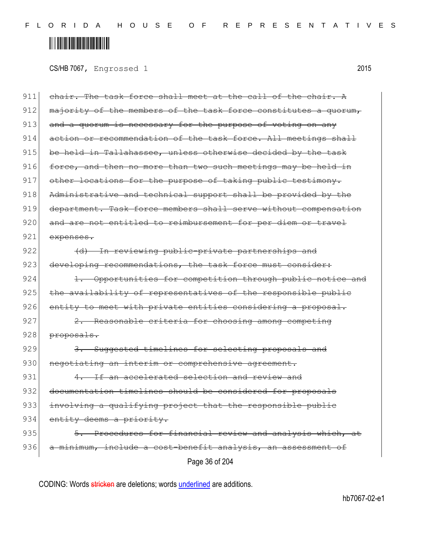### <u> Alban Martin Martin Martin S</u>

CS/HB 7067, Engrossed 1 2015

Page 36 of 204  $911$  chair. The task force shall meet at the call of the chair. A 912 majority of the members of the task force constitutes a quorum, 913 and a quorum is necessary for the purpose of voting on any 914 action or recommendation of the task force. All meetings shall 915 be held in Tallahassee, unless otherwise decided by the task 916  $|$  force, and then no more than two such meetings may be held in 917 other locations for the purpose of taking public testimony. 918 Administrative and technical support shall be provided by the 919 department. Task force members shall serve without compensation 920 and are not entitled to reimbursement for per diem or travel 921 expenses. 922 (d) In reviewing public-private partnerships and 923 developing recommendations, the task force must consider: 924 1. Opportunities for competition through public notice and 925 the availability of representatives of the responsible public 926 entity to meet with private entities considering a proposal. 927 2. Reasonable criteria for choosing among competing 928 proposals. 929 3. Suggested timelines for selecting proposals and 930 negotiating an interim or comprehensive agreement.  $931$  4. If an accelerated selection and review and 932 documentation timelines should be considered for proposals 933 involving a qualifying project that the responsible public 934 entity deems a priority. 935  $\vert$  5. Procedures for financial review and analysis which, 936 a minimum, include a cost-benefit analysis, an assessment of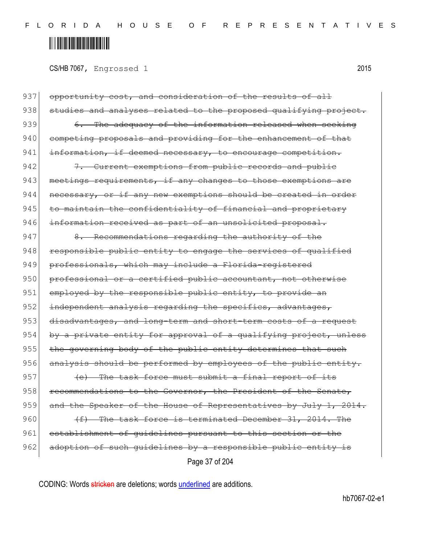## <u> Alban Martin Alban III</u>

CS/HB 7067, Engrossed 1 2015

Page 37 of 204 937 opportunity cost, and consideration of the results of all 938 studies and analyses related to the proposed qualifying project. 939  $\sim$  6. The adequacy of the information released when seeking 940 competing proposals and providing for the enhancement of that 941 information, if deemed necessary, to encourage competition. 942 7. Current exemptions from public records and public 943 meetings requirements, if any changes to those exemptions are  $944$  necessary, or if any new exemptions should be created in order  $945$  to maintain the confidentiality of financial and proprietary 946 information received as part of an unsolicited proposal. 947 8. Recommendations regarding the authority of the  $948$  responsible public entity to engage the services of qualified 949 professionals, which may include a Florida-registered 950 professional or a certified public accountant, not otherwise 951 employed by the responsible public entity, to provide an 952 independent analysis regarding the specifics, advantages, 953 disadvantages, and long-term and short-term costs of a request  $954$  by a private entity for approval of a qualifying project, unless 955 the governing body of the public entity determines that such 956 analysis should be performed by employees of the public entity. 957  $(e)$  The task force must submit a final report of its  $958$  recommendations to the Governor, the President of the Senate, 959 and the Speaker of the House of Representatives by July 1, 2014. 960  $(f)$  The task force is terminated December 31, 2014. The 961 establishment of guidelines pursuant to this section or the 962 adoption of such quidelines by a responsible public entity is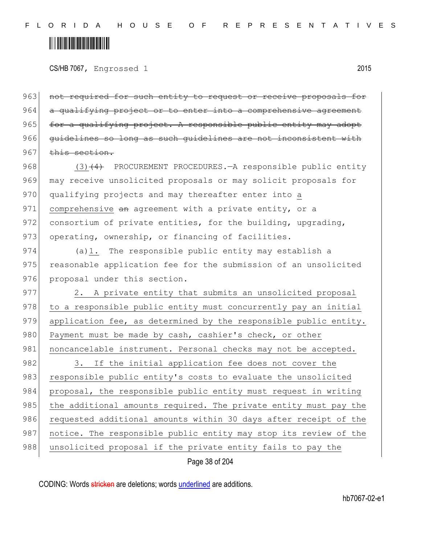## <u> Alban Alban Martin Alban</u>

CS/HB 7067, Engrossed 1 2015

963 not required for such entity to request or receive proposals for 964 a qualifying project or to enter into a comprehensive agreement  $965$  for a qualifying project. A responsible public entity may adopt 966 guidelines so long as such guidelines are not inconsistent with  $967$  this section.

968 (3)<del>(4)</del> PROCUREMENT PROCEDURES.—A responsible public entity 969 may receive unsolicited proposals or may solicit proposals for 970 qualifying projects and may thereafter enter into a 971 comprehensive an agreement with a private entity, or a 972 consortium of private entities, for the building, upgrading, 973 operating, ownership, or financing of facilities.

974 (a)1. The responsible public entity may establish a 975 reasonable application fee for the submission of an unsolicited 976 proposal under this section.

977 2. A private entity that submits an unsolicited proposal 978 to a responsible public entity must concurrently pay an initial 979 application fee, as determined by the responsible public entity. 980 Payment must be made by cash, cashier's check, or other 981 | noncancelable instrument. Personal checks may not be accepted. 982 3. If the initial application fee does not cover the 983 responsible public entity's costs to evaluate the unsolicited 984 proposal, the responsible public entity must request in writing 985 the additional amounts required. The private entity must pay the 986 requested additional amounts within 30 days after receipt of the 987 notice. The responsible public entity may stop its review of the 988 unsolicited proposal if the private entity fails to pay the

Page 38 of 204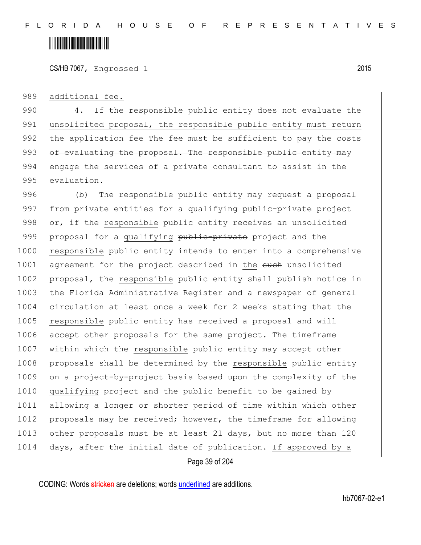CS/HB 7067, Engrossed 1 2015

989 additional fee.

990 4. If the responsible public entity does not evaluate the 991 unsolicited proposal, the responsible public entity must return 992 the application fee The fee must be sufficient to pay the costs  $993$  of evaluating the proposal. The responsible public entity may 994 engage the services of a private consultant to assist 995 evaluation.

996 (b) The responsible public entity may request a proposal 997 from private entities for a qualifying public-private project 998 or, if the responsible public entity receives an unsolicited 999 proposal for a qualifying public-private project and the 1000 responsible public entity intends to enter into a comprehensive 1001 agreement for the project described in the such unsolicited 1002 proposal, the responsible public entity shall publish notice in 1003 the Florida Administrative Register and a newspaper of general 1004 circulation at least once a week for 2 weeks stating that the 1005 responsible public entity has received a proposal and will 1006 accept other proposals for the same project. The timeframe 1007 within which the responsible public entity may accept other 1008 proposals shall be determined by the responsible public entity 1009 on a project-by-project basis based upon the complexity of the 1010 qualifying project and the public benefit to be gained by 1011 allowing a longer or shorter period of time within which other 1012 proposals may be received; however, the timeframe for allowing 1013 other proposals must be at least 21 days, but no more than 120 1014 days, after the initial date of publication. If approved by a

Page 39 of 204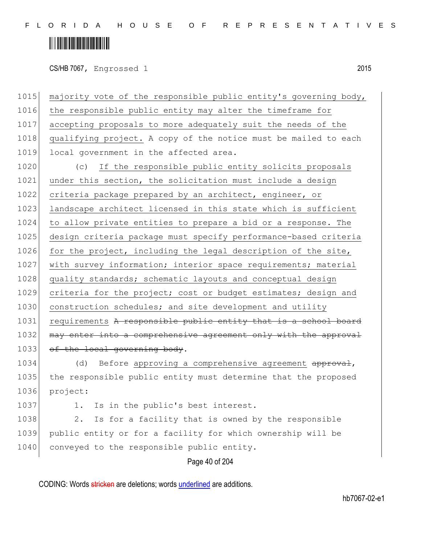## <u> Alban Martin Martin Alban</u>

CS/HB 7067, Engrossed 1 2015

1015 majority vote of the responsible public entity's governing body, 1016 the responsible public entity may alter the timeframe for 1017 accepting proposals to more adequately suit the needs of the 1018 qualifying project. A copy of the notice must be mailed to each 1019 local government in the affected area.

1020 (c) If the responsible public entity solicits proposals 1021 under this section, the solicitation must include a design 1022 criteria package prepared by an architect, engineer, or 1023 landscape architect licensed in this state which is sufficient 1024 to allow private entities to prepare a bid or a response. The 1025 design criteria package must specify performance-based criteria 1026 for the project, including the legal description of the site, 1027 with survey information; interior space requirements; material 1028 quality standards; schematic layouts and conceptual design 1029 criteria for the project; cost or budget estimates; design and 1030 construction schedules; and site development and utility 1031 requirements A responsible public entity that is a school board 1032 may enter into a comprehensive agreement only with the approval 1033 of the local governing body.

1034 (d) Before approving a comprehensive agreement approval, 1035 the responsible public entity must determine that the proposed 1036 project:

1037 1. Is in the public's best interest.

1038 2. Is for a facility that is owned by the responsible 1039 public entity or for a facility for which ownership will be 1040 conveyed to the responsible public entity.

Page 40 of 204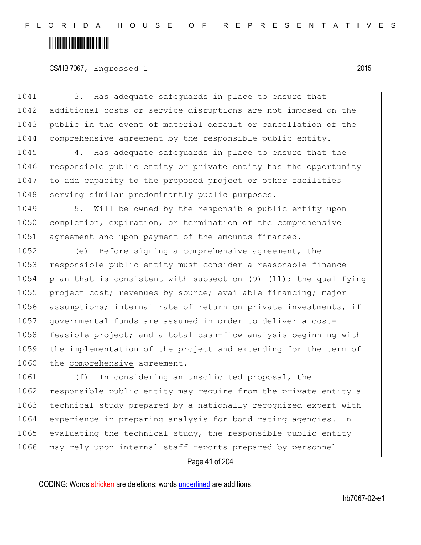CS/HB 7067, Engrossed 1 2015

1041 3. Has adequate safeguards in place to ensure that 1042 additional costs or service disruptions are not imposed on the 1043 public in the event of material default or cancellation of the 1044 comprehensive agreement by the responsible public entity.

1045 4. Has adequate safequards in place to ensure that the 1046 responsible public entity or private entity has the opportunity 1047 to add capacity to the proposed project or other facilities 1048 serving similar predominantly public purposes.

1049 5. Will be owned by the responsible public entity upon 1050 completion, expiration, or termination of the comprehensive 1051 agreement and upon payment of the amounts financed.

1052 (e) Before signing a comprehensive agreement, the 1053 responsible public entity must consider a reasonable finance 1054 plan that is consistent with subsection (9)  $(11)$ ; the qualifying 1055 project cost; revenues by source; available financing; major 1056 assumptions; internal rate of return on private investments, if 1057 governmental funds are assumed in order to deliver a cost-1058 feasible project; and a total cash-flow analysis beginning with 1059 the implementation of the project and extending for the term of 1060 the comprehensive agreement.

1061 (f) In considering an unsolicited proposal, the 1062 responsible public entity may require from the private entity a 1063 technical study prepared by a nationally recognized expert with 1064 experience in preparing analysis for bond rating agencies. In 1065 evaluating the technical study, the responsible public entity 1066 may rely upon internal staff reports prepared by personnel

Page 41 of 204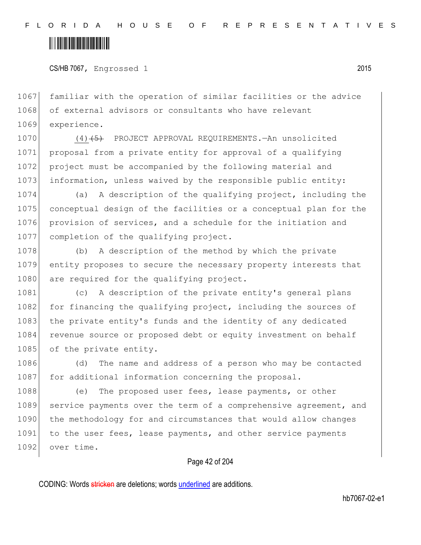CS/HB 7067, Engrossed 1 2015

1067 familiar with the operation of similar facilities or the advice 1068 of external advisors or consultants who have relevant 1069 experience.

1070 (4)<del>(5)</del> PROJECT APPROVAL REQUIREMENTS.—An unsolicited 1071 proposal from a private entity for approval of a qualifying 1072 project must be accompanied by the following material and 1073 information, unless waived by the responsible public entity:

 (a) A description of the qualifying project, including the conceptual design of the facilities or a conceptual plan for the provision of services, and a schedule for the initiation and completion of the qualifying project.

1078 (b) A description of the method by which the private 1079 entity proposes to secure the necessary property interests that 1080 are required for the qualifying project.

1081 (c) A description of the private entity's general plans 1082 for financing the qualifying project, including the sources of 1083 the private entity's funds and the identity of any dedicated 1084 revenue source or proposed debt or equity investment on behalf 1085 of the private entity.

1086 (d) The name and address of a person who may be contacted 1087 for additional information concerning the proposal.

1088 (e) The proposed user fees, lease payments, or other 1089 service payments over the term of a comprehensive agreement, and 1090 the methodology for and circumstances that would allow changes 1091 to the user fees, lease payments, and other service payments 1092 over time.

#### Page 42 of 204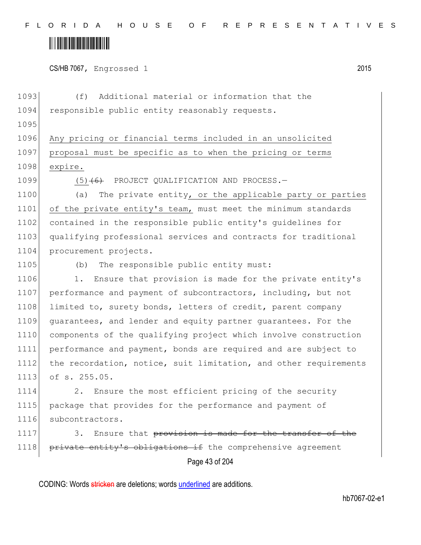CS/HB 7067, Engrossed 1 2015

1093 (f) Additional material or information that the 1094 responsible public entity reasonably requests. 1095 1096 Any pricing or financial terms included in an unsolicited 1097 proposal must be specific as to when the pricing or terms 1098 expire. 1099  $(5)$   $(6)$  PROJECT QUALIFICATION AND PROCESS. 1100 (a) The private entity, or the applicable party or parties 1101 of the private entity's team, must meet the minimum standards 1102 contained in the responsible public entity's guidelines for 1103 qualifying professional services and contracts for traditional 1104 procurement projects. 1105 (b) The responsible public entity must: 1106 1. Ensure that provision is made for the private entity's 1107 performance and payment of subcontractors, including, but not 1108 limited to, surety bonds, letters of credit, parent company 1109 guarantees, and lender and equity partner guarantees. For the 1110 components of the qualifying project which involve construction 1111 performance and payment, bonds are required and are subject to 1112 the recordation, notice, suit limitation, and other requirements 1113 of s. 255.05.

1114 2. Ensure the most efficient pricing of the security 1115 package that provides for the performance and payment of 1116 subcontractors.

1117 3. Ensure that provision is made for the transfer of the 1118 private entity's obligations if the comprehensive agreement

Page 43 of 204

CODING: Words stricken are deletions; words underlined are additions.

hb7067-02-e1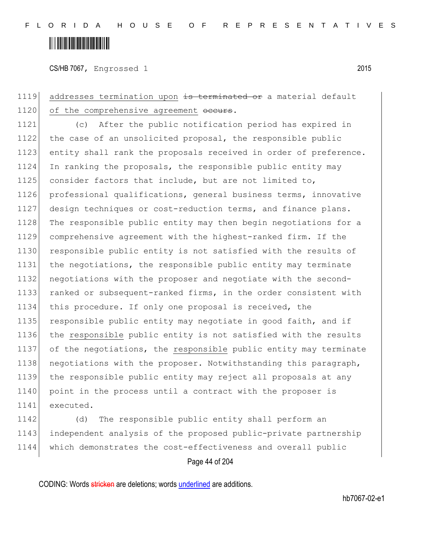CS/HB 7067, Engrossed 1 2015

1119 addresses termination upon is terminated or a material default 1120 of the comprehensive agreement occurs.

1121 (c) After the public notification period has expired in 1122 the case of an unsolicited proposal, the responsible public 1123 entity shall rank the proposals received in order of preference. 1124 In ranking the proposals, the responsible public entity may 1125 consider factors that include, but are not limited to, 1126 professional qualifications, general business terms, innovative 1127 design techniques or cost-reduction terms, and finance plans. 1128 | The responsible public entity may then begin negotiations for a 1129 comprehensive agreement with the highest-ranked firm. If the 1130 responsible public entity is not satisfied with the results of 1131 the negotiations, the responsible public entity may terminate 1132 negotiations with the proposer and negotiate with the second-1133 ranked or subsequent-ranked firms, in the order consistent with 1134 this procedure. If only one proposal is received, the 1135 responsible public entity may negotiate in good faith, and if 1136 the responsible public entity is not satisfied with the results 1137 of the negotiations, the responsible public entity may terminate 1138 negotiations with the proposer. Notwithstanding this paragraph, 1139 the responsible public entity may reject all proposals at any 1140 point in the process until a contract with the proposer is 1141 executed.

1142 (d) The responsible public entity shall perform an 1143 independent analysis of the proposed public-private partnership 1144 which demonstrates the cost-effectiveness and overall public

#### Page 44 of 204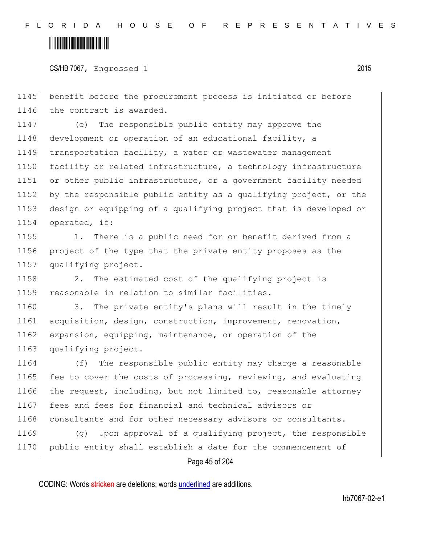CS/HB 7067, Engrossed 1 2015

1145 benefit before the procurement process is initiated or before 1146 the contract is awarded.

 (e) The responsible public entity may approve the 1148 development or operation of an educational facility, a transportation facility, a water or wastewater management 1150 facility or related infrastructure, a technology infrastructure or other public infrastructure, or a government facility needed by the responsible public entity as a qualifying project, or the design or equipping of a qualifying project that is developed or operated, if:

1155 1. There is a public need for or benefit derived from a 1156 project of the type that the private entity proposes as the 1157 qualifying project.

1158 2. The estimated cost of the qualifying project is 1159 reasonable in relation to similar facilities.

1160 3. The private entity's plans will result in the timely 1161 acquisition, design, construction, improvement, renovation, 1162 expansion, equipping, maintenance, or operation of the 1163 qualifying project.

1164 (f) The responsible public entity may charge a reasonable 1165 fee to cover the costs of processing, reviewing, and evaluating 1166 the request, including, but not limited to, reasonable attorney 1167 fees and fees for financial and technical advisors or 1168 consultants and for other necessary advisors or consultants.

1169 (g) Upon approval of a qualifying project, the responsible 1170 public entity shall establish a date for the commencement of

Page 45 of 204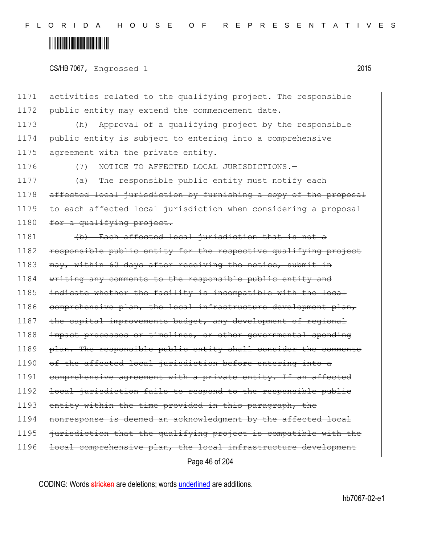1171 activities related to the qualifying project. The responsible 1172 public entity may extend the commencement date.

1173 (h) Approval of a qualifying project by the responsible 1174 public entity is subject to entering into a comprehensive 1175 agreement with the private entity.

1176 **(7) NOTICE TO AFFECTED LOCAL JURISDICTIONS.** 

1177  $\left(4a\right)$  The responsible public entity must notify each 1178 affected local jurisdiction by furnishing a copy of the proposal 1179 to each affected local jurisdiction when considering a proposal 1180 for a qualifying project.

Page 46 of 204 1181 (b) Each affected local jurisdiction that is not a 1182 responsible public entity for the respective qualifying project 1183 may, within 60 days after receiving the notice, submit in 1184 writing any comments to the responsible public entity and 1185 indicate whether the facility is incompatible with the local 1186 comprehensive plan, the local infrastructure development plan, 1187 the capital improvements budget, any development of regional 1188 impact processes or timelines, or other governmental spending 1189 plan. The responsible public entity shall consider the comments 1190 of the affected local jurisdiction before entering into a 1191 comprehensive agreement with a private entity. If an affected 1192 <del>local jurisdiction fails to respond to the responsible public</del> 1193 entity within the time provided in this paragraph, the 1194 nonresponse is deemed an acknowledgment by the affected local  $1195$  jurisdiction that the qualifying project is compatible with the 1196 local comprehensive plan, the local infrastructure development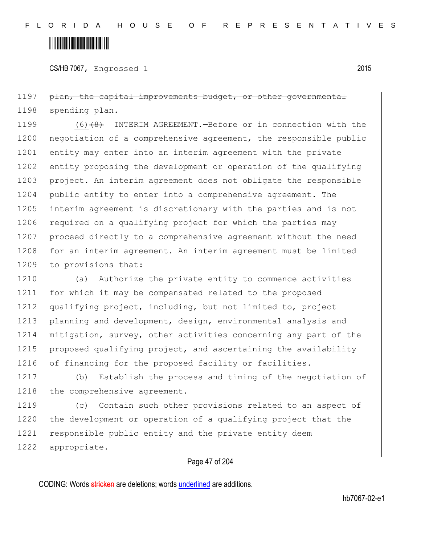CS/HB 7067, Engrossed 1 2015

1197 plan, the capital improvements budget, or other governmental 1198 spending plan.

1199 (6)<del>(8)</del> INTERIM AGREEMENT.—Before or in connection with the 1200 negotiation of a comprehensive agreement, the responsible public 1201 entity may enter into an interim agreement with the private 1202 entity proposing the development or operation of the qualifying 1203 project. An interim agreement does not obligate the responsible 1204 public entity to enter into a comprehensive agreement. The 1205 interim agreement is discretionary with the parties and is not 1206 required on a qualifying project for which the parties may 1207 proceed directly to a comprehensive agreement without the need 1208 for an interim agreement. An interim agreement must be limited 1209 to provisions that:

1210 (a) Authorize the private entity to commence activities 1211 for which it may be compensated related to the proposed 1212 qualifying project, including, but not limited to, project 1213 planning and development, design, environmental analysis and 1214 mitigation, survey, other activities concerning any part of the 1215 proposed qualifying project, and ascertaining the availability 1216 of financing for the proposed facility or facilities.

1217 (b) Establish the process and timing of the negotiation of 1218 the comprehensive agreement.

1219 (c) Contain such other provisions related to an aspect of 1220 the development or operation of a qualifying project that the 1221 responsible public entity and the private entity deem 1222 appropriate.

#### Page 47 of 204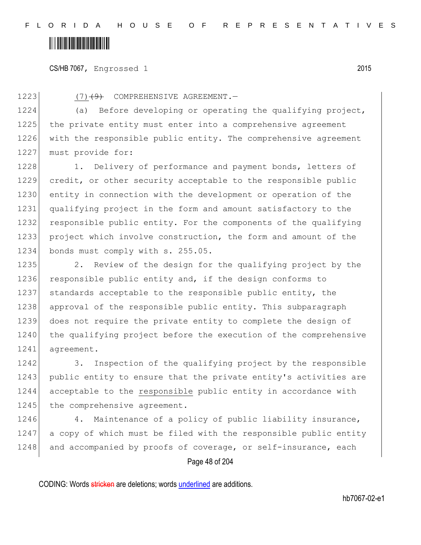CS/HB 7067, Engrossed 1 2015

1223 (7)<del>(9)</del> COMPREHENSIVE AGREEMENT.

1224 (a) Before developing or operating the qualifying project, 1225 the private entity must enter into a comprehensive agreement 1226 with the responsible public entity. The comprehensive agreement 1227 must provide for:

1228 1. Delivery of performance and payment bonds, letters of 1229 credit, or other security acceptable to the responsible public 1230 entity in connection with the development or operation of the 1231 qualifying project in the form and amount satisfactory to the 1232 responsible public entity. For the components of the qualifying 1233 project which involve construction, the form and amount of the 1234 bonds must comply with s. 255.05.

1235 2. Review of the design for the qualifying project by the 1236 responsible public entity and, if the design conforms to 1237 standards acceptable to the responsible public entity, the 1238 approval of the responsible public entity. This subparagraph 1239 does not require the private entity to complete the design of 1240 the qualifying project before the execution of the comprehensive 1241 agreement.

1242 3. Inspection of the qualifying project by the responsible 1243 public entity to ensure that the private entity's activities are 1244 acceptable to the responsible public entity in accordance with 1245 the comprehensive agreement.

1246 4. Maintenance of a policy of public liability insurance, 1247 a copy of which must be filed with the responsible public entity 1248 and accompanied by proofs of coverage, or self-insurance, each

Page 48 of 204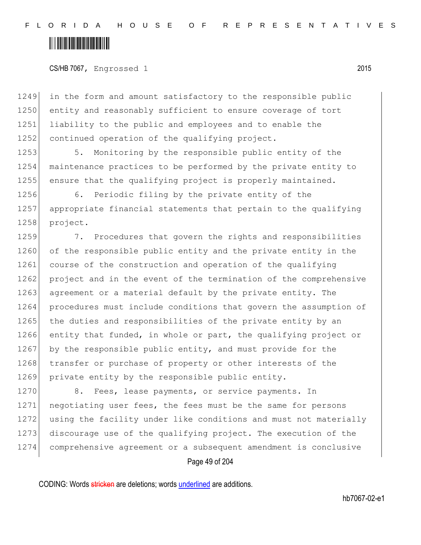CS/HB 7067, Engrossed 1 2015

1249 in the form and amount satisfactory to the responsible public 1250 entity and reasonably sufficient to ensure coverage of tort 1251 liability to the public and employees and to enable the 1252 continued operation of the qualifying project.

1253 5. Monitoring by the responsible public entity of the 1254 maintenance practices to be performed by the private entity to 1255 ensure that the qualifying project is properly maintained.

1256 6. Periodic filing by the private entity of the 1257 appropriate financial statements that pertain to the qualifying 1258 project.

1259 7. Procedures that govern the rights and responsibilities 1260 of the responsible public entity and the private entity in the 1261 course of the construction and operation of the qualifying 1262 project and in the event of the termination of the comprehensive 1263 agreement or a material default by the private entity. The 1264 procedures must include conditions that govern the assumption of 1265 the duties and responsibilities of the private entity by an 1266 entity that funded, in whole or part, the qualifying project or 1267 by the responsible public entity, and must provide for the 1268 transfer or purchase of property or other interests of the 1269 private entity by the responsible public entity.

1270 8. Fees, lease payments, or service payments. In 1271 negotiating user fees, the fees must be the same for persons 1272 using the facility under like conditions and must not materially 1273 discourage use of the qualifying project. The execution of the 1274 comprehensive agreement or a subsequent amendment is conclusive

Page 49 of 204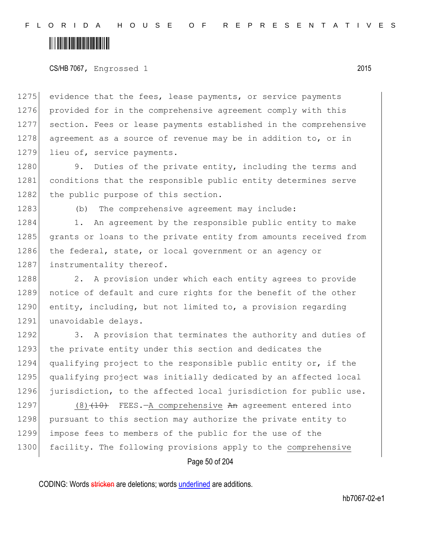#### CS/HB 7067, Engrossed 1 2015

1275 evidence that the fees, lease payments, or service payments 1276 provided for in the comprehensive agreement comply with this 1277 section. Fees or lease payments established in the comprehensive 1278 agreement as a source of revenue may be in addition to, or in 1279 lieu of, service payments.

1280 9. Duties of the private entity, including the terms and 1281 conditions that the responsible public entity determines serve 1282 the public purpose of this section.

1283 (b) The comprehensive agreement may include:

1284 1. An agreement by the responsible public entity to make 1285 grants or loans to the private entity from amounts received from 1286 the federal, state, or local government or an agency or 1287 instrumentality thereof.

1288 2. A provision under which each entity agrees to provide 1289 notice of default and cure rights for the benefit of the other 1290 entity, including, but not limited to, a provision regarding 1291 unavoidable delays.

1292 3. A provision that terminates the authority and duties of 1293 the private entity under this section and dedicates the 1294 qualifying project to the responsible public entity or, if the 1295 qualifying project was initially dedicated by an affected local 1296 jurisdiction, to the affected local jurisdiction for public use.

1297 (8)<del>(10)</del> FEES.—A comprehensive An agreement entered into 1298 pursuant to this section may authorize the private entity to 1299 impose fees to members of the public for the use of the 1300 facility. The following provisions apply to the comprehensive

Page 50 of 204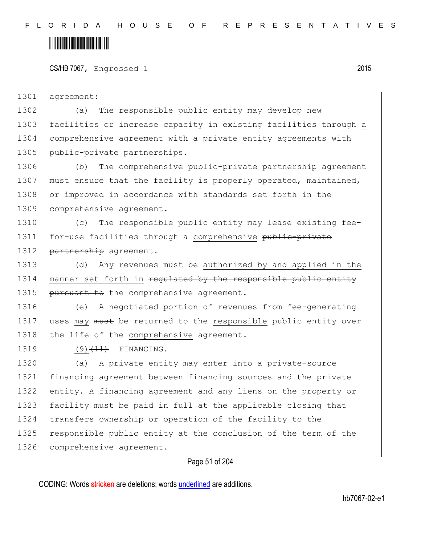CS/HB 7067, Engrossed 1 2015

1301 agreement:

1302 (a) The responsible public entity may develop new 1303 facilities or increase capacity in existing facilities through a 1304 comprehensive agreement with a private entity agreements with 1305 public-private partnerships.

1306 (b) The comprehensive public-private partnership agreement 1307 must ensure that the facility is properly operated, maintained, 1308 or improved in accordance with standards set forth in the 1309 comprehensive agreement.

1310 (c) The responsible public entity may lease existing fee-1311 for-use facilities through a comprehensive public-private 1312 partnership agreement.

1313 (d) Any revenues must be authorized by and applied in the 1314 manner set forth in regulated by the responsible public entity 1315 pursuant to the comprehensive agreement.

1316 (e) A negotiated portion of revenues from fee-generating 1317 uses may must be returned to the responsible public entity over 1318 the life of the comprehensive agreement.

1319  $(9)$   $(11)$  FINANCING.

1320 (a) A private entity may enter into a private-source 1321 financing agreement between financing sources and the private 1322 entity. A financing agreement and any liens on the property or 1323 facility must be paid in full at the applicable closing that 1324 transfers ownership or operation of the facility to the 1325 responsible public entity at the conclusion of the term of the 1326 comprehensive agreement.

#### Page 51 of 204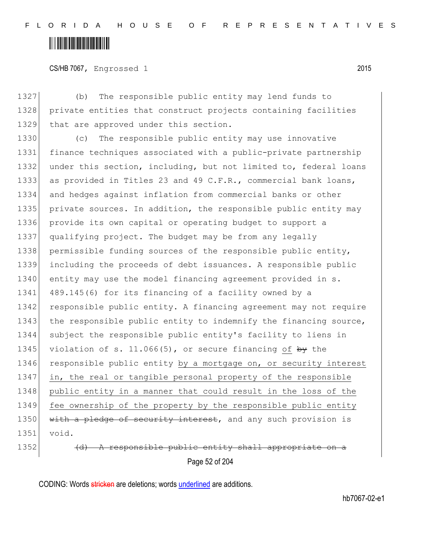CS/HB 7067, Engrossed 1 2015

1327 (b) The responsible public entity may lend funds to 1328 private entities that construct projects containing facilities 1329 that are approved under this section.

1330 (c) The responsible public entity may use innovative 1331 finance techniques associated with a public-private partnership 1332 under this section, including, but not limited to, federal loans 1333 as provided in Titles 23 and 49 C.F.R., commercial bank loans, 1334 and hedges against inflation from commercial banks or other 1335 private sources. In addition, the responsible public entity may 1336 provide its own capital or operating budget to support a 1337 qualifying project. The budget may be from any legally 1338 permissible funding sources of the responsible public entity, 1339 including the proceeds of debt issuances. A responsible public 1340 entity may use the model financing agreement provided in s. 1341 489.145(6) for its financing of a facility owned by a 1342 responsible public entity. A financing agreement may not require 1343 the responsible public entity to indemnify the financing source, 1344 subject the responsible public entity's facility to liens in 1345 violation of s. 11.066(5), or secure financing of  $\frac{1}{2}$  the 1346 responsible public entity by a mortgage on, or security interest 1347 in, the real or tangible personal property of the responsible 1348 public entity in a manner that could result in the loss of the 1349 fee ownership of the property by the responsible public entity 1350 with a pledge of security interest, and any such provision is 1351 void.

Page 52 of 204 1352 (d) A responsible public entity shall appropriate on a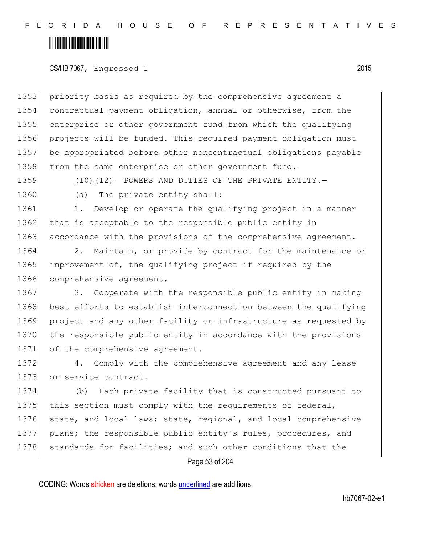CS/HB 7067, Engrossed 1 2015

1353 priority basis as required by the comprehensive agreement a 1354 contractual payment obligation, annual or otherwise, from the 1355 enterprise or other government fund from which the qualifying 1356 projects will be funded. This required payment obligation 1357 be appropriated before other noncontractual obligations payable 1358 from the same enterprise or other government fund.

1359 (10) $(12)$  POWERS AND DUTIES OF THE PRIVATE ENTITY.

1360 (a) The private entity shall:

1361 1. Develop or operate the qualifying project in a manner 1362 that is acceptable to the responsible public entity in 1363 accordance with the provisions of the comprehensive agreement.

1364 2. Maintain, or provide by contract for the maintenance or 1365 improvement of, the qualifying project if required by the 1366 comprehensive agreement.

1367 3. Cooperate with the responsible public entity in making 1368 best efforts to establish interconnection between the qualifying 1369 project and any other facility or infrastructure as requested by 1370 the responsible public entity in accordance with the provisions 1371 of the comprehensive agreement.

1372 4. Comply with the comprehensive agreement and any lease 1373 or service contract.

1374 (b) Each private facility that is constructed pursuant to 1375 this section must comply with the requirements of federal, 1376 state, and local laws; state, regional, and local comprehensive 1377 plans; the responsible public entity's rules, procedures, and 1378 standards for facilities; and such other conditions that the

#### Page 53 of 204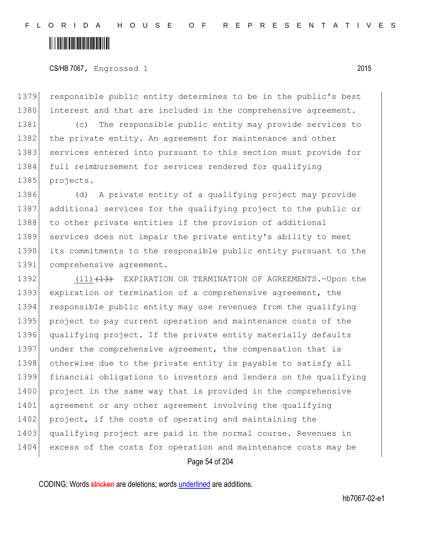CS/HB 7067, Engrossed 1 2015

1379 responsible public entity determines to be in the public's best 1380 interest and that are included in the comprehensive agreement.

1381 (c) The responsible public entity may provide services to 1382 the private entity. An agreement for maintenance and other 1383 services entered into pursuant to this section must provide for 1384 full reimbursement for services rendered for qualifying 1385 projects.

1386 (d) A private entity of a qualifying project may provide 1387 additional services for the qualifying project to the public or 1388 to other private entities if the provision of additional 1389 services does not impair the private entity's ability to meet 1390 its commitments to the responsible public entity pursuant to the 1391 comprehensive agreement.

1392 (11) (13) EXPIRATION OR TERMINATION OF AGREEMENTS. - Upon the 1393 expiration or termination of a comprehensive agreement, the 1394 responsible public entity may use revenues from the qualifying 1395 project to pay current operation and maintenance costs of the 1396 qualifying project. If the private entity materially defaults 1397 under the comprehensive agreement, the compensation that is 1398 otherwise due to the private entity is payable to satisfy all 1399 financial obligations to investors and lenders on the qualifying 1400 project in the same way that is provided in the comprehensive 1401 agreement or any other agreement involving the qualifying 1402 project, if the costs of operating and maintaining the 1403 qualifying project are paid in the normal course. Revenues in 1404 excess of the costs for operation and maintenance costs may be

Page 54 of 204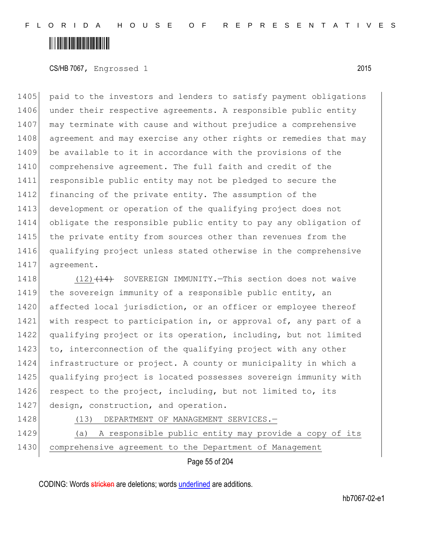CS/HB 7067, Engrossed 1 2015

1405 paid to the investors and lenders to satisfy payment obligations 1406 under their respective agreements. A responsible public entity 1407 may terminate with cause and without prejudice a comprehensive 1408 agreement and may exercise any other rights or remedies that may 1409 be available to it in accordance with the provisions of the 1410 comprehensive agreement. The full faith and credit of the 1411 responsible public entity may not be pledged to secure the 1412 financing of the private entity. The assumption of the 1413 development or operation of the qualifying project does not 1414 obligate the responsible public entity to pay any obligation of 1415 the private entity from sources other than revenues from the 1416 qualifying project unless stated otherwise in the comprehensive 1417 agreement.

1418 (12) (14) SOVEREIGN IMMUNITY. This section does not waive 1419 the sovereign immunity of a responsible public entity, an 1420 affected local jurisdiction, or an officer or employee thereof 1421 with respect to participation in, or approval of, any part of a 1422 qualifying project or its operation, including, but not limited 1423 to, interconnection of the qualifying project with any other 1424 infrastructure or project. A county or municipality in which a 1425 qualifying project is located possesses sovereign immunity with 1426 respect to the project, including, but not limited to, its 1427 design, construction, and operation.

1428 (13) DEPARTMENT OF MANAGEMENT SERVICES.

1429 (a) A responsible public entity may provide a copy of its 1430 comprehensive agreement to the Department of Management

Page 55 of 204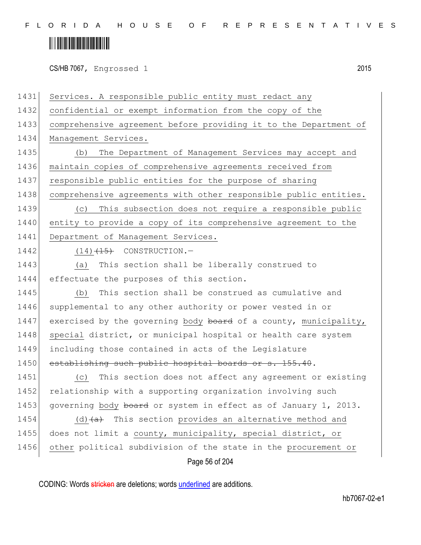## <u> Alban Alban Martin Alban</u>

CS/HB 7067, Engrossed 1 2015

Page 56 of 204 1431 Services. A responsible public entity must redact any 1432 confidential or exempt information from the copy of the 1433 comprehensive agreement before providing it to the Department of 1434 Management Services. 1435 (b) The Department of Management Services may accept and 1436 maintain copies of comprehensive agreements received from 1437 responsible public entities for the purpose of sharing 1438 comprehensive agreements with other responsible public entities. 1439 (c) This subsection does not require a responsible public 1440 entity to provide a copy of its comprehensive agreement to the 1441 Department of Management Services.  $1442$  (14) $\left(14\right)$  CONSTRUCTION. -1443 (a) This section shall be liberally construed to 1444 effectuate the purposes of this section. 1445 (b) This section shall be construed as cumulative and 1446 supplemental to any other authority or power vested in or 1447 exercised by the governing body board of a county, municipality, 1448 special district, or municipal hospital or health care system 1449 including those contained in acts of the Legislature 1450 establishing such public hospital boards or s. 155.40. 1451 (c) This section does not affect any agreement or existing 1452 relationship with a supporting organization involving such 1453 governing body board or system in effect as of January 1, 2013. 1454 (d) $(a)$  This section provides an alternative method and 1455 does not limit a county, municipality, special district, or 1456 other political subdivision of the state in the procurement or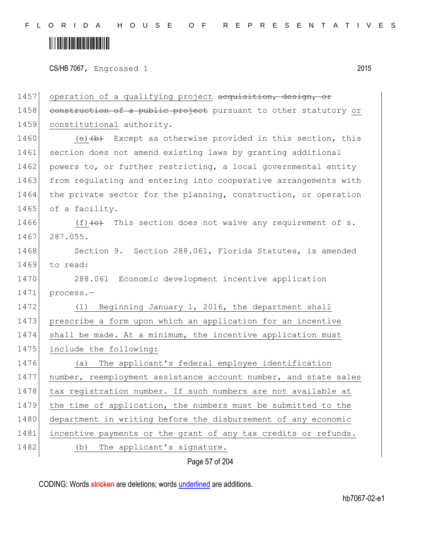CS/HB 7067, Engrossed 1 2015

| 1457 | operation of a qualifying project acquisition, design, or                         |
|------|-----------------------------------------------------------------------------------|
| 1458 | construction of a public project pursuant to other statutory or                   |
| 1459 | constitutional authority.                                                         |
| 1460 | (e) $\left(\frac{b}{b}\right)$ Except as otherwise provided in this section, this |
| 1461 | section does not amend existing laws by granting additional                       |
| 1462 | powers to, or further restricting, a local governmental entity                    |
| 1463 | from regulating and entering into cooperative arrangements with                   |
| 1464 | the private sector for the planning, construction, or operation                   |
| 1465 | of a facility.                                                                    |
| 1466 | (f) $\left\{e\right\}$ This section does not waive any requirement of s.          |
| 1467 | 287.055.                                                                          |
| 1468 | Section 9. Section 288.061, Florida Statutes, is amended                          |
| 1469 | to read:                                                                          |
| 1470 | 288.061 Economic development incentive application                                |
| 1471 | process.-                                                                         |
| 1472 | Beginning January 1, 2016, the department shall<br>(1)                            |
| 1473 | prescribe a form upon which an application for an incentive                       |
| 1474 | shall be made. At a minimum, the incentive application must                       |
| 1475 | include the following:                                                            |
| 1476 | The applicant's federal employee identification<br>(a)                            |
| 1477 | number, reemployment assistance account number, and state sales                   |
| 1478 | tax registration number. If such numbers are not available at                     |
| 1479 | the time of application, the numbers must be submitted to the                     |
| 1480 | department in writing before the disbursement of any economic                     |
| 1481 | incentive payments or the grant of any tax credits or refunds.                    |
| 1482 | The applicant's signature.<br>(b)                                                 |
|      |                                                                                   |

#### Page 57 of 204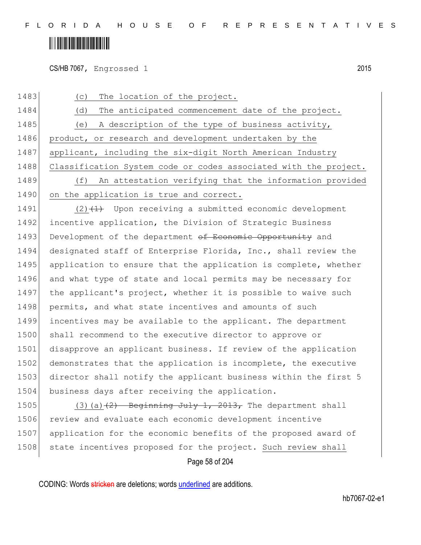CS/HB 7067, Engrossed 1 2015

1483 (c) The location of the project. 1484 (d) The anticipated commencement date of the project. 1485 (e) A description of the type of business activity, 1486 product, or research and development undertaken by the 1487 applicant, including the six-digit North American Industry 1488 Classification System code or codes associated with the project. 1489 (f) An attestation verifying that the information provided 1490 on the application is true and correct. 1491  $(2)$   $(1)$  Upon receiving a submitted economic development 1492 incentive application, the Division of Strategic Business 1493 Development of the department of Economic Opportunity and 1494 designated staff of Enterprise Florida, Inc., shall review the 1495 application to ensure that the application is complete, whether 1496 and what type of state and local permits may be necessary for 1497 the applicant's project, whether it is possible to waive such 1498 permits, and what state incentives and amounts of such 1499 incentives may be available to the applicant. The department 1500 shall recommend to the executive director to approve or 1501 disapprove an applicant business. If review of the application 1502 demonstrates that the application is incomplete, the executive 1503 director shall notify the applicant business within the first 5 1504 business days after receiving the application. 1505 (3)(a) $(2)$  Beginning July 1, 2013, The department shall

1506 review and evaluate each economic development incentive 1507 application for the economic benefits of the proposed award of 1508 state incentives proposed for the project. Such review shall

Page 58 of 204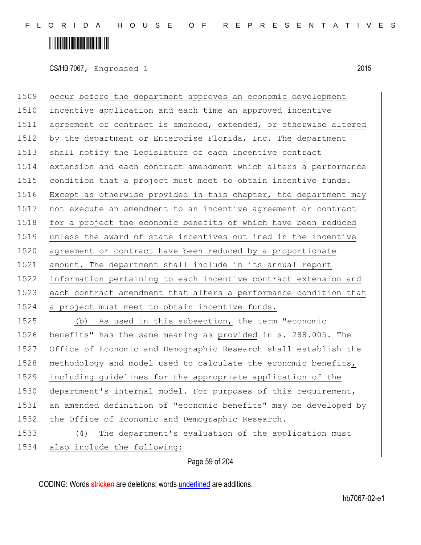## <u> Alban Alban Martin Alban</u>

CS/HB 7067, Engrossed 1 2015

 occur before the department approves an economic development incentive application and each time an approved incentive 1511 agreement or contract is amended, extended, or otherwise altered 1512 by the department or Enterprise Florida, Inc. The department 1513 shall notify the Legislature of each incentive contract extension and each contract amendment which alters a performance 1515 condition that a project must meet to obtain incentive funds. Except as otherwise provided in this chapter, the department may not execute an amendment to an incentive agreement or contract 1518 for a project the economic benefits of which have been reduced unless the award of state incentives outlined in the incentive 1520 agreement or contract have been reduced by a proportionate amount. The department shall include in its annual report information pertaining to each incentive contract extension and each contract amendment that alters a performance condition that a project must meet to obtain incentive funds. (b) As used in this subsection, the term "economic benefits" has the same meaning as provided in s. 288.005. The Office of Economic and Demographic Research shall establish the 1528 methodology and model used to calculate the economic benefits,

 including guidelines for the appropriate application of the 1530 department's internal model. For purposes of this requirement, an amended definition of "economic benefits" may be developed by the Office of Economic and Demographic Research.

1533 (4) The department's evaluation of the application must

Page 59 of 204 1534 also include the following:

CODING: Words stricken are deletions; words underlined are additions.

hb7067-02-e1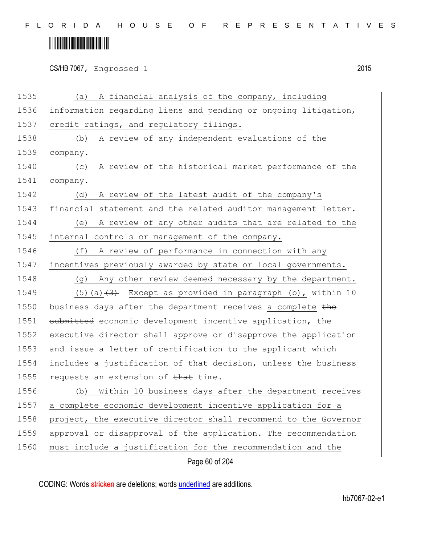| CS/HB 7067, Engrossed 1 | 2015 |
|-------------------------|------|
|                         |      |

| 1535 | A financial analysis of the company, including<br>(a)           |
|------|-----------------------------------------------------------------|
| 1536 | information regarding liens and pending or ongoing litigation,  |
| 1537 | credit ratings, and regulatory filings.                         |
| 1538 | A review of any independent evaluations of the<br>(b)           |
| 1539 | company.                                                        |
| 1540 | A review of the historical market performance of the<br>(C)     |
| 1541 | company.                                                        |
| 1542 | A review of the latest audit of the company's<br>(d)            |
| 1543 | financial statement and the related auditor management letter.  |
| 1544 | A review of any other audits that are related to the<br>(e)     |
| 1545 | internal controls or management of the company.                 |
| 1546 | A review of performance in connection with any<br>(f)           |
| 1547 | incentives previously awarded by state or local governments.    |
| 1548 | Any other review deemed necessary by the department.<br>(q)     |
| 1549 | (5) (a) $(3)$ Except as provided in paragraph (b), within 10    |
| 1550 | business days after the department receives a complete the      |
| 1551 | submitted economic development incentive application, the       |
| 1552 | executive director shall approve or disapprove the application  |
| 1553 | and issue a letter of certification to the applicant which      |
| 1554 | includes a justification of that decision, unless the business  |
| 1555 | requests an extension of that time.                             |
| 1556 | Within 10 business days after the department receives<br>(b)    |
| 1557 | a complete economic development incentive application for a     |
| 1558 | project, the executive director shall recommend to the Governor |
| 1559 | approval or disapproval of the application. The recommendation  |
| 1560 | must include a justification for the recommendation and the     |
|      | Page 60 of 204                                                  |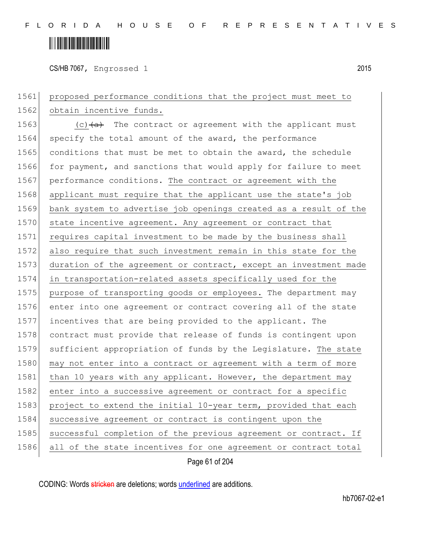## <u> Alban Alban Martin Alban</u>

CS/HB 7067, Engrossed 1 2015

1561 proposed performance conditions that the project must meet to 1562 obtain incentive funds. 1563 (c) $(a + b)$  The contract or agreement with the applicant must 1564 specify the total amount of the award, the performance 1565 conditions that must be met to obtain the award, the schedule 1566 for payment, and sanctions that would apply for failure to meet 1567 performance conditions. The contract or agreement with the 1568 applicant must require that the applicant use the state's job 1569 bank system to advertise job openings created as a result of the 1570 state incentive agreement. Any agreement or contract that 1571 requires capital investment to be made by the business shall 1572 also require that such investment remain in this state for the 1573 duration of the agreement or contract, except an investment made 1574 in transportation-related assets specifically used for the 1575 purpose of transporting goods or employees. The department may 1576 enter into one agreement or contract covering all of the state 1577 incentives that are being provided to the applicant. The 1578 contract must provide that release of funds is contingent upon 1579 sufficient appropriation of funds by the Legislature. The state 1580 may not enter into a contract or agreement with a term of more 1581 than 10 years with any applicant. However, the department may 1582 enter into a successive agreement or contract for a specific 1583 project to extend the initial 10-year term, provided that each 1584 successive agreement or contract is contingent upon the 1585 successful completion of the previous agreement or contract. If 1586 all of the state incentives for one agreement or contract total

Page 61 of 204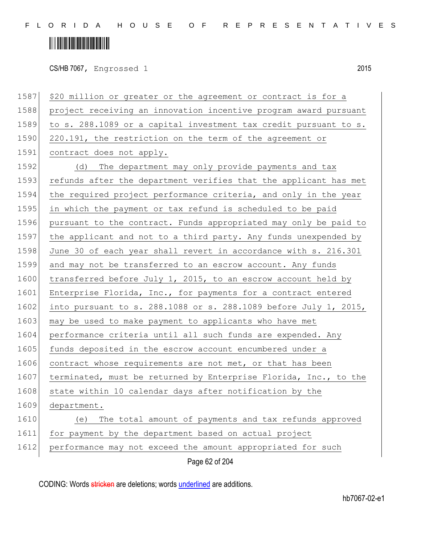## <u> Alban Alban Martin Alban</u>

CS/HB 7067, Engrossed 1 2015

Page 62 of 204 1587 \$20 million or greater or the agreement or contract is for a 1588 project receiving an innovation incentive program award pursuant 1589 to s. 288.1089 or a capital investment tax credit pursuant to s. 1590 220.191, the restriction on the term of the agreement or 1591 contract does not apply. 1592 (d) The department may only provide payments and tax 1593 refunds after the department verifies that the applicant has met 1594 the required project performance criteria, and only in the year 1595 in which the payment or tax refund is scheduled to be paid 1596 pursuant to the contract. Funds appropriated may only be paid to 1597 the applicant and not to a third party. Any funds unexpended by 1598 June 30 of each year shall revert in accordance with s. 216.301 1599 and may not be transferred to an escrow account. Any funds 1600 transferred before July 1, 2015, to an escrow account held by 1601 Enterprise Florida, Inc., for payments for a contract entered 1602 into pursuant to s. 288.1088 or s. 288.1089 before July 1, 2015, 1603 may be used to make payment to applicants who have met 1604 performance criteria until all such funds are expended. Any 1605 funds deposited in the escrow account encumbered under a 1606 contract whose requirements are not met, or that has been 1607 terminated, must be returned by Enterprise Florida, Inc., to the 1608 state within 10 calendar days after notification by the 1609 department. 1610 (e) The total amount of payments and tax refunds approved 1611 for payment by the department based on actual project 1612 performance may not exceed the amount appropriated for such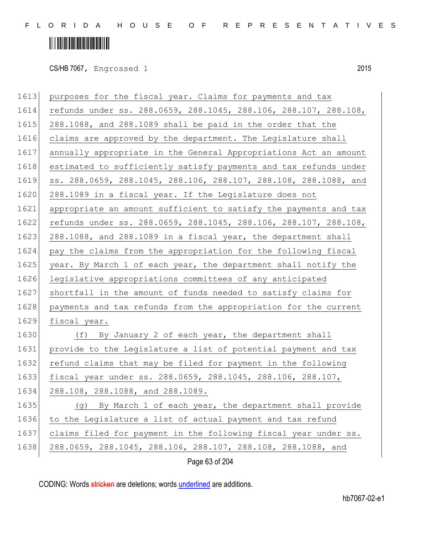CS/HB 7067, Engrossed 1 2015

| 1613 | purposes for the fiscal year. Claims for payments and tax        |
|------|------------------------------------------------------------------|
| 1614 | refunds under ss. 288.0659, 288.1045, 288.106, 288.107, 288.108, |
| 1615 | 288.1088, and 288.1089 shall be paid in the order that the       |
| 1616 | claims are approved by the department. The Legislature shall     |
| 1617 | annually appropriate in the General Appropriations Act an amount |
| 1618 | estimated to sufficiently satisfy payments and tax refunds under |
| 1619 | ss. 288.0659, 288.1045, 288.106, 288.107, 288.108, 288.1088, and |
| 1620 | 288.1089 in a fiscal year. If the Legislature does not           |
| 1621 | appropriate an amount sufficient to satisfy the payments and tax |
| 1622 | refunds under ss. 288.0659, 288.1045, 288.106, 288.107, 288.108, |
| 1623 | 288.1088, and 288.1089 in a fiscal year, the department shall    |
| 1624 | pay the claims from the appropriation for the following fiscal   |
| 1625 | year. By March 1 of each year, the department shall notify the   |
| 1626 | legislative appropriations committees of any anticipated         |
| 1627 | shortfall in the amount of funds needed to satisfy claims for    |
| 1628 | payments and tax refunds from the appropriation for the current  |
| 1629 | fiscal year.                                                     |
| 1630 | (f) By January 2 of each year, the department shall              |
| 1631 | provide to the Legislature a list of potential payment and tax   |
| 1632 | refund claims that may be filed for payment in the following     |
| 1633 | fiscal year under ss. 288.0659, 288.1045, 288.106, 288.107,      |
| 1634 | 288.108, 288.1088, and 288.1089.                                 |
| 1635 | By March 1 of each year, the department shall provide<br>(g)     |
| 1636 | to the Legislature a list of actual payment and tax refund       |
| 1637 | claims filed for payment in the following fiscal year under ss.  |
| 1638 | 288.0659, 288.1045, 288.106, 288.107, 288.108, 288.1088, and     |
|      | Page 63 of 204                                                   |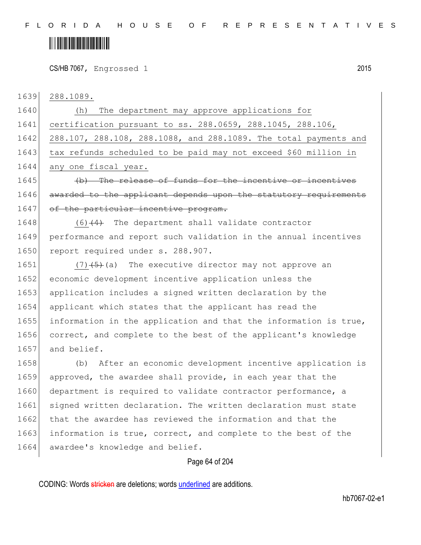CS/HB 7067, Engrossed 1 2015

1639 288.1089.

1640 (h) The department may approve applications for 1641 certification pursuant to ss. 288.0659, 288.1045, 288.106, 1642 288.107, 288.108, 288.1088, and 288.1089. The total payments and 1643 tax refunds scheduled to be paid may not exceed \$60 million in 1644 any one fiscal year. 1645 (b) The release of funds for the incentive or incentives 1646 awarded to the applicant depends upon the statutory requirements 1647 of the particular incentive program. 1648  $(6)$   $(4)$  The department shall validate contractor 1649 performance and report such validation in the annual incentives 1650 report required under s. 288.907.

1651 (7) $(5)$  (7) (5) The executive director may not approve an 1652 economic development incentive application unless the 1653 application includes a signed written declaration by the 1654 applicant which states that the applicant has read the 1655 information in the application and that the information is true, 1656 correct, and complete to the best of the applicant's knowledge 1657 and belief.

1658 (b) After an economic development incentive application is 1659 approved, the awardee shall provide, in each year that the 1660 department is required to validate contractor performance, a 1661 signed written declaration. The written declaration must state 1662 that the awardee has reviewed the information and that the 1663 information is true, correct, and complete to the best of the 1664 awardee's knowledge and belief.

#### Page 64 of 204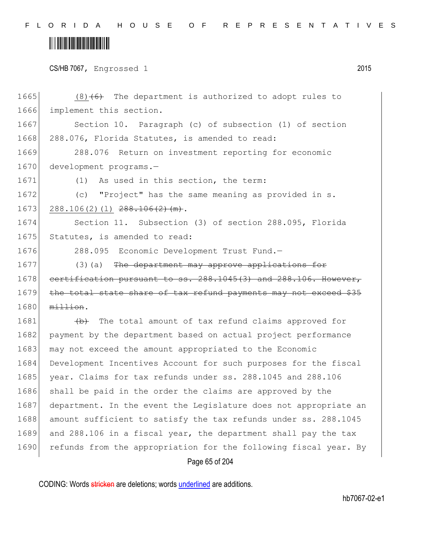F L O R I D A H O U S E O F R E P R E S E N T A T I V E S

# 

|  | CS/HB 7067, Engrossed 1 |  | 2015 |
|--|-------------------------|--|------|
|--|-------------------------|--|------|

| 1665 | $(8)$ $(6)$ The department is authorized to adopt rules to       |
|------|------------------------------------------------------------------|
| 1666 | implement this section.                                          |
| 1667 | Section 10. Paragraph (c) of subsection (1) of section           |
| 1668 | 288.076, Florida Statutes, is amended to read:                   |
| 1669 | 288.076 Return on investment reporting for economic              |
| 1670 | development programs.-                                           |
| 1671 | As used in this section, the term:<br>(1)                        |
| 1672 | "Project" has the same meaning as provided in s.<br>(C)          |
| 1673 | $288.106(2)(1)$ $288.106(2)$ (m).                                |
| 1674 | Section 11. Subsection (3) of section 288.095, Florida           |
| 1675 | Statutes, is amended to read:                                    |
| 1676 | 288.095 Economic Development Trust Fund.-                        |
| 1677 | (3) (a) The department may approve applications for              |
| 1678 | certification pursuant to ss. 288.1045(3) and 288.106. However,  |
| 1679 | the total state share of tax refund payments may not exceed \$35 |
| 1680 | million.                                                         |
| 1681 | (b) The total amount of tax refund claims approved for           |
| 1682 | payment by the department based on actual project performance    |
| 1683 | may not exceed the amount appropriated to the Economic           |
| 1684 | Development Incentives Account for such purposes for the fiscal  |
| 1685 | year. Claims for tax refunds under ss. 288.1045 and 288.106      |
| 1686 | shall be paid in the order the claims are approved by the        |
| 1687 | department. In the event the Legislature does not appropriate an |
| 1688 | amount sufficient to satisfy the tax refunds under ss. 288.1045  |
| 1689 | and 288.106 in a fiscal year, the department shall pay the tax   |
| 1690 | refunds from the appropriation for the following fiscal year. By |
|      | Page 65 of 204                                                   |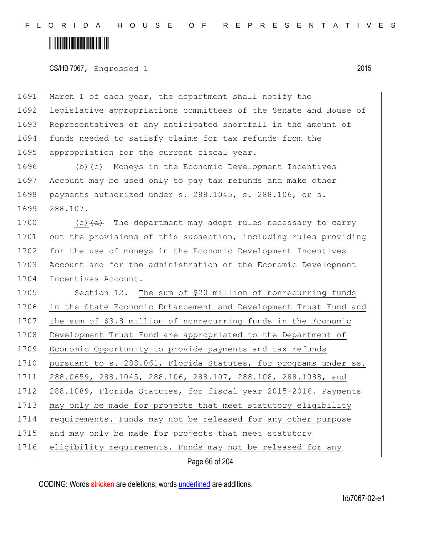### <u> Alban Alban Martin Alban</u>

CS/HB 7067, Engrossed 1 2015

1691 March 1 of each year, the department shall notify the 1692 legislative appropriations committees of the Senate and House of 1693 Representatives of any anticipated shortfall in the amount of 1694 funds needed to satisfy claims for tax refunds from the 1695 appropriation for the current fiscal year.

1696 (b) (c) Moneys in the Economic Development Incentives 1697 Account may be used only to pay tax refunds and make other 1698 payments authorized under s. 288.1045, s. 288.106, or s. 1699 288.107.

1700 (c) $\left(\frac{d}{dt}\right)$  The department may adopt rules necessary to carry 1701 out the provisions of this subsection, including rules providing 1702 for the use of moneys in the Economic Development Incentives 1703 Account and for the administration of the Economic Development 1704 Incentives Account.

1705 Section 12. The sum of \$20 million of nonrecurring funds 1706 in the State Economic Enhancement and Development Trust Fund and 1707 the sum of \$3.8 million of nonrecurring funds in the Economic 1708 Development Trust Fund are appropriated to the Department of 1709 Economic Opportunity to provide payments and tax refunds 1710 pursuant to s. 288.061, Florida Statutes, for programs under ss. 1711 288.0659, 288.1045, 288.106, 288.107, 288.108, 288.1088, and 1712 288.1089, Florida Statutes, for fiscal year 2015-2016. Payments 1713 may only be made for projects that meet statutory eligibility 1714 requirements. Funds may not be released for any other purpose 1715 and may only be made for projects that meet statutory 1716 eligibility requirements. Funds may not be released for any

Page 66 of 204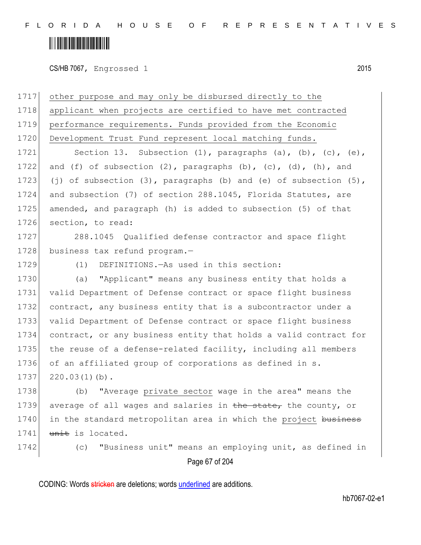### <u> Alban Martin Martin Martin S</u>

CS/HB 7067, Engrossed 1 2015

Page 67 of 204 other purpose and may only be disbursed directly to the applicant when projects are certified to have met contracted performance requirements. Funds provided from the Economic 1720 Development Trust Fund represent local matching funds. 1721 Section 13. Subsection (1), paragraphs (a), (b), (c), (e), 1722 and (f) of subsection  $(2)$ , paragraphs  $(b)$ ,  $(c)$ ,  $(d)$ ,  $(h)$ , and 1723 (j) of subsection  $(3)$ , paragraphs (b) and (e) of subsection  $(5)$ , and subsection (7) of section 288.1045, Florida Statutes, are amended, and paragraph (h) is added to subsection (5) of that section, to read: 288.1045 Qualified defense contractor and space flight 1728 business tax refund program.- (1) DEFINITIONS.—As used in this section: (a) "Applicant" means any business entity that holds a valid Department of Defense contract or space flight business contract, any business entity that is a subcontractor under a valid Department of Defense contract or space flight business contract, or any business entity that holds a valid contract for 1735 the reuse of a defense-related facility, including all members 1736 of an affiliated group of corporations as defined in s.  $220.03(1)(b)$ . (b) "Average private sector wage in the area" means the 1739 average of all wages and salaries in the state, the county, or 1740 in the standard metropolitan area in which the project business unit is located. (c) "Business unit" means an employing unit, as defined in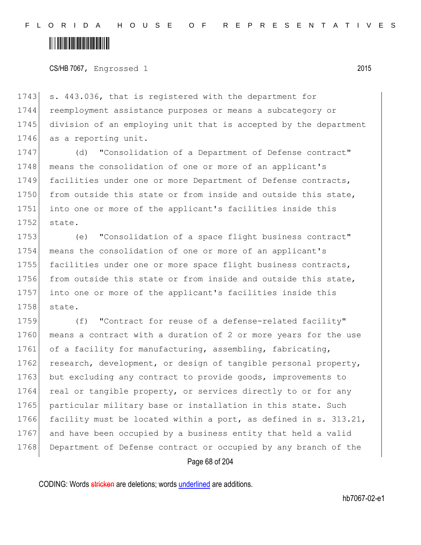CS/HB 7067, Engrossed 1 2015

1743 s. 443.036, that is registered with the department for 1744 reemployment assistance purposes or means a subcategory or 1745 division of an employing unit that is accepted by the department 1746 as a reporting unit.

1747 (d) "Consolidation of a Department of Defense contract" 1748 means the consolidation of one or more of an applicant's 1749 facilities under one or more Department of Defense contracts, 1750 from outside this state or from inside and outside this state, 1751 into one or more of the applicant's facilities inside this 1752 state.

1753 (e) "Consolidation of a space flight business contract" 1754 means the consolidation of one or more of an applicant's 1755 facilities under one or more space flight business contracts, 1756 from outside this state or from inside and outside this state, 1757 into one or more of the applicant's facilities inside this 1758 state.

1759 (f) "Contract for reuse of a defense-related facility" 1760 means a contract with a duration of 2 or more years for the use 1761 of a facility for manufacturing, assembling, fabricating, 1762 research, development, or design of tangible personal property, 1763 but excluding any contract to provide goods, improvements to 1764 real or tangible property, or services directly to or for any 1765 particular military base or installation in this state. Such 1766 facility must be located within a port, as defined in s. 313.21, 1767 and have been occupied by a business entity that held a valid 1768 Department of Defense contract or occupied by any branch of the

Page 68 of 204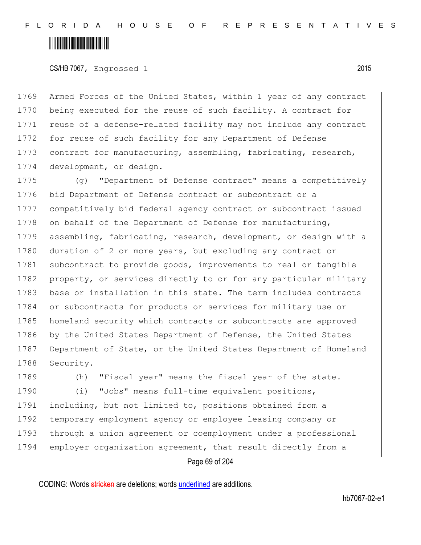CS/HB 7067, Engrossed 1 2015

1769 Armed Forces of the United States, within 1 year of any contract 1770 being executed for the reuse of such facility. A contract for 1771 reuse of a defense-related facility may not include any contract 1772 for reuse of such facility for any Department of Defense 1773 contract for manufacturing, assembling, fabricating, research, 1774 development, or design.

1775 (g) "Department of Defense contract" means a competitively 1776 bid Department of Defense contract or subcontract or a 1777 competitively bid federal agency contract or subcontract issued 1778 on behalf of the Department of Defense for manufacturing, 1779 assembling, fabricating, research, development, or design with a 1780 duration of 2 or more years, but excluding any contract or 1781 subcontract to provide goods, improvements to real or tangible 1782 property, or services directly to or for any particular military 1783 base or installation in this state. The term includes contracts 1784 or subcontracts for products or services for military use or 1785 homeland security which contracts or subcontracts are approved 1786 by the United States Department of Defense, the United States 1787 Department of State, or the United States Department of Homeland 1788 Security.

Page 69 of 204 1789 (h) "Fiscal year" means the fiscal year of the state. 1790 (i) "Jobs" means full-time equivalent positions, 1791 including, but not limited to, positions obtained from a 1792 temporary employment agency or employee leasing company or 1793 through a union agreement or coemployment under a professional 1794 employer organization agreement, that result directly from a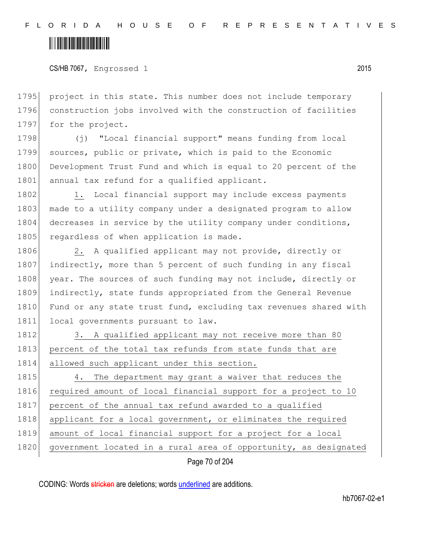### <u> Hillingin kanademi</u>

CS/HB 7067, Engrossed 1 2015

1795 project in this state. This number does not include temporary 1796 construction jobs involved with the construction of facilities 1797 for the project.

1798 (j) "Local financial support" means funding from local 1799 sources, public or private, which is paid to the Economic 1800 Development Trust Fund and which is equal to 20 percent of the 1801 annual tax refund for a qualified applicant.

1802 1. Local financial support may include excess payments 1803 made to a utility company under a designated program to allow 1804 decreases in service by the utility company under conditions, 1805 regardless of when application is made.

1806 2. A qualified applicant may not provide, directly or 1807 indirectly, more than 5 percent of such funding in any fiscal 1808 year. The sources of such funding may not include, directly or 1809 indirectly, state funds appropriated from the General Revenue 1810 Fund or any state trust fund, excluding tax revenues shared with 1811 local governments pursuant to law.

1812 3. A qualified applicant may not receive more than 80 1813 percent of the total tax refunds from state funds that are 1814 allowed such applicant under this section.

1815 4. The department may grant a waiver that reduces the 1816 required amount of local financial support for a project to 10 1817 percent of the annual tax refund awarded to a qualified 1818 applicant for a local government, or eliminates the required 1819 amount of local financial support for a project for a local 1820 government located in a rural area of opportunity, as designated

Page 70 of 204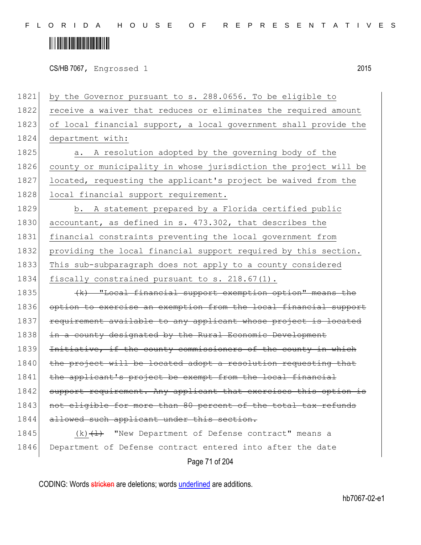## <u> Alban Martin Alban Martin Sa</u>

CS/HB 7067, Engrossed 1 2015

1821 by the Governor pursuant to s. 288.0656. To be eligible to 1822 receive a waiver that reduces or eliminates the required amount 1823 of local financial support, a local government shall provide the 1824 department with: 1825 a. A resolution adopted by the governing body of the 1826 county or municipality in whose jurisdiction the project will be 1827 located, requesting the applicant's project be waived from the 1828 local financial support requirement. 1829 b. A statement prepared by a Florida certified public 1830 accountant, as defined in s. 473.302, that describes the 1831 financial constraints preventing the local government from 1832 providing the local financial support required by this section. 1833 This sub-subparagraph does not apply to a county considered 1834 fiscally constrained pursuant to s. 218.67(1). 1835 (k) "Local financial support exemption option" means the 1836 option to exercise an exemption from the local financial support 1837 requirement available to any applicant whose project is located 1838 in a county designated by the Rural Economic Development 1839 Initiative, if the county commissioners of the county in which 1840 the project will be located adopt a resolution requesting that 1841 the applicant's project be exempt from the local financial 1842 support requirement. Any applicant that exercises this option is 1843 | not eligible for more than 80 percent of the total tax refunds 1844 allowed such applicant under this section. 1845 (k) $\left(\frac{1}{k}\right)$  "New Department of Defense contract" means a 1846 Department of Defense contract entered into after the date

Page 71 of 204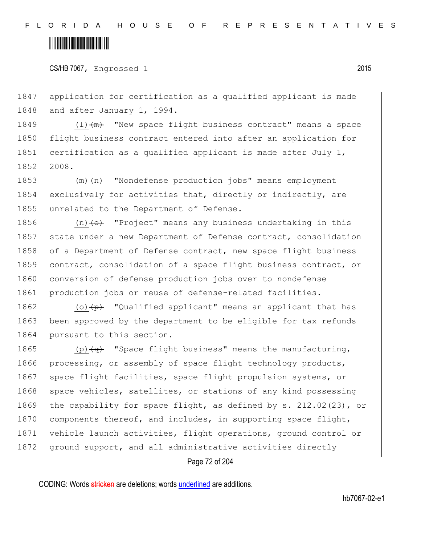CS/HB 7067, Engrossed 1 2015

1847 application for certification as a qualified applicant is made 1848 and after January 1, 1994.

1849  $(1)$   $(m)$  "New space flight business contract" means a space 1850 flight business contract entered into after an application for 1851 certification as a qualified applicant is made after July 1, 1852 2008.

1853 (m)  $\left\langle m\right\rangle$  "Nondefense production jobs" means employment 1854 exclusively for activities that, directly or indirectly, are 1855 unrelated to the Department of Defense.

1856  $(n)$   $\leftrightarrow$  "Project" means any business undertaking in this 1857 state under a new Department of Defense contract, consolidation 1858 of a Department of Defense contract, new space flight business 1859 contract, consolidation of a space flight business contract, or 1860 conversion of defense production jobs over to nondefense 1861 production jobs or reuse of defense-related facilities.

1862 (o) $\left\{\phi\right\}$  "Qualified applicant" means an applicant that has 1863 been approved by the department to be eligible for tax refunds 1864 pursuant to this section.

1865 (p) $\left( \phi \right)$  "Space flight business" means the manufacturing, 1866 processing, or assembly of space flight technology products, 1867 space flight facilities, space flight propulsion systems, or 1868 space vehicles, satellites, or stations of any kind possessing 1869 the capability for space flight, as defined by s. 212.02(23), or 1870 components thereof, and includes, in supporting space flight, 1871 vehicle launch activities, flight operations, ground control or 1872 ground support, and all administrative activities directly

Page 72 of 204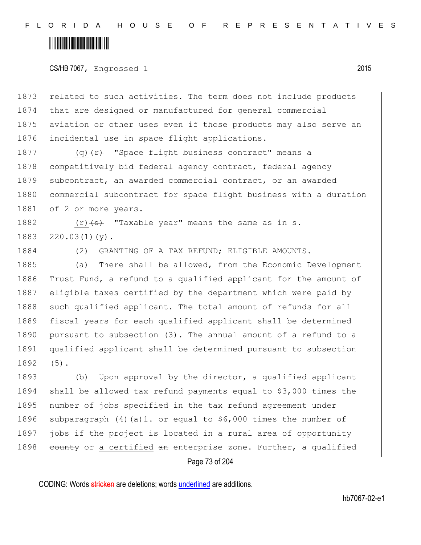CS/HB 7067, Engrossed 1 2015

1873 related to such activities. The term does not include products 1874 that are designed or manufactured for general commercial 1875 aviation or other uses even if those products may also serve an 1876 incidental use in space flight applications.

1877 (q) $\left\{\frac{r}{r}\right\}$  "Space flight business contract" means a 1878 competitively bid federal agency contract, federal agency 1879 subcontract, an awarded commercial contract, or an awarded 1880 commercial subcontract for space flight business with a duration 1881 of 2 or more years.

1882  $(r)$   $\leftrightarrow$  "Taxable year" means the same as in s.  $1883$   $220.03(1)(y)$ .

1884 (2) GRANTING OF A TAX REFUND; ELIGIBLE AMOUNTS.

1885 (a) There shall be allowed, from the Economic Development 1886 Trust Fund, a refund to a qualified applicant for the amount of 1887 eligible taxes certified by the department which were paid by 1888 such qualified applicant. The total amount of refunds for all 1889 fiscal years for each qualified applicant shall be determined 1890 pursuant to subsection (3). The annual amount of a refund to a 1891 qualified applicant shall be determined pursuant to subsection 1892 (5).

1893 (b) Upon approval by the director, a qualified applicant 1894 shall be allowed tax refund payments equal to \$3,000 times the 1895 number of jobs specified in the tax refund agreement under 1896 subparagraph  $(4)(a)$ 1. or equal to \$6,000 times the number of 1897 jobs if the project is located in a rural area of opportunity 1898 county or a certified  $an$  enterprise zone. Further, a qualified

Page 73 of 204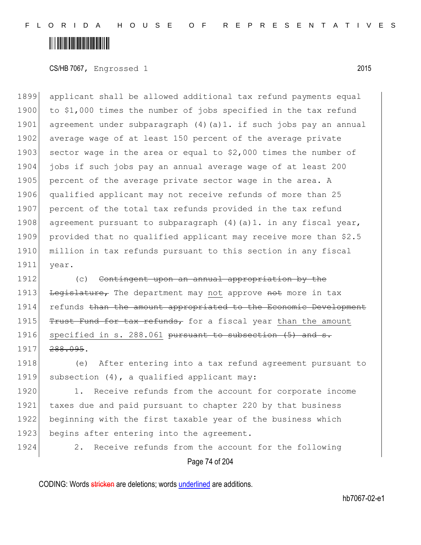CS/HB 7067, Engrossed 1 2015

1899 applicant shall be allowed additional tax refund payments equal 1900 to \$1,000 times the number of jobs specified in the tax refund 1901 agreement under subparagraph (4) (a) 1. if such jobs pay an annual 1902 average wage of at least 150 percent of the average private 1903 sector wage in the area or equal to  $$2,000$  times the number of 1904 jobs if such jobs pay an annual average wage of at least 200 1905 percent of the average private sector wage in the area. A 1906 qualified applicant may not receive refunds of more than 25 1907 percent of the total tax refunds provided in the tax refund 1908 agreement pursuant to subparagraph  $(4)$  (a)1. in any fiscal year, 1909 provided that no qualified applicant may receive more than \$2.5 1910 million in tax refunds pursuant to this section in any fiscal 1911 year.

1912 (c) Contingent upon an annual appropriation by the 1913 Legislature, The department may not approve not more in tax 1914 refunds than the amount appropriated to the Economic Development 1915 Trust Fund for tax refunds, for a fiscal year than the amount 1916 specified in s. 288.061 pursuant to subsection  $(5)$  and s. 1917 288.095.

1918 (e) After entering into a tax refund agreement pursuant to 1919 subsection (4), a qualified applicant may:

1920 1. Receive refunds from the account for corporate income 1921 taxes due and paid pursuant to chapter 220 by that business 1922 beginning with the first taxable year of the business which 1923 begins after entering into the agreement.

1924 2. Receive refunds from the account for the following

Page 74 of 204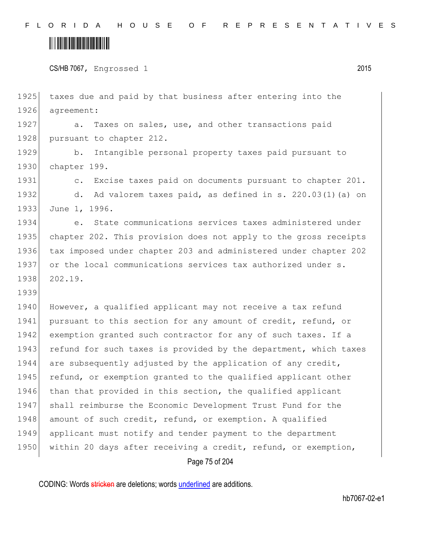### <u> Alban Maria Maria Maria Maria Maria Maria Maria Maria Maria Maria Maria Maria Maria Maria Maria Maria Maria M</u>

CS/HB 7067, Engrossed 1 2015

1925 taxes due and paid by that business after entering into the 1926 agreement: 1927 a. Taxes on sales, use, and other transactions paid 1928 pursuant to chapter 212. 1929 b. Intangible personal property taxes paid pursuant to 1930 chapter 199. 1931 c. Excise taxes paid on documents pursuant to chapter 201. 1932 d. Ad valorem taxes paid, as defined in s. 220.03(1)(a) on 1933 June 1, 1996. 1934 e. State communications services taxes administered under 1935 chapter 202. This provision does not apply to the gross receipts 1936 tax imposed under chapter 203 and administered under chapter 202 1937 or the local communications services tax authorized under s. 1938 202.19. 1939 1940 However, a qualified applicant may not receive a tax refund 1941 pursuant to this section for any amount of credit, refund, or 1942 exemption granted such contractor for any of such taxes. If a 1943 refund for such taxes is provided by the department, which taxes 1944 are subsequently adjusted by the application of any credit, 1945 refund, or exemption granted to the qualified applicant other 1946 than that provided in this section, the qualified applicant 1947 shall reimburse the Economic Development Trust Fund for the 1948 amount of such credit, refund, or exemption. A qualified 1949 applicant must notify and tender payment to the department 1950 within 20 days after receiving a credit, refund, or exemption,

Page 75 of 204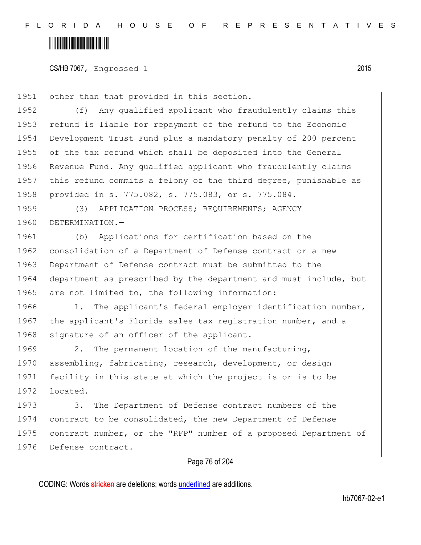CS/HB 7067, Engrossed 1 2015

1951 other than that provided in this section.

1952 (f) Any qualified applicant who fraudulently claims this 1953 refund is liable for repayment of the refund to the Economic 1954 Development Trust Fund plus a mandatory penalty of 200 percent 1955 of the tax refund which shall be deposited into the General 1956 Revenue Fund. Any qualified applicant who fraudulently claims 1957 this refund commits a felony of the third degree, punishable as 1958 provided in s. 775.082, s. 775.083, or s. 775.084.

1959 (3) APPLICATION PROCESS; REQUIREMENTS; AGENCY 1960 DETERMINATION.-

1961 (b) Applications for certification based on the 1962 consolidation of a Department of Defense contract or a new 1963 Department of Defense contract must be submitted to the 1964 department as prescribed by the department and must include, but 1965 are not limited to, the following information:

1966 1. The applicant's federal employer identification number, 1967 the applicant's Florida sales tax registration number, and a 1968 signature of an officer of the applicant.

1969 2. The permanent location of the manufacturing, 1970 assembling, fabricating, research, development, or design 1971 facility in this state at which the project is or is to be 1972 located.

1973 3. The Department of Defense contract numbers of the 1974 contract to be consolidated, the new Department of Defense 1975 contract number, or the "RFP" number of a proposed Department of 1976 Defense contract.

#### Page 76 of 204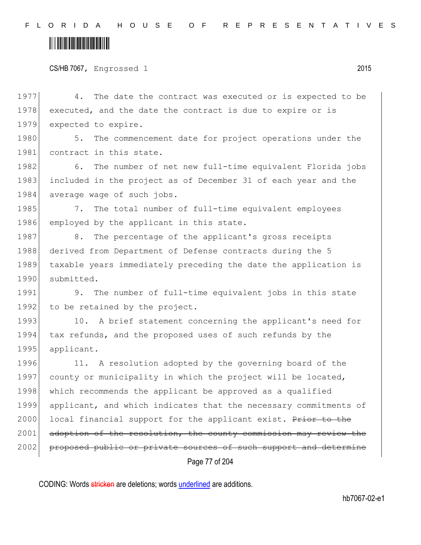|  | CS/HB 7067, Engrossed 1 |  | 2015 |
|--|-------------------------|--|------|
|--|-------------------------|--|------|

Page 77 of 204 1977 4. The date the contract was executed or is expected to be 1978 executed, and the date the contract is due to expire or is 1979 expected to expire. 1980 5. The commencement date for project operations under the 1981 contract in this state. 1982 6. The number of net new full-time equivalent Florida jobs 1983 included in the project as of December 31 of each year and the 1984 average wage of such jobs. 1985 7. The total number of full-time equivalent employees 1986 employed by the applicant in this state. 1987 8. The percentage of the applicant's gross receipts 1988 derived from Department of Defense contracts during the 5 1989 taxable years immediately preceding the date the application is 1990 submitted. 1991 9. The number of full-time equivalent jobs in this state 1992 to be retained by the project. 1993 10. A brief statement concerning the applicant's need for 1994 tax refunds, and the proposed uses of such refunds by the 1995 applicant. 1996 11. A resolution adopted by the governing board of the 1997 county or municipality in which the project will be located, 1998 which recommends the applicant be approved as a qualified 1999 applicant, and which indicates that the necessary commitments of 2000 local financial support for the applicant exist. Prior to the 2001 adoption of the resolution, the county commission may review the 2002 proposed public or private sources of such support and determine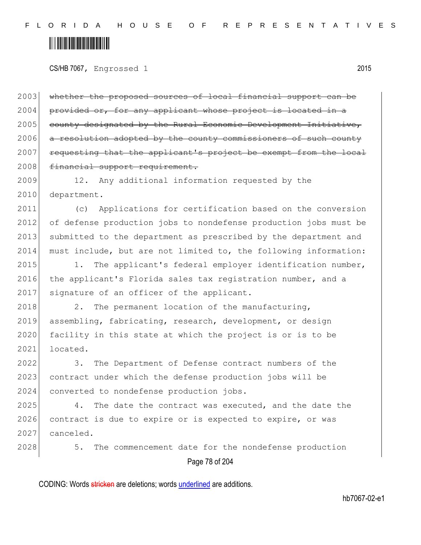CS/HB 7067, Engrossed 1 2015

2003 whether the proposed sources of local financial support can be 2004 provided or, for any applicant whose project is located in a  $2005$  county designated by the Rural Economic Development Initiative,  $2006$  a resolution adopted by the county commissioners  $2007$  requesting that the applicant's project be exempt from 2008 financial support requirement.

2009 12. Any additional information requested by the 2010 department.

2011 (c) Applications for certification based on the conversion 2012 of defense production jobs to nondefense production jobs must be 2013 submitted to the department as prescribed by the department and 2014 must include, but are not limited to, the following information:

2015 1. The applicant's federal employer identification number, 2016 the applicant's Florida sales tax registration number, and a 2017 signature of an officer of the applicant.

2018 2. The permanent location of the manufacturing, 2019 assembling, fabricating, research, development, or design 2020 facility in this state at which the project is or is to be 2021 located.

2022 3. The Department of Defense contract numbers of the 2023 contract under which the defense production jobs will be 2024 converted to nondefense production jobs.

2025 4. The date the contract was executed, and the date the 2026 contract is due to expire or is expected to expire, or was 2027 canceled.

Page 78 of 204 2028 5. The commencement date for the nondefense production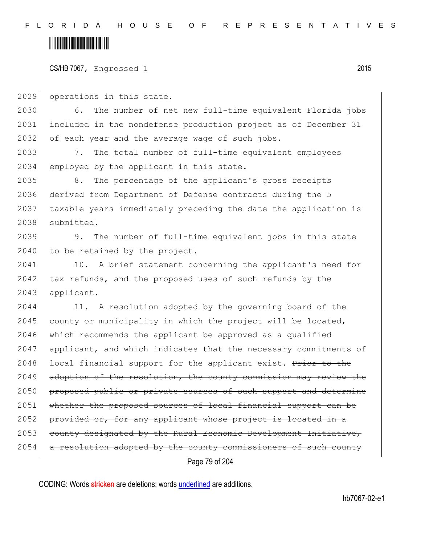#### CS/HB 7067, Engrossed 1 2015

2029 operations in this state.

2030 6. The number of net new full-time equivalent Florida jobs 2031 included in the nondefense production project as of December 31 2032 of each year and the average wage of such jobs.

2033 7. The total number of full-time equivalent employees 2034 employed by the applicant in this state.

2035 8. The percentage of the applicant's gross receipts 2036 derived from Department of Defense contracts during the 5 2037 taxable years immediately preceding the date the application is 2038 submitted.

2039 9. The number of full-time equivalent jobs in this state 2040 to be retained by the project.

2041 10. A brief statement concerning the applicant's need for 2042 tax refunds, and the proposed uses of such refunds by the 2043 applicant.

Page 79 of 204 2044 11. A resolution adopted by the governing board of the 2045 county or municipality in which the project will be located, 2046 which recommends the applicant be approved as a qualified 2047 applicant, and which indicates that the necessary commitments of 2048 local financial support for the applicant exist. Prior to the 2049 adoption of the resolution, the county commission may review the 2050 proposed public or private sources of such support and determine 2051 whether the proposed sources of local financial support can be 2052 provided or, for any applicant whose project is located in a 2053 county designated by the Rural Economic Development Initiative,  $2054$  a resolution adopted by the county commissioners of such county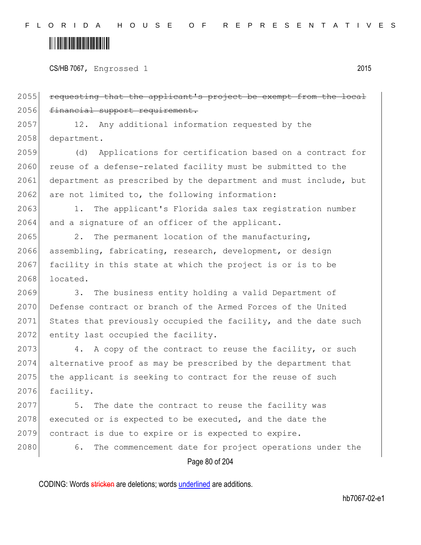CS/HB 7067, Engrossed 1 2015

Page 80 of 204 2055 requesting that the applicant's project be exempt from the local 2056 financial support requirement. 2057 12. Any additional information requested by the 2058 department. 2059 (d) Applications for certification based on a contract for 2060 reuse of a defense-related facility must be submitted to the 2061 department as prescribed by the department and must include, but  $2062$  are not limited to, the following information: 2063 1. The applicant's Florida sales tax registration number 2064 and a signature of an officer of the applicant. 2065 2. The permanent location of the manufacturing, 2066 assembling, fabricating, research, development, or design 2067 facility in this state at which the project is or is to be 2068 located. 2069 3. The business entity holding a valid Department of 2070 Defense contract or branch of the Armed Forces of the United 2071 States that previously occupied the facility, and the date such 2072 entity last occupied the facility. 2073 4. A copy of the contract to reuse the facility, or such 2074 alternative proof as may be prescribed by the department that 2075 the applicant is seeking to contract for the reuse of such 2076 facility. 2077 5. The date the contract to reuse the facility was 2078 executed or is expected to be executed, and the date the 2079 contract is due to expire or is expected to expire. 2080 6. The commencement date for project operations under the

CODING: Words stricken are deletions; words underlined are additions.

hb7067-02-e1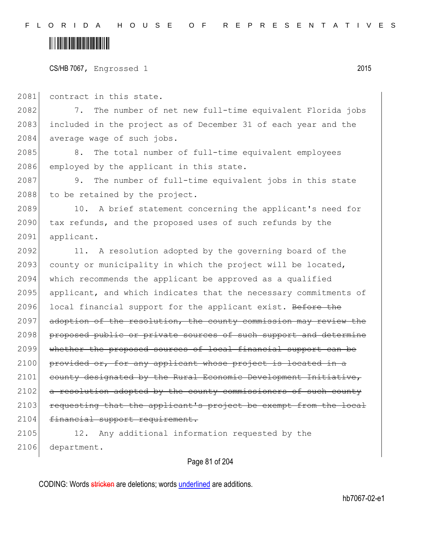CS/HB 7067, Engrossed 1 2015

2081 contract in this state.

2082 7. The number of net new full-time equivalent Florida jobs 2083 included in the project as of December 31 of each year and the 2084 average wage of such jobs.

2085 8. The total number of full-time equivalent employees 2086 employed by the applicant in this state.

2087 9. The number of full-time equivalent jobs in this state 2088 to be retained by the project.

2089 10. A brief statement concerning the applicant's need for 2090 tax refunds, and the proposed uses of such refunds by the 2091 applicant.

2092 11. A resolution adopted by the governing board of the 2093 county or municipality in which the project will be located, 2094 which recommends the applicant be approved as a qualified 2095 applicant, and which indicates that the necessary commitments of 2096 local financial support for the applicant exist. Before the 2097 adoption of the resolution, the county commission may review the 2098 proposed public or private sources of such support and determine 2099 whether the proposed sources of local financial support can be  $2100$  provided or, for any applicant whose project is located in 2101 county designated by the Rural Economic Development Initiative, 2102 a resolution adopted by the county commissioners of such county 2103 requesting that the applicant's project be exempt from the local 2104 financial support requirement.

2105 12. Any additional information requested by the 2106 department.

Page 81 of 204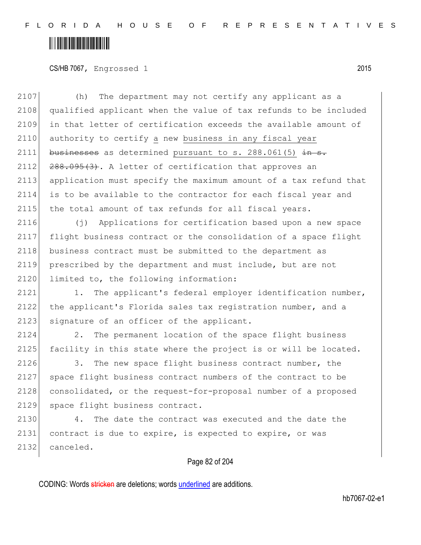CS/HB 7067, Engrossed 1 2015

Page 82 of 204 2107 (h) The department may not certify any applicant as a 2108 qualified applicant when the value of tax refunds to be included 2109 in that letter of certification exceeds the available amount of 2110 authority to certify a new business in any fiscal year 2111 businesses as determined pursuant to s. 288.061(5)  $\frac{1}{x}$  in s.  $2112$   $288.095(3)$ . A letter of certification that approves an 2113 application must specify the maximum amount of a tax refund that 2114 is to be available to the contractor for each fiscal year and 2115 the total amount of tax refunds for all fiscal years. 2116 (j) Applications for certification based upon a new space 2117 flight business contract or the consolidation of a space flight 2118 business contract must be submitted to the department as 2119 prescribed by the department and must include, but are not 2120 limited to, the following information: 2121 1. The applicant's federal employer identification number, 2122 the applicant's Florida sales tax registration number, and a 2123 signature of an officer of the applicant. 2124 2. The permanent location of the space flight business 2125 facility in this state where the project is or will be located. 2126 3. The new space flight business contract number, the 2127 space flight business contract numbers of the contract to be 2128 consolidated, or the request-for-proposal number of a proposed 2129 space flight business contract. 2130 4. The date the contract was executed and the date the 2131 contract is due to expire, is expected to expire, or was 2132 canceled.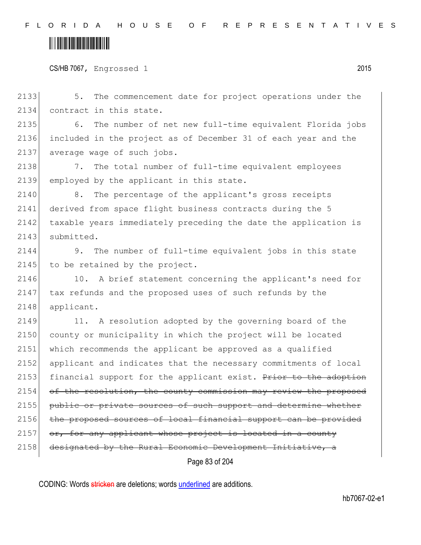```
CS/HB 7067, Engrossed 1 2015
```
Page 83 of 204 2133 5. The commencement date for project operations under the 2134 contract in this state. 2135 6. The number of net new full-time equivalent Florida jobs 2136 included in the project as of December 31 of each year and the 2137 average wage of such jobs. 2138 7. The total number of full-time equivalent employees 2139 employed by the applicant in this state. 2140 8. The percentage of the applicant's gross receipts 2141 derived from space flight business contracts during the 5 2142 taxable years immediately preceding the date the application is 2143 submitted. 2144 9. The number of full-time equivalent jobs in this state 2145 to be retained by the project. 2146 10. A brief statement concerning the applicant's need for 2147 tax refunds and the proposed uses of such refunds by the 2148 applicant. 2149 11. A resolution adopted by the governing board of the 2150 county or municipality in which the project will be located 2151 which recommends the applicant be approved as a qualified 2152 applicant and indicates that the necessary commitments of local 2153 financial support for the applicant exist. Prior to the adoption 2154 of the resolution, the county commission may review the proposed 2155 public or private sources of such support and determine whether 2156 the proposed sources of local financial support can be provided  $2157$  or, for any applicant whose project is located in a county 2158 designated by the Rural Economic Development Initiative, a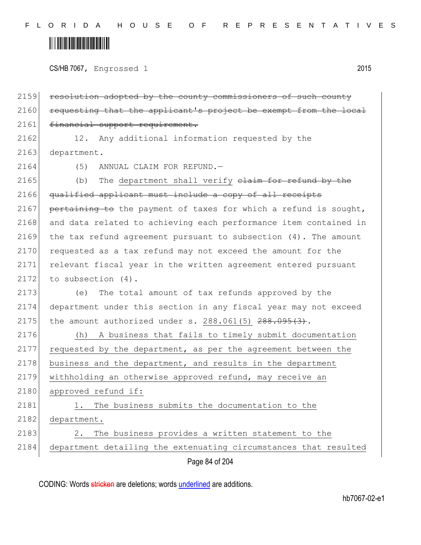CS/HB 7067, Engrossed 1 2015

2159 resolution adopted by the county commissioners of such county 2160 requesting that the applicant's project be exempt from the local 2161 financial support requirement.

2162 12. Any additional information requested by the 2163 department.

2164 (5) ANNUAL CLAIM FOR REFUND.

2165 (b) The department shall verify  $\frac{1}{2}$  and  $\frac{1}{2}$  the 2166 qualified applicant must include a copy of all receipts 2167 pertaining to the payment of taxes for which a refund is sought, 2168 and data related to achieving each performance item contained in 2169 the tax refund agreement pursuant to subsection (4). The amount 2170 requested as a tax refund may not exceed the amount for the 2171 relevant fiscal year in the written agreement entered pursuant  $2172$  to subsection  $(4)$ .

2173 (e) The total amount of tax refunds approved by the 2174 department under this section in any fiscal year may not exceed 2175 the amount authorized under s.  $288.061(5)$   $288.095(3)$ .

2176 (h) A business that fails to timely submit documentation 2177 requested by the department, as per the agreement between the  $2178$  business and the department, and results in the department 2179 withholding an otherwise approved refund, may receive an 2180 approved refund if: 2181 1. The business submits the documentation to the 2182 department.

2183 2. The business provides a written statement to the 2184 department detailing the extenuating circumstances that resulted

Page 84 of 204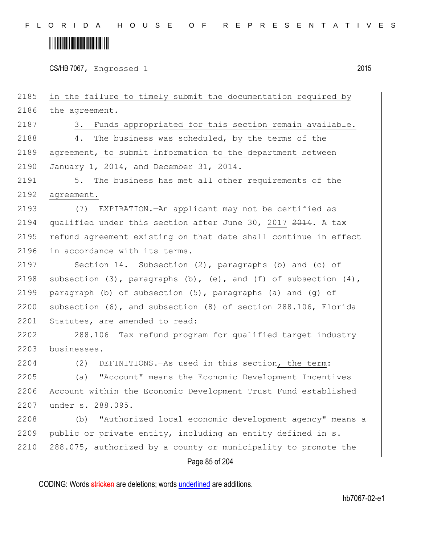CS/HB 7067, Engrossed 1 2015

Page 85 of 204 2185 in the failure to timely submit the documentation required by 2186 the agreement. 2187 3. Funds appropriated for this section remain available. 2188 4. The business was scheduled, by the terms of the 2189 agreement, to submit information to the department between 2190 January 1, 2014, and December 31, 2014. 2191 5. The business has met all other requirements of the 2192 agreement. 2193 (7) EXPIRATION.—An applicant may not be certified as 2194 qualified under this section after June 30, 2017 2014. A tax 2195 refund agreement existing on that date shall continue in effect 2196 in accordance with its terms. 2197 Section 14. Subsection (2), paragraphs (b) and (c) of 2198 subsection  $(3)$ , paragraphs  $(b)$ ,  $(e)$ , and  $(f)$  of subsection  $(4)$ , 2199 paragraph (b) of subsection  $(5)$ , paragraphs (a) and  $(q)$  of 2200 subsection (6), and subsection (8) of section 288.106, Florida 2201 Statutes, are amended to read: 2202 288.106 Tax refund program for qualified target industry 2203 businesses.-2204 (2) DEFINITIONS.—As used in this section, the term: 2205 (a) "Account" means the Economic Development Incentives 2206 Account within the Economic Development Trust Fund established 2207 under s. 288.095. 2208 (b) "Authorized local economic development agency" means a 2209 public or private entity, including an entity defined in s. 2210 288.075, authorized by a county or municipality to promote the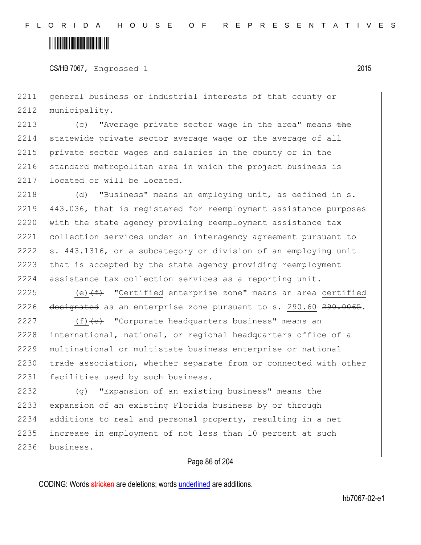CS/HB 7067, Engrossed 1 2015

2211 general business or industrial interests of that county or 2212 municipality.

2213 (c) "Average private sector wage in the area" means the  $2214$  statewide private sector average wage or the average of all 2215 private sector wages and salaries in the county or in the 2216 standard metropolitan area in which the project business is 2217 located or will be located.

2218 (d) "Business" means an employing unit, as defined in s. 2219 443.036, that is registered for reemployment assistance purposes 2220 with the state agency providing reemployment assistance tax 2221 collection services under an interagency agreement pursuant to 2222 s. 443.1316, or a subcategory or division of an employing unit 2223 that is accepted by the state agency providing reemployment 2224 assistance tax collection services as a reporting unit.

2225 (e) $(f)$  "Certified enterprise zone" means an area certified 2226  $\theta$  designated as an enterprise zone pursuant to s. 290.60 290.0065.

2227 (f) (e) "Corporate headquarters business" means an 2228 international, national, or regional headquarters office of a 2229 multinational or multistate business enterprise or national 2230 trade association, whether separate from or connected with other 2231 facilities used by such business.

 (g) "Expansion of an existing business" means the expansion of an existing Florida business by or through additions to real and personal property, resulting in a net increase in employment of not less than 10 percent at such 2236 business.

#### Page 86 of 204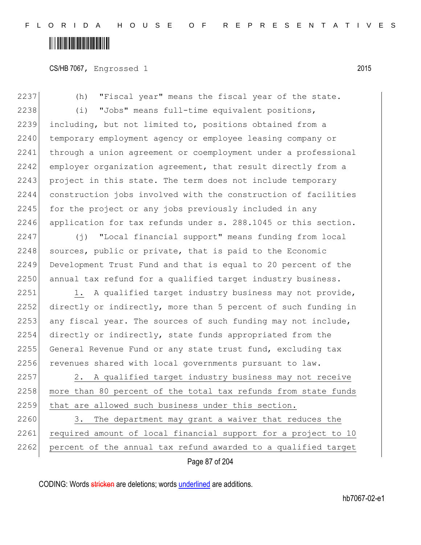CS/HB 7067, Engrossed 1 2015

Page 87 of 204 2237 (h) "Fiscal year" means the fiscal year of the state. 2238 (i) "Jobs" means full-time equivalent positions, 2239 including, but not limited to, positions obtained from a 2240 temporary employment agency or employee leasing company or 2241 through a union agreement or coemployment under a professional 2242 employer organization agreement, that result directly from a 2243 project in this state. The term does not include temporary 2244 construction jobs involved with the construction of facilities  $2245$  for the project or any jobs previously included in any 2246 application for tax refunds under s. 288.1045 or this section. 2247 (j) "Local financial support" means funding from local  $2248$  sources, public or private, that is paid to the Economic 2249 Development Trust Fund and that is equal to 20 percent of the 2250 annual tax refund for a qualified target industry business. 2251 1. A qualified target industry business may not provide, 2252 directly or indirectly, more than 5 percent of such funding in 2253 any fiscal year. The sources of such funding may not include, 2254 directly or indirectly, state funds appropriated from the 2255 General Revenue Fund or any state trust fund, excluding tax 2256 revenues shared with local governments pursuant to law. 2257 2. A qualified target industry business may not receive 2258 more than 80 percent of the total tax refunds from state funds 2259 that are allowed such business under this section. 2260 3. The department may grant a waiver that reduces the 2261 required amount of local financial support for a project to 10 2262 percent of the annual tax refund awarded to a qualified target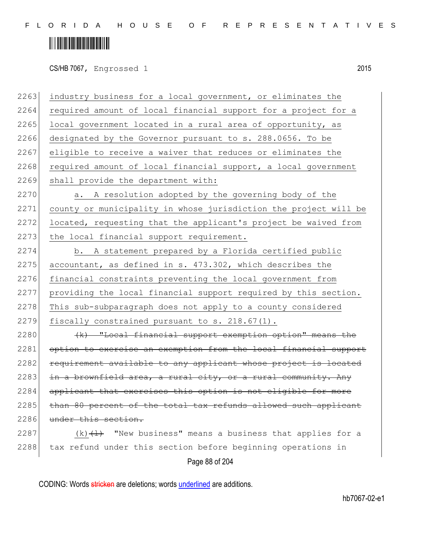# <u> Hillingin kanademi</u>

CS/HB 7067, Engrossed 1 2015

Page 88 of 204 2263 industry business for a local government, or eliminates the 2264 required amount of local financial support for a project for a  $2265$  local government located in a rural area of opportunity, as 2266 designated by the Governor pursuant to s. 288.0656. To be 2267 eligible to receive a waiver that reduces or eliminates the 2268 required amount of local financial support, a local government 2269 shall provide the department with: 2270 a. A resolution adopted by the governing body of the 2271 county or municipality in whose jurisdiction the project will be 2272 located, requesting that the applicant's project be waived from 2273 the local financial support requirement. 2274 b. A statement prepared by a Florida certified public 2275 accountant, as defined in s.  $473.302$ , which describes the 2276 financial constraints preventing the local government from 2277 providing the local financial support required by this section. 2278 This sub-subparagraph does not apply to a county considered 2279 fiscally constrained pursuant to s.  $218.67(1)$ .  $2280$  (k) "Local financial support exemption option" means the 2281 option to exercise an exemption from the local financial support 2282 requirement available to any applicant whose project is located 2283 in a brownfield area, a rural city, or a rural community. Any 2284 applicant that exercises this option is not eligible for more 2285 than 80 percent of the total tax refunds allowed such applicant 2286 under this section. 2287 (k) $\left(\frac{1}{k}\right)$  "New business" means a business that applies for a 2288 tax refund under this section before beginning operations in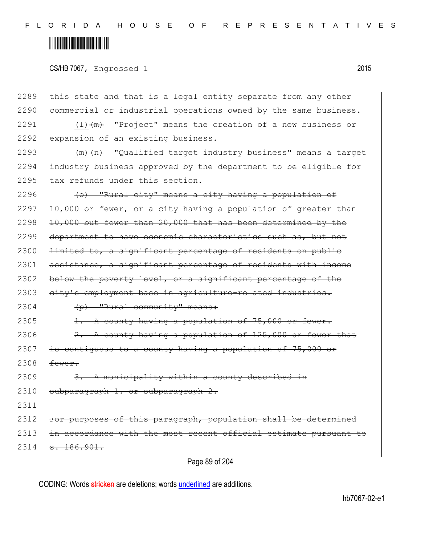F L O R I D A H O U S E O F R E P R E S E N T A T I V E S

### <u> Alban Martin Martin Martin M</u>

CS/HB 7067, Engrossed 1 2015

Page 89 of 204 2289 this state and that is a legal entity separate from any other 2290 commercial or industrial operations owned by the same business. 2291  $(1)$   $(m)$  "Project" means the creation of a new business or 2292 expansion of an existing business. 2293  $(m)$   $+n$  "Qualified target industry business" means a target 2294 industry business approved by the department to be eligible for 2295 tax refunds under this section. 2296  $\left( \text{o} \right)$  "Rural city" means a city having a population of  $2297$  10,000 or fewer, or a city having a population of greater than  $2298$  10,000 but fewer than 20,000 that has been determined by the 2299 department to have economic characteristics such as, but not 2300 <del>limited to, a significant percentage of residents on public</del> 2301 assistance, a significant percentage of residents with income 2302 below the poverty level, or a significant percentage of the 2303 city's employment base in agriculture-related industries.  $2304$  (p) "Rural community" means: 2305  $\vert$   $\vert$ . A county having a population of 75,000 or fewer. 2306  $\vert$  2. A county having a population of 125,000 or fewer that  $2307$  is contiguous to a county having a population of 75,000 or  $2308$  fewer.  $2309$  3. A municipality within a county described in 2310 subparagraph 1. or subparagraph 2. 2311 2312 For purposes of this paragraph, population shall be determined 2313 in accordance with the most recent official estimate pursuant to  $2314$   $\overline{)314}$   $\overline{)314}$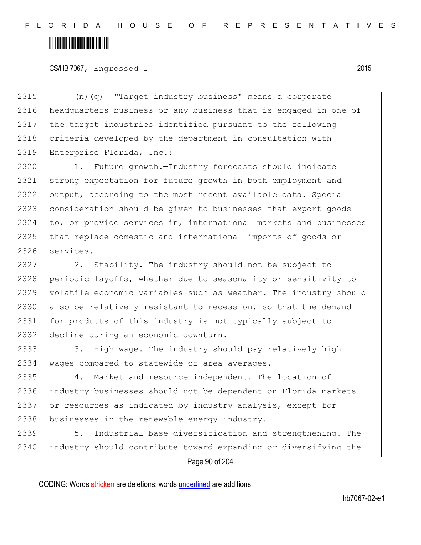CS/HB 7067, Engrossed 1 2015

2315  $(n)$   $\left( q \right)$  "Target industry business" means a corporate 2316 headquarters business or any business that is engaged in one of 2317 the target industries identified pursuant to the following 2318 criteria developed by the department in consultation with 2319 Enterprise Florida, Inc.:

 1. Future growth.—Industry forecasts should indicate strong expectation for future growth in both employment and output, according to the most recent available data. Special consideration should be given to businesses that export goods to, or provide services in, international markets and businesses 2325 that replace domestic and international imports of goods or services.

2327 2. Stability.—The industry should not be subject to 2328 periodic layoffs, whether due to seasonality or sensitivity to 2329 volatile economic variables such as weather. The industry should 2330 also be relatively resistant to recession, so that the demand 2331 for products of this industry is not typically subject to 2332 decline during an economic downturn.

2333 3. High wage.—The industry should pay relatively high 2334 wages compared to statewide or area averages.

2335 4. Market and resource independent.—The location of 2336 industry businesses should not be dependent on Florida markets 2337 or resources as indicated by industry analysis, except for 2338 businesses in the renewable energy industry.

2339 5. Industrial base diversification and strengthening.—The 2340 industry should contribute toward expanding or diversifying the

Page 90 of 204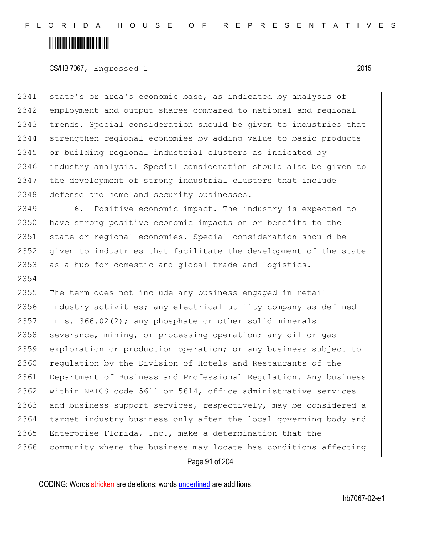2354

#### CS/HB 7067, Engrossed 1 2015

2341 state's or area's economic base, as indicated by analysis of 2342| employment and output shares compared to national and regional 2343 trends. Special consideration should be given to industries that 2344 strengthen regional economies by adding value to basic products 2345 or building regional industrial clusters as indicated by 2346 industry analysis. Special consideration should also be given to 2347 the development of strong industrial clusters that include 2348 defense and homeland security businesses.

2349 6. Positive economic impact.—The industry is expected to 2350 have strong positive economic impacts on or benefits to the 2351 state or regional economies. Special consideration should be 2352 given to industries that facilitate the development of the state 2353 as a hub for domestic and global trade and logistics.

2355 The term does not include any business engaged in retail 2356 industry activities; any electrical utility company as defined 2357 in s.  $366.02(2)$ ; any phosphate or other solid minerals 2358 severance, mining, or processing operation; any oil or gas 2359 exploration or production operation; or any business subject to 2360 requlation by the Division of Hotels and Restaurants of the 2361 Department of Business and Professional Regulation. Any business 2362 within NAICS code 5611 or 5614, office administrative services 2363 and business support services, respectively, may be considered a 2364 target industry business only after the local governing body and 2365 Enterprise Florida, Inc., make a determination that the 2366 community where the business may locate has conditions affecting

Page 91 of 204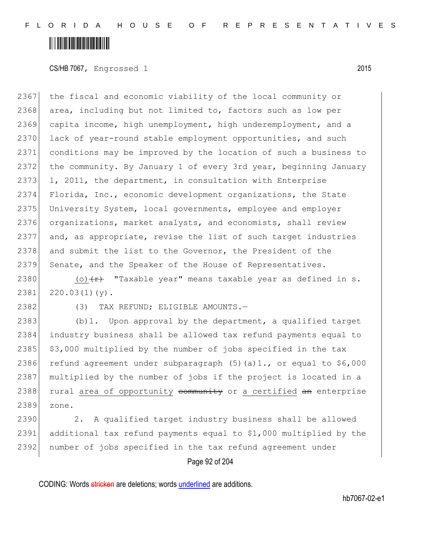CS/HB 7067, Engrossed 1 2015

2367 the fiscal and economic viability of the local community or 2368 area, including but not limited to, factors such as low per 2369 capita income, high unemployment, high underemployment, and a 2370 lack of year-round stable employment opportunities, and such 2371 conditions may be improved by the location of such a business to 2372 the community. By January 1 of every 3rd year, beginning January  $2373$  1, 2011, the department, in consultation with Enterprise 2374 Florida, Inc., economic development organizations, the State 2375 University System, local governments, employee and employer 2376 organizations, market analysts, and economists, shall review 2377 and, as appropriate, revise the list of such target industries 2378 and submit the list to the Governor, the President of the 2379 Senate, and the Speaker of the House of Representatives.

2380 (o)  $\leftarrow$  "Taxable year" means taxable year as defined in s.  $2381$   $220.03(1)(y)$ .

2382 (3) TAX REFUND; ELIGIBLE AMOUNTS.

2383 (b)1. Upon approval by the department, a qualified target 2384 industry business shall be allowed tax refund payments equal to 2385  $\frac{1}{2}$  \$3,000 multiplied by the number of jobs specified in the tax 2386 refund agreement under subparagraph  $(5)(a)1$ ., or equal to \$6,000 2387 multiplied by the number of jobs if the project is located in a 2388 rural area of opportunity community or a certified an enterprise 2389 zone.

2390 2. A qualified target industry business shall be allowed 2391 additional tax refund payments equal to \$1,000 multiplied by the 2392 number of jobs specified in the tax refund agreement under

#### Page 92 of 204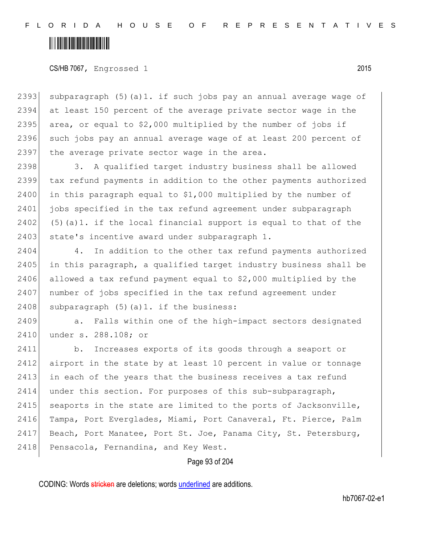CS/HB 7067, Engrossed 1 2015

2393 subparagraph (5)(a)1. if such jobs pay an annual average wage of 2394 at least 150 percent of the average private sector wage in the 2395 area, or equal to  $$2,000$  multiplied by the number of jobs if 2396 such jobs pay an annual average wage of at least 200 percent of  $2397$  the average private sector wage in the area.

2398 3. A qualified target industry business shall be allowed 2399 tax refund payments in addition to the other payments authorized 2400 in this paragraph equal to  $$1,000$  multiplied by the number of 2401 jobs specified in the tax refund agreement under subparagraph 2402  $(5)(a)1.$  if the local financial support is equal to that of the 2403 state's incentive award under subparagraph 1.

2404 4. In addition to the other tax refund payments authorized 2405 in this paragraph, a qualified target industry business shall be 2406 allowed a tax refund payment equal to \$2,000 multiplied by the 2407 number of jobs specified in the tax refund agreement under 2408 subparagraph  $(5)$  (a)1. if the business:

2409 a. Falls within one of the high-impact sectors designated 2410 under s. 288.108; or

2411 b. Increases exports of its goods through a seaport or 2412 airport in the state by at least 10 percent in value or tonnage  $2413$  in each of the years that the business receives a tax refund 2414 under this section. For purposes of this sub-subparagraph, 2415 seaports in the state are limited to the ports of Jacksonville, 2416 Tampa, Port Everglades, Miami, Port Canaveral, Ft. Pierce, Palm 2417 Beach, Port Manatee, Port St. Joe, Panama City, St. Petersburg, 2418 Pensacola, Fernandina, and Key West.

#### Page 93 of 204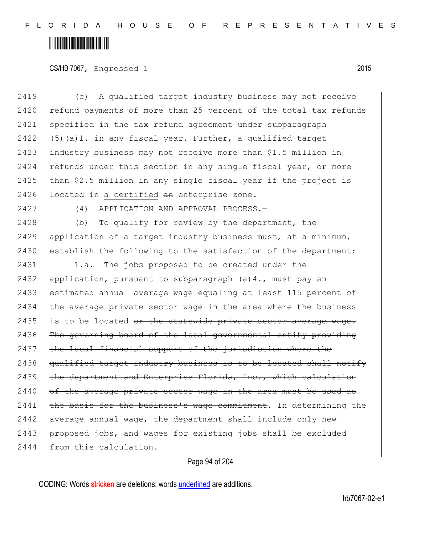F L O R I D A H O U S E O F R E P R E S E N T A T I V E S

### <u> Hillingin ka</u>

#### CS/HB 7067, Engrossed 1 2015

2419 (c) A qualified target industry business may not receive 2420 refund payments of more than 25 percent of the total tax refunds 2421 specified in the tax refund agreement under subparagraph 2422 (5)(a)1. in any fiscal year. Further, a qualified target 2423 industry business may not receive more than \$1.5 million in 2424 refunds under this section in any single fiscal year, or more 2425 than \$2.5 million in any single fiscal year if the project is 2426 located in a certified  $a_n$  enterprise zone. 2427 (4) APPLICATION AND APPROVAL PROCESS.— 2428 (b) To qualify for review by the department, the 2429 application of a target industry business must, at a minimum, 2430 establish the following to the satisfaction of the department: 2431 1.a. The jobs proposed to be created under the 2432 application, pursuant to subparagraph  $(a)$ 4., must pay an 2433 estimated annual average wage equaling at least 115 percent of 2434 the average private sector wage in the area where the business 2435 is to be located  $e^{i\theta}$  the statewide private sector average wage.  $2436$  The governing board of the local governmental entity providing 2437 the local financial support of the jurisdiction where the 2438 qualified target industry business is to be located shall notify 2439 the department and Enterprise Florida, Inc., which calculation  $2440$  of the average private sector wage in the area must be used as  $2441$  the basis for the business's wage commitment. In determining the  $2442$  average annual wage, the department shall include only new 2443 proposed jobs, and wages for existing jobs shall be excluded 2444 from this calculation.

#### Page 94 of 204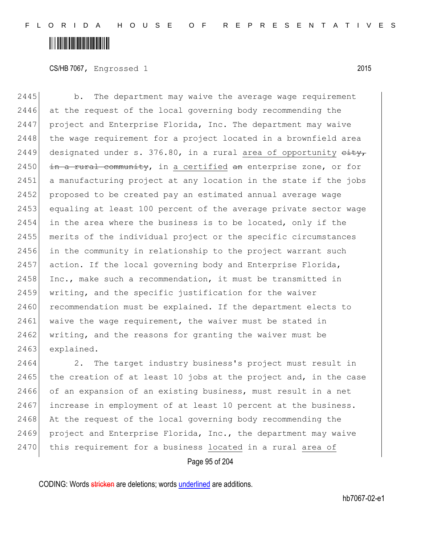### <u> Alban Martin Martin Martin M</u>

CS/HB 7067, Engrossed 1 2015

2445 b. The department may waive the average wage requirement 2446 at the request of the local governing body recommending the 2447 project and Enterprise Florida, Inc. The department may waive  $2448$  the wage requirement for a project located in a brownfield area 2449 designated under s. 376.80, in a rural area of opportunity  $\frac{e^{\frac{1}{2}t}}{e^{\frac{1}{2}t}}$ 2450  $\frac{1}{2}$  in a rural community, in a certified an enterprise zone, or for 2451 a manufacturing project at any location in the state if the jobs 2452 proposed to be created pay an estimated annual average wage 2453 equaling at least 100 percent of the average private sector wage 2454 in the area where the business is to be located, only if the 2455 merits of the individual project or the specific circumstances 2456 in the community in relationship to the project warrant such  $2457$  action. If the local governing body and Enterprise Florida, 2458 Inc., make such a recommendation, it must be transmitted in 2459 writing, and the specific justification for the waiver 2460 recommendation must be explained. If the department elects to 2461 waive the wage requirement, the waiver must be stated in 2462 writing, and the reasons for granting the waiver must be 2463 explained.

2464 2. The target industry business's project must result in 2465 the creation of at least 10 jobs at the project and, in the case 2466 of an expansion of an existing business, must result in a net 2467 increase in employment of at least 10 percent at the business. 2468 At the request of the local governing body recommending the 2469 project and Enterprise Florida, Inc., the department may waive 2470 this requirement for a business located in a rural area of

Page 95 of 204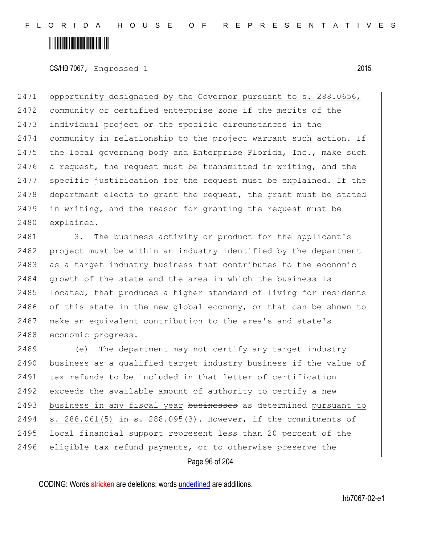CS/HB 7067, Engrossed 1 2015

2471 opportunity designated by the Governor pursuant to s. 288.0656, 2472 community or certified enterprise zone if the merits of the 2473 individual project or the specific circumstances in the 2474 community in relationship to the project warrant such action. If 2475 the local governing body and Enterprise Florida, Inc., make such 2476 a request, the request must be transmitted in writing, and the 2477 specific justification for the request must be explained. If the 2478 department elects to grant the request, the grant must be stated 2479 in writing, and the reason for granting the request must be 2480 explained.

2481 3. The business activity or product for the applicant's 2482 project must be within an industry identified by the department 2483 as a target industry business that contributes to the economic 2484 growth of the state and the area in which the business is 2485 located, that produces a higher standard of living for residents 2486 of this state in the new global economy, or that can be shown to 2487 make an equivalent contribution to the area's and state's 2488 economic progress.

2489 (e) The department may not certify any target industry 2490 business as a qualified target industry business if the value of 2491 tax refunds to be included in that letter of certification  $2492$  exceeds the available amount of authority to certify a new 2493 business in any fiscal year businesses as determined pursuant to 2494 s. 288.061(5)  $\frac{1}{2}$  in s. 288.095(3). However, if the commitments of 2495 local financial support represent less than 20 percent of the 2496 eligible tax refund payments, or to otherwise preserve the

Page 96 of 204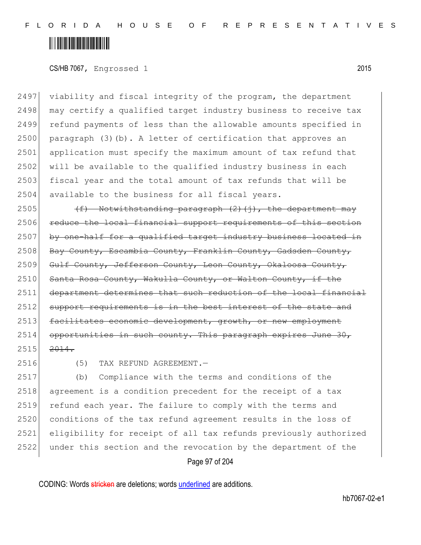#### CS/HB 7067, Engrossed 1 2015

2497 viability and fiscal integrity of the program, the department 2498 may certify a qualified target industry business to receive tax 2499 refund payments of less than the allowable amounts specified in 2500 paragraph  $(3)$  (b). A letter of certification that approves an 2501 application must specify the maximum amount of tax refund that 2502 will be available to the qualified industry business in each 2503 fiscal year and the total amount of tax refunds that will be 2504 available to the business for all fiscal years.

2505  $(f)$  Notwithstanding paragraph (2)(j), the department may 2506 reduce the local financial support requirements of this section 2507 by one-half for a qualified target industry business located in 2508 Bay County, Escambia County, Franklin County, Gadsden County, 2509 Gulf County, Jefferson County, Leon County, Okaloosa County, 2510 Santa Rosa County, Wakulla County, or Walton County, if the 2511 department determines that such reduction of the local financial 2512 support requirements is in the best interest of the state and 2513 facilitates economic development, growth, or new employment  $2514$  opportunities in such county. This paragraph expires June 30,  $2515$   $2014$ .

2516 (5) TAX REFUND AGREEMENT.—

 (b) Compliance with the terms and conditions of the 2518 agreement is a condition precedent for the receipt of a tax 2519 refund each year. The failure to comply with the terms and conditions of the tax refund agreement results in the loss of eligibility for receipt of all tax refunds previously authorized under this section and the revocation by the department of the

Page 97 of 204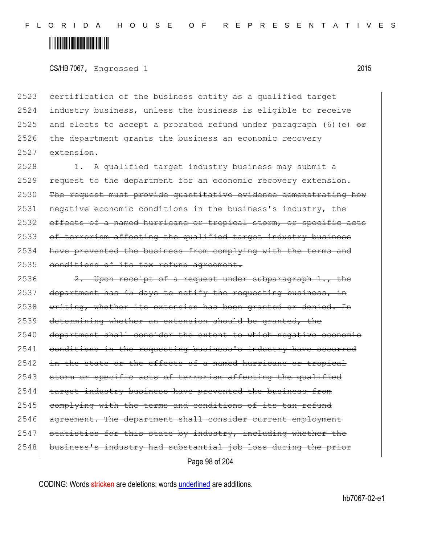CS/HB 7067, Engrossed 1 2015

2523 certification of the business entity as a qualified target 2524 industry business, unless the business is eligible to receive 2525 and elects to accept a prorated refund under paragraph (6) (e)  $\theta$  $2526$  the department grants the business an economic recovery  $2527$  extension.

2528  $\left| \right|$  1. A qualified target industry business may submit a 2529 request to the department for an economic recovery extension. 2530 The request must provide quantitative evidence demonstrating how 2531 negative economic conditions in the business's industry, the 2532 effects of a named hurricane or tropical storm, or specific acts 2533 of terrorism affecting the qualified target industry business 2534 have prevented the business from complying with the terms and 2535 conditions of its tax refund agreement.

Page 98 of 204 2536 2. Upon receipt of a request under subparagraph  $1.,$  the  $2537$  department has 45 days to notify the requesting business, in 2538 writing, whether its extension has been granted or denied. In 2539 determining whether an extension should be granted, the 2540 department shall consider the extent to which negative economic 2541 conditions in the requesting business's industry have occurred 2542 in the state or the effects of a named hurricane or tropical 2543 storm or specific acts of terrorism affecting the qualified 2544 target industry business have prevented the business from  $2545$  complying with the terms and conditions of its tax refund 2546 agreement. The department shall consider current employment  $2547$  statistics for this state by industry, including whether the 2548 business's industry had substantial job loss during the prior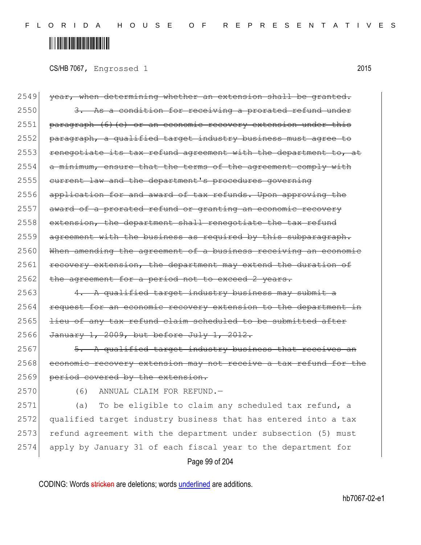CS/HB 7067, Engrossed 1 2015

2549 year, when determining whether an extension shall be granted.  $2550$  3. As a condition for receiving a prorated refund under  $2551$  paragraph (6)(e) or an economic recovery extension under this 2552 paragraph, a qualified target industry business must agree to  $2553$  renegotiate its tax refund agreement with the department to, at  $2554$  a minimum, ensure that the terms of the agreement comply with 2555 current law and the department's procedures governing 2556 application for and award of tax refunds. Upon approving the 2557 award of a prorated refund or granting an economic recovery 2558 extension, the department shall renegotiate the tax refund 2559 agreement with the business as required by this subparagraph. 2560 When amending the agreement of a business receiving an economic 2561 recovery extension, the department may extend the duration of 2562 the agreement for a period not to exceed 2 years.

 $2563$  4. A qualified target industry business may submit a 2564 request for an economic recovery extension to the department in  $2565$  lieu of any tax refund claim scheduled to be submitted after 2566 January 1, 2009, but before July 1, 2012.

 $2567$   $\overline{5. A}$  qualified target industry business that receives an 2568 economic recovery extension may not receive a tax refund for the 2569 period covered by the extension.

2570 (6) ANNUAL CLAIM FOR REFUND.

 (a) To be eligible to claim any scheduled tax refund, a qualified target industry business that has entered into a tax 2573 refund agreement with the department under subsection (5) must apply by January 31 of each fiscal year to the department for

Page 99 of 204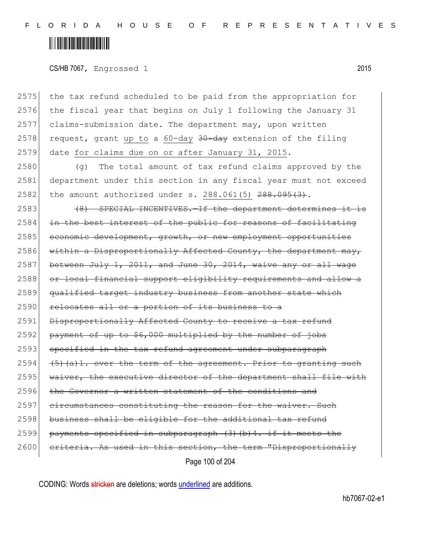### <u> Alban Martin Martin Martin M</u>

CS/HB 7067, Engrossed 1 2015

2575 the tax refund scheduled to be paid from the appropriation for 2576 the fiscal year that begins on July 1 following the January 31 2577 claims-submission date. The department may, upon written 2578 request, grant up to a 60-day  $30$ -day extension of the filing 2579 date for claims due on or after January 31, 2015.

2580 (g) The total amount of tax refund claims approved by the 2581 department under this section in any fiscal year must not exceed 2582 the amount authorized under s. 288.061(5)  $288.095(3)$ .

Page 100 of 204  $2583$  (8) SPECIAL INCENTIVES.  $-If$  the department determines it is  $2584$  in the best interest of the public for reasons of facilitating 2585 economic development, growth, or new employment opportunities 2586 within a Disproportionally Affected County, the department may, 2587 between July 1, 2011, and June 30, 2014, waive any or all wage 2588 or local financial support eligibility requirements and allow a 2589 qualified target industry business from another state which 2590 relocates all or a portion of its business to a 2591 Disproportionally Affected County to receive a tax refund  $2592$  payment of up to \$6,000 multiplied by the number of jobs 2593 specified in the tax refund agreement under subparagraph 2594  $(5)$  (a)1. over the term of the agreement. Prior to granting such 2595 waiver, the executive director of the department shall file with 2596 the Governor a written statement of the conditions and 2597 circumstances constituting the reason for the waiver. Such  $2598$  business shall be eligible for the additional tax refund 2599 payments specified in subparagraph  $(3)$  (b) 4. if it meets the 2600 criteria. As used in this section, the term "Disproportionally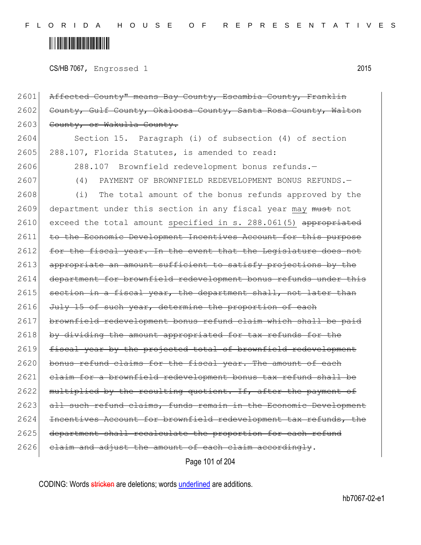# <u> Alban Martin Martin Martin M</u>

CS/HB 7067, Engrossed 1 2015

2601 Affected County" means Bay County, Escambia County, Franklin 2602 County, Gulf County, Okaloosa County, Santa Rosa County, Walton 2603 County, or Wakulla County. 2604 Section 15. Paragraph (i) of subsection (4) of section 2605 288.107, Florida Statutes, is amended to read: 2606 288.107 Brownfield redevelopment bonus refunds.— 2607 (4) PAYMENT OF BROWNFIELD REDEVELOPMENT BONUS REFUNDS. 2608 (i) The total amount of the bonus refunds approved by the 2609 department under this section in any fiscal year may must not 2610 exceed the total amount specified in s. 288.061(5) appropriated 2611 to the Economic Development Incentives Account for this purpose 2612 for the fiscal year. In the event that the Legislature does not 2613 appropriate an amount sufficient to satisfy projections by the 2614 department for brownfield redevelopment bonus refunds under this  $2615$  section in a fiscal year, the department shall, not later than  $2616$  July 15 of such year, determine the proportion of each 2617 brownfield redevelopment bonus refund claim which shall be paid 2618 by dividing the amount appropriated for tax refunds for the 2619 fiscal year by the projected total of brownfield redevelopment 2620 bonus refund claims for the fiscal year. The amount of each 2621 claim for a brownfield redevelopment bonus tax refund shall be 2622 multiplied by the resulting quotient. If, after the payment of 2623 all such refund claims, funds remain in the Economic Development 2624 Incentives Account for brownfield redevelopment tax refunds, the 2625 department shall recalculate the proportion for each refund  $2626$  claim and adjust the amount of each claim accordingly.

Page 101 of 204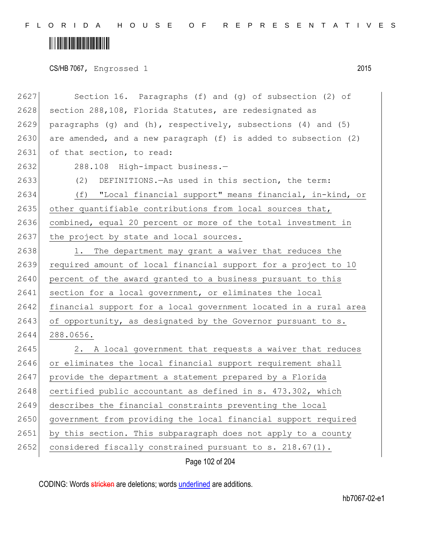CS/HB 7067, Engrossed 1 2015

| 2627 | Section 16. Paragraphs (f) and (g) of subsection (2) of          |
|------|------------------------------------------------------------------|
| 2628 | section 288,108, Florida Statutes, are redesignated as           |
| 2629 | paragraphs (g) and (h), respectively, subsections (4) and (5)    |
| 2630 | are amended, and a new paragraph (f) is added to subsection (2)  |
| 2631 | of that section, to read:                                        |
| 2632 | 288.108 High-impact business.-                                   |
| 2633 | DEFINITIONS. - As used in this section, the term:<br>(2)         |
| 2634 | "Local financial support" means financial, in-kind, or<br>(f)    |
| 2635 | other quantifiable contributions from local sources that,        |
| 2636 | combined, equal 20 percent or more of the total investment in    |
| 2637 | the project by state and local sources.                          |
| 2638 | 1. The department may grant a waiver that reduces the            |
| 2639 | required amount of local financial support for a project to 10   |
| 2640 | percent of the award granted to a business pursuant to this      |
| 2641 | section for a local government, or eliminates the local          |
| 2642 | financial support for a local government located in a rural area |
| 2643 | of opportunity, as designated by the Governor pursuant to s.     |
| 2644 | 288.0656.                                                        |
| 2645 | 2. A local government that requests a waiver that reduces        |
| 2646 | or eliminates the local financial support requirement shall      |
| 2647 | provide the department a statement prepared by a Florida         |
| 2648 | certified public accountant as defined in s. 473.302, which      |
| 2649 | describes the financial constraints preventing the local         |
| 2650 | government from providing the local financial support required   |
| 2651 | by this section. This subparagraph does not apply to a county    |
| 2652 | considered fiscally constrained pursuant to s. 218.67(1).        |

Page 102 of 204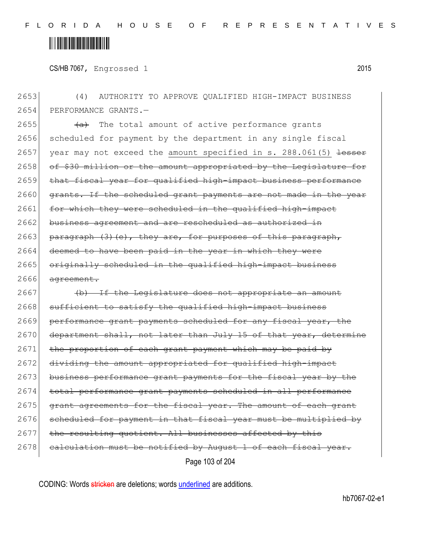### <u> Alban Martin Martin Martin M</u>

CS/HB 7067, Engrossed 1 2015

2653 (4) AUTHORITY TO APPROVE QUALIFIED HIGH-IMPACT BUSINESS 2654 PERFORMANCE GRANTS.-2655  $\overline{(a)}$  The total amount of active performance grants 2656 scheduled for payment by the department in any single fiscal 2657 year may not exceed the amount specified in s.  $288.061(5)$  lesser 2658 of \$30 million or the amount appropriated by the Legislature for 2659 that fiscal year for qualified high-impact business performance 2660 grants. If the scheduled grant payments are not made in the year 2661 for which they were scheduled in the qualified high-impact 2662 business agreement and are rescheduled as authorized in  $2663$  paragraph  $(3)$  (e), they are, for purposes of this paragraph, 2664 deemed to have been paid in the year in which they were 2665 originally scheduled in the qualified high-impact business 2666 agreement.  $2667$  (b) If the Legislature does not appropriate an amount 2668 sufficient to satisfy the qualified high-impact business 2669 performance grant payments scheduled for any fiscal year, the 2670 department shall, not later than July 15 of that year, determine 2671 the proportion of each grant payment which may be paid by 2672 dividing the amount appropriated for qualified high-impact 2673 business performance grant payments for the fiscal year by the 2674 total performance grant payments scheduled in all performance 2675 grant agreements for the fiscal year. The amount of each grant 2676 scheduled for payment in that fiscal year must be multiplied by  $2677$  the resulting quotient. All businesses affected by this 2678 calculation must be notified by August 1 of each fiscal year.

Page 103 of 204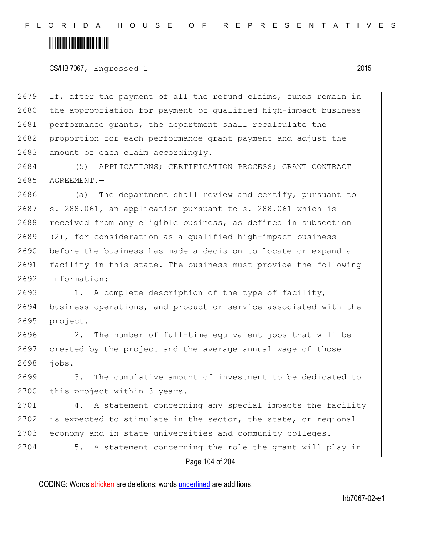CS/HB 7067, Engrossed 1 2015

2679 If, after the payment of all the refund claims, funds remain in 2680 the appropriation for payment of qualified high-impact business 2681 performance grants, the department shall recalculate the 2682 proportion for each performance grant payment and adjust the 2683 amount of each claim accordingly.

2684 (5) APPLICATIONS; CERTIFICATION PROCESS; GRANT CONTRACT  $2685$   $A$ GREEMENT.

2686 (a) The department shall review and certify, pursuant to  $2687$  s. 288.061, an application pursuant to s. 288.061 which is 2688 received from any eligible business, as defined in subsection  $2689$  (2), for consideration as a qualified high-impact business 2690 before the business has made a decision to locate or expand a 2691 facility in this state. The business must provide the following 2692 information:

2693 1. A complete description of the type of facility, 2694 business operations, and product or service associated with the 2695 project.

2696 2. The number of full-time equivalent jobs that will be 2697 created by the project and the average annual wage of those 2698 jobs.

2699 3. The cumulative amount of investment to be dedicated to 2700 this project within 3 years.

2701 4. A statement concerning any special impacts the facility  $2702$  is expected to stimulate in the sector, the state, or regional 2703 economy and in state universities and community colleges.

Page 104 of 204 2704 5. A statement concerning the role the grant will play in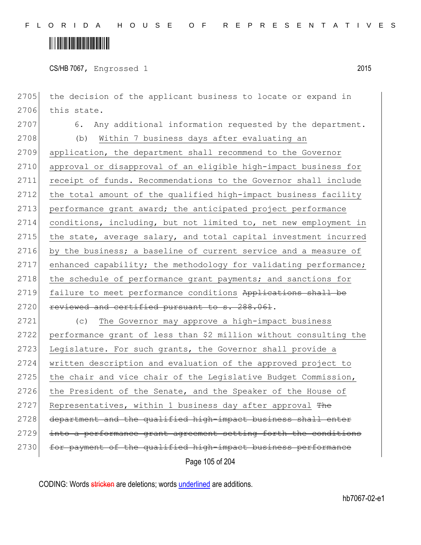### <u> Alban Alban Martin Alban</u>

CS/HB 7067, Engrossed 1 2015

Page 105 of 204 2705 the decision of the applicant business to locate or expand in 2706 this state. 2707 6. Any additional information requested by the department. 2708 (b) Within 7 business days after evaluating an 2709 application, the department shall recommend to the Governor 2710 approval or disapproval of an eligible high-impact business for 2711 receipt of funds. Recommendations to the Governor shall include 2712 the total amount of the qualified high-impact business facility 2713 performance grant award; the anticipated project performance 2714 conditions, including, but not limited to, net new employment in 2715 the state, average salary, and total capital investment incurred 2716 by the business; a baseline of current service and a measure of 2717 enhanced capability; the methodology for validating performance; 2718 the schedule of performance grant payments; and sanctions for 2719 failure to meet performance conditions Applications shall be 2720 reviewed and certified pursuant to s. 288.061. 2721 (c) The Governor may approve a high-impact business 2722 performance grant of less than \$2 million without consulting the 2723 Legislature. For such grants, the Governor shall provide a 2724 written description and evaluation of the approved project to 2725 the chair and vice chair of the Leqislative Budget Commission, 2726 the President of the Senate, and the Speaker of the House of 2727 Representatives, within 1 business day after approval The 2728 department and the qualified high-impact business shall enter 2729 into a performance grant agreement setting forth the conditions 2730 for payment of the qualified high-impact business performance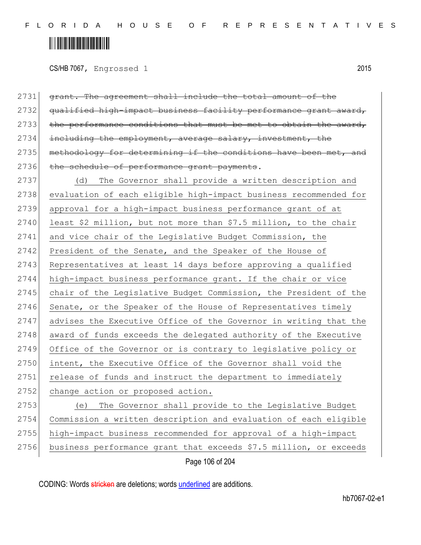CS/HB 7067, Engrossed 1 2015

| 2731 | grant. The agreement shall include the total amount of the        |
|------|-------------------------------------------------------------------|
| 2732 | qualified high-impact business facility performance grant award,  |
| 2733 | the performance conditions that must be met to obtain the award,  |
| 2734 | including the employment, average salary, investment, the         |
| 2735 | methodology for determining if the conditions have been met, and  |
| 2736 | the schedule of performance grant payments.                       |
| 2737 | (d) The Governor shall provide a written description and          |
| 2738 | evaluation of each eligible high-impact business recommended for  |
| 2739 | approval for a high-impact business performance grant of at       |
| 2740 | least \$2 million, but not more than \$7.5 million, to the chair  |
| 2741 | and vice chair of the Legislative Budget Commission, the          |
| 2742 | President of the Senate, and the Speaker of the House of          |
| 2743 | Representatives at least 14 days before approving a qualified     |
| 2744 | high-impact business performance grant. If the chair or vice      |
| 2745 | chair of the Legislative Budget Commission, the President of the  |
| 2746 | Senate, or the Speaker of the House of Representatives timely     |
| 2747 | advises the Executive Office of the Governor in writing that the  |
| 2748 | award of funds exceeds the delegated authority of the Executive   |
| 2749 | Office of the Governor or is contrary to legislative policy or    |
| 2750 | intent, the Executive Office of the Governor shall void the       |
| 2751 | release of funds and instruct the department to immediately       |
| 2752 | change action or proposed action.                                 |
| 2753 | The Governor shall provide to the Legislative Budget<br>(e)       |
| 2754 | Commission a written description and evaluation of each eligible  |
| 2755 | high-impact business recommended for approval of a high-impact    |
| 2756 | business performance grant that exceeds \$7.5 million, or exceeds |
|      |                                                                   |

Page 106 of 204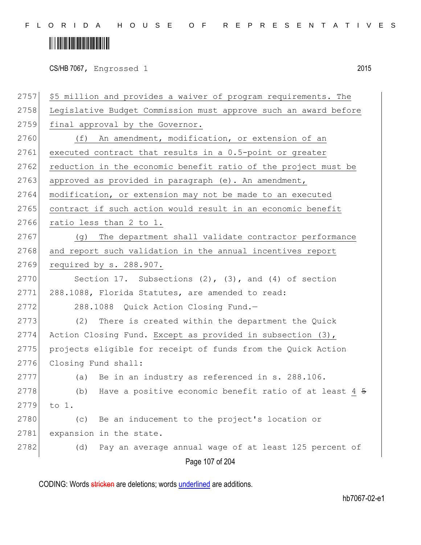CS/HB 7067, Engrossed 1 2015

| 2757 | \$5 million and provides a waiver of program requirements. The           |
|------|--------------------------------------------------------------------------|
| 2758 | Legislative Budget Commission must approve such an award before          |
| 2759 | final approval by the Governor.                                          |
| 2760 | An amendment, modification, or extension of an<br>(f)                    |
| 2761 | executed contract that results in a 0.5-point or greater                 |
| 2762 | reduction in the economic benefit ratio of the project must be           |
| 2763 | approved as provided in paragraph (e). An amendment,                     |
| 2764 | modification, or extension may not be made to an executed                |
| 2765 | contract if such action would result in an economic benefit              |
| 2766 | ratio less than 2 to 1.                                                  |
| 2767 | The department shall validate contractor performance<br>(g)              |
| 2768 | and report such validation in the annual incentives report               |
| 2769 | required by s. 288.907.                                                  |
| 2770 | Section 17. Subsections $(2)$ , $(3)$ , and $(4)$ of section             |
| 2771 | 288.1088, Florida Statutes, are amended to read:                         |
| 2772 | 288.1088 Quick Action Closing Fund.-                                     |
| 2773 | (2)<br>There is created within the department the Quick                  |
| 2774 | Action Closing Fund. Except as provided in subsection (3),               |
| 2775 | projects eligible for receipt of funds from the Quick Action             |
| 2776 | Closing Fund shall:                                                      |
| 2777 | Be in an industry as referenced in s. 288.106.<br>(a)                    |
| 2778 | Have a positive economic benefit ratio of at least 4 <del>5</del><br>(b) |
| 2779 | to 1.                                                                    |
| 2780 | Be an inducement to the project's location or<br>(c)                     |
| 2781 | expansion in the state.                                                  |
| 2782 | Pay an average annual wage of at least 125 percent of<br>(d)             |
|      | Page 107 of 204                                                          |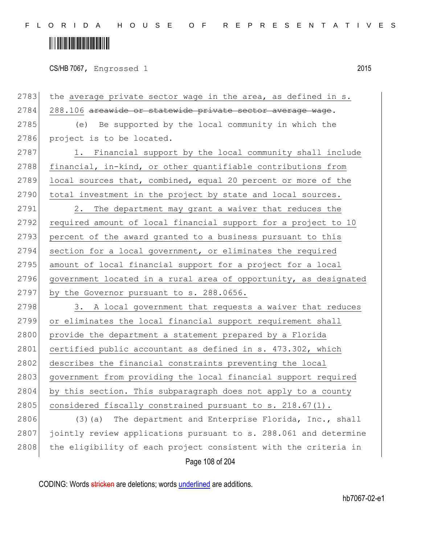# <u> Alban Alban Martin Alban</u>

CS/HB 7067, Engrossed 1 2015

Page 108 of 204 2783 the average private sector wage in the area, as defined in  $s$ . 2784 288.106 areawide or statewide private sector average wage. 2785 (e) Be supported by the local community in which the 2786 project is to be located.  $2787$  1. Financial support by the local community shall include 2788 financial, in-kind, or other quantifiable contributions from 2789 local sources that, combined, equal 20 percent or more of the 2790 total investment in the project by state and local sources. 2791 2. The department may grant a waiver that reduces the 2792 required amount of local financial support for a project to 10 2793 percent of the award granted to a business pursuant to this 2794 section for a local government, or eliminates the required 2795 amount of local financial support for a project for a local 2796 government located in a rural area of opportunity, as designated 2797 by the Governor pursuant to s. 288.0656.  $2798$  3. A local government that requests a waiver that reduces 2799 or eliminates the local financial support requirement shall 2800 provide the department a statement prepared by a Florida 2801 certified public accountant as defined in s. 473.302, which 2802 describes the financial constraints preventing the local 2803 government from providing the local financial support required 2804 by this section. This subparagraph does not apply to a county 2805 considered fiscally constrained pursuant to s.  $218.67(1)$ . 2806 (3)(a) The department and Enterprise Florida, Inc., shall 2807 jointly review applications pursuant to s. 288.061 and determine 2808 the eligibility of each project consistent with the criteria in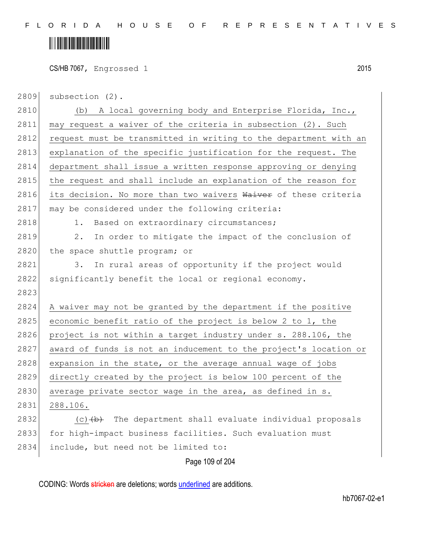### <u> Hillingin ka</u>

CS/HB 7067, Engrossed 1 2015

| 2809 | subsection (2). |  |  |
|------|-----------------|--|--|
|------|-----------------|--|--|

Page 109 of 204 2810 (b) A local governing body and Enterprise Florida, Inc., 2811 may request a waiver of the criteria in subsection (2). Such 2812 request must be transmitted in writing to the department with an 2813 explanation of the specific justification for the request. The 2814 department shall issue a written response approving or denying 2815 the request and shall include an explanation of the reason for 2816 its decision. No more than two waivers Waiver of these criteria 2817 may be considered under the following criteria: 2818 1. Based on extraordinary circumstances; 2819 2. In order to mitigate the impact of the conclusion of 2820 the space shuttle program; or 2821 3. In rural areas of opportunity if the project would 2822 significantly benefit the local or regional economy. 2823 2824 A waiver may not be granted by the department if the positive 2825 economic benefit ratio of the project is below 2 to  $1$ , the 2826 project is not within a target industry under s. 288.106, the 2827 award of funds is not an inducement to the project's location or  $2828$  expansion in the state, or the average annual wage of jobs 2829 directly created by the project is below 100 percent of the 2830 average private sector wage in the area, as defined in s. 2831 288.106. 2832  $(c)$  (c)  $(b)$  The department shall evaluate individual proposals 2833 for high-impact business facilities. Such evaluation must 2834 include, but need not be limited to:

CODING: Words stricken are deletions; words underlined are additions.

hb7067-02-e1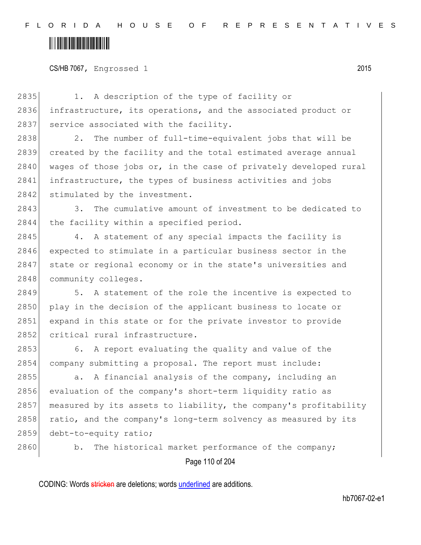CS/HB 7067, Engrossed 1 2015

Page 110 of 204 2835 1. A description of the type of facility or 2836 infrastructure, its operations, and the associated product or 2837 service associated with the facility. 2838 2. The number of full-time-equivalent jobs that will be 2839 created by the facility and the total estimated average annual 2840 wages of those jobs or, in the case of privately developed rural 2841 infrastructure, the types of business activities and jobs 2842 stimulated by the investment. 2843 3. The cumulative amount of investment to be dedicated to 2844 the facility within a specified period. 2845 4. A statement of any special impacts the facility is 2846 expected to stimulate in a particular business sector in the 2847 state or regional economy or in the state's universities and 2848 community colleges. 2849 5. A statement of the role the incentive is expected to 2850 play in the decision of the applicant business to locate or 2851 expand in this state or for the private investor to provide 2852 critical rural infrastructure. 2853 6. A report evaluating the quality and value of the 2854 company submitting a proposal. The report must include: 2855 a. A financial analysis of the company, including an 2856 evaluation of the company's short-term liquidity ratio as 2857 | measured by its assets to liability, the company's profitability 2858 ratio, and the company's long-term solvency as measured by its 2859 debt-to-equity ratio; 2860 b. The historical market performance of the company;

CODING: Words stricken are deletions; words underlined are additions.

hb7067-02-e1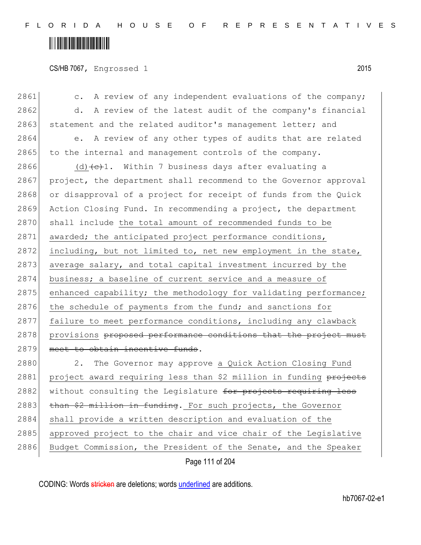#### <u> Alban Alban Martin Alban</u>

CS/HB 7067, Engrossed 1 2015

Page 111 of 204 2861 c. A review of any independent evaluations of the company; 2862 d. A review of the latest audit of the company's financial 2863 statement and the related auditor's management letter; and 2864 e. A review of any other types of audits that are related 2865 to the internal and management controls of the company. 2866 (d)  $\left(\frac{c}{c}\right)$ . Within 7 business days after evaluating a 2867 project, the department shall recommend to the Governor approval 2868 or disapproval of a project for receipt of funds from the Quick 2869 Action Closing Fund. In recommending a project, the department 2870 shall include the total amount of recommended funds to be 2871 awarded; the anticipated project performance conditions,  $2872$  including, but not limited to, net new employment in the state, 2873 average salary, and total capital investment incurred by the 2874 business; a baseline of current service and a measure of  $2875$  enhanced capability; the methodology for validating performance; 2876 the schedule of payments from the fund; and sanctions for 2877 failure to meet performance conditions, including any clawback 2878 provisions proposed performance conditions that the project must 2879 meet to obtain incentive funds. 2880 2. The Governor may approve a Quick Action Closing Fund 2881 project award requiring less than \$2 million in funding projects 2882 without consulting the Legislature for projects requiring less 2883  $\frac{1}{2883}$  than \$2 million in funding. For such projects, the Governor 2884 shall provide a written description and evaluation of the 2885 approved project to the chair and vice chair of the Legislative 2886 Budget Commission, the President of the Senate, and the Speaker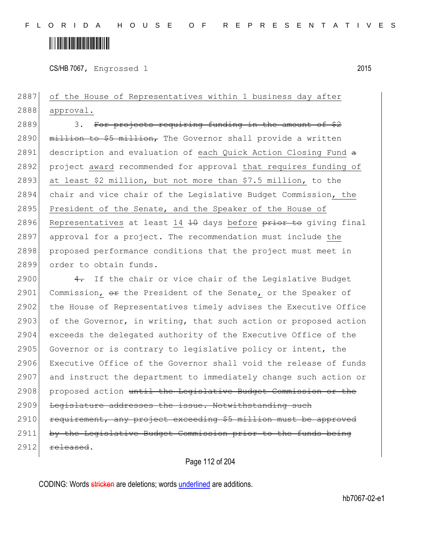

CS/HB 7067, Engrossed 1 2015

2887 of the House of Representatives within 1 business day after 2888 approval.

 $2889$  3. For projects requiring funding in the amount of  $$2$ 2890  $\overline{\text{m}}$  million to \$5 million, The Governor shall provide a written 2891 description and evaluation of each Quick Action Closing Fund a 2892 project award recommended for approval that requires funding of 2893 at least \$2 million, but not more than \$7.5 million, to the 2894 chair and vice chair of the Legislative Budget Commission, the 2895 President of the Senate, and the Speaker of the House of 2896 Representatives at least 14  $\pm$ 0 days before prior to giving final 2897 approval for a project. The recommendation must include the 2898 proposed performance conditions that the project must meet in 2899 order to obtain funds.

2900  $\leftarrow$  4. If the chair or vice chair of the Legislative Budget 2901 Commission,  $\Theta$  the President of the Senate, or the Speaker of 2902 the House of Representatives timely advises the Executive Office 2903 of the Governor, in writing, that such action or proposed action 2904 exceeds the delegated authority of the Executive Office of the 2905 Governor or is contrary to legislative policy or intent, the 2906 Executive Office of the Governor shall void the release of funds 2907 and instruct the department to immediately change such action or 2908 proposed action until the Legislative Budget Commission or the 2909 Legislature addresses the issue. Notwithstanding such 2910 requirement, any project exceeding \$5 million must be approved 2911 by the Legislative Budget Commission prior to the funds being  $2912$  released.

Page 112 of 204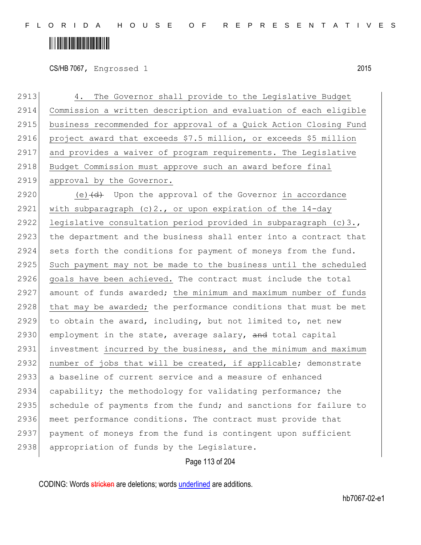## <u> Alban Alban Martin Alban</u>

CS/HB 7067, Engrossed 1 2015

2913 4. The Governor shall provide to the Legislative Budget 2914 Commission a written description and evaluation of each eligible 2915 business recommended for approval of a Quick Action Closing Fund 2916 project award that exceeds \$7.5 million, or exceeds \$5 million 2917 and provides a waiver of program requirements. The Legislative 2918 Budget Commission must approve such an award before final 2919 approval by the Governor. 2920 (e) $\left(\frac{d}{d}\right)$  Upon the approval of the Governor in accordance 2921 with subparagraph  $(c)$  2., or upon expiration of the 14-day 2922 legislative consultation period provided in subparagraph (c)3., 2923 the department and the business shall enter into a contract that 2924 sets forth the conditions for payment of moneys from the fund. 2925 Such payment may not be made to the business until the scheduled 2926 goals have been achieved. The contract must include the total 2927 amount of funds awarded; the minimum and maximum number of funds 2928 that may be awarded; the performance conditions that must be met 2929 to obtain the award, including, but not limited to, net new 2930 employment in the state, average salary, and total capital 2931 investment incurred by the business, and the minimum and maximum  $2932$  number of jobs that will be created, if applicable; demonstrate 2933 a baseline of current service and a measure of enhanced 2934 capability; the methodology for validating performance; the 2935 schedule of payments from the fund; and sanctions for failure to 2936 meet performance conditions. The contract must provide that 2937 payment of moneys from the fund is contingent upon sufficient 2938 appropriation of funds by the Legislature.

Page 113 of 204

CODING: Words stricken are deletions; words underlined are additions.

hb7067-02-e1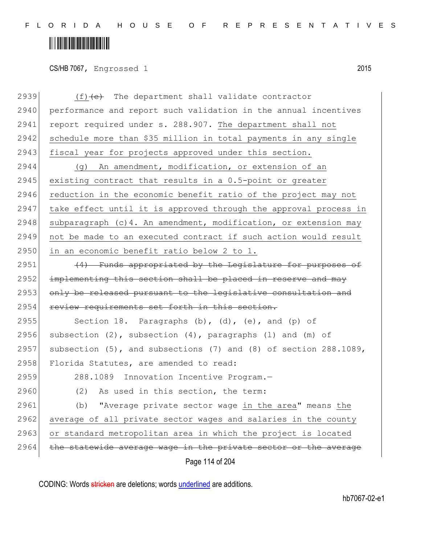F L O R I D A H O U S E O F R E P R E S E N T A T I V E S

# 

CS/HB 7067, Engrossed 1 2015

| 2939 | $(f)$ +e+ The department shall validate contractor                  |
|------|---------------------------------------------------------------------|
| 2940 | performance and report such validation in the annual incentives     |
| 2941 | report required under s. 288.907. The department shall not          |
| 2942 | schedule more than \$35 million in total payments in any single     |
| 2943 | fiscal year for projects approved under this section.               |
| 2944 | (g) An amendment, modification, or extension of an                  |
| 2945 | existing contract that results in a 0.5-point or greater            |
| 2946 | reduction in the economic benefit ratio of the project may not      |
| 2947 | take effect until it is approved through the approval process in    |
| 2948 | subparagraph (c) 4. An amendment, modification, or extension may    |
| 2949 | not be made to an executed contract if such action would result     |
| 2950 | in an economic benefit ratio below 2 to 1.                          |
| 2951 | (4) Funds appropriated by the Legislature for purposes of           |
| 2952 | implementing this section shall be placed in reserve and may        |
| 2953 | only be released pursuant to the legislative consultation and       |
| 2954 | review requirements set forth in this section.                      |
| 2955 | Section 18. Paragraphs (b), (d), (e), and (p) of                    |
| 2956 | subsection $(2)$ , subsection $(4)$ , paragraphs $(1)$ and $(m)$ of |
| 2957 | subsection (5), and subsections (7) and (8) of section 288.1089,    |
| 2958 | Florida Statutes, are amended to read:                              |
| 2959 | 288.1089 Innovation Incentive Program.-                             |
| 2960 | (2) As used in this section, the term:                              |
| 2961 | "Average private sector wage in the area" means the<br>(b)          |
| 2962 | average of all private sector wages and salaries in the county      |
| 2963 | or standard metropolitan area in which the project is located       |
| 2964 | the statewide average wage in the private sector or the average     |
|      | Page 114 of 204                                                     |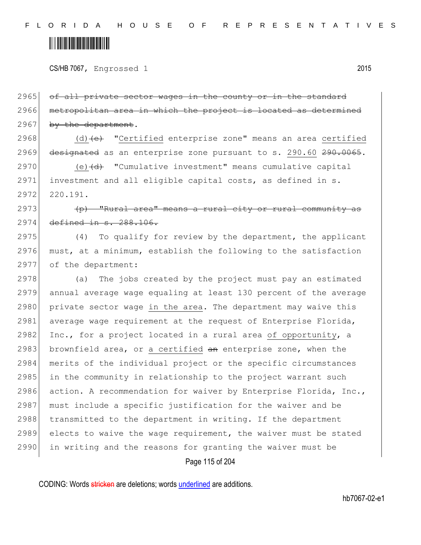CS/HB 7067, Engrossed 1 2015

2965 of all private sector wages in the county or in the standard 2966 metropolitan area in which the project is located as determined 2967 by the department.

2968  $(d)$  (d) (e) "Certified enterprise zone" means an area certified 2969 designated as an enterprise zone pursuant to s. 290.60 290.0065.

 $2970$  (e) $\left(\frac{d}{d}\right)$  "Cumulative investment" means cumulative capital 2971 investment and all eligible capital costs, as defined in s. 2972 220.191.

2973 (p) "Rural area" means a rural city or rural community as 2974 defined in s. 288.106.

2975 (4) To qualify for review by the department, the applicant  $2976$  must, at a minimum, establish the following to the satisfaction 2977 of the department:

2978 (a) The jobs created by the project must pay an estimated 2979 annual average wage equaling at least 130 percent of the average 2980 private sector wage in the area. The department may waive this 2981 average wage requirement at the request of Enterprise Florida, 2982 Inc., for a project located in a rural area of opportunity, a 2983 brownfield area, or a certified  $an$  enterprise zone, when the 2984 merits of the individual project or the specific circumstances  $2985$  in the community in relationship to the project warrant such 2986 action. A recommendation for waiver by Enterprise Florida, Inc., 2987 must include a specific justification for the waiver and be 2988 transmitted to the department in writing. If the department 2989 elects to waive the wage requirement, the waiver must be stated 2990 in writing and the reasons for granting the waiver must be

Page 115 of 204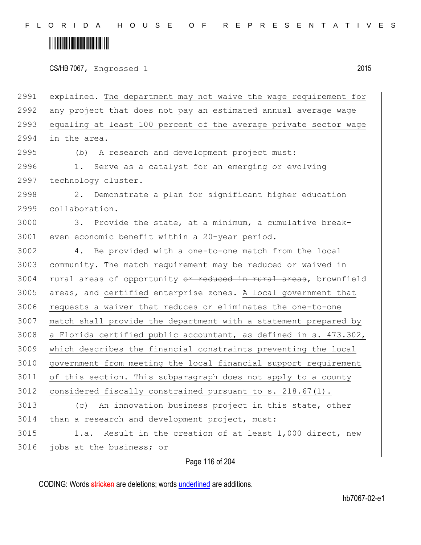F L O R I D A H O U S E O F R E P R E S E N T A T I V E S

### <u> Hillingin ka</u>

CS/HB 7067, Engrossed 1 2015

2991 explained. The department may not waive the wage requirement for 2992 any project that does not pay an estimated annual average wage 2993 equaling at least 100 percent of the average private sector wage 2994 in the area. 2995 (b) A research and development project must: 2996 1. Serve as a catalyst for an emerging or evolving 2997 technology cluster. 2998 2. Demonstrate a plan for significant higher education 2999 collaboration. 3000 3. Provide the state, at a minimum, a cumulative break-3001 even economic benefit within a 20-year period. 3002 4. Be provided with a one-to-one match from the local 3003 community. The match requirement may be reduced or waived in 3004 rural areas of opportunity or reduced in rural areas, brownfield 3005 areas, and certified enterprise zones. A local government that 3006 requests a waiver that reduces or eliminates the one-to-one 3007 match shall provide the department with a statement prepared by 3008 a Florida certified public accountant, as defined in s.  $473.302$ , 3009 which describes the financial constraints preventing the local 3010 government from meeting the local financial support requirement 3011 of this section. This subparagraph does not apply to a county  $3012$  considered fiscally constrained pursuant to s. 218.67(1). 3013 (c) An innovation business project in this state, other 3014 than a research and development project, must: 3015 1.a. Result in the creation of at least 1,000 direct, new 3016 jobs at the business; or

Page 116 of 204

CODING: Words stricken are deletions; words underlined are additions.

hb7067-02-e1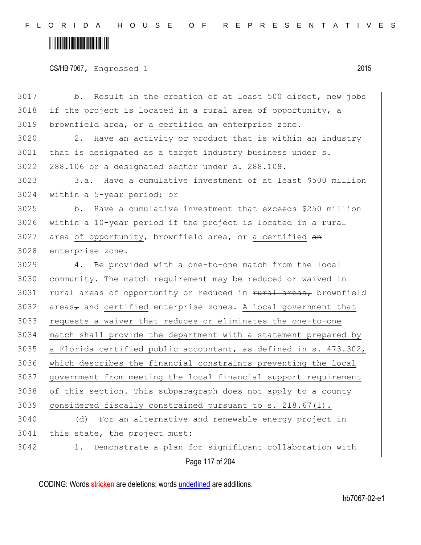F L O R I D A H O U S E O F R E P R E S E N T A T I V E S

# 

CS/HB 7067, Engrossed 1 2015

| 3017 | Result in the creation of at least 500 direct, new jobs<br>b.                                       |
|------|-----------------------------------------------------------------------------------------------------|
| 3018 | if the project is located in a rural area of opportunity, a                                         |
| 3019 | brownfield area, or a certified an enterprise zone.                                                 |
| 3020 | Have an activity or product that is within an industry<br>2.                                        |
| 3021 | that is designated as a target industry business under s.                                           |
| 3022 | 288.106 or a designated sector under s. 288.108.                                                    |
| 3023 | 3.a. Have a cumulative investment of at least \$500 million                                         |
| 3024 | within a 5-year period; or                                                                          |
| 3025 | Have a cumulative investment that exceeds \$250 million<br>b.                                       |
| 3026 | within a 10-year period if the project is located in a rural                                        |
| 3027 | area of opportunity, brownfield area, or a certified an                                             |
| 3028 | enterprise zone.                                                                                    |
| 3029 | 4. Be provided with a one-to-one match from the local                                               |
| 3030 | community. The match requirement may be reduced or waived in                                        |
| 3031 | rural areas of opportunity or reduced in rural areas, brownfield                                    |
| 3032 | $\alpha$ areas <sub><math>\tau</math></sub> and certified enterprise zones. A local government that |
| 3033 | requests a waiver that reduces or eliminates the one-to-one                                         |
| 3034 | match shall provide the department with a statement prepared by                                     |
| 3035 | a Florida certified public accountant, as defined in s. 473.302,                                    |
| 3036 | which describes the financial constraints preventing the local                                      |
| 3037 | government from meeting the local financial support requirement                                     |
| 3038 | of this section. This subparagraph does not apply to a county                                       |
| 3039 | considered fiscally constrained pursuant to s. 218.67(1).                                           |
| 3040 | For an alternative and renewable energy project in<br>(d)                                           |
| 3041 | this state, the project must:                                                                       |
| 3042 | Demonstrate a plan for significant collaboration with<br>1.                                         |
|      | Page 117 of 204                                                                                     |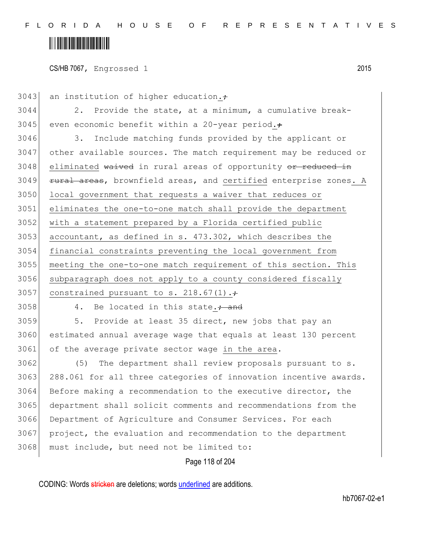#### <u> Alban Martin Alban Martin Sa</u>

CS/HB 7067, Engrossed 1 2015

3043 an institution of higher education. $\div$  2. Provide the state, at a minimum, a cumulative break-3045 even economic benefit within a 20-year period. $\div$ 3046 3. Include matching funds provided by the applicant or other available sources. The match requirement may be reduced or eliminated waived in rural areas of opportunity or reduced in 3049 <del>rural areas</del>, brownfield areas, and certified enterprise zones. A local government that requests a waiver that reduces or eliminates the one-to-one match shall provide the department with a statement prepared by a Florida certified public accountant, as defined in s. 473.302, which describes the financial constraints preventing the local government from meeting the one-to-one match requirement of this section. This

3056 subparagraph does not apply to a county considered fiscally 3057 constrained pursuant to s. 218.67(1). $\div$ 

3058 4. Be located in this state. $\frac{1}{100}$  and

3059 5. Provide at least 35 direct, new jobs that pay an 3060 estimated annual average wage that equals at least 130 percent 3061 of the average private sector wage in the area.

 (5) The department shall review proposals pursuant to s. 3063 288.061 for all three categories of innovation incentive awards. Before making a recommendation to the executive director, the department shall solicit comments and recommendations from the Department of Agriculture and Consumer Services. For each project, the evaluation and recommendation to the department must include, but need not be limited to:

Page 118 of 204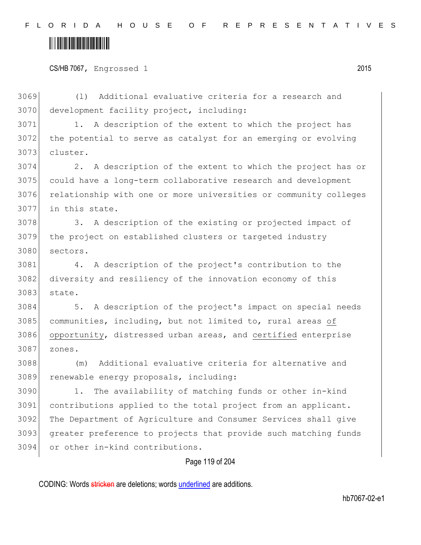CS/HB 7067, Engrossed 1 2015

 (l) Additional evaluative criteria for a research and 3070 development facility project, including:

 1. A description of the extent to which the project has the potential to serve as catalyst for an emerging or evolving cluster.

 2. A description of the extent to which the project has or could have a long-term collaborative research and development relationship with one or more universities or community colleges in this state.

3078 3. A description of the existing or projected impact of the project on established clusters or targeted industry sectors.

 4. A description of the project's contribution to the 3082 diversity and resiliency of the innovation economy of this state.

 5. A description of the project's impact on special needs 3085 communities, including, but not limited to, rural areas of opportunity, distressed urban areas, and certified enterprise zones.

 (m) Additional evaluative criteria for alternative and renewable energy proposals, including:

 1. The availability of matching funds or other in-kind contributions applied to the total project from an applicant. The Department of Agriculture and Consumer Services shall give greater preference to projects that provide such matching funds or other in-kind contributions.

#### Page 119 of 204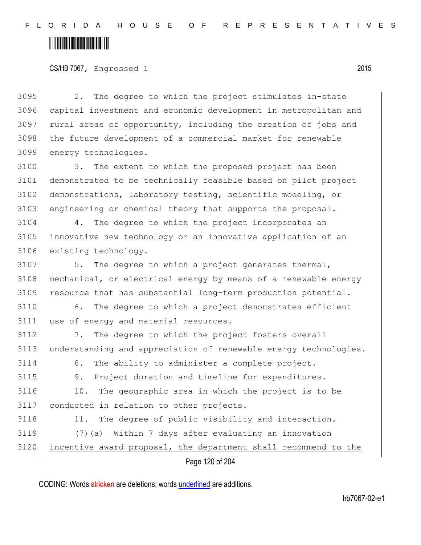F L O R I D A H O U S E O F R E P R E S E N T A T I V E S

# <u> Hillingin ka</u>

CS/HB 7067, Engrossed 1 2015

 2. The degree to which the project stimulates in-state capital investment and economic development in metropolitan and 3097 rural areas of opportunity, including the creation of jobs and the future development of a commercial market for renewable energy technologies.

3100 3. The extent to which the proposed project has been 3101 demonstrated to be technically feasible based on pilot project 3102 demonstrations, laboratory testing, scientific modeling, or 3103 engineering or chemical theory that supports the proposal.

3104 4. The degree to which the project incorporates an 3105 innovative new technology or an innovative application of an 3106 existing technology.

3107 5. The degree to which a project generates thermal, 3108 mechanical, or electrical energy by means of a renewable energy 3109 resource that has substantial long-term production potential.

3110 6. The degree to which a project demonstrates efficient 3111 use of energy and material resources.

3112 7. The degree to which the project fosters overall 3113 understanding and appreciation of renewable energy technologies. 3114 8. The ability to administer a complete project. 3115 9. Project duration and timeline for expenditures. 3116 10. The geographic area in which the project is to be 3117 conducted in relation to other projects. 3118 11. The degree of public visibility and interaction. 3119 (7)(a) Within 7 days after evaluating an innovation 3120 incentive award proposal, the department shall recommend to the

Page 120 of 204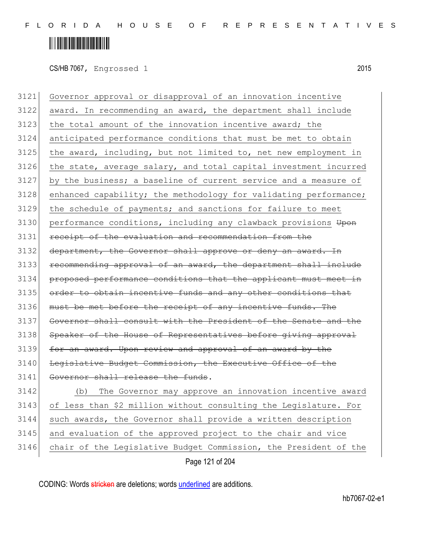## <u> Alban Martin Alban Martin Sa</u>

CS/HB 7067, Engrossed 1 2015

3121 Governor approval or disapproval of an innovation incentive 3122 award. In recommending an award, the department shall include 3123 the total amount of the innovation incentive award; the 3124 anticipated performance conditions that must be met to obtain  $3125$  the award, including, but not limited to, net new employment in  $3126$  the state, average salary, and total capital investment incurred 3127 by the business; a baseline of current service and a measure of 3128 enhanced capability; the methodology for validating performance; 3129 the schedule of payments; and sanctions for failure to meet 3130 performance conditions, including any clawback provisions Upon 3131 receipt of the evaluation and recommendation from the 3132 department, the Governor shall approve or deny an award. In 3133 recommending approval of an award, the department shall include 3134 proposed performance conditions that the applicant must meet in 3135 order to obtain incentive funds and any other conditions that 3136 must be met before the receipt of any incentive funds. The 3137 Governor shall consult with the President of the Senate and the 3138 Speaker of the House of Representatives before giving approval 3139 for an award. Upon review and approval of an award by the 3140 Legislative Budget Commission, the Executive Office of the 3141 Governor shall release the funds. 3142 (b) The Governor may approve an innovation incentive award 3143 of less than \$2 million without consulting the Legislature. For 3144 such awards, the Governor shall provide a written description 3145 and evaluation of the approved project to the chair and vice 3146 chair of the Legislative Budget Commission, the President of the

Page 121 of 204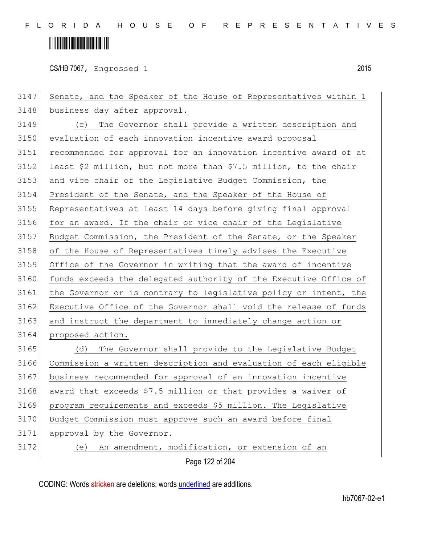# <u> Alban Alban Martin Alban</u>

CS/HB 7067, Engrossed 1 2015

Page 122 of 204 3147 Senate, and the Speaker of the House of Representatives within 1 3148 business day after approval. (c) The Governor shall provide a written description and evaluation of each innovation incentive award proposal recommended for approval for an innovation incentive award of at 3152 least \$2 million, but not more than \$7.5 million, to the chair 3153 and vice chair of the Legislative Budget Commission, the President of the Senate, and the Speaker of the House of Representatives at least 14 days before giving final approval for an award. If the chair or vice chair of the Legislative Budget Commission, the President of the Senate, or the Speaker of the House of Representatives timely advises the Executive Office of the Governor in writing that the award of incentive 3160 funds exceeds the delegated authority of the Executive Office of 3161 the Governor or is contrary to legislative policy or intent, the 3162 Executive Office of the Governor shall void the release of funds 3163 and instruct the department to immediately change action or proposed action. (d) The Governor shall provide to the Legislative Budget Commission a written description and evaluation of each eligible business recommended for approval of an innovation incentive 3168 award that exceeds \$7.5 million or that provides a waiver of program requirements and exceeds \$5 million. The Legislative Budget Commission must approve such an award before final approval by the Governor. (e) An amendment, modification, or extension of an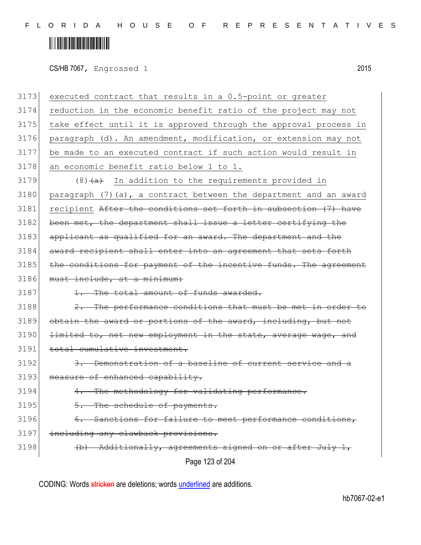CS/HB 7067, Engrossed 1 2015

| 3173 | executed contract that results in a 0.5-point or greater          |
|------|-------------------------------------------------------------------|
| 3174 | reduction in the economic benefit ratio of the project may not    |
| 3175 | take effect until it is approved through the approval process in  |
| 3176 | paragraph (d). An amendment, modification, or extension may not   |
| 3177 | be made to an executed contract if such action would result in    |
| 3178 | an economic benefit ratio below 1 to 1.                           |
| 3179 | $(8)$ $\overline{a}$ In addition to the requirements provided in  |
| 3180 | paragraph (7) (a), a contract between the department and an award |
| 3181 | recipient After the conditions set forth in subsection (7) have   |
| 3182 | been met, the department shall issue a letter certifying the      |
| 3183 | applicant as qualified for an award. The department and the       |
| 3184 | award recipient shall enter into an agreement that sets forth     |
| 3185 | the conditions for payment of the incentive funds. The agreement  |
| 3186 | must include, at a minimum:                                       |
| 3187 | 1. The total amount of funds awarded.                             |
| 3188 | 2. The performance conditions that must be met in order to        |
| 3189 | obtain the award or portions of the award, including, but not     |
| 3190 | limited to, net new employment in the state, average wage, and    |
| 3191 | total cumulative investment.                                      |
| 3192 | 3. Demonstration of a baseline of current service and a           |
| 3193 | measure of enhanced capability.                                   |
| 3194 | 4. The methodology for validating performance.                    |
| 3195 | 5. The schedule of payments.                                      |
| 3196 | 6. Sanctions for failure to meet performance conditions,          |
| 3197 | including any clawback provisions.                                |
| 3198 | (b) Additionally, agreements signed on or after July 1,           |
|      | Page 123 of 204                                                   |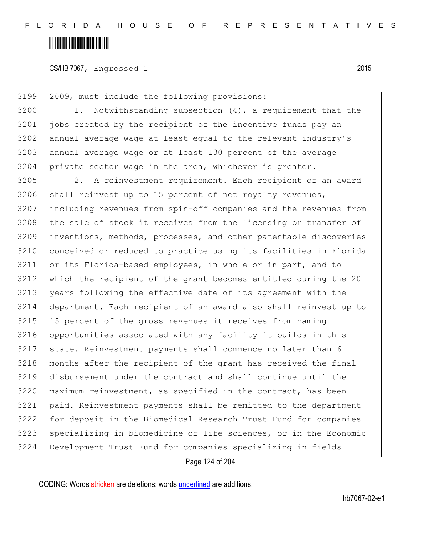CS/HB 7067, Engrossed 1 2015

3199 2009, must include the following provisions: 1. Notwithstanding subsection (4), a requirement that the jobs created by the recipient of the incentive funds pay an annual average wage at least equal to the relevant industry's 3203 annual average wage or at least 130 percent of the average 3204 private sector wage in the area, whichever is greater. 3205 2. A reinvestment requirement. Each recipient of an award 3206 shall reinvest up to 15 percent of net royalty revenues, including revenues from spin-off companies and the revenues from 3208 the sale of stock it receives from the licensing or transfer of inventions, methods, processes, and other patentable discoveries conceived or reduced to practice using its facilities in Florida or its Florida-based employees, in whole or in part, and to which the recipient of the grant becomes entitled during the 20 3213 years following the effective date of its agreement with the department. Each recipient of an award also shall reinvest up to 3215 | 15 percent of the gross revenues it receives from naming opportunities associated with any facility it builds in this state. Reinvestment payments shall commence no later than 6 3218 months after the recipient of the grant has received the final disbursement under the contract and shall continue until the maximum reinvestment, as specified in the contract, has been paid. Reinvestment payments shall be remitted to the department for deposit in the Biomedical Research Trust Fund for companies specializing in biomedicine or life sciences, or in the Economic Development Trust Fund for companies specializing in fields

Page 124 of 204

CODING: Words stricken are deletions; words underlined are additions.

hb7067-02-e1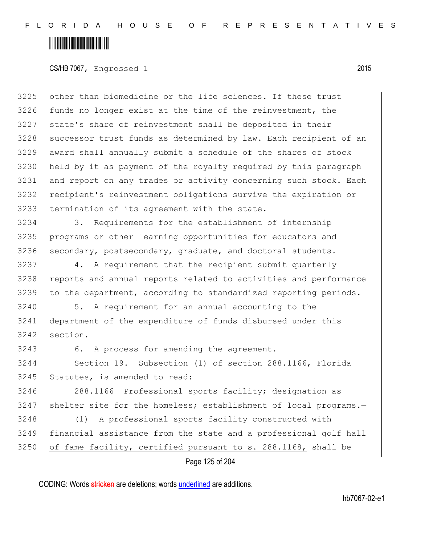## <u> Hillingin ka</u>

#### CS/HB 7067, Engrossed 1 2015

 other than biomedicine or the life sciences. If these trust 3226 funds no longer exist at the time of the reinvestment, the state's share of reinvestment shall be deposited in their 3228 successor trust funds as determined by law. Each recipient of an award shall annually submit a schedule of the shares of stock held by it as payment of the royalty required by this paragraph and report on any trades or activity concerning such stock. Each recipient's reinvestment obligations survive the expiration or termination of its agreement with the state.

3234 3. Requirements for the establishment of internship 3235 programs or other learning opportunities for educators and 3236 secondary, postsecondary, graduate, and doctoral students.

3237 4. A requirement that the recipient submit quarterly 3238 reports and annual reports related to activities and performance 3239 to the department, according to standardized reporting periods.

3240 5. A requirement for an annual accounting to the 3241 department of the expenditure of funds disbursed under this 3242 section.

3243 6. A process for amending the agreement.

3244 Section 19. Subsection (1) of section 288.1166, Florida 3245 Statutes, is amended to read:

3246 288.1166 Professional sports facility; designation as 3247 shelter site for the homeless; establishment of local programs.-

3248 (1) A professional sports facility constructed with 3249 financial assistance from the state and a professional golf hall  $3250$  of fame facility, certified pursuant to s. 288.1168, shall be

Page 125 of 204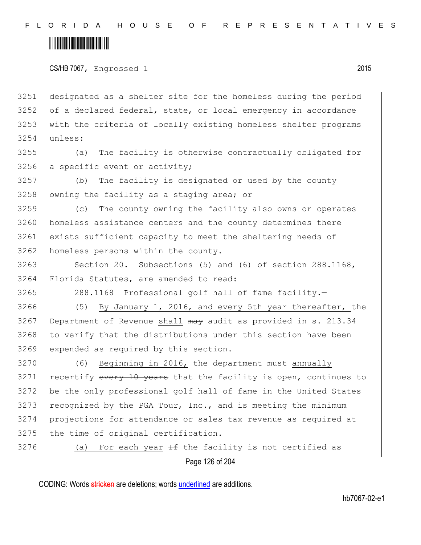CS/HB 7067, Engrossed 1 2015

 designated as a shelter site for the homeless during the period of a declared federal, state, or local emergency in accordance with the criteria of locally existing homeless shelter programs 3254 unless:

3255 (a) The facility is otherwise contractually obligated for 3256 a specific event or activity;

3257 (b) The facility is designated or used by the county 3258 owning the facility as a staging area; or

3259 (c) The county owning the facility also owns or operates 3260 homeless assistance centers and the county determines there 3261 exists sufficient capacity to meet the sheltering needs of 3262 homeless persons within the county.

3263 Section 20. Subsections (5) and (6) of section 288.1168, 3264 Florida Statutes, are amended to read:

3265 288.1168 Professional golf hall of fame facility.

3266 (5) By January 1, 2016, and every 5th year thereafter, the 3267 Department of Revenue shall may audit as provided in s. 213.34 3268 to verify that the distributions under this section have been 3269 expended as required by this section.

3270 (6) Beginning in 2016, the department must annually 3271 recertify every 10 years that the facility is open, continues to 3272 be the only professional golf hall of fame in the United States 3273 recognized by the PGA Tour, Inc., and is meeting the minimum 3274 projections for attendance or sales tax revenue as required at 3275 the time of original certification.

 $3276$  (a) For each year <del>If</del> the facility is not certified as

Page 126 of 204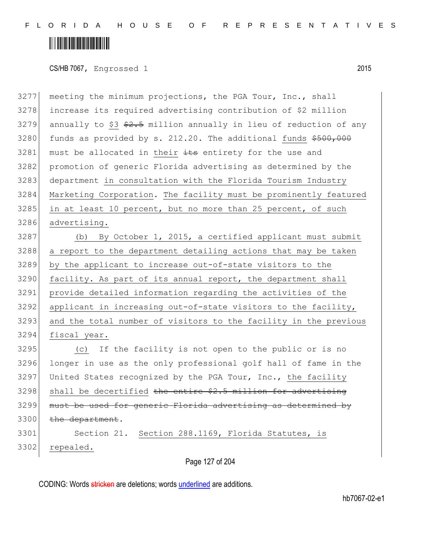### <u> Hillingin kanademi</u>

CS/HB 7067, Engrossed 1 2015

 meeting the minimum projections, the PGA Tour, Inc., shall increase its required advertising contribution of \$2 million 3279 annually to \$3  $\frac{2.5}{10}$  million annually in lieu of reduction of any funds as provided by s. 212.20. The additional funds  $$500,000$  must be allocated in their  $\pm t$ s entirety for the use and promotion of generic Florida advertising as determined by the 3283 department in consultation with the Florida Tourism Industry Marketing Corporation. The facility must be prominently featured 3285 in at least 10 percent, but no more than 25 percent, of such advertising.

 (b) By October 1, 2015, a certified applicant must submit a report to the department detailing actions that may be taken by the applicant to increase out-of-state visitors to the 3290 facility. As part of its annual report, the department shall provide detailed information regarding the activities of the applicant in increasing out-of-state visitors to the facility, and the total number of visitors to the facility in the previous fiscal year.

 (c) If the facility is not open to the public or is no longer in use as the only professional golf hall of fame in the United States recognized by the PGA Tour, Inc., the facility shall be decertified the entire  $$2.5$  million for advertising must be used for generic Florida advertising as determined by 3300 the department. Section 21. Section 288.1169, Florida Statutes, is

repealed.

Page 127 of 204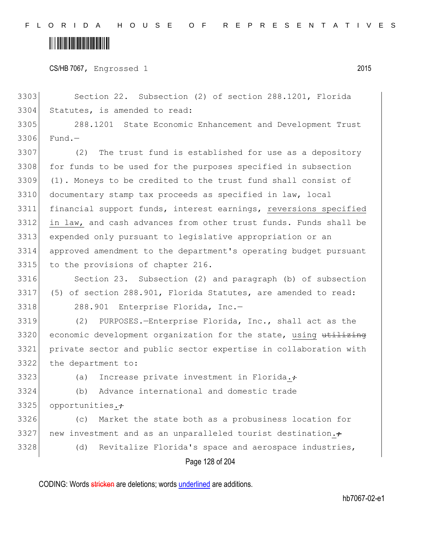CS/HB 7067, Engrossed 1 2015

3303 Section 22. Subsection (2) of section 288.1201, Florida 3304 Statutes, is amended to read:

3305 288.1201 State Economic Enhancement and Development Trust 3306 Fund.—

 (2) The trust fund is established for use as a depository 3308 for funds to be used for the purposes specified in subsection (1). Moneys to be credited to the trust fund shall consist of documentary stamp tax proceeds as specified in law, local financial support funds, interest earnings, reversions specified in law, and cash advances from other trust funds. Funds shall be expended only pursuant to legislative appropriation or an approved amendment to the department's operating budget pursuant 3315 to the provisions of chapter 216.

3316 Section 23. Subsection (2) and paragraph (b) of subsection 3317 (5) of section 288.901, Florida Statutes, are amended to read: 3318 288.901 Enterprise Florida, Inc.

 (2) PURPOSES.—Enterprise Florida, Inc., shall act as the 3320 economic development organization for the state, using utilizing private sector and public sector expertise in collaboration with the department to:

3323 (a) Increase private investment in Florida. $\div$ 

3324 (b) Advance international and domestic trade  $3325$  opportunities. $\div$ 

3326 (c) Market the state both as a probusiness location for 3327 new investment and as an unparalleled tourist destination. $\div$ 

3328 (d) Revitalize Florida's space and aerospace industries,

Page 128 of 204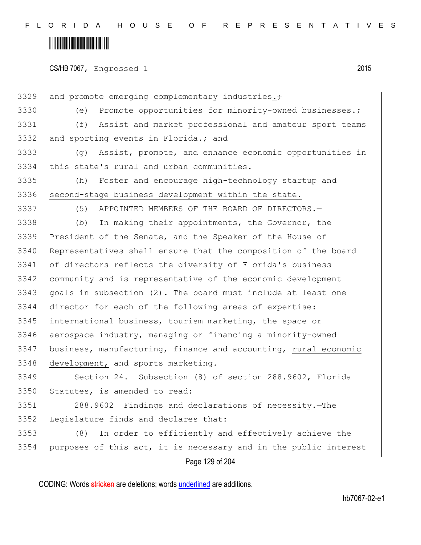#### <u> Hillingin ka</u>

CS/HB 7067, Engrossed 1 2015

Page 129 of 204 3329 and promote emerging complementary industries. $\div$ 3330 (e) Promote opportunities for minority-owned businesses. (f) Assist and market professional and amateur sport teams 3332 and sporting events in Florida. $\div$  and (g) Assist, promote, and enhance economic opportunities in this state's rural and urban communities. (h) Foster and encourage high-technology startup and 3336 second-stage business development within the state. (5) APPOINTED MEMBERS OF THE BOARD OF DIRECTORS.— 3338 (b) In making their appointments, the Governor, the President of the Senate, and the Speaker of the House of 3340 Representatives shall ensure that the composition of the board of directors reflects the diversity of Florida's business community and is representative of the economic development goals in subsection  $(2)$ . The board must include at least one director for each of the following areas of expertise: international business, tourism marketing, the space or aerospace industry, managing or financing a minority-owned business, manufacturing, finance and accounting, rural economic 3348 development, and sports marketing. Section 24. Subsection (8) of section 288.9602, Florida 3350 Statutes, is amended to read: 288.9602 Findings and declarations of necessity.—The 3352 Legislature finds and declares that: (8) In order to efficiently and effectively achieve the purposes of this act, it is necessary and in the public interest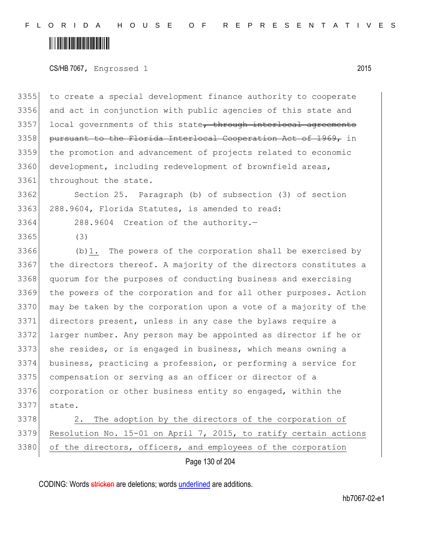#### <u> Hillingin ka</u>

CS/HB 7067, Engrossed 1 2015

3355 to create a special development finance authority to cooperate 3356 and act in conjunction with public agencies of this state and 3357 local governments of this state, through interlocal agreements 3358 pursuant to the Florida Interlocal Cooperation Act of 1969, in 3359 the promotion and advancement of projects related to economic 3360 development, including redevelopment of brownfield areas, 3361 throughout the state.

3362 Section 25. Paragraph (b) of subsection (3) of section 3363 288.9604, Florida Statutes, is amended to read:

3364 288.9604 Creation of the authority.—

3365 (3)

3366 (b)1. The powers of the corporation shall be exercised by 3367 the directors thereof. A majority of the directors constitutes a 3368 quorum for the purposes of conducting business and exercising 3369 the powers of the corporation and for all other purposes. Action 3370 may be taken by the corporation upon a vote of a majority of the 3371 directors present, unless in any case the bylaws require a 3372 larger number. Any person may be appointed as director if he or 3373 she resides, or is engaged in business, which means owning a 3374 business, practicing a profession, or performing a service for 3375 compensation or serving as an officer or director of a 3376 corporation or other business entity so engaged, within the 3377 state.

3378 2. The adoption by the directors of the corporation of 3379 Resolution No. 15-01 on April 7, 2015, to ratify certain actions 3380 of the directors, officers, and employees of the corporation

Page 130 of 204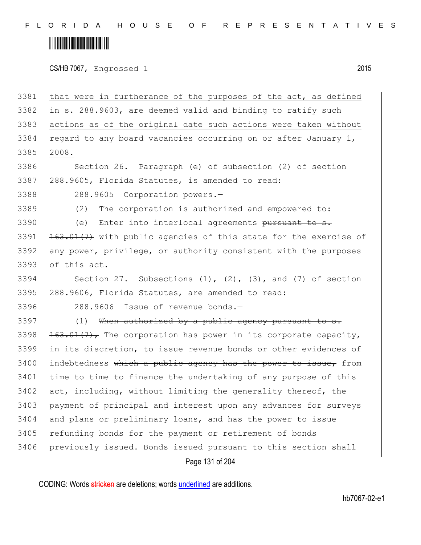F L O R I D A H O U S E O F R E P R E S E N T A T I V E S

#### 

CS/HB 7067, Engrossed 1 2015

Page 131 of 204 3381 that were in furtherance of the purposes of the act, as defined 3382 in s. 288.9603, are deemed valid and binding to ratify such 3383 actions as of the original date such actions were taken without 3384 regard to any board vacancies occurring on or after January 1, 3385 2008. 3386 Section 26. Paragraph (e) of subsection (2) of section 3387 288.9605, Florida Statutes, is amended to read: 3388 288.9605 Corporation powers.— 3389 (2) The corporation is authorized and empowered to: 3390 (e) Enter into interlocal agreements pursuant to s. 3391 <del>163.01(7)</del> with public agencies of this state for the exercise of 3392 any power, privilege, or authority consistent with the purposes 3393 of this act. 3394 Section 27. Subsections  $(1)$ ,  $(2)$ ,  $(3)$ , and  $(7)$  of section 3395 288.9606, Florida Statutes, are amended to read: 3396 288.9606 Issue of revenue bonds.- $3397$  (1) When authorized by a public agency pursuant to 3398  $163.01(7)$ , The corporation has power in its corporate capacity, 3399 in its discretion, to issue revenue bonds or other evidences of 3400 indebtedness which a public agency has the power to issue, from 3401 time to time to finance the undertaking of any purpose of this 3402 act, including, without limiting the generality thereof, the 3403 payment of principal and interest upon any advances for surveys 3404 and plans or preliminary loans, and has the power to issue 3405 refunding bonds for the payment or retirement of bonds 3406 previously issued. Bonds issued pursuant to this section shall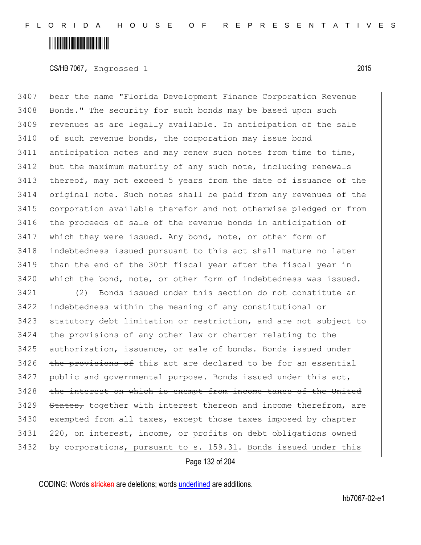#### <u> Alban Maria Maria Maria Maria Maria Maria Maria Maria Maria Maria Maria Maria Maria Maria Maria Maria Maria M</u>

CS/HB 7067, Engrossed 1 2015

 bear the name "Florida Development Finance Corporation Revenue 3408 Bonds." The security for such bonds may be based upon such revenues as are legally available. In anticipation of the sale 3410 of such revenue bonds, the corporation may issue bond anticipation notes and may renew such notes from time to time, but the maximum maturity of any such note, including renewals 3413 thereof, may not exceed 5 years from the date of issuance of the original note. Such notes shall be paid from any revenues of the corporation available therefor and not otherwise pledged or from the proceeds of sale of the revenue bonds in anticipation of which they were issued. Any bond, note, or other form of indebtedness issued pursuant to this act shall mature no later than the end of the 30th fiscal year after the fiscal year in which the bond, note, or other form of indebtedness was issued.

 (2) Bonds issued under this section do not constitute an indebtedness within the meaning of any constitutional or statutory debt limitation or restriction, and are not subject to the provisions of any other law or charter relating to the 3425 authorization, issuance, or sale of bonds. Bonds issued under the provisions of this act are declared to be for an essential public and governmental purpose. Bonds issued under this act, 3428 the interest on which is exempt from income taxes of the United States, together with interest thereon and income therefrom, are exempted from all taxes, except those taxes imposed by chapter 220, on interest, income, or profits on debt obligations owned by corporations, pursuant to s. 159.31. Bonds issued under this

Page 132 of 204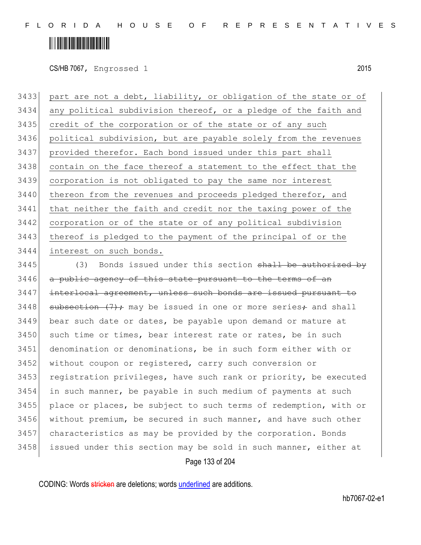### <u> Hillingin ka</u>

CS/HB 7067, Engrossed 1 2015

 part are not a debt, liability, or obligation of the state or of any political subdivision thereof, or a pledge of the faith and 3435 credit of the corporation or of the state or of any such political subdivision, but are payable solely from the revenues provided therefor. Each bond issued under this part shall contain on the face thereof a statement to the effect that the corporation is not obligated to pay the same nor interest 3440 thereon from the revenues and proceeds pledged therefor, and that neither the faith and credit nor the taxing power of the corporation or of the state or of any political subdivision 3443 thereof is pledged to the payment of the principal of or the interest on such bonds.

 $3445$  (3) Bonds issued under this section shall be authorized by 3446 a public agency of this state pursuant to the terms of an 3447 interlocal agreement, unless such bonds are issued pursuant to 3448 subsection  $(7)$ ; may be issued in one or more series; and shall 3449 bear such date or dates, be payable upon demand or mature at 3450 such time or times, bear interest rate or rates, be in such 3451 denomination or denominations, be in such form either with or 3452 without coupon or registered, carry such conversion or 3453 registration privileges, have such rank or priority, be executed 3454 in such manner, be payable in such medium of payments at such 3455 | place or places, be subject to such terms of redemption, with or 3456 without premium, be secured in such manner, and have such other 3457 characteristics as may be provided by the corporation. Bonds 3458 issued under this section may be sold in such manner, either at

Page 133 of 204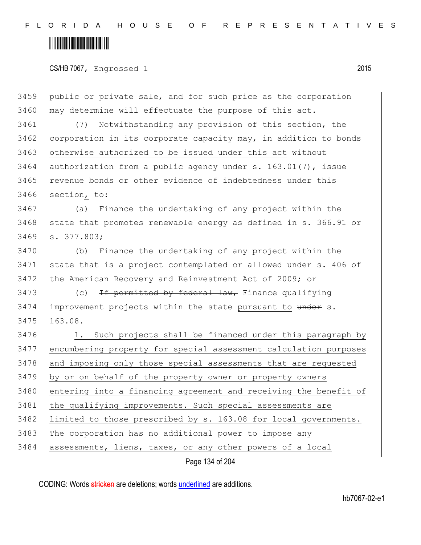F L O R I D A H O U S E O F R E P R E S E N T A T I V E S

#### <u> Hillingin ka</u>

CS/HB 7067, Engrossed 1 2015

Page 134 of 204 3459 public or private sale, and for such price as the corporation 3460 may determine will effectuate the purpose of this act. 3461 (7) Notwithstanding any provision of this section, the 3462 corporation in its corporate capacity may, in addition to bonds 3463 otherwise authorized to be issued under this act without  $3464$  authorization from a public agency under s. 163.01(7), issue 3465 revenue bonds or other evidence of indebtedness under this 3466 section, to: 3467 (a) Finance the undertaking of any project within the 3468 state that promotes renewable energy as defined in s. 366.91 or 3469 s. 377.803; 3470 (b) Finance the undertaking of any project within the 3471 state that is a project contemplated or allowed under s. 406 of 3472 the American Recovery and Reinvestment Act of 2009; or 3473 (c) <del>If permitted by federal law,</del> Finance qualifying  $3474$  improvement projects within the state pursuant to under s. 3475 163.08. 3476 1. Such projects shall be financed under this paragraph by 3477 encumbering property for special assessment calculation purposes 3478 and imposing only those special assessments that are requested 3479 by or on behalf of the property owner or property owners 3480 entering into a financing agreement and receiving the benefit of 3481 the qualifying improvements. Such special assessments are 3482 limited to those prescribed by s. 163.08 for local governments. 3483 The corporation has no additional power to impose any 3484 assessments, liens, taxes, or any other powers of a local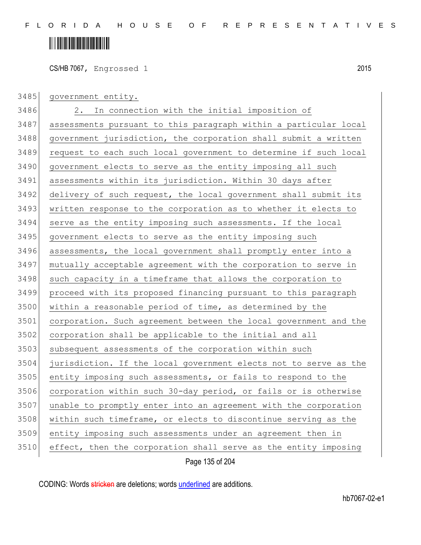CS/HB 7067, Engrossed 1 2015

| 3485 | government entity.                                               |
|------|------------------------------------------------------------------|
| 3486 | In connection with the initial imposition of<br>2.               |
| 3487 | assessments pursuant to this paragraph within a particular local |
| 3488 | government jurisdiction, the corporation shall submit a written  |
| 3489 | request to each such local government to determine if such local |
| 3490 | government elects to serve as the entity imposing all such       |
| 3491 | assessments within its jurisdiction. Within 30 days after        |
| 3492 | delivery of such request, the local government shall submit its  |
| 3493 | written response to the corporation as to whether it elects to   |
| 3494 | serve as the entity imposing such assessments. If the local      |
| 3495 | government elects to serve as the entity imposing such           |
| 3496 | assessments, the local government shall promptly enter into a    |
| 3497 | mutually acceptable agreement with the corporation to serve in   |
| 3498 | such capacity in a timeframe that allows the corporation to      |
| 3499 | proceed with its proposed financing pursuant to this paragraph   |
| 3500 | within a reasonable period of time, as determined by the         |
| 3501 | corporation. Such agreement between the local government and the |
| 3502 | corporation shall be applicable to the initial and all           |
| 3503 | subsequent assessments of the corporation within such            |
| 3504 | jurisdiction. If the local government elects not to serve as the |
| 3505 | entity imposing such assessments, or fails to respond to the     |
| 3506 | corporation within such 30-day period, or fails or is otherwise  |
| 3507 | unable to promptly enter into an agreement with the corporation  |
| 3508 | within such timeframe, or elects to discontinue serving as the   |
| 3509 | entity imposing such assessments under an agreement then in      |
| 3510 | effect, then the corporation shall serve as the entity imposing  |
|      | Page 135 of 204                                                  |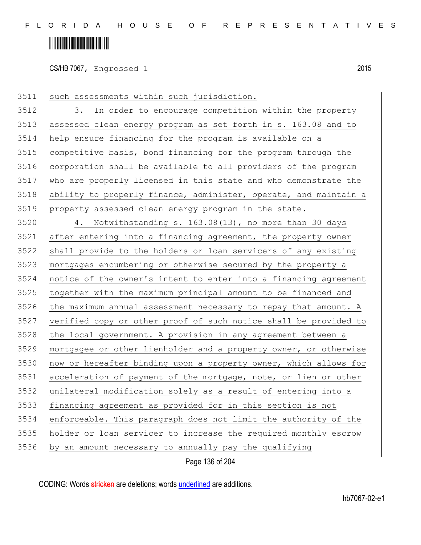## <u> Alban Alban Martin Alban</u>

CS/HB 7067, Engrossed 1 2015

such assessments within such jurisdiction.

 3. In order to encourage competition within the property assessed clean energy program as set forth in s. 163.08 and to help ensure financing for the program is available on a competitive basis, bond financing for the program through the corporation shall be available to all providers of the program who are properly licensed in this state and who demonstrate the 3518 ability to properly finance, administer, operate, and maintain a property assessed clean energy program in the state.

 4. Notwithstanding s. 163.08(13), no more than 30 days after entering into a financing agreement, the property owner shall provide to the holders or loan servicers of any existing mortgages encumbering or otherwise secured by the property a notice of the owner's intent to enter into a financing agreement together with the maximum principal amount to be financed and the maximum annual assessment necessary to repay that amount. A verified copy or other proof of such notice shall be provided to 3528 the local government. A provision in any agreement between a mortgagee or other lienholder and a property owner, or otherwise 3530 now or hereafter binding upon a property owner, which allows for acceleration of payment of the mortgage, note, or lien or other unilateral modification solely as a result of entering into a financing agreement as provided for in this section is not enforceable. This paragraph does not limit the authority of the holder or loan servicer to increase the required monthly escrow by an amount necessary to annually pay the qualifying

Page 136 of 204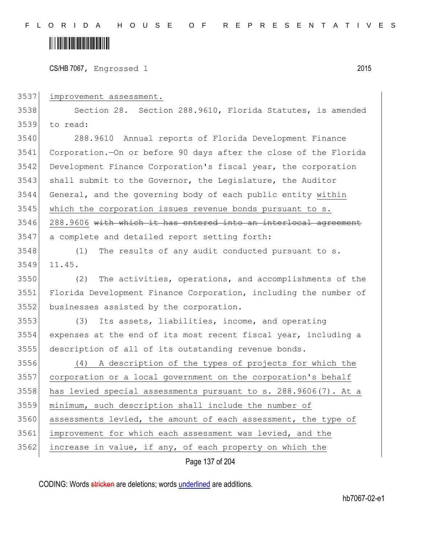## <u> Hillingin ka</u>

CS/HB 7067, Engrossed 1 2015

improvement assessment.

3538 Section 28. Section 288.9610, Florida Statutes, is amended to read:

 288.9610 Annual reports of Florida Development Finance Corporation.—On or before 90 days after the close of the Florida Development Finance Corporation's fiscal year, the corporation 3543 shall submit to the Governor, the Legislature, the Auditor General, and the governing body of each public entity within 3545 which the corporation issues revenue bonds pursuant to s. 3546 288.9606 with which it has entered into an interlocal agreement a complete and detailed report setting forth:

 (1) The results of any audit conducted pursuant to s. 11.45.

 (2) The activities, operations, and accomplishments of the Florida Development Finance Corporation, including the number of businesses assisted by the corporation.

 (3) Its assets, liabilities, income, and operating expenses at the end of its most recent fiscal year, including a description of all of its outstanding revenue bonds.

 (4) A description of the types of projects for which the corporation or a local government on the corporation's behalf has levied special assessments pursuant to s. 288.9606(7). At a minimum, such description shall include the number of 3560 assessments levied, the amount of each assessment, the type of improvement for which each assessment was levied, and the increase in value, if any, of each property on which the

Page 137 of 204

CODING: Words stricken are deletions; words underlined are additions.

hb7067-02-e1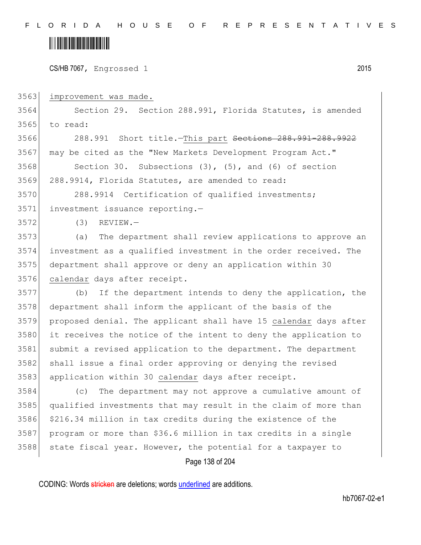#### <u> Alban Martin Martin Martin M</u>

CS/HB 7067, Engrossed 1 2015

improvement was made.

 Section 29. Section 288.991, Florida Statutes, is amended to read:

3566 288.991 Short title.—This part <del>Sections 288.991-288.9922</del> may be cited as the "New Markets Development Program Act."

3568 Section 30. Subsections (3), (5), and (6) of section 288.9914, Florida Statutes, are amended to read:

 288.9914 Certification of qualified investments; investment issuance reporting.—

(3) REVIEW.—

 (a) The department shall review applications to approve an investment as a qualified investment in the order received. The department shall approve or deny an application within 30 calendar days after receipt.

 (b) If the department intends to deny the application, the department shall inform the applicant of the basis of the proposed denial. The applicant shall have 15 calendar days after it receives the notice of the intent to deny the application to submit a revised application to the department. The department 3582 shall issue a final order approving or denying the revised 3583 application within 30 calendar days after receipt.

 (c) The department may not approve a cumulative amount of qualified investments that may result in the claim of more than \$216.34 million in tax credits during the existence of the program or more than \$36.6 million in tax credits in a single state fiscal year. However, the potential for a taxpayer to

Page 138 of 204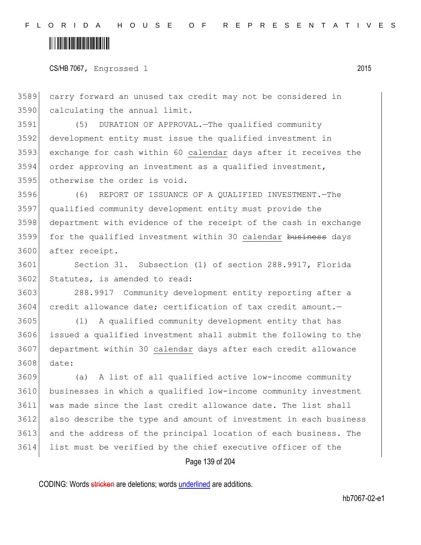### <u> Alban Maria Maria Maria Maria Maria Maria Maria Maria Maria Maria Maria Maria Maria Maria Maria Maria Maria M</u>

CS/HB 7067, Engrossed 1 2015

 carry forward an unused tax credit may not be considered in calculating the annual limit.

 (5) DURATION OF APPROVAL.—The qualified community development entity must issue the qualified investment in exchange for cash within 60 calendar days after it receives the order approving an investment as a qualified investment, otherwise the order is void.

 (6) REPORT OF ISSUANCE OF A QUALIFIED INVESTMENT.—The qualified community development entity must provide the department with evidence of the receipt of the cash in exchange 3599 for the qualified investment within 30 calendar business days after receipt.

 Section 31. Subsection (1) of section 288.9917, Florida 3602 Statutes, is amended to read:

 288.9917 Community development entity reporting after a 3604 credit allowance date; certification of tax credit amount.

 (1) A qualified community development entity that has issued a qualified investment shall submit the following to the department within 30 calendar days after each credit allowance date:

 (a) A list of all qualified active low-income community businesses in which a qualified low-income community investment was made since the last credit allowance date. The list shall also describe the type and amount of investment in each business and the address of the principal location of each business. The list must be verified by the chief executive officer of the

Page 139 of 204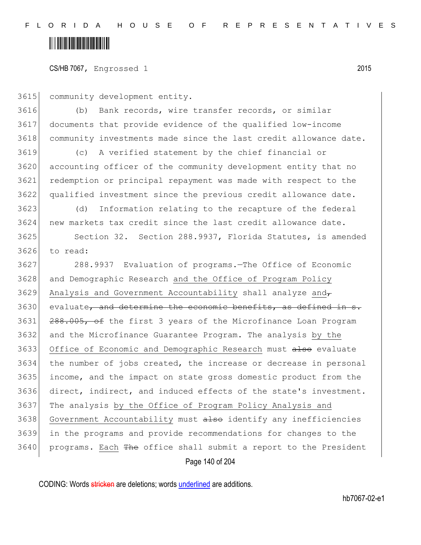#### <u> Hillingin ka</u>

CS/HB 7067, Engrossed 1 2015

community development entity.

 (b) Bank records, wire transfer records, or similar documents that provide evidence of the qualified low-income community investments made since the last credit allowance date.

 (c) A verified statement by the chief financial or accounting officer of the community development entity that no redemption or principal repayment was made with respect to the qualified investment since the previous credit allowance date.

 (d) Information relating to the recapture of the federal new markets tax credit since the last credit allowance date.

 Section 32. Section 288.9937, Florida Statutes, is amended to read:

 288.9937 Evaluation of programs.—The Office of Economic and Demographic Research and the Office of Program Policy 3629 Analysis and Government Accountability shall analyze and evaluate, and determine the economic benefits, as defined in 3631 288.005, of the first 3 years of the Microfinance Loan Program and the Microfinance Guarantee Program. The analysis by the 3633 Office of Economic and Demographic Research must also evaluate the number of jobs created, the increase or decrease in personal income, and the impact on state gross domestic product from the direct, indirect, and induced effects of the state's investment. 3637 The analysis by the Office of Program Policy Analysis and 3638 Government Accountability must also identify any inefficiencies in the programs and provide recommendations for changes to the 3640 programs. Each The office shall submit a report to the President

Page 140 of 204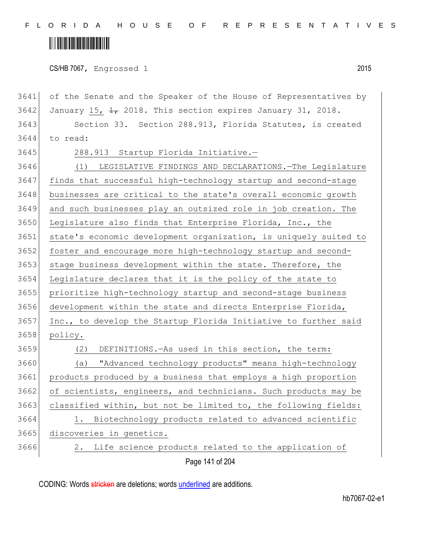F L O R I D A H O U S E O F R E P R E S E N T A T I V E S

# <u> Alban Alban Martin Alban</u>

CS/HB 7067, Engrossed 1 2015

Page 141 of 204 3641 of the Senate and the Speaker of the House of Representatives by 3642 January 15,  $\frac{1}{1}$  2018. This section expires January 31, 2018. 3643 Section 33. Section 288.913, Florida Statutes, is created 3644 to read: 3645 288.913 Startup Florida Initiative.-3646 (1) LEGISLATIVE FINDINGS AND DECLARATIONS.—The Legislature 3647 finds that successful high-technology startup and second-stage 3648 businesses are critical to the state's overall economic growth 3649 and such businesses play an outsized role in job creation. The 3650 Legislature also finds that Enterprise Florida, Inc., the 3651 state's economic development organization, is uniquely suited to 3652 foster and encourage more high-technology startup and second-3653 stage business development within the state. Therefore, the 3654 Legislature declares that it is the policy of the state to 3655 prioritize high-technology startup and second-stage business 3656 development within the state and directs Enterprise Florida, 3657 Inc., to develop the Startup Florida Initiative to further said 3658 policy. 3659 (2) DEFINITIONS.—As used in this section, the term: 3660 (a) "Advanced technology products" means high-technology 3661 products produced by a business that employs a high proportion 3662 of scientists, engineers, and technicians. Such products may be 3663 classified within, but not be limited to, the following fields: 3664 1. Biotechnology products related to advanced scientific 3665 discoveries in genetics. 3666 2. Life science products related to the application of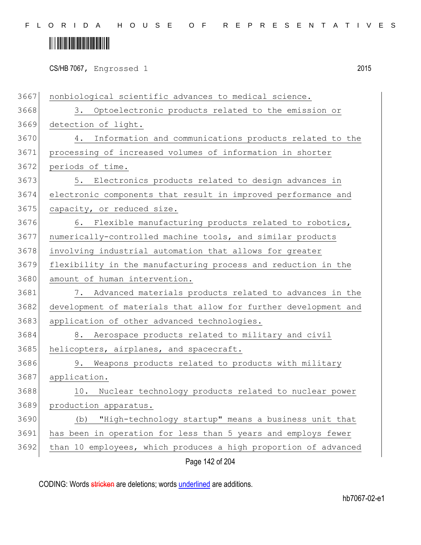# <u> Alban Alban Martin Alban</u>

CS/HB 7067, Engrossed 1 2015

Page 142 of 204 3667 | nonbiological scientific advances to medical science. 3. Optoelectronic products related to the emission or detection of light. 4. Information and communications products related to the processing of increased volumes of information in shorter periods of time. 5. Electronics products related to design advances in electronic components that result in improved performance and 3675 capacity, or reduced size. 3676 6. Flexible manufacturing products related to robotics, numerically-controlled machine tools, and similar products involving industrial automation that allows for greater flexibility in the manufacturing process and reduction in the 3680 amount of human intervention. 7. Advanced materials products related to advances in the development of materials that allow for further development and 3683 application of other advanced technologies. 8. Aerospace products related to military and civil 3685 helicopters, airplanes, and spacecraft. 9. Weapons products related to products with military application. 3688 10. Nuclear technology products related to nuclear power production apparatus. (b) "High-technology startup" means a business unit that has been in operation for less than 5 years and employs fewer than 10 employees, which produces a high proportion of advanced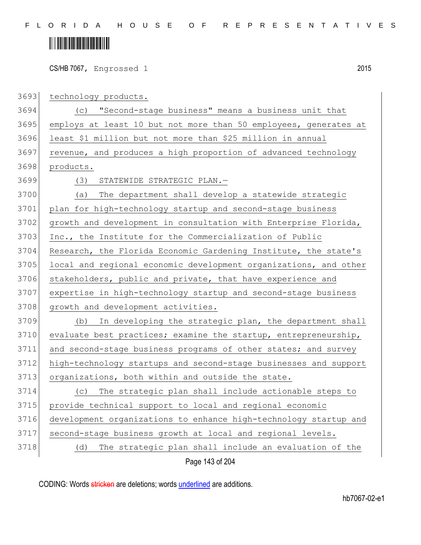# <u> Hillingin kanademi</u>

CS/HB 7067, Engrossed 1 2015

3693 technology products. 3694 (c) "Second-stage business" means a business unit that 3695 employs at least 10 but not more than 50 employees, generates at 3696 least \$1 million but not more than \$25 million in annual 3697 revenue, and produces a high proportion of advanced technology 3698 products. 3699 (3) STATEWIDE STRATEGIC PLAN.— 3700 (a) The department shall develop a statewide strategic 3701 plan for high-technology startup and second-stage business 3702 growth and development in consultation with Enterprise Florida, 3703 Inc., the Institute for the Commercialization of Public 3704 Research, the Florida Economic Gardening Institute, the state's 3705 local and regional economic development organizations, and other 3706 stakeholders, public and private, that have experience and 3707 expertise in high-technology startup and second-stage business 3708 growth and development activities. 3709 (b) In developing the strategic plan, the department shall 3710 evaluate best practices; examine the startup, entrepreneurship, 3711 and second-stage business programs of other states; and survey 3712 high-technology startups and second-stage businesses and support 3713 organizations, both within and outside the state. 3714 (c) The strategic plan shall include actionable steps to 3715 provide technical support to local and regional economic 3716 development organizations to enhance high-technology startup and 3717 second-stage business growth at local and regional levels. 3718 (d) The strategic plan shall include an evaluation of the

Page 143 of 204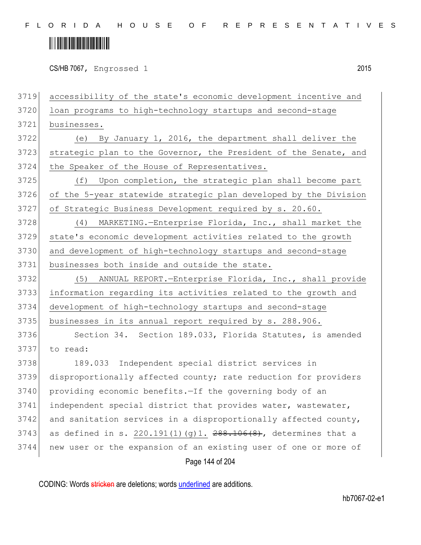### <u> Alban Alban Martin Alban</u>

CS/HB 7067, Engrossed 1 2015

Page 144 of 204 3719 accessibility of the state's economic development incentive and 3720 loan programs to high-technology startups and second-stage 3721 businesses. 3722 (e) By January 1, 2016, the department shall deliver the 3723 strategic plan to the Governor, the President of the Senate, and 3724 the Speaker of the House of Representatives. 3725 (f) Upon completion, the strategic plan shall become part 3726 of the 5-year statewide strategic plan developed by the Division 3727 of Strategic Business Development required by s. 20.60. 3728 (4) MARKETING.—Enterprise Florida, Inc., shall market the 3729 state's economic development activities related to the growth 3730 and development of high-technology startups and second-stage 3731 businesses both inside and outside the state. 3732 (5) ANNUAL REPORT.—Enterprise Florida, Inc., shall provide 3733 information regarding its activities related to the growth and 3734 development of high-technology startups and second-stage 3735 businesses in its annual report required by s. 288.906. 3736 Section 34. Section 189.033, Florida Statutes, is amended 3737 to read: 3738 189.033 Independent special district services in 3739 disproportionally affected county; rate reduction for providers 3740 providing economic benefits. - If the governing body of an 3741 independent special district that provides water, wastewater, 3742 and sanitation services in a disproportionally affected county, 3743 as defined in s. 220.191(1)(q)1.  $288.106(8)$ , determines that a 3744 new user or the expansion of an existing user of one or more of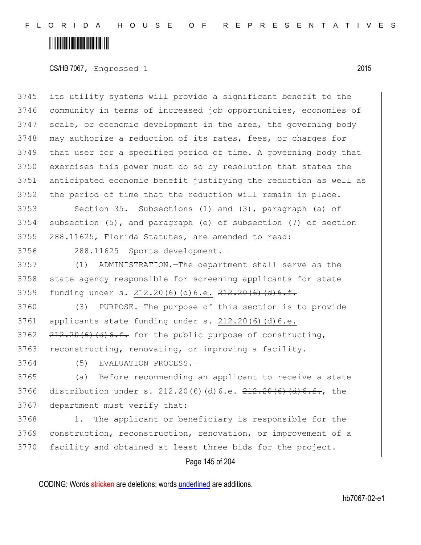CS/HB 7067, Engrossed 1 2015

 its utility systems will provide a significant benefit to the community in terms of increased job opportunities, economies of scale, or economic development in the area, the governing body 3748 may authorize a reduction of its rates, fees, or charges for that user for a specified period of time. A governing body that exercises this power must do so by resolution that states the anticipated economic benefit justifying the reduction as well as 3752 the period of time that the reduction will remain in place.

3753 Section 35. Subsections (1) and (3), paragraph (a) of 3754 subsection (5), and paragraph (e) of subsection (7) of section 3755 288.11625, Florida Statutes, are amended to read:

3756 288.11625 Sports development.—

3757 (1) ADMINISTRATION.—The department shall serve as the 3758 state agency responsible for screening applicants for state  $3759$  funding under s.  $212.20(6)(d)6.e.$   $212.20(6)(d)6.f.$ 

 (3) PURPOSE.—The purpose of this section is to provide applicants state funding under s.  $212.20(6)(d)6.e.$   $212.20(6)$   $(d)$  6.f. for the public purpose of constructing, 3763 reconstructing, renovating, or improving a facility.

3764 (5) EVALUATION PROCESS.—

3765 (a) Before recommending an applicant to receive a state 3766 distribution under s. 212.20(6)(d)6.e. 212.20(6)(d)6.f., the 3767 department must verify that:

3768 1. The applicant or beneficiary is responsible for the 3769 construction, reconstruction, renovation, or improvement of a 3770 facility and obtained at least three bids for the project.

Page 145 of 204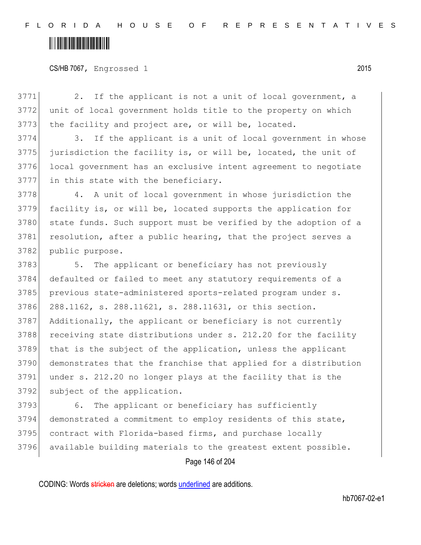#### CS/HB 7067, Engrossed 1 2015

3771 2. If the applicant is not a unit of local government, a 3772 unit of local government holds title to the property on which 3773 the facility and project are, or will be, located.

3774 3. If the applicant is a unit of local government in whose jurisdiction the facility is, or will be, located, the unit of local government has an exclusive intent agreement to negotiate in this state with the beneficiary.

3778 4. A unit of local government in whose jurisdiction the 3779 facility is, or will be, located supports the application for 3780 state funds. Such support must be verified by the adoption of a 3781 resolution, after a public hearing, that the project serves a 3782 public purpose.

3783 5. The applicant or beneficiary has not previously defaulted or failed to meet any statutory requirements of a 3785 previous state-administered sports-related program under s. 288.1162, s. 288.11621, s. 288.11631, or this section. Additionally, the applicant or beneficiary is not currently 3788 receiving state distributions under s. 212.20 for the facility that is the subject of the application, unless the applicant demonstrates that the franchise that applied for a distribution under s. 212.20 no longer plays at the facility that is the subject of the application.

 6. The applicant or beneficiary has sufficiently demonstrated a commitment to employ residents of this state, 3795 contract with Florida-based firms, and purchase locally available building materials to the greatest extent possible.

Page 146 of 204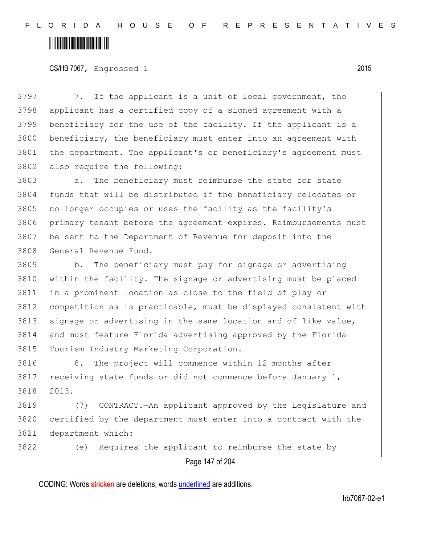F L O R I D A H O U S E O F R E P R E S E N T A T I V E S

### 

#### CS/HB 7067, Engrossed 1 2015

3797 7. If the applicant is a unit of local government, the 3798 applicant has a certified copy of a signed agreement with a 3799 beneficiary for the use of the facility. If the applicant is a 3800 beneficiary, the beneficiary must enter into an agreement with 3801 the department. The applicant's or beneficiary's agreement must 3802 also require the following:

3803 a. The beneficiary must reimburse the state for state funds that will be distributed if the beneficiary relocates or 3805 no longer occupies or uses the facility as the facility's primary tenant before the agreement expires. Reimbursements must be sent to the Department of Revenue for deposit into the General Revenue Fund.

 b. The beneficiary must pay for signage or advertising within the facility. The signage or advertising must be placed in a prominent location as close to the field of play or competition as is practicable, must be displayed consistent with 3813 signage or advertising in the same location and of like value, and must feature Florida advertising approved by the Florida 3815 Tourism Industry Marketing Corporation.

3816 8. The project will commence within 12 months after  $3817$  receiving state funds or did not commence before January 1, 3818 2013.

3819 (7) CONTRACT.—An applicant approved by the Legislature and 3820 certified by the department must enter into a contract with the 3821 department which:

3822 (e) Requires the applicant to reimburse the state by

Page 147 of 204

CODING: Words stricken are deletions; words underlined are additions.

hb7067-02-e1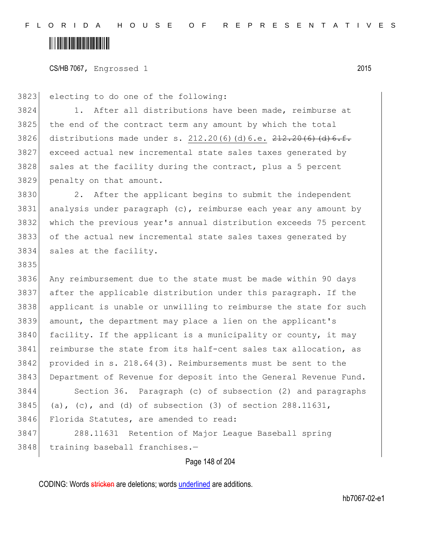#### <u> Alban Maria Maria Maria Maria Maria Maria Maria Maria Maria Maria Maria Maria Maria Maria Maria Maria Maria M</u>

3835

CS/HB 7067, Engrossed 1 2015

3823 electing to do one of the following:

3824 1. After all distributions have been made, reimburse at 3825 the end of the contract term any amount by which the total 3826 distributions made under s.  $212.20(6)(d)6.e.$   $212.20(6)(d)6.f.$ 3827 exceed actual new incremental state sales taxes generated by 3828 sales at the facility during the contract, plus a 5 percent 3829 penalty on that amount.

 2. After the applicant begins to submit the independent 3831 analysis under paragraph  $(c)$ , reimburse each year any amount by which the previous year's annual distribution exceeds 75 percent of the actual new incremental state sales taxes generated by sales at the facility.

 Any reimbursement due to the state must be made within 90 days after the applicable distribution under this paragraph. If the applicant is unable or unwilling to reimburse the state for such amount, the department may place a lien on the applicant's facility. If the applicant is a municipality or county, it may reimburse the state from its half-cent sales tax allocation, as provided in s. 218.64(3). Reimbursements must be sent to the 3843 Department of Revenue for deposit into the General Revenue Fund. Section 36. Paragraph (c) of subsection (2) and paragraphs 3845 (a), (c), and (d) of subsection  $(3)$  of section 288.11631, Florida Statutes, are amended to read:

3847 288.11631 Retention of Major League Baseball spring 3848 training baseball franchises.-

Page 148 of 204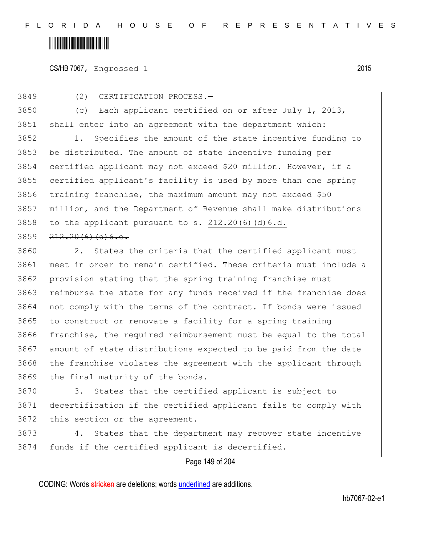F L O R I D A H O U S E O F R E P R E S E N T A T I V E S

#### <u> Hillingin ka</u>

CS/HB 7067, Engrossed 1 2015

3849 (2) CERTIFICATION PROCESS.—

3850 (c) Each applicant certified on or after July 1, 2013, 3851 shall enter into an agreement with the department which:

 1. Specifies the amount of the state incentive funding to be distributed. The amount of state incentive funding per certified applicant may not exceed \$20 million. However, if a certified applicant's facility is used by more than one spring training franchise, the maximum amount may not exceed \$50 million, and the Department of Revenue shall make distributions to the applicant pursuant to s.  $212.20(6)(d)6.d.$  $212.20(6)(d)6.c.$ 

3860 2. States the criteria that the certified applicant must 3861 meet in order to remain certified. These criteria must include a 3862 provision stating that the spring training franchise must 3863 reimburse the state for any funds received if the franchise does 3864 not comply with the terms of the contract. If bonds were issued 3865 to construct or renovate a facility for a spring training 3866 franchise, the required reimbursement must be equal to the total 3867 amount of state distributions expected to be paid from the date 3868 the franchise violates the agreement with the applicant through 3869 the final maturity of the bonds.

3870 3. States that the certified applicant is subject to 3871 decertification if the certified applicant fails to comply with 3872 this section or the agreement.

3873 4. States that the department may recover state incentive 3874 funds if the certified applicant is decertified.

#### Page 149 of 204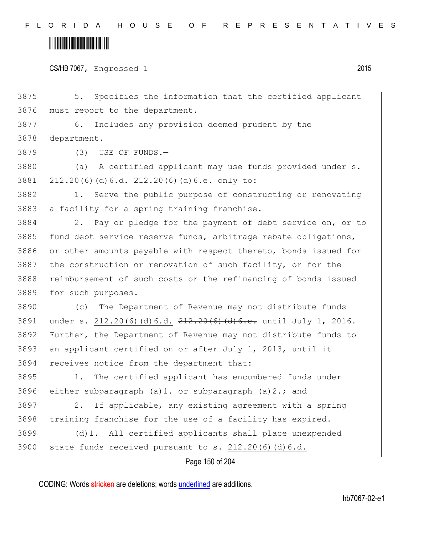F L O R I D A H O U S E O F R E P R E S E N T A T I V E S

#### 

|  | CS/HB 7067, Engrossed 1 |  | 2015 |
|--|-------------------------|--|------|
|--|-------------------------|--|------|

Page 150 of 204 3875 5. Specifies the information that the certified applicant 3876 must report to the department. 3877 6. Includes any provision deemed prudent by the 3878 department. 3879 (3) USE OF FUNDS.-3880 (a) A certified applicant may use funds provided under s. 3881 212.20(6)(d)6.d.  $212.20(6)$  (d)6.e. only to: 3882 1. Serve the public purpose of constructing or renovating 3883 a facility for a spring training franchise. 3884 2. Pay or pledge for the payment of debt service on, or to 3885 fund debt service reserve funds, arbitrage rebate obligations, 3886 or other amounts payable with respect thereto, bonds issued for 3887 the construction or renovation of such facility, or for the 3888 reimbursement of such costs or the refinancing of bonds issued 3889 for such purposes. 3890 (c) The Department of Revenue may not distribute funds 3891 under s. 212.20(6)(d)6.d. 212.20(6)(d)6.e. until July 1, 2016. 3892 Further, the Department of Revenue may not distribute funds to 3893 an applicant certified on or after July 1, 2013, until it 3894 receives notice from the department that: 3895 1. The certified applicant has encumbered funds under 3896 either subparagraph (a)1. or subparagraph (a)2.; and 3897 2. If applicable, any existing agreement with a spring 3898 training franchise for the use of a facility has expired. 3899 (d)1. All certified applicants shall place unexpended 3900 state funds received pursuant to s.  $212.20(6)(d)6.d.$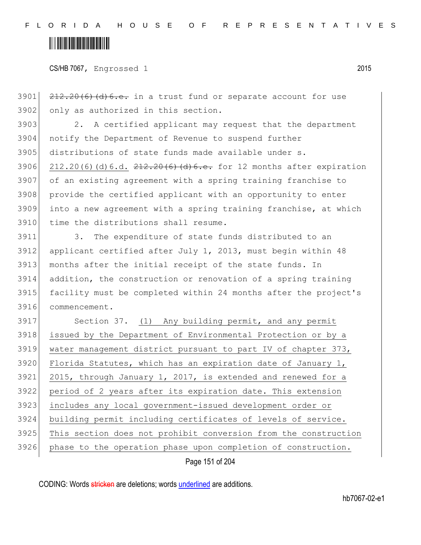# <u> Hillingin kanademi</u>

CS/HB 7067, Engrossed 1 2015

  $212.20(6)$  (d) 6.e. in a trust fund or separate account for use 3902 only as authorized in this section. 3903 2. A certified applicant may request that the department notify the Department of Revenue to suspend further 3905 distributions of state funds made available under s. 3906 212.20(6)(d)6.d.  $212.20(6)(d)6.$  and  $212.20(6)(d)6.$  expiration of an existing agreement with a spring training franchise to 3908 provide the certified applicant with an opportunity to enter into a new agreement with a spring training franchise, at which time the distributions shall resume. 3. The expenditure of state funds distributed to an 3912 applicant certified after July 1, 2013, must begin within 48 months after the initial receipt of the state funds. In addition, the construction or renovation of a spring training facility must be completed within 24 months after the project's commencement. 3917 Section 37. (1) Any building permit, and any permit issued by the Department of Environmental Protection or by a water management district pursuant to part IV of chapter 373, 3920 Florida Statutes, which has an expiration date of January 1, 3921 2015, through January 1, 2017, is extended and renewed for a period of 2 years after its expiration date. This extension includes any local government-issued development order or

3925 This section does not prohibit conversion from the construction

3924 building permit including certificates of levels of service.

3926 phase to the operation phase upon completion of construction.

Page 151 of 204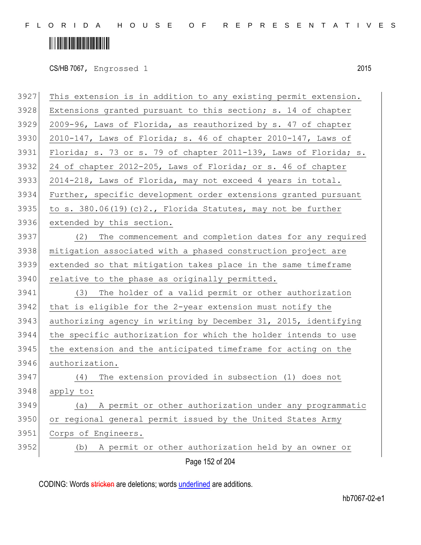F L O R I D A H O U S E O F R E P R E S E N T A T I V E S

# 

CS/HB 7067, Engrossed 1 2015

| 3927 | This extension is in addition to any existing permit extension.  |
|------|------------------------------------------------------------------|
| 3928 | Extensions granted pursuant to this section; s. 14 of chapter    |
| 3929 | 2009-96, Laws of Florida, as reauthorized by s. 47 of chapter    |
| 3930 | 2010-147, Laws of Florida; s. 46 of chapter 2010-147, Laws of    |
| 3931 | Florida; s. 73 or s. 79 of chapter 2011-139, Laws of Florida; s. |
| 3932 | 24 of chapter 2012-205, Laws of Florida; or s. 46 of chapter     |
| 3933 | 2014-218, Laws of Florida, may not exceed 4 years in total.      |
| 3934 | Further, specific development order extensions granted pursuant  |
| 3935 | to s. 380.06(19)(c)2., Florida Statutes, may not be further      |
| 3936 | extended by this section.                                        |
| 3937 | The commencement and completion dates for any required<br>(2)    |
| 3938 | mitigation associated with a phased construction project are     |
| 3939 | extended so that mitigation takes place in the same timeframe    |
| 3940 | relative to the phase as originally permitted.                   |
| 3941 | (3) The holder of a valid permit or other authorization          |
| 3942 | that is eligible for the 2-year extension must notify the        |
| 3943 | authorizing agency in writing by December 31, 2015, identifying  |
| 3944 | the specific authorization for which the holder intends to use   |
| 3945 | the extension and the anticipated timeframe for acting on the    |
| 3946 | authorization.                                                   |
| 3947 | The extension provided in subsection (1) does not<br>(4)         |
| 3948 | apply to:                                                        |
| 3949 | A permit or other authorization under any programmatic<br>(a)    |
| 3950 | or regional general permit issued by the United States Army      |
| 3951 | Corps of Engineers.                                              |
| 3952 | A permit or other authorization held by an owner or<br>(b)       |
|      | Page 152 of 204                                                  |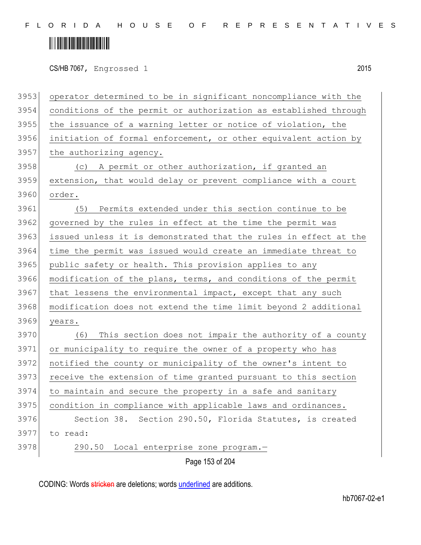CS/HB 7067, Engrossed 1 2015

| operator determined to be in significant noncompliance with the  |
|------------------------------------------------------------------|
| conditions of the permit or authorization as established through |
| the issuance of a warning letter or notice of violation, the     |
| initiation of formal enforcement, or other equivalent action by  |
| the authorizing agency.                                          |
| (c) A permit or other authorization, if granted an               |
| extension, that would delay or prevent compliance with a court   |
| order.                                                           |
| Permits extended under this section continue to be<br>(5)        |
| governed by the rules in effect at the time the permit was       |
| issued unless it is demonstrated that the rules in effect at the |
| time the permit was issued would create an immediate threat to   |
| public safety or health. This provision applies to any           |
| modification of the plans, terms, and conditions of the permit   |
| that lessens the environmental impact, except that any such      |
| modification does not extend the time limit beyond 2 additional  |
| years.                                                           |
| This section does not impair the authority of a county<br>(6)    |
| or municipality to require the owner of a property who has       |
| notified the county or municipality of the owner's intent to     |
| receive the extension of time granted pursuant to this section   |
| to maintain and secure the property in a safe and sanitary       |
| condition in compliance with applicable laws and ordinances.     |
| Section 38. Section 290.50, Florida Statutes, is created         |
| to read:                                                         |
| 290.50<br>Local enterprise zone program.-                        |
| Page 153 of 204                                                  |
|                                                                  |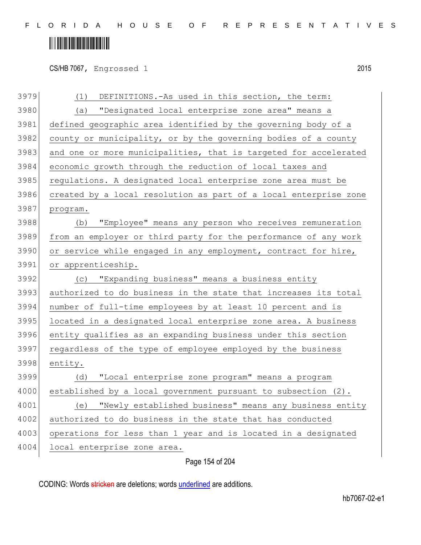CS/HB 7067, Engrossed 1 2015

| 3979 | DEFINITIONS.-As used in this section, the term:<br>(1)           |
|------|------------------------------------------------------------------|
| 3980 | "Designated local enterprise zone area" means a<br>(a)           |
| 3981 | defined geographic area identified by the governing body of a    |
| 3982 | county or municipality, or by the governing bodies of a county   |
| 3983 | and one or more municipalities, that is targeted for accelerated |
| 3984 | economic growth through the reduction of local taxes and         |
| 3985 | regulations. A designated local enterprise zone area must be     |
| 3986 | created by a local resolution as part of a local enterprise zone |
| 3987 | program.                                                         |
| 3988 | "Employee" means any person who receives remuneration<br>(b)     |
| 3989 | from an employer or third party for the performance of any work  |
| 3990 | or service while engaged in any employment, contract for hire,   |
| 3991 | or apprenticeship.                                               |
| 3992 | "Expanding business" means a business entity<br>(C)              |
| 3993 | authorized to do business in the state that increases its total  |
| 3994 | number of full-time employees by at least 10 percent and is      |
| 3995 | located in a designated local enterprise zone area. A business   |
| 3996 | entity qualifies as an expanding business under this section     |
| 3997 | regardless of the type of employee employed by the business      |
| 3998 | entity.                                                          |
| 3999 | "Local enterprise zone program" means a program<br>(d)           |
| 4000 | established by a local government pursuant to subsection (2).    |
| 4001 | "Newly established business" means any business entity<br>(e)    |
| 4002 | authorized to do business in the state that has conducted        |
| 4003 | operations for less than 1 year and is located in a designated   |
| 4004 | local enterprise zone area.                                      |
|      |                                                                  |

Page 154 of 204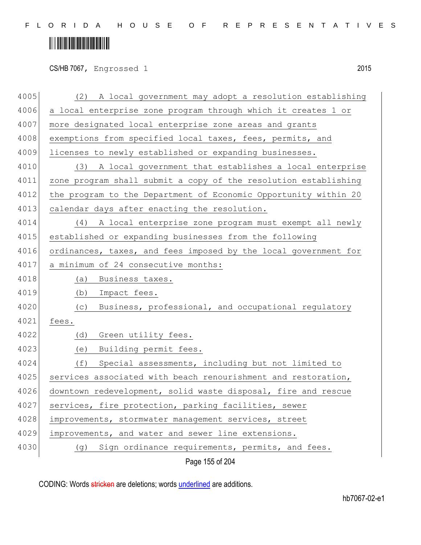CS/HB 7067, Engrossed 1 2015

|      | Page 155 of 204                                                 |
|------|-----------------------------------------------------------------|
| 4030 | Sign ordinance requirements, permits, and fees.<br>(g)          |
| 4029 | improvements, and water and sewer line extensions.              |
| 4028 | improvements, stormwater management services, street            |
| 4027 | services, fire protection, parking facilities, sewer            |
| 4026 | downtown redevelopment, solid waste disposal, fire and rescue   |
| 4025 | services associated with beach renourishment and restoration,   |
| 4024 | Special assessments, including but not limited to<br>(f)        |
| 4023 | Building permit fees.<br>(e)                                    |
| 4022 | Green utility fees.<br>(d)                                      |
| 4021 | fees.                                                           |
| 4020 | Business, professional, and occupational regulatory<br>(C)      |
| 4019 | Impact fees.<br>(b)                                             |
| 4018 | Business taxes.<br>(a)                                          |
| 4017 | a minimum of 24 consecutive months:                             |
| 4016 | ordinances, taxes, and fees imposed by the local government for |
| 4015 | established or expanding businesses from the following          |
| 4014 | A local enterprise zone program must exempt all newly<br>(4)    |
| 4013 | calendar days after enacting the resolution.                    |
| 4012 | the program to the Department of Economic Opportunity within 20 |
| 4011 | zone program shall submit a copy of the resolution establishing |
| 4010 | A local government that establishes a local enterprise<br>(3)   |
| 4009 | licenses to newly established or expanding businesses.          |
| 4008 | exemptions from specified local taxes, fees, permits, and       |
| 4007 | more designated local enterprise zone areas and grants          |
| 4006 | a local enterprise zone program through which it creates 1 or   |
| 4005 | A local government may adopt a resolution establishing<br>(2)   |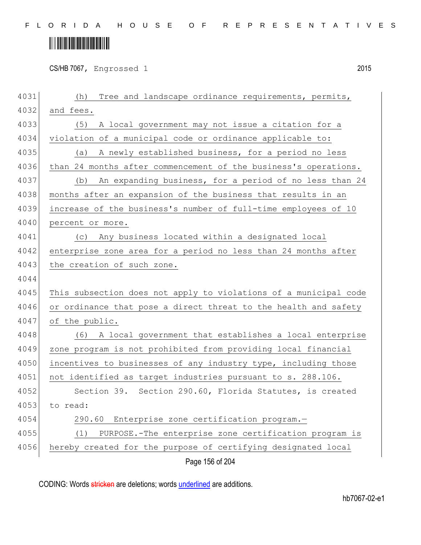CS/HB 7067, Engrossed 1 2015

| 4031 | Tree and landscape ordinance requirements, permits,<br>(h)       |
|------|------------------------------------------------------------------|
| 4032 | and fees.                                                        |
| 4033 | (5)<br>A local government may not issue a citation for a         |
| 4034 | violation of a municipal code or ordinance applicable to:        |
| 4035 | A newly established business, for a period no less<br>(a)        |
| 4036 | than 24 months after commencement of the business's operations.  |
| 4037 | An expanding business, for a period of no less than 24<br>(b)    |
| 4038 | months after an expansion of the business that results in an     |
| 4039 | increase of the business's number of full-time employees of 10   |
| 4040 | percent or more.                                                 |
| 4041 | (c) Any business located within a designated local               |
| 4042 | enterprise zone area for a period no less than 24 months after   |
| 4043 | the creation of such zone.                                       |
| 4044 |                                                                  |
| 4045 | This subsection does not apply to violations of a municipal code |
| 4046 | or ordinance that pose a direct threat to the health and safety  |
| 4047 | of the public.                                                   |
| 4048 | A local government that establishes a local enterprise<br>(6)    |
| 4049 | zone program is not prohibited from providing local financial    |
| 4050 | incentives to businesses of any industry type, including those   |
| 4051 | not identified as target industries pursuant to s. 288.106.      |
| 4052 | Section 39. Section 290.60, Florida Statutes, is created         |
| 4053 | to read:                                                         |
| 4054 | 290.60<br>Enterprise zone certification program.-                |
| 4055 | PURPOSE.-The enterprise zone certification program is<br>(1)     |
| 4056 | hereby created for the purpose of certifying designated local    |
|      | Page 156 of 204                                                  |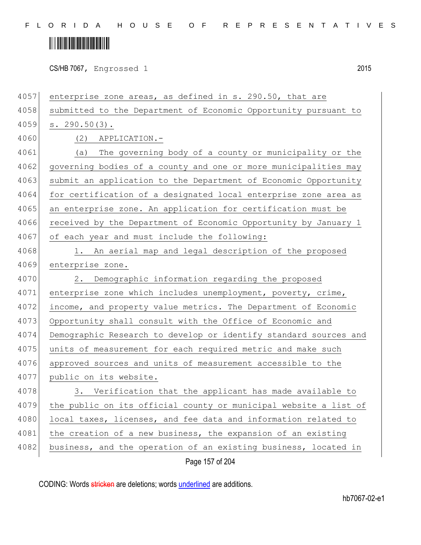# <u> Alban Alban Martin Alban</u>

CS/HB 7067, Engrossed 1 2015

4057 enterprise zone areas, as defined in s. 290.50, that are 4058 submitted to the Department of Economic Opportunity pursuant to 4059 s. 290.50(3). 4060 (2) APPLICATION.- 4061 (a) The governing body of a county or municipality or the 4062 governing bodies of a county and one or more municipalities may 4063 submit an application to the Department of Economic Opportunity 4064 for certification of a designated local enterprise zone area as 4065 an enterprise zone. An application for certification must be 4066 received by the Department of Economic Opportunity by January 1 4067 of each year and must include the following: 4068 1. An aerial map and legal description of the proposed 4069 enterprise zone. 4070 2. Demographic information regarding the proposed 4071 enterprise zone which includes unemployment, poverty, crime, 4072 income, and property value metrics. The Department of Economic 4073 Opportunity shall consult with the Office of Economic and 4074 Demographic Research to develop or identify standard sources and 4075 units of measurement for each required metric and make such 4076 approved sources and units of measurement accessible to the 4077 public on its website. 4078 3. Verification that the applicant has made available to 4079 the public on its official county or municipal website a list of 4080 local taxes, licenses, and fee data and information related to 4081 the creation of a new business, the expansion of an existing 4082 business, and the operation of an existing business, located in

Page 157 of 204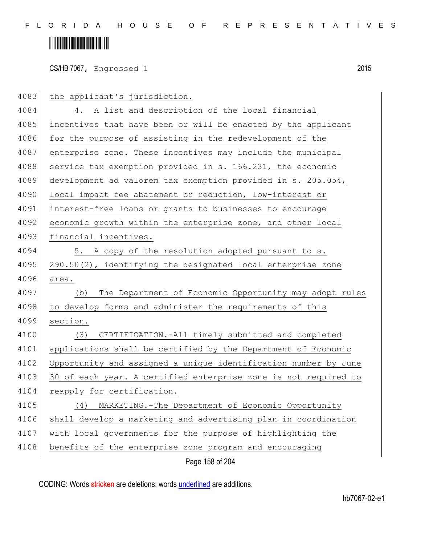# **IN THE REAL PROPERTY OF A SET OF A SET OF A SET OF A SET OF A SET OF A SET OF A SET OF A SET OF A SET**

CS/HB 7067, Engrossed 1 2015

4083 the applicant's jurisdiction. 4084 4. A list and description of the local financial 4085 incentives that have been or will be enacted by the applicant 4086 for the purpose of assisting in the redevelopment of the 4087 enterprise zone. These incentives may include the municipal 4088 service tax exemption provided in s. 166.231, the economic 4089 development ad valorem tax exemption provided in s. 205.054, 4090 local impact fee abatement or reduction, low-interest or 4091 interest-free loans or grants to businesses to encourage 4092 economic growth within the enterprise zone, and other local 4093 financial incentives. 4094 5. A copy of the resolution adopted pursuant to s. 4095  $290.50(2)$ , identifying the designated local enterprise zone 4096 area. 4097 (b) The Department of Economic Opportunity may adopt rules 4098 to develop forms and administer the requirements of this 4099 section. 4100 (3) CERTIFICATION.-All timely submitted and completed 4101 applications shall be certified by the Department of Economic 4102 Opportunity and assigned a unique identification number by June 4103 30 of each year. A certified enterprise zone is not required to 4104 reapply for certification. 4105 (4) MARKETING.-The Department of Economic Opportunity 4106 shall develop a marketing and advertising plan in coordination 4107 with local governments for the purpose of highlighting the 4108 benefits of the enterprise zone program and encouraging

Page 158 of 204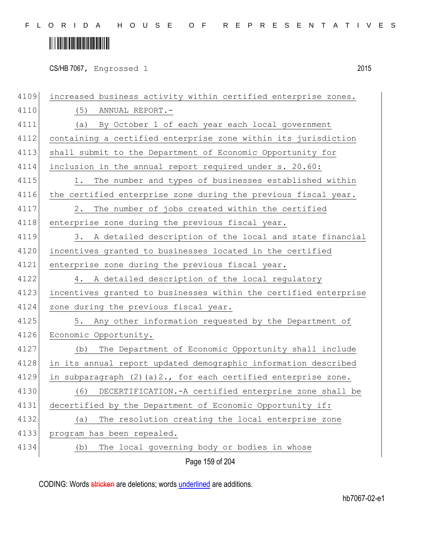# <u> Alban Alban Martin Alban</u>

CS/HB 7067, Engrossed 1 2015

Page 159 of 204 4109 increased business activity within certified enterprise zones. 4110 (5) ANNUAL REPORT.-4111 (a) By October 1 of each year each local government 4112 containing a certified enterprise zone within its jurisdiction 4113 shall submit to the Department of Economic Opportunity for 4114 inclusion in the annual report required under s. 20.60: 4115 1. The number and types of businesses established within 4116 the certified enterprise zone during the previous fiscal year. 4117 2. The number of jobs created within the certified 4118 enterprise zone during the previous fiscal year. 4119 3. A detailed description of the local and state financial 4120 incentives granted to businesses located in the certified 4121 enterprise zone during the previous fiscal year. 4122 4. A detailed description of the local regulatory 4123 incentives granted to businesses within the certified enterprise 4124 zone during the previous fiscal year. 4125 5. Any other information requested by the Department of 4126 Economic Opportunity. 4127 (b) The Department of Economic Opportunity shall include 4128 in its annual report updated demographic information described 4129 in subparagraph  $(2)$  (a)  $2.$ , for each certified enterprise zone. 4130 (6) DECERTIFICATION.-A certified enterprise zone shall be 4131 decertified by the Department of Economic Opportunity if: 4132 (a) The resolution creating the local enterprise zone 4133 program has been repealed. 4134 (b) The local governing body or bodies in whose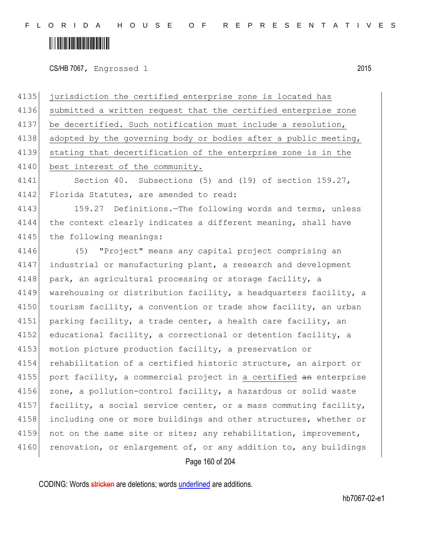CS/HB 7067, Engrossed 1 2015

Page 160 of 204 4135 jurisdiction the certified enterprise zone is located has 4136 submitted a written request that the certified enterprise zone 4137 be decertified. Such notification must include a resolution, 4138 adopted by the governing body or bodies after a public meeting, 4139 stating that decertification of the enterprise zone is in the 4140 best interest of the community. 4141 Section 40. Subsections (5) and (19) of section 159.27, 4142 Florida Statutes, are amended to read: 4143 159.27 Definitions.—The following words and terms, unless 4144 the context clearly indicates a different meaning, shall have 4145 the following meanings: 4146 (5) "Project" means any capital project comprising an 4147 industrial or manufacturing plant, a research and development 4148 park, an agricultural processing or storage facility, a 4149 warehousing or distribution facility, a headquarters facility, a 4150 tourism facility, a convention or trade show facility, an urban 4151 parking facility, a trade center, a health care facility, an 4152 educational facility, a correctional or detention facility, a 4153 motion picture production facility, a preservation or 4154 rehabilitation of a certified historic structure, an airport or 4155 | port facility, a commercial project in a certified an enterprise 4156 zone, a pollution-control facility, a hazardous or solid waste 4157 facility, a social service center, or a mass commuting facility, 4158 including one or more buildings and other structures, whether or 4159 not on the same site or sites; any rehabilitation, improvement, 4160 renovation, or enlargement of, or any addition to, any buildings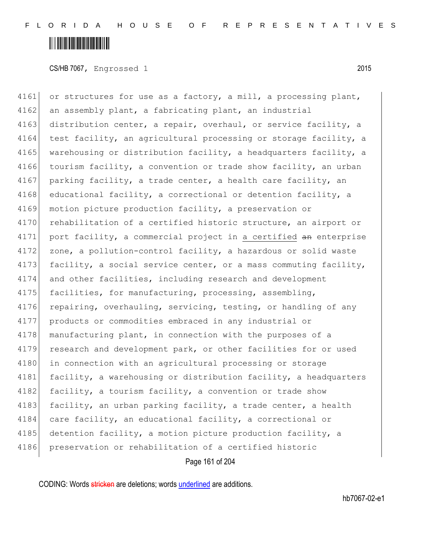CS/HB 7067, Engrossed 1 2015

4161 or structures for use as a factory, a mill, a processing plant, 4162 an assembly plant, a fabricating plant, an industrial 4163 distribution center, a repair, overhaul, or service facility, a 4164 test facility, an agricultural processing or storage facility, a 4165 warehousing or distribution facility, a headquarters facility, a 4166 tourism facility, a convention or trade show facility, an urban 4167 parking facility, a trade center, a health care facility, an 4168 educational facility, a correctional or detention facility, a 4169 motion picture production facility, a preservation or 4170 rehabilitation of a certified historic structure, an airport or 4171 port facility, a commercial project in a certified an enterprise 4172 zone, a pollution-control facility, a hazardous or solid waste 4173 facility, a social service center, or a mass commuting facility, 4174 and other facilities, including research and development 4175 facilities, for manufacturing, processing, assembling, 4176 repairing, overhauling, servicing, testing, or handling of any 4177 products or commodities embraced in any industrial or 4178 manufacturing plant, in connection with the purposes of a 4179 research and development park, or other facilities for or used 4180 in connection with an agricultural processing or storage 4181 facility, a warehousing or distribution facility, a headquarters 4182 facility, a tourism facility, a convention or trade show 4183 facility, an urban parking facility, a trade center, a health 4184 care facility, an educational facility, a correctional or 4185 detention facility, a motion picture production facility, a 4186 preservation or rehabilitation of a certified historic

Page 161 of 204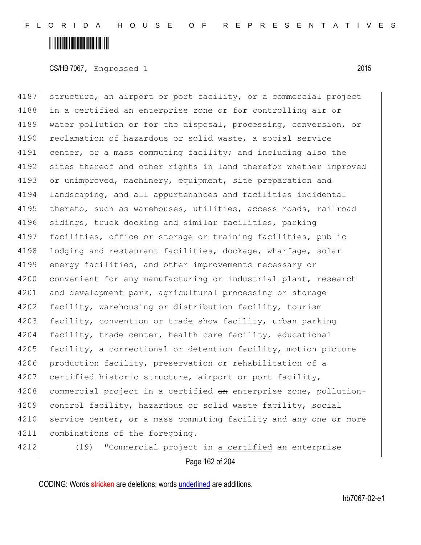CS/HB 7067, Engrossed 1 2015

4187 structure, an airport or port facility, or a commercial project 4188 in a certified an enterprise zone or for controlling air or 4189 water pollution or for the disposal, processing, conversion, or 4190 reclamation of hazardous or solid waste, a social service 4191 center, or a mass commuting facility; and including also the 4192 sites thereof and other rights in land therefor whether improved 4193 or unimproved, machinery, equipment, site preparation and 4194 landscaping, and all appurtenances and facilities incidental 4195 thereto, such as warehouses, utilities, access roads, railroad 4196 sidings, truck docking and similar facilities, parking 4197 facilities, office or storage or training facilities, public 4198 lodging and restaurant facilities, dockage, wharfage, solar 4199 energy facilities, and other improvements necessary or 4200 convenient for any manufacturing or industrial plant, research 4201 and development park, agricultural processing or storage 4202 facility, warehousing or distribution facility, tourism 4203 facility, convention or trade show facility, urban parking 4204 facility, trade center, health care facility, educational 4205 facility, a correctional or detention facility, motion picture 4206 production facility, preservation or rehabilitation of a 4207 certified historic structure, airport or port facility, 4208 commercial project in a certified an enterprise zone, pollution-4209 control facility, hazardous or solid waste facility, social 4210 service center, or a mass commuting facility and any one or more 4211 combinations of the foregoing.

Page 162 of 204 4212 (19) "Commercial project in a certified an enterprise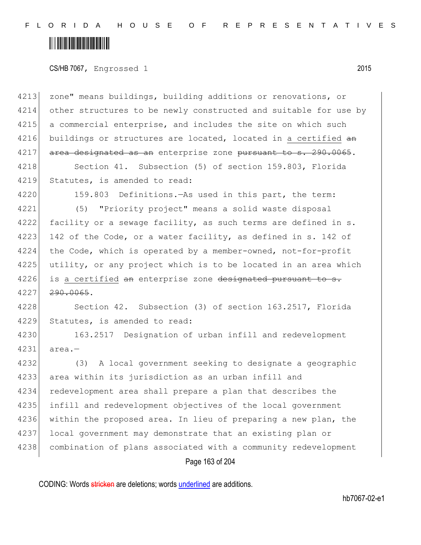#### <u> Alban Maria Maria Maria Maria Maria Maria Maria Maria Maria Maria Maria Maria Maria Maria Maria Maria Maria M</u>

CS/HB 7067, Engrossed 1 2015

4213 zone" means buildings, building additions or renovations, or 4214 other structures to be newly constructed and suitable for use by 4215 a commercial enterprise, and includes the site on which such 4216 buildings or structures are located, located in a certified an 4217 area designated as an enterprise zone pursuant to s. 290.0065.

4218 Section 41. Subsection (5) of section 159.803, Florida 4219 Statutes, is amended to read:

4220 159.803 Definitions.—As used in this part, the term:

4221 (5) "Priority project" means a solid waste disposal 4222 facility or a sewage facility, as such terms are defined in s. 4223 142 of the Code, or a water facility, as defined in s. 142 of 4224 the Code, which is operated by a member-owned, not-for-profit 4225 utility, or any project which is to be located in an area which  $4226$  is a certified an enterprise zone designated pursuant to s.  $4227$   $290.0065$ .

4228 Section 42. Subsection (3) of section 163.2517, Florida 4229 Statutes, is amended to read:

4230 163.2517 Designation of urban infill and redevelopment 4231 area.—

4232 (3) A local government seeking to designate a geographic 4233 area within its jurisdiction as an urban infill and 4234 redevelopment area shall prepare a plan that describes the 4235 infill and redevelopment objectives of the local government 4236 within the proposed area. In lieu of preparing a new plan, the 4237 local government may demonstrate that an existing plan or 4238 combination of plans associated with a community redevelopment

Page 163 of 204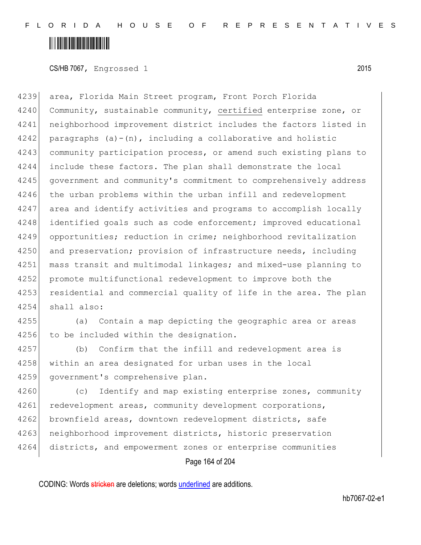CS/HB 7067, Engrossed 1 2015

4239 area, Florida Main Street program, Front Porch Florida 4240 Community, sustainable community, certified enterprise zone, or 4241 neighborhood improvement district includes the factors listed in 4242 paragraphs  $(a)-(n)$ , including a collaborative and holistic 4243 community participation process, or amend such existing plans to 4244 include these factors. The plan shall demonstrate the local 4245 government and community's commitment to comprehensively address 4246 the urban problems within the urban infill and redevelopment 4247 area and identify activities and programs to accomplish locally 4248 identified goals such as code enforcement; improved educational 4249 opportunities; reduction in crime; neighborhood revitalization 4250 and preservation; provision of infrastructure needs, including 4251 mass transit and multimodal linkages; and mixed-use planning to 4252 promote multifunctional redevelopment to improve both the 4253 residential and commercial quality of life in the area. The plan 4254 shall also:

4255 (a) Contain a map depicting the geographic area or areas 4256 to be included within the designation.

4257 (b) Confirm that the infill and redevelopment area is 4258 within an area designated for urban uses in the local 4259 government's comprehensive plan.

4260 (c) Identify and map existing enterprise zones, community 4261 redevelopment areas, community development corporations, 4262 brownfield areas, downtown redevelopment districts, safe 4263 neighborhood improvement districts, historic preservation 4264 districts, and empowerment zones or enterprise communities

Page 164 of 204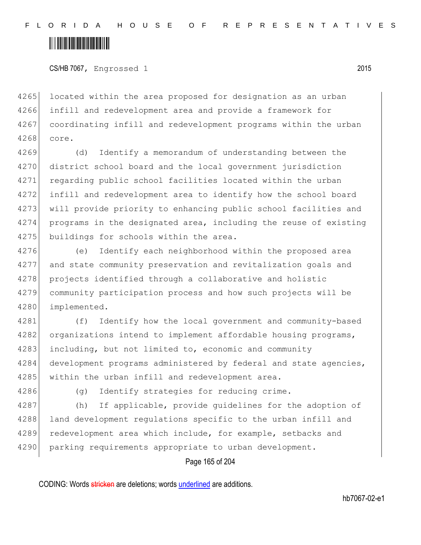CS/HB 7067, Engrossed 1 2015

4265 located within the area proposed for designation as an urban 4266 infill and redevelopment area and provide a framework for 4267 coordinating infill and redevelopment programs within the urban 4268 core.

 (d) Identify a memorandum of understanding between the district school board and the local government jurisdiction regarding public school facilities located within the urban infill and redevelopment area to identify how the school board will provide priority to enhancing public school facilities and 4274 programs in the designated area, including the reuse of existing 4275 buildings for schools within the area.

4276 (e) Identify each neighborhood within the proposed area 4277 and state community preservation and revitalization goals and 4278 projects identified through a collaborative and holistic 4279 community participation process and how such projects will be 4280 implemented.

4281 (f) Identify how the local government and community-based 4282 organizations intend to implement affordable housing programs, 4283 including, but not limited to, economic and community 4284 development programs administered by federal and state agencies, 4285 within the urban infill and redevelopment area.

4286 (g) Identify strategies for reducing crime.

4287 (h) If applicable, provide guidelines for the adoption of 4288 land development regulations specific to the urban infill and 4289 redevelopment area which include, for example, setbacks and 4290 parking requirements appropriate to urban development.

Page 165 of 204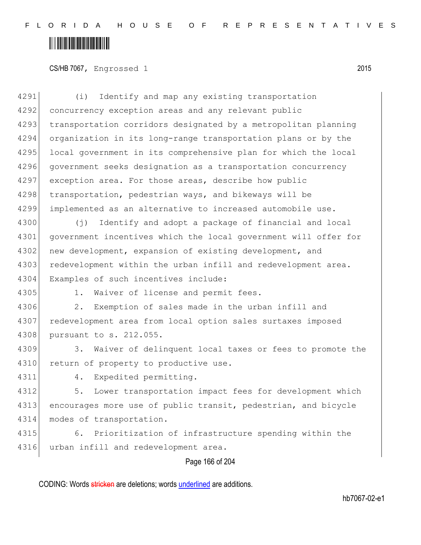CS/HB 7067, Engrossed 1 2015

| 4291 | (i)<br>Identify and map any existing transportation             |
|------|-----------------------------------------------------------------|
| 4292 | concurrency exception areas and any relevant public             |
| 4293 | transportation corridors designated by a metropolitan planning  |
| 4294 | organization in its long-range transportation plans or by the   |
| 4295 | local government in its comprehensive plan for which the local  |
| 4296 | government seeks designation as a transportation concurrency    |
| 4297 | exception area. For those areas, describe how public            |
| 4298 | transportation, pedestrian ways, and bikeways will be           |
| 4299 | implemented as an alternative to increased automobile use.      |
| 4300 | Identify and adopt a package of financial and local<br>(†)      |
| 4301 | government incentives which the local government will offer for |
| 4302 | new development, expansion of existing development, and         |
| 4303 | redevelopment within the urban infill and redevelopment area.   |
| 4304 | Examples of such incentives include:                            |
| 4305 | $1$ .<br>Waiver of license and permit fees.                     |
| 4306 | Exemption of sales made in the urban infill and<br>2.           |
| 4307 | redevelopment area from local option sales surtaxes imposed     |
| 4308 | pursuant to s. 212.055.                                         |
| 4309 | Waiver of delinquent local taxes or fees to promote the<br>3.   |
| 4310 | return of property to productive use.                           |
| 4311 | Expedited permitting.<br>4.                                     |
| 4312 | Lower transportation impact fees for development which<br>5.    |
| 4313 | encourages more use of public transit, pedestrian, and bicycle  |
| 4314 | modes of transportation.                                        |
| 4315 | Prioritization of infrastructure spending within the<br>6.      |
| 4316 | urban infill and redevelopment area.                            |

#### Page 166 of 204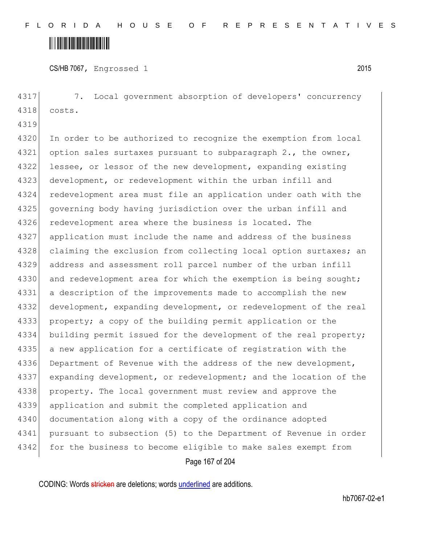CS/HB 7067, Engrossed 1 2015

Page 167 of 204 4317 7. Local government absorption of developers' concurrency 4318 costs. 4319 4320 In order to be authorized to recognize the exemption from local 4321 option sales surtaxes pursuant to subparagraph 2., the owner, 4322 lessee, or lessor of the new development, expanding existing 4323 development, or redevelopment within the urban infill and 4324 redevelopment area must file an application under oath with the 4325 governing body having jurisdiction over the urban infill and 4326 redevelopment area where the business is located. The 4327 application must include the name and address of the business 4328 claiming the exclusion from collecting local option surtaxes; an 4329 address and assessment roll parcel number of the urban infill 4330 and redevelopment area for which the exemption is being sought; 4331 a description of the improvements made to accomplish the new 4332 development, expanding development, or redevelopment of the real 4333 property; a copy of the building permit application or the 4334 building permit issued for the development of the real property; 4335 a new application for a certificate of registration with the 4336 Department of Revenue with the address of the new development, 4337 expanding development, or redevelopment; and the location of the 4338 property. The local government must review and approve the 4339 application and submit the completed application and 4340 documentation along with a copy of the ordinance adopted 4341 pursuant to subsection (5) to the Department of Revenue in order 4342 for the business to become eligible to make sales exempt from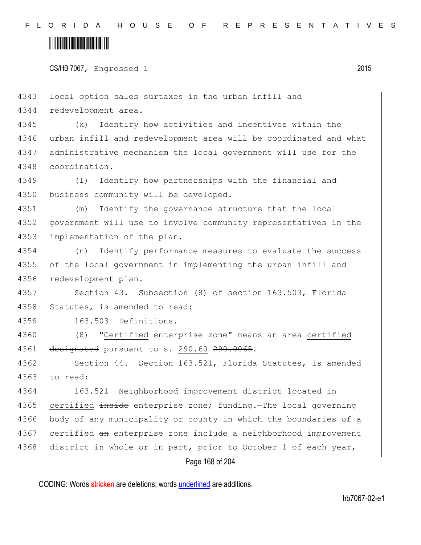#### <u> Alban Maria Maria Maria Maria Maria Maria Maria Maria Maria Maria Maria Maria Maria Maria Maria Maria Maria M</u>

CS/HB 7067, Engrossed 1 2015

Page 168 of 204 4343 local option sales surtaxes in the urban infill and 4344 redevelopment area. 4345 (k) Identify how activities and incentives within the 4346 urban infill and redevelopment area will be coordinated and what 4347 administrative mechanism the local government will use for the 4348 coordination. 4349 (l) Identify how partnerships with the financial and 4350 business community will be developed. 4351 (m) Identify the governance structure that the local 4352 government will use to involve community representatives in the 4353 implementation of the plan. 4354 (n) Identify performance measures to evaluate the success 4355 of the local government in implementing the urban infill and 4356 redevelopment plan. 4357 Section 43. Subsection (8) of section 163.503, Florida 4358 Statutes, is amended to read: 4359 163.503 Definitions.— 4360 (8) "Certified enterprise zone" means an area certified 4361 designated pursuant to s. 290.60 290.0065. 4362 Section 44. Section 163.521, Florida Statutes, is amended 4363 to read: 4364 163.521 Neighborhood improvement district located in 4365 certified inside enterprise zone; funding. The local governing 4366 body of any municipality or county in which the boundaries of a 4367 certified an enterprise zone include a neighborhood improvement 4368 district in whole or in part, prior to October 1 of each year,

CODING: Words stricken are deletions; words underlined are additions.

hb7067-02-e1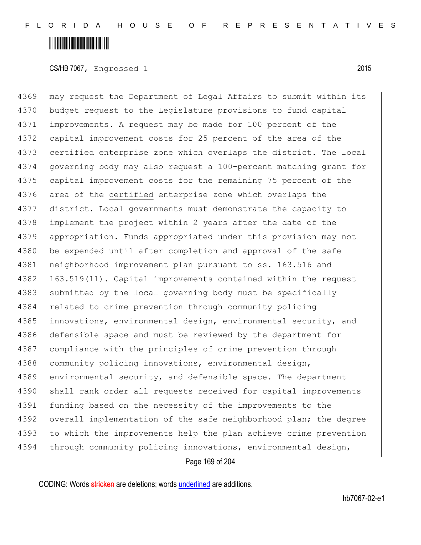CS/HB 7067, Engrossed 1 2015

4369 may request the Department of Legal Affairs to submit within its 4370 budget request to the Legislature provisions to fund capital 4371 improvements. A request may be made for 100 percent of the 4372 capital improvement costs for 25 percent of the area of the 4373 certified enterprise zone which overlaps the district. The local 4374 governing body may also request a 100-percent matching grant for 4375 capital improvement costs for the remaining 75 percent of the 4376 area of the certified enterprise zone which overlaps the 4377 district. Local governments must demonstrate the capacity to 4378 implement the project within 2 years after the date of the 4379 appropriation. Funds appropriated under this provision may not 4380 be expended until after completion and approval of the safe 4381 neighborhood improvement plan pursuant to ss. 163.516 and 4382 163.519(11). Capital improvements contained within the request 4383 submitted by the local governing body must be specifically 4384 related to crime prevention through community policing 4385 innovations, environmental design, environmental security, and 4386 defensible space and must be reviewed by the department for 4387 compliance with the principles of crime prevention through 4388 community policing innovations, environmental design, 4389 environmental security, and defensible space. The department 4390 shall rank order all requests received for capital improvements 4391 funding based on the necessity of the improvements to the 4392 overall implementation of the safe neighborhood plan; the degree 4393 to which the improvements help the plan achieve crime prevention 4394 through community policing innovations, environmental design,

Page 169 of 204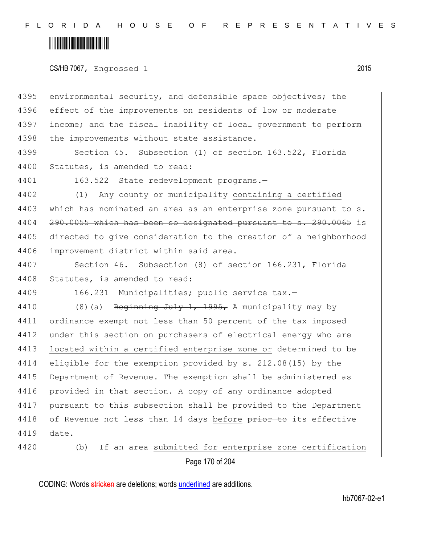F L O R I D A H O U S E O F R E P R E S E N T A T I V E S

### <u> Alban Maria Maria Maria Maria Maria Maria Maria Maria Maria Maria Maria Maria Maria Maria Maria Maria Maria M</u>

CS/HB 7067, Engrossed 1 2015

4395 environmental security, and defensible space objectives; the 4396 effect of the improvements on residents of low or moderate 4397 income; and the fiscal inability of local government to perform 4398 the improvements without state assistance.

4399 Section 45. Subsection (1) of section 163.522, Florida 4400 Statutes, is amended to read:

4401 163.522 State redevelopment programs.—

4402 (1) Any county or municipality containing a certified 4403 which has nominated an area as an enterprise zone pursuant to 4404 290.0055 which has been so designated pursuant to s. 290.0065 is 4405 directed to give consideration to the creation of a neighborhood 4406 improvement district within said area.

4407 Section 46. Subsection (8) of section 166.231, Florida 4408 Statutes, is amended to read:

4409 166.231 Municipalities; public service tax.-

4410 (8)(a) Beginning July 1, 1995, A municipality may by 4411 ordinance exempt not less than 50 percent of the tax imposed 4412 under this section on purchasers of electrical energy who are 4413 located within a certified enterprise zone or determined to be 4414 eligible for the exemption provided by s. 212.08(15) by the 4415 Department of Revenue. The exemption shall be administered as 4416 provided in that section. A copy of any ordinance adopted 4417 pursuant to this subsection shall be provided to the Department 4418 of Revenue not less than 14 days before prior to its effective 4419 date.

Page 170 of 204 4420 (b) If an area submitted for enterprise zone certification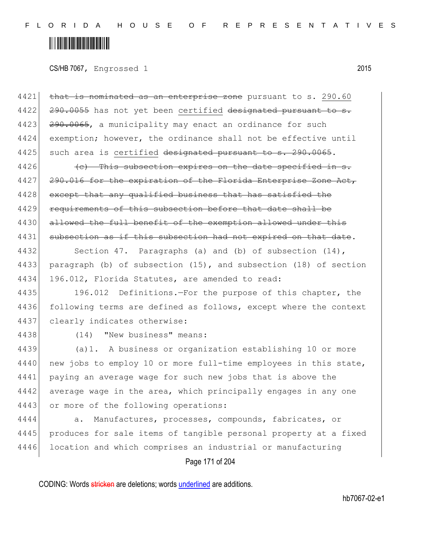CS/HB 7067, Engrossed 1 2015

4421 that is nominated as an enterprise zone pursuant to s. 290.60 4422 290.0055 has not yet been certified designated pursuant to s. 4423 <del>290.0065</del>, a municipality may enact an ordinance for such 4424 exemption; however, the ordinance shall not be effective until 4425 such area is certified designated pursuant to s. 290.0065.

 $4426$  (c) This subsection expires on the date specified in s. 4427 290.016 for the expiration of the Florida Enterprise Zone Act, 4428 except that any qualified business that has satisfied the 4429 requirements of this subsection before that date shall be 4430 allowed the full benefit of the exemption allowed under this 4431 subsection as if this subsection had not expired on that date.

4432 Section 47. Paragraphs (a) and (b) of subsection (14), 4433 paragraph (b) of subsection (15), and subsection (18) of section 4434 196.012, Florida Statutes, are amended to read:

4435 196.012 Definitions.—For the purpose of this chapter, the 4436 following terms are defined as follows, except where the context 4437 clearly indicates otherwise:

4438 (14) "New business" means:

4439 (a)1. A business or organization establishing 10 or more 4440 new jobs to employ 10 or more full-time employees in this state, 4441 paying an average wage for such new jobs that is above the 4442 average wage in the area, which principally engages in any one 4443 or more of the following operations:

4444 a. Manufactures, processes, compounds, fabricates, or 4445 produces for sale items of tangible personal property at a fixed 4446 location and which comprises an industrial or manufacturing

Page 171 of 204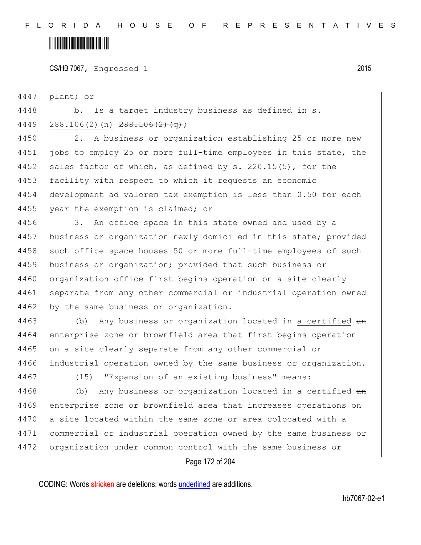CS/HB 7067, Engrossed 1 2015

4447 plant; or

4448 b. Is a target industry business as defined in s.

 $4449$  288.106(2)(n) 288.106(2)(q);

4450 2. A business or organization establishing 25 or more new 4451 jobs to employ 25 or more full-time employees in this state, the 4452 sales factor of which, as defined by s. 220.15(5), for the 4453 facility with respect to which it requests an economic 4454 development ad valorem tax exemption is less than 0.50 for each 4455 year the exemption is claimed; or

4456 3. An office space in this state owned and used by a 4457 business or organization newly domiciled in this state; provided 4458 such office space houses 50 or more full-time employees of such 4459 business or organization; provided that such business or 4460 organization office first begins operation on a site clearly 4461 separate from any other commercial or industrial operation owned 4462 by the same business or organization.

4463 (b) Any business or organization located in a certified an 4464 enterprise zone or brownfield area that first begins operation 4465 on a site clearly separate from any other commercial or 4466 industrial operation owned by the same business or organization.

4467 (15) "Expansion of an existing business" means:

4468 (b) Any business or organization located in a certified an enterprise zone or brownfield area that increases operations on a site located within the same zone or area colocated with a commercial or industrial operation owned by the same business or organization under common control with the same business or

Page 172 of 204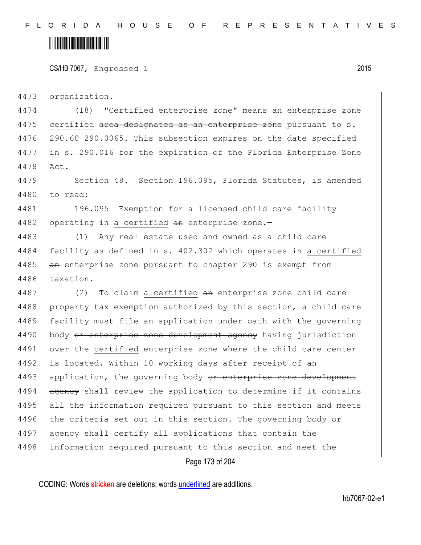CS/HB 7067, Engrossed 1 2015

4473 organization.

4474 (18) "Certified enterprise zone" means an enterprise zone  $4475$  certified area designated as an enterprise zone pursuant to s. 4476 290.60 290.0065. This subsection expires on the date specified 4477 in s. 290.016 for the expiration of the Florida Enterprise Zone 4478 Act.

4479 Section 48. Section 196.095, Florida Statutes, is amended 4480 to read:

4481 196.095 Exemption for a licensed child care facility 4482 operating in a certified  $an$  enterprise zone.-

4483 (1) Any real estate used and owned as a child care 4484 facility as defined in s. 402.302 which operates in a certified 4485 an enterprise zone pursuant to chapter 290 is exempt from 4486 taxation.

4487  $(2)$  To claim a certified  $an$  enterprise zone child care 4488 property tax exemption authorized by this section, a child care 4489 facility must file an application under oath with the governing 4490 body or enterprise zone development agency having jurisdiction 4491 over the certified enterprise zone where the child care center 4492 is located. Within 10 working days after receipt of an 4493 application, the governing body or enterprise zone development 4494 agency shall review the application to determine if it contains 4495 all the information required pursuant to this section and meets 4496 the criteria set out in this section. The governing body or 4497 agency shall certify all applications that contain the 4498 information required pursuant to this section and meet the

Page 173 of 204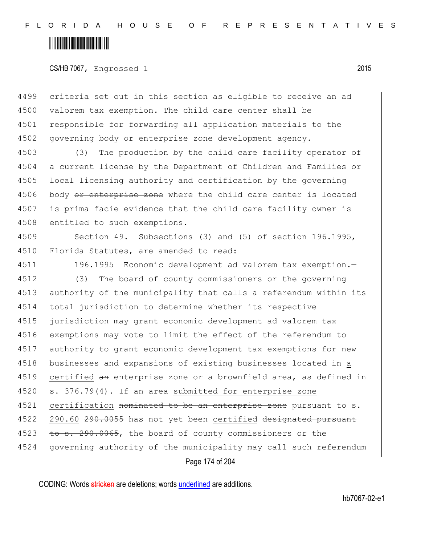#### <u> Alban Maria Maria Maria Maria Maria Maria Maria Maria Maria Maria Maria Maria Maria Maria Maria Maria Maria M</u>

#### CS/HB 7067, Engrossed 1 2015

4499 criteria set out in this section as eligible to receive an ad 4500 valorem tax exemption. The child care center shall be 4501 responsible for forwarding all application materials to the 4502 governing body <del>or enterprise zone development agency</del>.

4503 (3) The production by the child care facility operator of 4504 a current license by the Department of Children and Families or 4505 local licensing authority and certification by the governing 4506 body or enterprise zone where the child care center is located 4507 is prima facie evidence that the child care facility owner is 4508 entitled to such exemptions.

4509 Section 49. Subsections (3) and (5) of section 196.1995, 4510 Florida Statutes, are amended to read:

4511 196.1995 Economic development ad valorem tax exemption.—

4512 (3) The board of county commissioners or the governing 4513 authority of the municipality that calls a referendum within its 4514 total jurisdiction to determine whether its respective 4515 jurisdiction may grant economic development ad valorem tax 4516 exemptions may vote to limit the effect of the referendum to 4517 authority to grant economic development tax exemptions for new 4518 businesses and expansions of existing businesses located in a 4519 certified an enterprise zone or a brownfield area, as defined in 4520 s. 376.79(4). If an area submitted for enterprise zone 4521 certification nominated to be an enterprise zone pursuant to s. 4522 290.60 290.0055 has not yet been certified designated pursuant 4523 to s. 290.0065, the board of county commissioners or the 4524 governing authority of the municipality may call such referendum

Page 174 of 204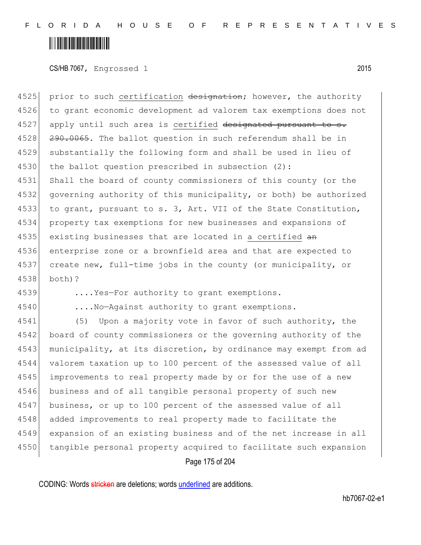CS/HB 7067, Engrossed 1 2015

4525 prior to such certification designation; however, the authority to grant economic development ad valorem tax exemptions does not apply until such area is certified designated pursuant to s. 4528 290.0065. The ballot question in such referendum shall be in substantially the following form and shall be used in lieu of 4530 the ballot question prescribed in subsection  $(2)$ : Shall the board of county commissioners of this county (or the governing authority of this municipality, or both) be authorized to grant, pursuant to s. 3, Art. VII of the State Constitution, property tax exemptions for new businesses and expansions of 4535 existing businesses that are located in a certified an enterprise zone or a brownfield area and that are expected to create new, full-time jobs in the county (or municipality, or 4538 both)?

4539 ....Yes—For authority to grant exemptions.

4540 ....No-Against authority to grant exemptions.

4541 (5) Upon a majority vote in favor of such authority, the 4542 board of county commissioners or the governing authority of the 4543 municipality, at its discretion, by ordinance may exempt from ad 4544 valorem taxation up to 100 percent of the assessed value of all 4545 improvements to real property made by or for the use of a new 4546 business and of all tangible personal property of such new 4547 business, or up to 100 percent of the assessed value of all 4548 added improvements to real property made to facilitate the 4549 expansion of an existing business and of the net increase in all 4550 tangible personal property acquired to facilitate such expansion

Page 175 of 204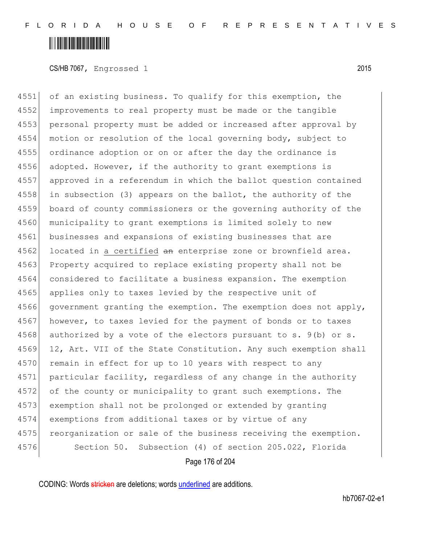CS/HB 7067, Engrossed 1 2015

4551 of an existing business. To qualify for this exemption, the 4552 improvements to real property must be made or the tangible 4553 personal property must be added or increased after approval by 4554 motion or resolution of the local governing body, subject to 4555 ordinance adoption or on or after the day the ordinance is 4556 adopted. However, if the authority to grant exemptions is 4557 approved in a referendum in which the ballot question contained 4558 in subsection (3) appears on the ballot, the authority of the 4559 board of county commissioners or the governing authority of the 4560 municipality to grant exemptions is limited solely to new 4561 businesses and expansions of existing businesses that are 4562 located in a certified an enterprise zone or brownfield area. 4563 Property acquired to replace existing property shall not be 4564 considered to facilitate a business expansion. The exemption 4565 applies only to taxes levied by the respective unit of 4566 government granting the exemption. The exemption does not apply, 4567 however, to taxes levied for the payment of bonds or to taxes 4568 authorized by a vote of the electors pursuant to s.  $9(b)$  or s. 4569 12, Art. VII of the State Constitution. Any such exemption shall 4570 remain in effect for up to 10 years with respect to any 4571 particular facility, regardless of any change in the authority 4572 of the county or municipality to grant such exemptions. The 4573 exemption shall not be prolonged or extended by granting 4574 exemptions from additional taxes or by virtue of any 4575 reorganization or sale of the business receiving the exemption. 4576 Section 50. Subsection (4) of section 205.022, Florida

Page 176 of 204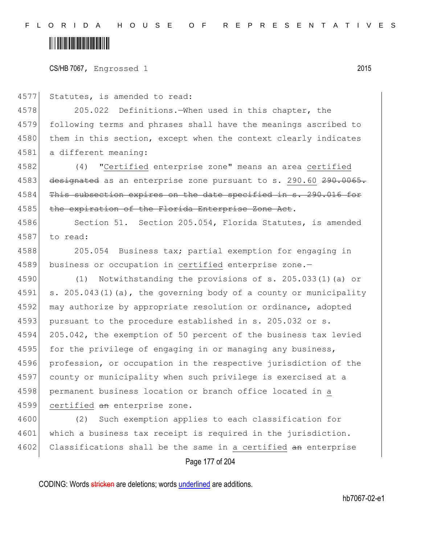CS/HB 7067, Engrossed 1 2015

4577 Statutes, is amended to read:

4578 205.022 Definitions.—When used in this chapter, the 4579 following terms and phrases shall have the meanings ascribed to 4580 them in this section, except when the context clearly indicates 4581 a different meaning:

4582 (4) "Certified enterprise zone" means an area certified 4583 designated as an enterprise zone pursuant to s. 290.60 290.0065. 4584 This subsection expires on the date specified in s. 290.016 for 4585 the expiration of the Florida Enterprise Zone Act.

4586 Section 51. Section 205.054, Florida Statutes, is amended 4587 to read:

4588 205.054 Business tax; partial exemption for engaging in 4589 business or occupation in certified enterprise zone.-

4590 (1) Notwithstanding the provisions of s. 205.033(1)(a) or 4591 s. 205.043(1)(a), the governing body of a county or municipality 4592 may authorize by appropriate resolution or ordinance, adopted 4593 pursuant to the procedure established in s. 205.032 or s. 4594 205.042, the exemption of 50 percent of the business tax levied 4595 for the privilege of engaging in or managing any business, 4596 profession, or occupation in the respective jurisdiction of the 4597 county or municipality when such privilege is exercised at a 4598 permanent business location or branch office located in a 4599 certified an enterprise zone.

4600 (2) Such exemption applies to each classification for 4601 which a business tax receipt is required in the jurisdiction. 4602 Classifications shall be the same in a certified an enterprise

Page 177 of 204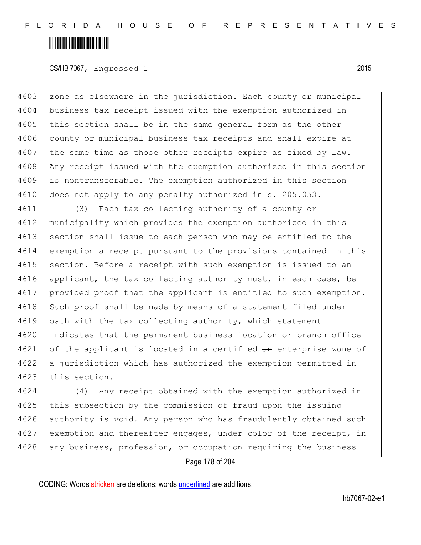CS/HB 7067, Engrossed 1 2015

4603 zone as elsewhere in the jurisdiction. Each county or municipal 4604 business tax receipt issued with the exemption authorized in 4605 this section shall be in the same general form as the other 4606 county or municipal business tax receipts and shall expire at 4607 the same time as those other receipts expire as fixed by law. 4608 Any receipt issued with the exemption authorized in this section 4609 is nontransferable. The exemption authorized in this section 4610 does not apply to any penalty authorized in s. 205.053.

4611 (3) Each tax collecting authority of a county or 4612 municipality which provides the exemption authorized in this 4613 section shall issue to each person who may be entitled to the 4614 exemption a receipt pursuant to the provisions contained in this 4615 section. Before a receipt with such exemption is issued to an 4616 applicant, the tax collecting authority must, in each case, be 4617 provided proof that the applicant is entitled to such exemption. 4618 Such proof shall be made by means of a statement filed under 4619 oath with the tax collecting authority, which statement 4620 indicates that the permanent business location or branch office 4621 of the applicant is located in a certified an enterprise zone of 4622 a jurisdiction which has authorized the exemption permitted in 4623 this section.

4624 (4) Any receipt obtained with the exemption authorized in 4625 this subsection by the commission of fraud upon the issuing 4626 authority is void. Any person who has fraudulently obtained such 4627 exemption and thereafter engages, under color of the receipt, in 4628 any business, profession, or occupation requiring the business

Page 178 of 204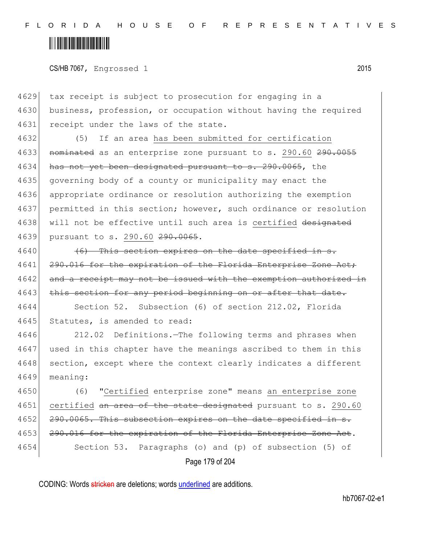CS/HB 7067, Engrossed 1 2015

4629 tax receipt is subject to prosecution for engaging in a 4630 business, profession, or occupation without having the required 4631 receipt under the laws of the state.

4632 (5) If an area has been submitted for certification 4633 nominated as an enterprise zone pursuant to s. 290.60 290.0055 4634 has not yet been designated pursuant to s. 290.0065, the 4635 governing body of a county or municipality may enact the 4636 appropriate ordinance or resolution authorizing the exemption 4637 permitted in this section; however, such ordinance or resolution 4638 will not be effective until such area is certified designated 4639 pursuant to s. 290.60 290.0065.

 $4640$  (6) This section expires on the date specified in s. 4641 290.016 for the expiration of the Florida Enterprise Zone Act; 4642 and a receipt may not be issued with the exemption authorized in 4643 this section for any period beginning on or after that date.

4644 Section 52. Subsection (6) of section 212.02, Florida 4645 Statutes, is amended to read:

4646 212.02 Definitions.—The following terms and phrases when 4647 used in this chapter have the meanings ascribed to them in this 4648 section, except where the context clearly indicates a different 4649 meaning:

4650 (6) "Certified enterprise zone" means an enterprise zone 4651 certified an area of the state designated pursuant to s. 290.60 4652 290.0065. This subsection expires on the date specified in s. 4653 290.016 for the expiration of the Florida Enterprise Zone Act. 4654 Section 53. Paragraphs (o) and (p) of subsection (5) of

Page 179 of 204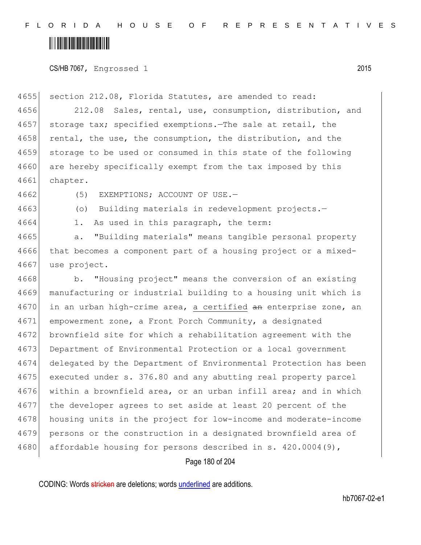CS/HB 7067, Engrossed 1 2015

4655 section 212.08, Florida Statutes, are amended to read: 4656 212.08 Sales, rental, use, consumption, distribution, and 4657 storage tax; specified exemptions.—The sale at retail, the 4658 rental, the use, the consumption, the distribution, and the 4659 storage to be used or consumed in this state of the following 4660 are hereby specifically exempt from the tax imposed by this 4661 chapter.

4662 (5) EXEMPTIONS; ACCOUNT OF USE.

4663 (o) Building materials in redevelopment projects.-

4664 1. As used in this paragraph, the term:

4665 a. "Building materials" means tangible personal property 4666 that becomes a component part of a housing project or a mixed-4667 use project.

4668 b. "Housing project" means the conversion of an existing manufacturing or industrial building to a housing unit which is 4670 in an urban high-crime area, a certified an enterprise zone, an empowerment zone, a Front Porch Community, a designated brownfield site for which a rehabilitation agreement with the Department of Environmental Protection or a local government delegated by the Department of Environmental Protection has been executed under s. 376.80 and any abutting real property parcel within a brownfield area, or an urban infill area; and in which the developer agrees to set aside at least 20 percent of the housing units in the project for low-income and moderate-income persons or the construction in a designated brownfield area of 4680 affordable housing for persons described in s. 420.0004(9),

Page 180 of 204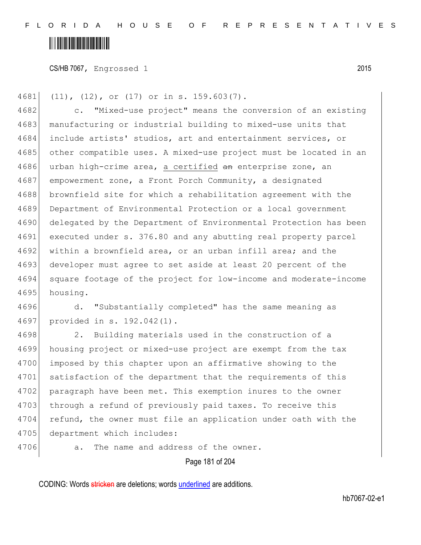# <u> Hillingin ka</u>

CS/HB 7067, Engrossed 1 2015

4681 (11), (12), or (17) or in s. 159.603(7). 4682 c. "Mixed-use project" means the conversion of an existing 4683 manufacturing or industrial building to mixed-use units that 4684 include artists' studios, art and entertainment services, or 4685 other compatible uses. A mixed-use project must be located in an 4686 urban high-crime area, a certified an enterprise zone, an 4687 empowerment zone, a Front Porch Community, a designated 4688 brownfield site for which a rehabilitation agreement with the 4689 Department of Environmental Protection or a local government 4690 delegated by the Department of Environmental Protection has been 4691 executed under s. 376.80 and any abutting real property parcel 4692 within a brownfield area, or an urban infill area; and the 4693 developer must agree to set aside at least 20 percent of the 4694 square footage of the project for low-income and moderate-income 4695 housing.

4696 d. "Substantially completed" has the same meaning as 4697 provided in s. 192.042(1).

4698 2. Building materials used in the construction of a 4699 housing project or mixed-use project are exempt from the tax 4700 imposed by this chapter upon an affirmative showing to the 4701 satisfaction of the department that the requirements of this 4702 paragraph have been met. This exemption inures to the owner 4703 through a refund of previously paid taxes. To receive this 4704 refund, the owner must file an application under oath with the 4705 department which includes:

4706 a. The name and address of the owner.

Page 181 of 204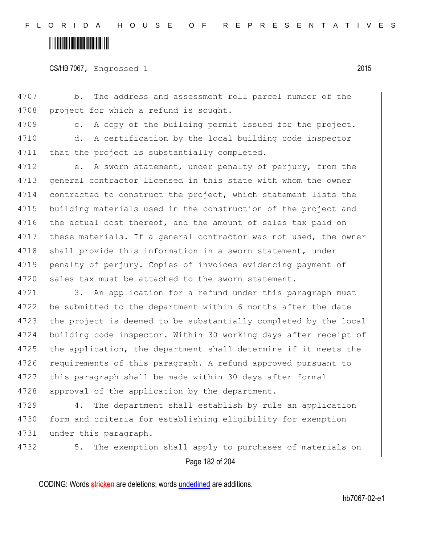CS/HB 7067, Engrossed 1 2015

4707 b. The address and assessment roll parcel number of the 4708 project for which a refund is sought.

4709 c. A copy of the building permit issued for the project.

4710 d. A certification by the local building code inspector 4711 that the project is substantially completed.

4712 e. A sworn statement, under penalty of perjury, from the 4713 general contractor licensed in this state with whom the owner 4714 contracted to construct the project, which statement lists the 4715 building materials used in the construction of the project and 4716 the actual cost thereof, and the amount of sales tax paid on 4717 these materials. If a general contractor was not used, the owner 4718 shall provide this information in a sworn statement, under 4719 penalty of perjury. Copies of invoices evidencing payment of 4720 sales tax must be attached to the sworn statement.

4721 3. An application for a refund under this paragraph must 4722 be submitted to the department within 6 months after the date 4723 the project is deemed to be substantially completed by the local 4724 building code inspector. Within 30 working days after receipt of 4725 the application, the department shall determine if it meets the 4726 requirements of this paragraph. A refund approved pursuant to 4727 this paragraph shall be made within 30 days after formal 4728 approval of the application by the department.

4729 4. The department shall establish by rule an application 4730 form and criteria for establishing eligibility for exemption 4731 under this paragraph.

Page 182 of 204 4732 5. The exemption shall apply to purchases of materials on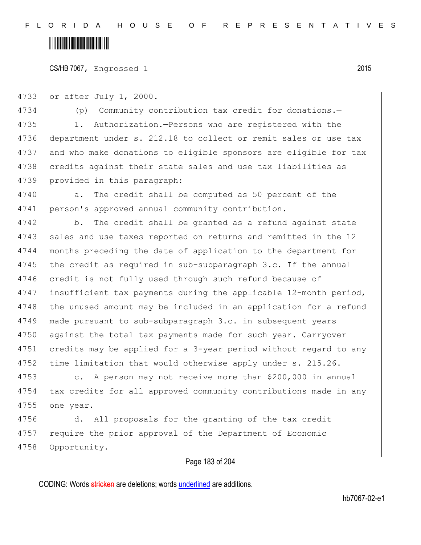CS/HB 7067, Engrossed 1 2015

4733 or after July 1, 2000.

4734 (p) Community contribution tax credit for donations.— 4735 1. Authorization.—Persons who are registered with the 4736 department under s. 212.18 to collect or remit sales or use tax 4737 and who make donations to eligible sponsors are eligible for tax 4738 credits against their state sales and use tax liabilities as 4739 provided in this paragraph:

4740 a. The credit shall be computed as 50 percent of the 4741 person's approved annual community contribution.

4742 b. The credit shall be granted as a refund against state 4743 sales and use taxes reported on returns and remitted in the 12 4744 months preceding the date of application to the department for 4745 the credit as required in sub-subparagraph 3.c. If the annual 4746 credit is not fully used through such refund because of 4747 insufficient tax payments during the applicable 12-month period, 4748 the unused amount may be included in an application for a refund 4749 made pursuant to sub-subparagraph 3.c. in subsequent years 4750 against the total tax payments made for such year. Carryover 4751 credits may be applied for a 3-year period without regard to any 4752 time limitation that would otherwise apply under s. 215.26.

4753 c. A person may not receive more than \$200,000 in annual 4754 tax credits for all approved community contributions made in any 4755 one year.

4756 d. All proposals for the granting of the tax credit 4757 require the prior approval of the Department of Economic 4758 Opportunity.

#### Page 183 of 204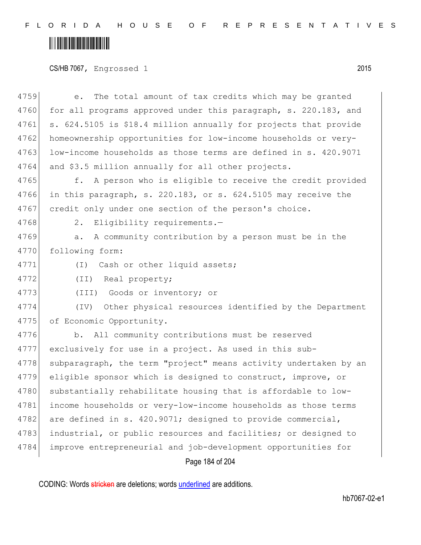# 

#### CS/HB 7067, Engrossed 1 2015

| 4759 | The total amount of tax credits which may be granted<br>e.       |
|------|------------------------------------------------------------------|
| 4760 | for all programs approved under this paragraph, s. 220.183, and  |
| 4761 | s. 624.5105 is \$18.4 million annually for projects that provide |
| 4762 | homeownership opportunities for low-income households or very-   |
| 4763 | low-income households as those terms are defined in s. 420.9071  |
| 4764 | and \$3.5 million annually for all other projects.               |
| 4765 | f. A person who is eligible to receive the credit provided       |
| 4766 | in this paragraph, s. 220.183, or s. 624.5105 may receive the    |
| 4767 | credit only under one section of the person's choice.            |
| 4768 | Eligibility requirements. $-$<br>2.                              |
| 4769 | A community contribution by a person must be in the<br>a.        |
| 4770 | following form:                                                  |
| 4771 | Cash or other liquid assets;<br>$(\top)$                         |
| 4772 | (II) Real property;                                              |
| 4773 | (III)<br>Goods or inventory; or                                  |
| 4774 | Other physical resources identified by the Department<br>(TV)    |
| 4775 | of Economic Opportunity.                                         |
| 4776 | All community contributions must be reserved<br>b.               |
| 4777 | exclusively for use in a project. As used in this sub-           |
| 4778 | subparagraph, the term "project" means activity undertaken by an |
| 4779 | eligible sponsor which is designed to construct, improve, or     |
| 4780 | substantially rehabilitate housing that is affordable to low-    |
| 4781 | income households or very-low-income households as those terms   |
| 4782 | are defined in s. 420.9071; designed to provide commercial,      |
| 4783 | industrial, or public resources and facilities; or designed to   |
| 4784 | improve entrepreneurial and job-development opportunities for    |
|      | Page 184 of 204                                                  |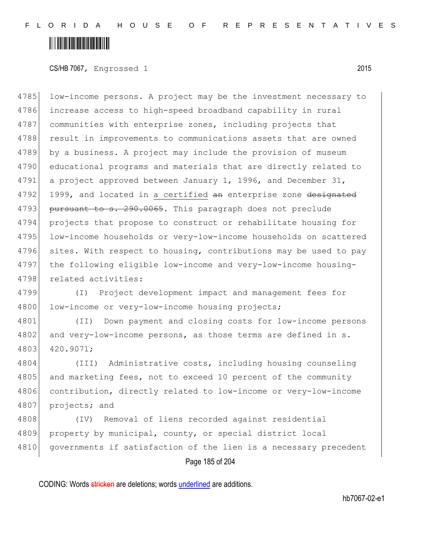CS/HB 7067, Engrossed 1 2015

4785 low-income persons. A project may be the investment necessary to 4786 increase access to high-speed broadband capability in rural 4787 communities with enterprise zones, including projects that 4788 result in improvements to communications assets that are owned 4789 by a business. A project may include the provision of museum 4790 educational programs and materials that are directly related to 4791 a project approved between January 1, 1996, and December 31, 4792 1999, and located in a certified an enterprise zone designated 4793 pursuant to s. 290.0065. This paragraph does not preclude 4794 projects that propose to construct or rehabilitate housing for 4795 low-income households or very-low-income households on scattered 4796 sites. With respect to housing, contributions may be used to pay 4797 the following eligible low-income and very-low-income housing-4798 related activities:

4799 (I) Project development impact and management fees for 4800 low-income or very-low-income housing projects;

4801 (II) Down payment and closing costs for low-income persons 4802 and very-low-income persons, as those terms are defined in s. 4803 420.9071;

4804 (III) Administrative costs, including housing counseling 4805 and marketing fees, not to exceed 10 percent of the community 4806 contribution, directly related to low-income or very-low-income 4807 projects; and

4808 (IV) Removal of liens recorded against residential 4809 property by municipal, county, or special district local 4810 governments if satisfaction of the lien is a necessary precedent

Page 185 of 204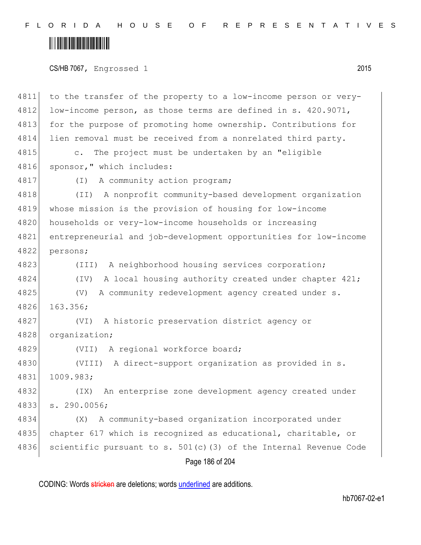# 

CS/HB 7067, Engrossed 1 2015

Page 186 of 204 4811 to the transfer of the property to a low-income person or very-4812 low-income person, as those terms are defined in s. 420.9071, 4813 for the purpose of promoting home ownership. Contributions for 4814 lien removal must be received from a nonrelated third party. 4815 c. The project must be undertaken by an "eligible 4816 sponsor," which includes: 4817 (I) A community action program; 4818 (II) A nonprofit community-based development organization 4819 whose mission is the provision of housing for low-income 4820 households or very-low-income households or increasing 4821 entrepreneurial and job-development opportunities for low-income 4822 persons; 4823 (III) A neighborhood housing services corporation; 4824 (IV) A local housing authority created under chapter 421; 4825 (V) A community redevelopment agency created under s. 4826 163.356; 4827 (VI) A historic preservation district agency or 4828 organization; 4829 (VII) A regional workforce board; 4830 (VIII) A direct-support organization as provided in s. 4831 1009.983; 4832 (IX) An enterprise zone development agency created under 4833 s. 290.0056; 4834 (X) A community-based organization incorporated under 4835 chapter 617 which is recognized as educational, charitable, or 4836 scientific pursuant to s.  $501(c)$  (3) of the Internal Revenue Code

CODING: Words stricken are deletions; words underlined are additions.

hb7067-02-e1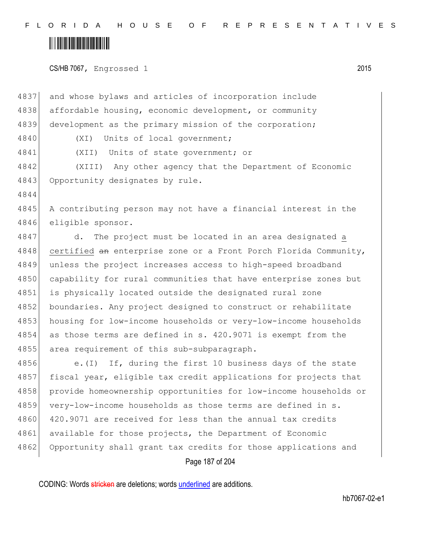#### <u> Hillingin ka</u>

CS/HB 7067, Engrossed 1 2015

Page 187 of 204 4837 and whose bylaws and articles of incorporation include 4838 affordable housing, economic development, or community 4839 development as the primary mission of the corporation; 4840 (XI) Units of local government; 4841 (XII) Units of state government; or 4842 (XIII) Any other agency that the Department of Economic 4843 Opportunity designates by rule. 4844 4845 A contributing person may not have a financial interest in the 4846 eligible sponsor. 4847 d. The project must be located in an area designated a 4848 certified an enterprise zone or a Front Porch Florida Community, 4849 unless the project increases access to high-speed broadband 4850 capability for rural communities that have enterprise zones but 4851 is physically located outside the designated rural zone 4852 boundaries. Any project designed to construct or rehabilitate 4853 housing for low-income households or very-low-income households 4854 as those terms are defined in s. 420.9071 is exempt from the 4855 area requirement of this sub-subparagraph. 4856 e.(I) If, during the first 10 business days of the state 4857 fiscal year, eligible tax credit applications for projects that 4858 provide homeownership opportunities for low-income households or 4859 very-low-income households as those terms are defined in s. 4860 420.9071 are received for less than the annual tax credits 4861 available for those projects, the Department of Economic 4862 Opportunity shall grant tax credits for those applications and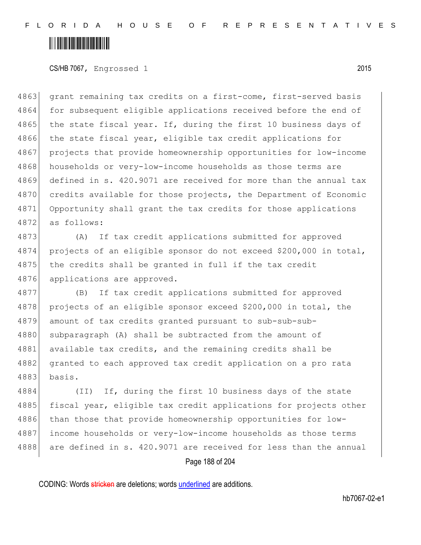CS/HB 7067, Engrossed 1 2015

4863 grant remaining tax credits on a first-come, first-served basis 4864 for subsequent eligible applications received before the end of 4865 the state fiscal year. If, during the first 10 business days of 4866 the state fiscal year, eligible tax credit applications for 4867 projects that provide homeownership opportunities for low-income 4868 households or very-low-income households as those terms are 4869 defined in s. 420.9071 are received for more than the annual tax 4870 credits available for those projects, the Department of Economic 4871 Opportunity shall grant the tax credits for those applications 4872 as follows:

4873 (A) If tax credit applications submitted for approved 4874 projects of an eligible sponsor do not exceed \$200,000 in total, 4875 the credits shall be granted in full if the tax credit 4876 applications are approved.

4877 (B) If tax credit applications submitted for approved 4878 projects of an eligible sponsor exceed \$200,000 in total, the 4879 amount of tax credits granted pursuant to sub-sub-sub-4880 subparagraph (A) shall be subtracted from the amount of 4881 available tax credits, and the remaining credits shall be 4882 granted to each approved tax credit application on a pro rata 4883 basis.

4884 (II) If, during the first 10 business days of the state 4885 fiscal year, eligible tax credit applications for projects other 4886 than those that provide homeownership opportunities for low-4887 income households or very-low-income households as those terms 4888 are defined in s. 420.9071 are received for less than the annual

Page 188 of 204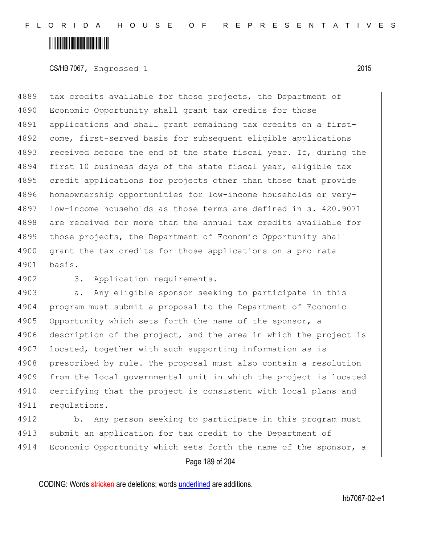CS/HB 7067, Engrossed 1 2015

4889 tax credits available for those projects, the Department of 4890 Economic Opportunity shall grant tax credits for those 4891 applications and shall grant remaining tax credits on a first-4892 come, first-served basis for subsequent eligible applications 4893 received before the end of the state fiscal year. If, during the 4894 first 10 business days of the state fiscal year, eligible tax 4895 credit applications for projects other than those that provide 4896 homeownership opportunities for low-income households or very-4897 low-income households as those terms are defined in s. 420.9071 4898 are received for more than the annual tax credits available for 4899 those projects, the Department of Economic Opportunity shall 4900 grant the tax credits for those applications on a pro rata 4901 basis.

4902 3. Application requirements.-

4903 a. Any eligible sponsor seeking to participate in this 4904 program must submit a proposal to the Department of Economic 4905 Opportunity which sets forth the name of the sponsor, a 4906 description of the project, and the area in which the project is 4907 located, together with such supporting information as is 4908 prescribed by rule. The proposal must also contain a resolution 4909 from the local governmental unit in which the project is located 4910 certifying that the project is consistent with local plans and 4911 regulations.

4912 b. Any person seeking to participate in this program must 4913 submit an application for tax credit to the Department of 4914 Economic Opportunity which sets forth the name of the sponsor, a

Page 189 of 204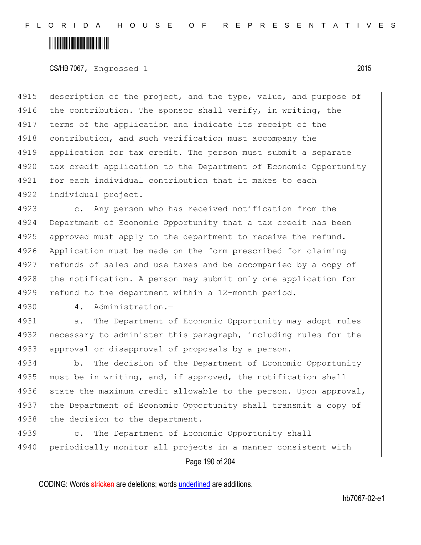CS/HB 7067, Engrossed 1 2015

4915 description of the project, and the type, value, and purpose of 4916 the contribution. The sponsor shall verify, in writing, the 4917 terms of the application and indicate its receipt of the 4918 contribution, and such verification must accompany the 4919 application for tax credit. The person must submit a separate 4920 tax credit application to the Department of Economic Opportunity 4921 for each individual contribution that it makes to each 4922 individual project.

4923 c. Any person who has received notification from the 4924 Department of Economic Opportunity that a tax credit has been 4925 approved must apply to the department to receive the refund. 4926 Application must be made on the form prescribed for claiming 4927 refunds of sales and use taxes and be accompanied by a copy of 4928 the notification. A person may submit only one application for 4929 refund to the department within a 12-month period.

4930 4. Administration.-

4931 a. The Department of Economic Opportunity may adopt rules 4932 necessary to administer this paragraph, including rules for the 4933 approval or disapproval of proposals by a person.

4934 b. The decision of the Department of Economic Opportunity 4935 must be in writing, and, if approved, the notification shall 4936 state the maximum credit allowable to the person. Upon approval, 4937 the Department of Economic Opportunity shall transmit a copy of 4938 the decision to the department.

4939 c. The Department of Economic Opportunity shall 4940 periodically monitor all projects in a manner consistent with

Page 190 of 204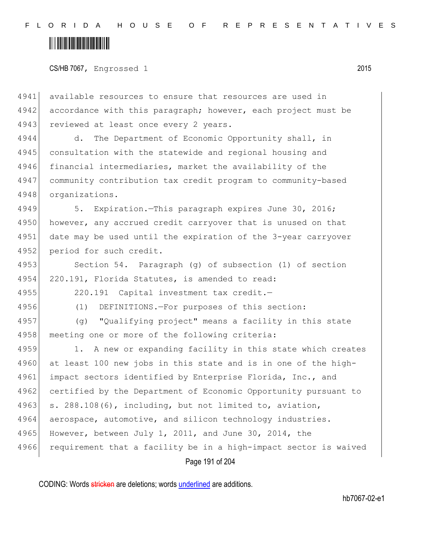# <u> Alban Martin Martin Martin S</u>

CS/HB 7067, Engrossed 1 2015

4941 available resources to ensure that resources are used in 4942 accordance with this paragraph; however, each project must be 4943 reviewed at least once every 2 years.

4944 d. The Department of Economic Opportunity shall, in 4945 consultation with the statewide and regional housing and 4946 financial intermediaries, market the availability of the 4947 community contribution tax credit program to community-based 4948 organizations.

4949 5. Expiration.—This paragraph expires June 30, 2016; 4950 however, any accrued credit carryover that is unused on that 4951 date may be used until the expiration of the 3-year carryover 4952 period for such credit.

4953 Section 54. Paragraph (g) of subsection (1) of section 4954 220.191, Florida Statutes, is amended to read:

4955 220.191 Capital investment tax credit.—

4956 (1) DEFINITIONS.—For purposes of this section:

4957 (g) "Qualifying project" means a facility in this state 4958 meeting one or more of the following criteria:

4959 1. A new or expanding facility in this state which creates 4960 at least 100 new jobs in this state and is in one of the high-4961 impact sectors identified by Enterprise Florida, Inc., and 4962 certified by the Department of Economic Opportunity pursuant to 4963 s. 288.108(6), including, but not limited to, aviation, 4964 aerospace, automotive, and silicon technology industries. 4965 However, between July 1, 2011, and June 30, 2014, the 4966 requirement that a facility be in a high-impact sector is waived

Page 191 of 204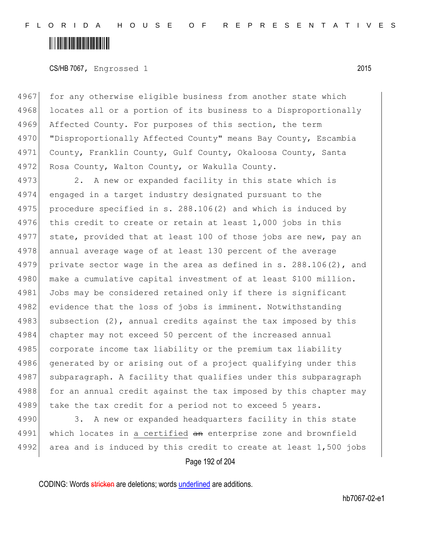### <u> Hillingin ka</u>

#### CS/HB 7067, Engrossed 1 2015

4967 for any otherwise eligible business from another state which 4968 locates all or a portion of its business to a Disproportionally 4969 Affected County. For purposes of this section, the term 4970 "Disproportionally Affected County" means Bay County, Escambia 4971 County, Franklin County, Gulf County, Okaloosa County, Santa 4972 Rosa County, Walton County, or Wakulla County.

4973 2. A new or expanded facility in this state which is 4974 engaged in a target industry designated pursuant to the 4975 procedure specified in s. 288.106(2) and which is induced by 4976 this credit to create or retain at least  $1,000$  jobs in this 4977 state, provided that at least 100 of those jobs are new, pay an 4978 annual average wage of at least 130 percent of the average 4979 private sector wage in the area as defined in s. 288.106(2), and 4980 make a cumulative capital investment of at least \$100 million. 4981 Jobs may be considered retained only if there is significant 4982 evidence that the loss of jobs is imminent. Notwithstanding 4983 subsection (2), annual credits against the tax imposed by this 4984 chapter may not exceed 50 percent of the increased annual 4985 corporate income tax liability or the premium tax liability 4986 generated by or arising out of a project qualifying under this 4987 subparagraph. A facility that qualifies under this subparagraph 4988 for an annual credit against the tax imposed by this chapter may 4989 take the tax credit for a period not to exceed 5 years.

4990 3. A new or expanded headquarters facility in this state 4991 which locates in a certified an enterprise zone and brownfield 4992 area and is induced by this credit to create at least  $1,500$  jobs

Page 192 of 204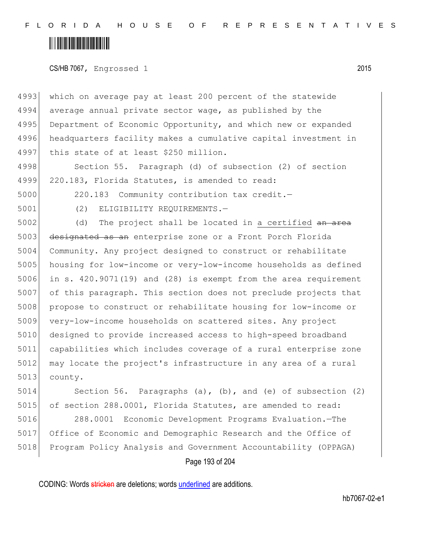### <u> Alban Martin Martin Martin S</u>

CS/HB 7067, Engrossed 1 2015

4993 which on average pay at least 200 percent of the statewide 4994 average annual private sector wage, as published by the 4995 Department of Economic Opportunity, and which new or expanded 4996 headquarters facility makes a cumulative capital investment in 4997 this state of at least \$250 million.

4998 Section 55. Paragraph (d) of subsection (2) of section 4999 220.183, Florida Statutes, is amended to read:

5000 220.183 Community contribution tax credit.—

5001 (2) ELIGIBILITY REQUIREMENTS.—

 $5002$  (d) The project shall be located in a certified  $an \, area$ 5003 designated as an enterprise zone or a Front Porch Florida 5004 Community. Any project designed to construct or rehabilitate 5005 housing for low-income or very-low-income households as defined 5006 in s. 420.9071(19) and (28) is exempt from the area requirement 5007 of this paragraph. This section does not preclude projects that 5008 propose to construct or rehabilitate housing for low-income or 5009 very-low-income households on scattered sites. Any project 5010 designed to provide increased access to high-speed broadband 5011 capabilities which includes coverage of a rural enterprise zone 5012 may locate the project's infrastructure in any area of a rural 5013 county.

5014 Section 56. Paragraphs (a), (b), and (e) of subsection (2) 5015 of section 288.0001, Florida Statutes, are amended to read:

5016 288.0001 Economic Development Programs Evaluation.—The 5017 Office of Economic and Demographic Research and the Office of 5018 Program Policy Analysis and Government Accountability (OPPAGA)

Page 193 of 204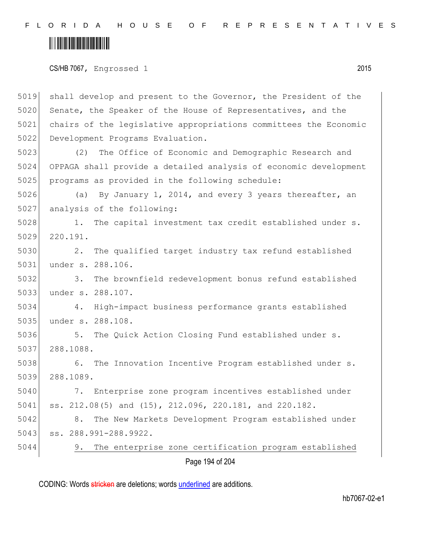# 

CS/HB 7067, Engrossed 1 2015

Page 194 of 204 shall develop and present to the Governor, the President of the 5020 Senate, the Speaker of the House of Representatives, and the chairs of the legislative appropriations committees the Economic Development Programs Evaluation. (2) The Office of Economic and Demographic Research and OPPAGA shall provide a detailed analysis of economic development programs as provided in the following schedule: 5026 (a) By January 1, 2014, and every 3 years thereafter, an 5027 analysis of the following: 5028 1. The capital investment tax credit established under s. 220.191. 2. The qualified target industry tax refund established under s. 288.106. 3. The brownfield redevelopment bonus refund established under s. 288.107. 4. High-impact business performance grants established under s. 288.108. 5036 5. The Quick Action Closing Fund established under s. 288.1088. 5038 6. The Innovation Incentive Program established under s. 288.1089. 7. Enterprise zone program incentives established under ss. 212.08(5) and (15), 212.096, 220.181, and 220.182. 8. The New Markets Development Program established under ss. 288.991-288.9922. 9. The enterprise zone certification program established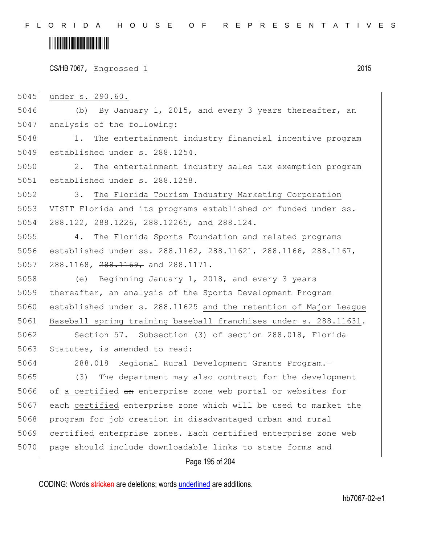# <u> Alban Martin Martin Martin S</u>

CS/HB 7067, Engrossed 1 2015

5045 under s. 290.60.

5046 (b) By January 1, 2015, and every 3 years thereafter, an 5047 analysis of the following:

5048 1. The entertainment industry financial incentive program 5049 established under s. 288.1254.

5050 2. The entertainment industry sales tax exemption program 5051 established under s. 288.1258.

5052 3. The Florida Tourism Industry Marketing Corporation 5053 VISIT Florida and its programs established or funded under ss. 5054 288.122, 288.1226, 288.12265, and 288.124.

5055 4. The Florida Sports Foundation and related programs 5056 established under ss. 288.1162, 288.11621, 288.1166, 288.1167, 5057 288.1168,  $288.1169$ , and  $288.1171$ .

 (e) Beginning January 1, 2018, and every 3 years thereafter, an analysis of the Sports Development Program established under s. 288.11625 and the retention of Major League 5061 Baseball spring training baseball franchises under s. 288.11631.

5062 Section 57. Subsection (3) of section 288.018, Florida 5063 Statutes, is amended to read:

 288.018 Regional Rural Development Grants Program.— (3) The department may also contract for the development 5066 of a certified an enterprise zone web portal or websites for each certified enterprise zone which will be used to market the 5068 program for job creation in disadvantaged urban and rural certified enterprise zones. Each certified enterprise zone web page should include downloadable links to state forms and

Page 195 of 204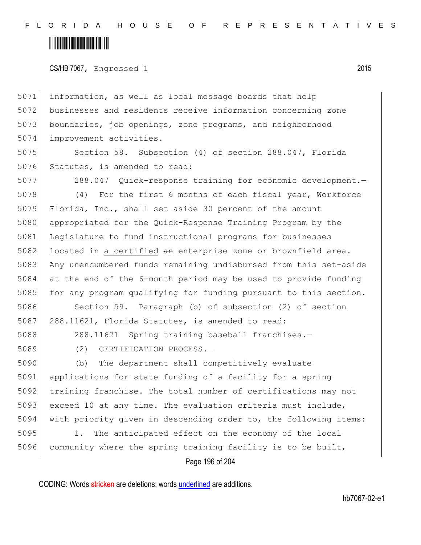### <u> Hillingin ka</u>

CS/HB 7067, Engrossed 1 2015

 information, as well as local message boards that help businesses and residents receive information concerning zone 5073 boundaries, job openings, zone programs, and neighborhood improvement activities.

5075 Section 58. Subsection (4) of section 288.047, Florida 5076 Statutes, is amended to read:

5077 288.047 Quick-response training for economic development.— 5078 (4) For the first 6 months of each fiscal year, Workforce 5079 Florida, Inc., shall set aside 30 percent of the amount 5080 appropriated for the Quick-Response Training Program by the 5081 Legislature to fund instructional programs for businesses 5082 located in a certified  $\frac{1}{2}$  enterprise zone or brownfield area. 5083 Any unencumbered funds remaining undisbursed from this set-aside 5084 at the end of the 6-month period may be used to provide funding 5085 for any program qualifying for funding pursuant to this section.

5086 Section 59. Paragraph (b) of subsection (2) of section 5087 288.11621, Florida Statutes, is amended to read:

5088 288.11621 Spring training baseball franchises.-

5089 (2) CERTIFICATION PROCESS.—

 (b) The department shall competitively evaluate applications for state funding of a facility for a spring training franchise. The total number of certifications may not 5093 exceed 10 at any time. The evaluation criteria must include, with priority given in descending order to, the following items:

5095 1. The anticipated effect on the economy of the local 5096 community where the spring training facility is to be built,

Page 196 of 204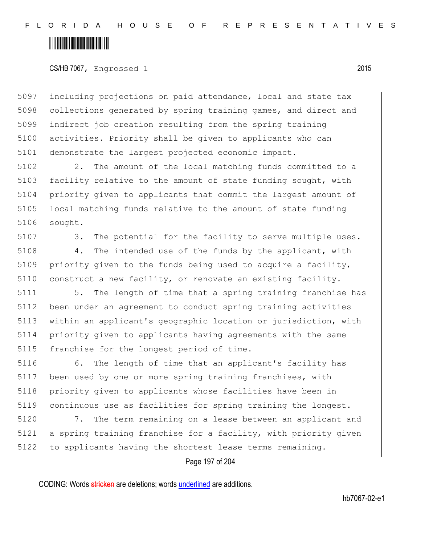CS/HB 7067, Engrossed 1 2015

5097 including projections on paid attendance, local and state tax 5098 collections generated by spring training games, and direct and 5099 indirect job creation resulting from the spring training 5100 activities. Priority shall be given to applicants who can 5101 demonstrate the largest projected economic impact.

5102 2. The amount of the local matching funds committed to a 5103 facility relative to the amount of state funding sought, with 5104 priority given to applicants that commit the largest amount of 5105 local matching funds relative to the amount of state funding 5106 sought.

5107 3. The potential for the facility to serve multiple uses.

5108 4. The intended use of the funds by the applicant, with 5109 priority given to the funds being used to acquire a facility, 5110 construct a new facility, or renovate an existing facility.

5111 5. The length of time that a spring training franchise has 5112 been under an agreement to conduct spring training activities 5113 within an applicant's geographic location or jurisdiction, with 5114 priority given to applicants having agreements with the same 5115 franchise for the longest period of time.

5116 6. The length of time that an applicant's facility has 5117 been used by one or more spring training franchises, with 5118 priority given to applicants whose facilities have been in 5119 continuous use as facilities for spring training the longest.

5120 7. The term remaining on a lease between an applicant and 5121 a spring training franchise for a facility, with priority given 5122 to applicants having the shortest lease terms remaining.

Page 197 of 204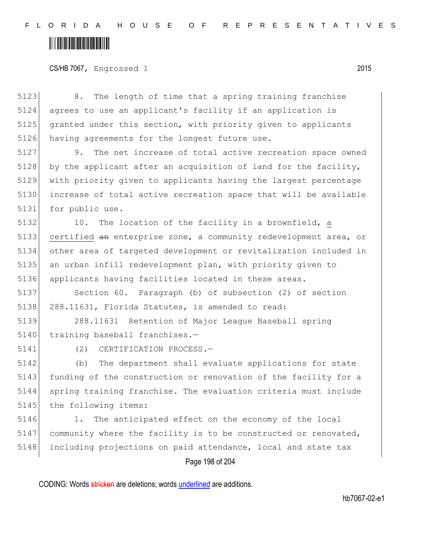# <u> Alban Martin Martin Martin S</u>

#### CS/HB 7067, Engrossed 1 2015

5123 8. The length of time that a spring training franchise 5124 agrees to use an applicant's facility if an application is 5125 granted under this section, with priority given to applicants 5126 having agreements for the longest future use.

 9. The net increase of total active recreation space owned 5128 by the applicant after an acquisition of land for the facility, with priority given to applicants having the largest percentage increase of total active recreation space that will be available for public use.

5132 10. The location of the facility in a brownfield, a certified an enterprise zone, a community redevelopment area, or other area of targeted development or revitalization included in an urban infill redevelopment plan, with priority given to applicants having facilities located in these areas.

5137 Section 60. Paragraph (b) of subsection (2) of section 5138 288.11631, Florida Statutes, is amended to read:

5139 288.11631 Retention of Major League Baseball spring 5140 training baseball franchises.-

5141 (2) CERTIFICATION PROCESS.—

5142 (b) The department shall evaluate applications for state 5143 funding of the construction or renovation of the facility for a 5144 spring training franchise. The evaluation criteria must include 5145 the following items:

5146 1. The anticipated effect on the economy of the local 5147 community where the facility is to be constructed or renovated, 5148 including projections on paid attendance, local and state tax

#### Page 198 of 204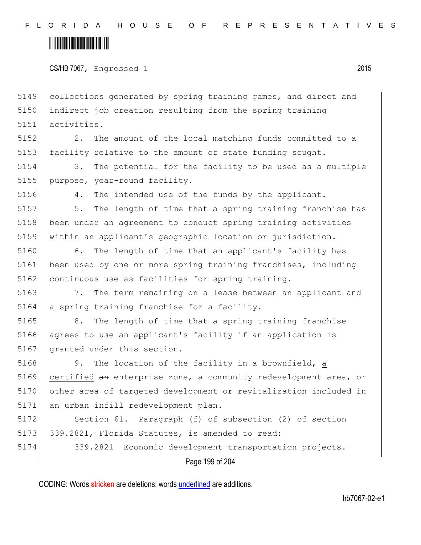CS/HB 7067, Engrossed 1 2015

5149 collections generated by spring training games, and direct and 5150 indirect job creation resulting from the spring training 5151 activities.

5152 2. The amount of the local matching funds committed to a 5153 facility relative to the amount of state funding sought.

5154 3. The potential for the facility to be used as a multiple 5155 purpose, year-round facility.

5156 4. The intended use of the funds by the applicant.

5157 5. The length of time that a spring training franchise has 5158 been under an agreement to conduct spring training activities 5159 within an applicant's geographic location or jurisdiction.

5160 6. The length of time that an applicant's facility has 5161 been used by one or more spring training franchises, including 5162 continuous use as facilities for spring training.

5163 7. The term remaining on a lease between an applicant and 5164 a spring training franchise for a facility.

5165 8. The length of time that a spring training franchise 5166 agrees to use an applicant's facility if an application is 5167 granted under this section.

5168 9. The location of the facility in a brownfield, a 5169 certified an enterprise zone, a community redevelopment area, or 5170 other area of targeted development or revitalization included in 5171 an urban infill redevelopment plan.

5172 Section 61. Paragraph (f) of subsection (2) of section 5173 339.2821, Florida Statutes, is amended to read:

5174 339.2821 Economic development transportation projects.—

Page 199 of 204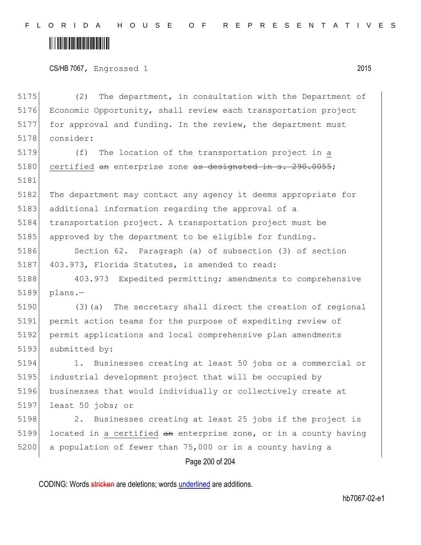# 

CS/HB 7067, Engrossed 1 2015

Page 200 of 204 5175 (2) The department, in consultation with the Department of 5176 Economic Opportunity, shall review each transportation project 5177 for approval and funding. In the review, the department must 5178 consider: 5179 (f) The location of the transportation project in a 5180 certified an enterprise zone as designated in s. 290.0055; 5181 5182 The department may contact any agency it deems appropriate for 5183 additional information regarding the approval of a 5184 transportation project. A transportation project must be 5185 approved by the department to be eligible for funding. 5186 Section 62. Paragraph (a) of subsection (3) of section 5187 403.973, Florida Statutes, is amended to read: 5188 403.973 Expedited permitting; amendments to comprehensive 5189 plans.— 5190 (3)(a) The secretary shall direct the creation of regional 5191 permit action teams for the purpose of expediting review of 5192 permit applications and local comprehensive plan amendments 5193 submitted by: 5194 1. Businesses creating at least 50 jobs or a commercial or 5195 industrial development project that will be occupied by 5196 businesses that would individually or collectively create at 5197 least 50 jobs; or 5198 2. Businesses creating at least 25 jobs if the project is 5199 located in a certified  $an$  enterprise zone, or in a county having 5200 a population of fewer than 75,000 or in a county having a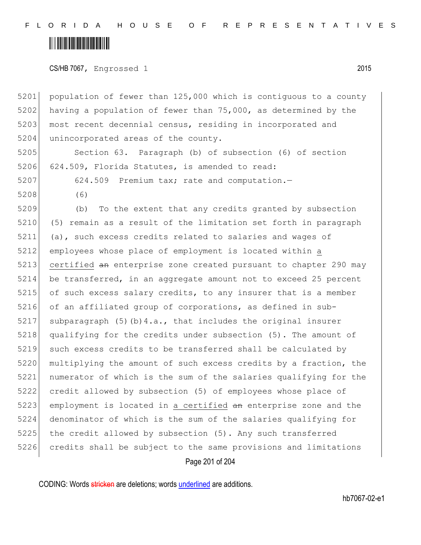### <u> Alban Martin Martin Martin S</u>

CS/HB 7067, Engrossed 1 2015

Page 201 of 204 5201 population of fewer than 125,000 which is contiguous to a county 5202 having a population of fewer than 75,000, as determined by the 5203 most recent decennial census, residing in incorporated and 5204 unincorporated areas of the county. 5205 Section 63. Paragraph (b) of subsection (6) of section 5206 624.509, Florida Statutes, is amended to read: 5207 624.509 Premium tax; rate and computation.-5208 (6) 5209 (b) To the extent that any credits granted by subsection 5210 (5) remain as a result of the limitation set forth in paragraph 5211 (a), such excess credits related to salaries and wages of 5212 employees whose place of employment is located within a 5213 certified an enterprise zone created pursuant to chapter 290 may 5214 be transferred, in an aggregate amount not to exceed 25 percent 5215 of such excess salary credits, to any insurer that is a member 5216 of an affiliated group of corporations, as defined in sub-5217 subparagraph  $(5)(b)$ 4.a., that includes the original insurer 5218 qualifying for the credits under subsection (5). The amount of 5219 such excess credits to be transferred shall be calculated by 5220 multiplying the amount of such excess credits by a fraction, the 5221 numerator of which is the sum of the salaries qualifying for the 5222 credit allowed by subsection (5) of employees whose place of 5223 employment is located in a certified an enterprise zone and the 5224 denominator of which is the sum of the salaries qualifying for 5225 the credit allowed by subsection (5). Any such transferred 5226 credits shall be subject to the same provisions and limitations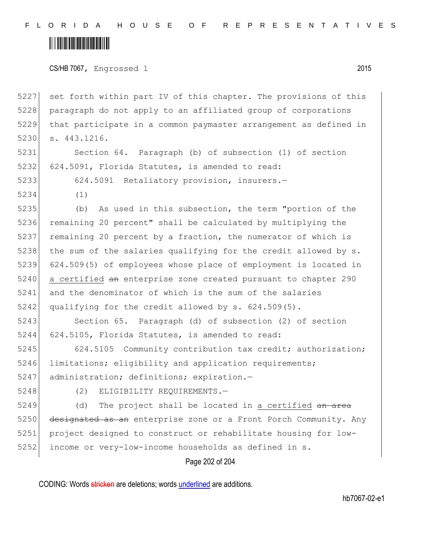# <u> Alban Martin Martin Martin S</u>

CS/HB 7067, Engrossed 1 2015

 set forth within part IV of this chapter. The provisions of this 5228 paragraph do not apply to an affiliated group of corporations that participate in a common paymaster arrangement as defined in s. 443.1216.

5231 Section 64. Paragraph (b) of subsection (1) of section 5232 624.5091, Florida Statutes, is amended to read:

5233 624.5091 Retaliatory provision, insurers.—

5234 (1)

5235 (b) As used in this subsection, the term "portion of the 5236 remaining 20 percent" shall be calculated by multiplying the 5237 remaining 20 percent by a fraction, the numerator of which is 5238 the sum of the salaries qualifying for the credit allowed by  $s$ . 5239 624.509(5) of employees whose place of employment is located in 5240 a certified an enterprise zone created pursuant to chapter 290 5241 and the denominator of which is the sum of the salaries 5242 qualifying for the credit allowed by s. 624.509(5).

5243 Section 65. Paragraph (d) of subsection (2) of section 5244 624.5105, Florida Statutes, is amended to read:

5245 624.5105 Community contribution tax credit; authorization; 5246 limitations; eligibility and application requirements; 5247 administration; definitions; expiration.-

5248 (2) ELIGIBILITY REQUIREMENTS.

 (d) The project shall be located in a certified  $\frac{1}{2}$  and  $\frac{1}{2}$ 5250 designated as an enterprise zone or a Front Porch Community. Any project designed to construct or rehabilitate housing for low-income or very-low-income households as defined in s.

Page 202 of 204

CODING: Words stricken are deletions; words underlined are additions.

hb7067-02-e1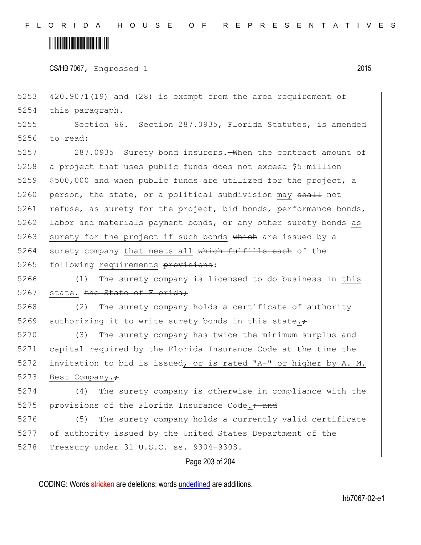#### <u> Alban Maria Maria Maria Maria Maria Maria Maria Maria Maria Maria Maria Maria Maria Maria Maria Maria Maria M</u>

CS/HB 7067, Engrossed 1 2015

5253 420.9071(19) and (28) is exempt from the area requirement of 5254 this paragraph. 5255 Section 66. Section 287.0935, Florida Statutes, is amended

5256 to read:

5257 287.0935 Surety bond insurers.—When the contract amount of 5258 a project that uses public funds does not exceed \$5 million  $5259$   $$500,000$  and when public funds are utilized for the project, a 5260 person, the state, or a political subdivision may shall not 5261 refuse, as surety for the project, bid bonds, performance bonds, 5262 labor and materials payment bonds, or any other surety bonds as 5263 surety for the project if such bonds which are issued by a 5264 surety company that meets all which fulfills each of the 5265 following requirements provisions:

5266 (1) The surety company is licensed to do business in this 5267 state. the State of Florida;

5268 (2) The surety company holds a certificate of authority 5269 authorizing it to write surety bonds in this state. $\div$ 

5270 (3) The surety company has twice the minimum surplus and 5271 capital required by the Florida Insurance Code at the time the 5272 invitation to bid is issued, or is rated "A-" or higher by A. M. 5273 Best Company. $\div$ 

5274 (4) The surety company is otherwise in compliance with the 5275 provisions of the Florida Insurance Code. $\frac{1}{100}$  and

5276 (5) The surety company holds a currently valid certificate 5277 of authority issued by the United States Department of the 5278 Treasury under 31 U.S.C. ss. 9304-9308.

#### Page 203 of 204